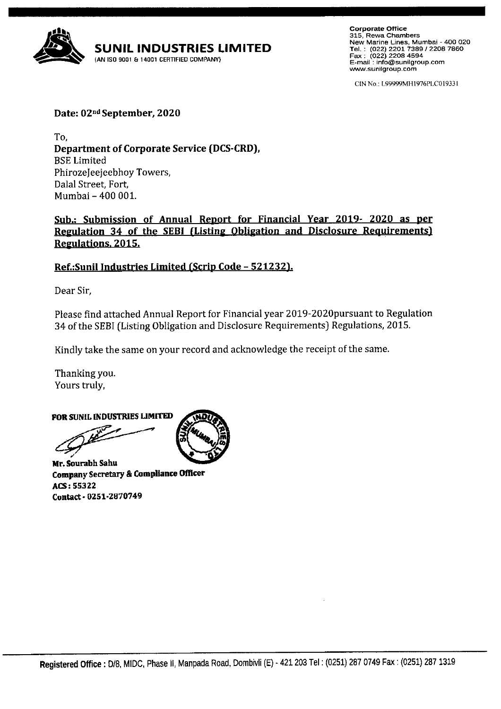

Corporate Oftice 315, Rewa Chambers New Marine Lines, Mumbai - 4OO O2O Tel.: (o22) 22oL 7389 I 22oB 7a6o Fax: (O22\ 22oa 4594 E-mail : info@sunilgroup.com www.sunilgroup.com

CIN No.: L9999MHI976PLC01933 I

Date: 02nd September, 2020

To, Department of Corporate Service (DCS-CRD), BSE Limited PhirozeJeejeebhoy Towers, Dalal Street, Fort, Mumbai - 400 001.

Sub.: Submission of Annual Report for Financial Year 2019- 2020 as per Regulation 34 of the SEBI (Listing Obligation and Disclosure Requirements) Regulations. 2015.

# Ref.: Sunil Industries Limited (Scrip Code - 521232).

Dear Sir,

Please find attached Annual Report for Financial year 2019-ZD20pursuant to Regulation 34 of the SEBI (Listing Obligation and Disclosure Requirements) Regulations, 2015.

Kindly take the same on your record and acknowledge the receipt of the same.

Thanking you. Yours truly,

FOR SUNTL INDUSTRIES LIMITED

Mr. Sourabh Sahu Company Secretary & Compliance Officer ACS: 55322 Contact - 0251-2870749

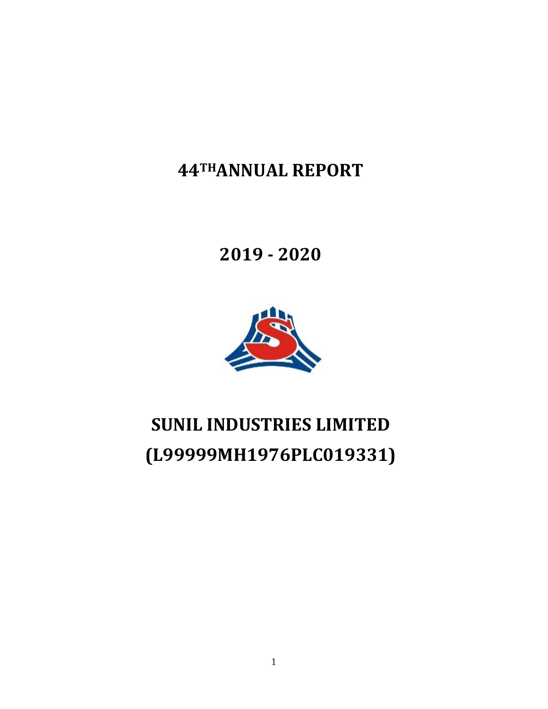**44THANNUAL REPORT**

**2019 ‐ 2020**



# **SUNIL INDUSTRIES LIMITED (L99999MH1976PLC019331)**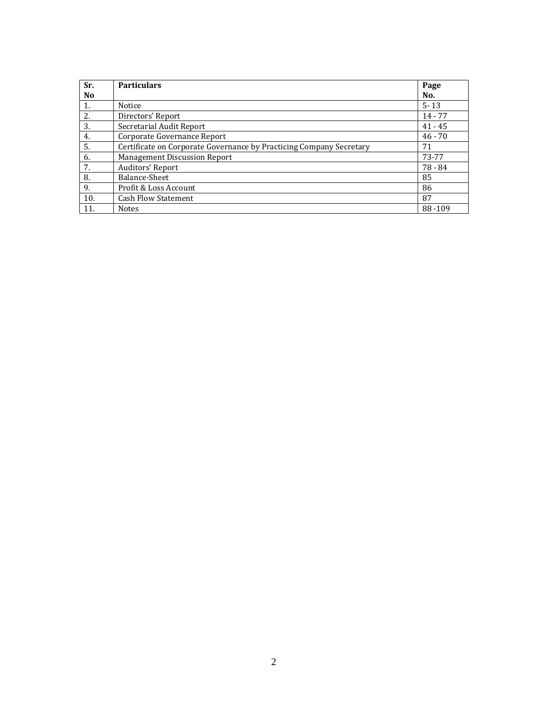| Sr.            | <b>Particulars</b>                                                  | Page      |
|----------------|---------------------------------------------------------------------|-----------|
| N <sub>0</sub> |                                                                     | No.       |
| 1.             | Notice                                                              | $5 - 13$  |
| 2.             | Directors' Report                                                   | $14 - 77$ |
| 3.             | Secretarial Audit Report                                            | $41 - 45$ |
| 4.             | Corporate Governance Report                                         | $46 - 70$ |
| 5.             | Certificate on Corporate Governance by Practicing Company Secretary | 71        |
| 6.             | <b>Management Discussion Report</b>                                 | 73-77     |
| 7.             | Auditors' Report                                                    | 78 - 84   |
| 8.             | Balance-Sheet                                                       | 85        |
| 9.             | Profit & Loss Account                                               | 86        |
| 10.            | <b>Cash Flow Statement</b>                                          | 87        |
| 11.            | <b>Notes</b>                                                        | 88-109    |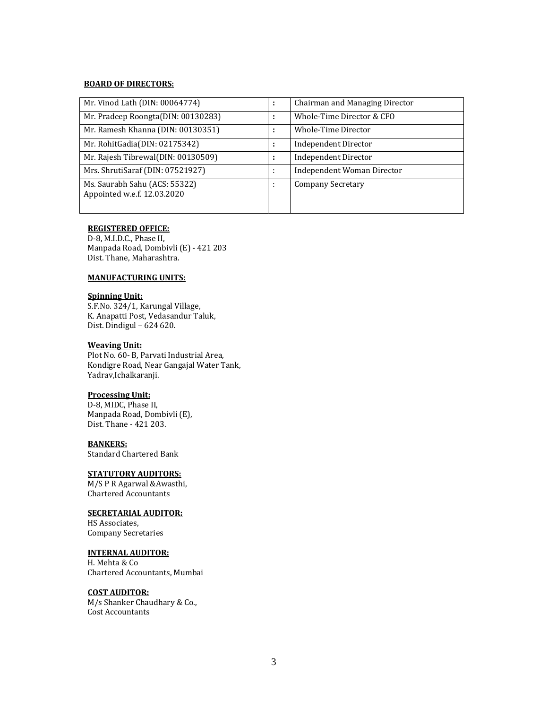# **BOARD OF DIRECTORS:**

| Mr. Vinod Lath (DIN: 00064774)                               | ٠                   | Chairman and Managing Director |
|--------------------------------------------------------------|---------------------|--------------------------------|
| Mr. Pradeep Roongta(DIN: 00130283)                           |                     | Whole-Time Director & CFO      |
| Mr. Ramesh Khanna (DIN: 00130351)                            | ٠                   | Whole-Time Director            |
| Mr. RohitGadia(DIN: 02175342)                                | ٠                   | <b>Independent Director</b>    |
| Mr. Rajesh Tibrewal(DIN: 00130509)                           | ÷                   | <b>Independent Director</b>    |
| Mrs. ShrutiSaraf (DIN: 07521927)                             | ٠<br>$\blacksquare$ | Independent Woman Director     |
| Ms. Saurabh Sahu (ACS: 55322)<br>Appointed w.e.f. 12.03.2020 | ٠<br>$\cdot$        | <b>Company Secretary</b>       |

#### **REGISTERED OFFICE:**

D-8, M.I.D.C., Phase II, Manpada Road, Dombivli (E) - 421 203 Dist. Thane, Maharashtra.

## **MANUFACTURING UNITS:**

## **Spinning Unit:**

S.F.No. 324/1, Karungal Village, K. Anapatti Post, Vedasandur Taluk, Dist. Dindigul –  $624620$ .

#### **Weaving Unit:**

Plot No. 60- B, Parvati Industrial Area, Kondigre Road, Near Gangajal Water Tank, Yadrav,Ichalkaranji. 

## **Processing Unit:**

D-8, MIDC, Phase II, Manpada Road, Dombivli (E), Dist. Thane - 421 203.

#### **BANKERS:**

Standard Chartered Bank

## **STATUTORY AUDITORS:**

M/S P R Agarwal & Awasthi, Chartered Accountants 

## **SECRETARIAL AUDITOR:**

HS Associates, Company Secretaries 

#### **INTERNAL AUDITOR:**

H. Mehta & Co Chartered Accountants, Mumbai 

## **COST AUDITOR:**

M/s Shanker Chaudhary & Co., Cost Accountants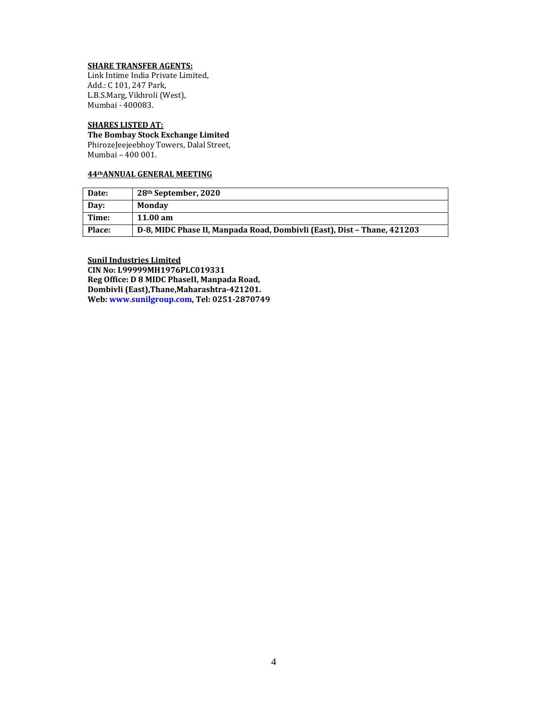## **SHARE TRANSFER AGENTS:**

Link Intime India Private Limited, Add.: C 101, 247 Park, L.B.S.Marg, Vikhroli (West), Mumbai - 400083.

## **SHARES LISTED AT:**

**The Bombay Stock Exchange Limited**  PhirozeJeejeebhoy Towers, Dalal Street, Mumbai - 400 001.

## **44thANNUAL GENERAL MEETING**

| Date:         | 28 <sup>th</sup> September, 2020                                        |
|---------------|-------------------------------------------------------------------------|
| Dav:          | Mondav                                                                  |
| Time:         | 11.00 am                                                                |
| <b>Place:</b> | D-8, MIDC Phase II, Manpada Road, Dombivli (East), Dist – Thane, 421203 |

**Sunil Industries Limited CIN No: L99999MH1976PLC019331 Reg Office: D 8 MIDC PhaseII, Manpada Road, Dombivli (East),Thane,Maharashtra‐421201. Web: www.sunilgroup.com, Tel: 0251‐2870749**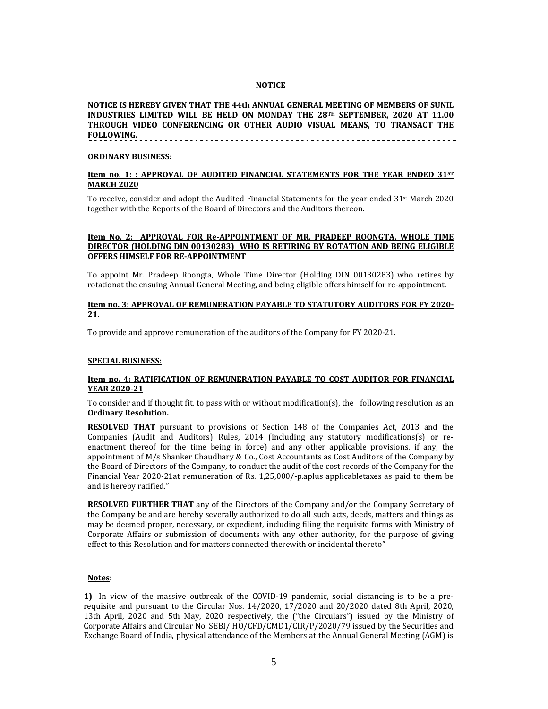#### **NOTICE**

**NOTICE IS HEREBY GIVEN THAT THE 44th ANNUAL GENERAL MEETING OF MEMBERS OF SUNIL INDUSTRIES LIMITED WILL BE HELD ON MONDAY THE 28TH SEPTEMBER, 2020 AT 11.00 THROUGH VIDEO CONFERENCING OR OTHER AUDIO VISUAL MEANS, TO TRANSACT THE FOLLOWING.** 

#### **ORDINARY BUSINESS:**

#### **Item no. 1: :** APPROVAL OF AUDITED FINANCIAL STATEMENTS FOR THE YEAR ENDED 31ST **MARCH 2020**

To receive, consider and adopt the Audited Financial Statements for the year ended  $31<sup>st</sup>$  March 2020 together with the Reports of the Board of Directors and the Auditors thereon.

## **Item No. 2: APPROVAL FOR Re‐APPOINTMENT OF MR. PRADEEP ROONGTA, WHOLE TIME DIRECTOR (HOLDING DIN 00130283) WHO IS RETIRING BY ROTATION AND BEING ELIGIBLE OFFERS HIMSELF FOR RE‐APPOINTMENT**

To appoint Mr. Pradeep Roongta, Whole Time Director (Holding DIN 00130283) who retires by rotationat the ensuing Annual General Meeting, and being eligible offers himself for re-appointment.

## **Item no. 3: APPROVAL OF REMUNERATION PAYABLE TO STATUTORY AUDITORS FOR FY 2020‐ 21.**

To provide and approve remuneration of the auditors of the Company for FY 2020-21.

#### **SPECIAL BUSINESS:**

## **Item no. 4: RATIFICATION OF REMUNERATION PAYABLE TO COST AUDITOR FOR FINANCIAL YEAR 2020‐21**

To consider and if thought fit, to pass with or without modification(s), the following resolution as an **Ordinary Resolution.**

**RESOLVED THAT** pursuant to provisions of Section 148 of the Companies Act, 2013 and the Companies (Audit and Auditors) Rules,  $2014$  (including any statutory modifications(s) or reenactment thereof for the time being in force) and any other applicable provisions, if any, the appointment of  $M/s$  Shanker Chaudhary & Co., Cost Accountants as Cost Auditors of the Company by the Board of Directors of the Company, to conduct the audit of the cost records of the Company for the Financial Year 2020-21at remuneration of Rs. 1,25,000/-p.aplus applicabletaxes as paid to them be and is hereby ratified."

**RESOLVED FURTHER THAT** any of the Directors of the Company and/or the Company Secretary of the Company be and are hereby severally authorized to do all such acts, deeds, matters and things as may be deemed proper, necessary, or expedient, including filing the requisite forms with Ministry of Corporate Affairs or submission of documents with any other authority, for the purpose of giving effect to this Resolution and for matters connected therewith or incidental thereto"

#### **Notes:**

**1)** In view of the massive outbreak of the COVID-19 pandemic, social distancing is to be a prerequisite and pursuant to the Circular Nos. 14/2020, 17/2020 and 20/2020 dated 8th April, 2020, 13th April, 2020 and 5th May, 2020 respectively, the ("the Circulars") issued by the Ministry of Corporate Affairs and Circular No. SEBI/ HO/CFD/CMD1/CIR/P/2020/79 issued by the Securities and Exchange Board of India, physical attendance of the Members at the Annual General Meeting (AGM) is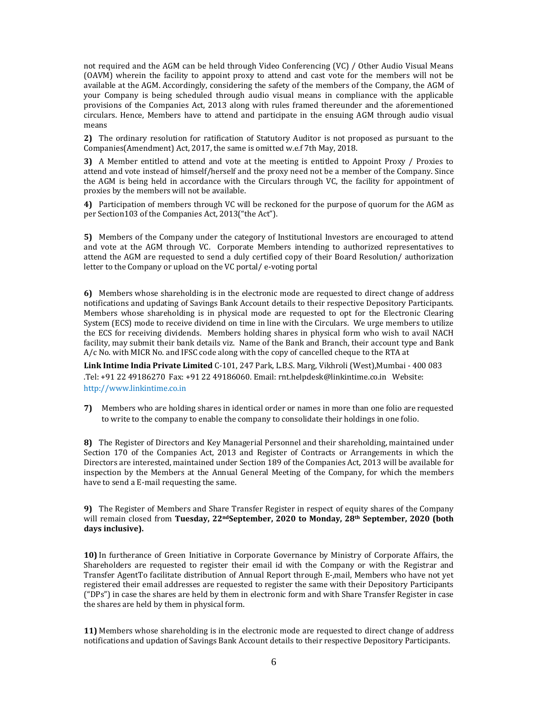not required and the AGM can be held through Video Conferencing (VC) / Other Audio Visual Means (OAVM) wherein the facility to appoint proxy to attend and cast vote for the members will not be available at the AGM. Accordingly, considering the safety of the members of the Company, the AGM of your Company is being scheduled through audio visual means in compliance with the applicable provisions of the Companies Act, 2013 along with rules framed thereunder and the aforementioned circulars. Hence, Members have to attend and participate in the ensuing AGM through audio visual means 

**2)** The ordinary resolution for ratification of Statutory Auditor is not proposed as pursuant to the Companies(Amendment) Act, 2017, the same is omitted w.e.f 7th May, 2018.

**3)** A Member entitled to attend and vote at the meeting is entitled to Appoint Proxy / Proxies to attend and vote instead of himself/herself and the proxy need not be a member of the Company. Since the AGM is being held in accordance with the Circulars through VC, the facility for appointment of proxies by the members will not be available.

**4)** Participation of members through VC will be reckoned for the purpose of quorum for the AGM as per Section103 of the Companies Act, 2013("the Act").

**5)** Members of the Company under the category of Institutional Investors are encouraged to attend and vote at the AGM through VC. Corporate Members intending to authorized representatives to attend the AGM are requested to send a duly certified copy of their Board Resolution/ authorization letter to the Company or upload on the VC portal/ e-voting portal

**6)** Members whose shareholding is in the electronic mode are requested to direct change of address notifications and updating of Savings Bank Account details to their respective Depository Participants. Members whose shareholding is in physical mode are requested to opt for the Electronic Clearing System (ECS) mode to receive dividend on time in line with the Circulars. We urge members to utilize the ECS for receiving dividends. Members holding shares in physical form who wish to avail NACH facility, may submit their bank details viz. Name of the Bank and Branch, their account type and Bank  $A/c$  No. with MICR No. and IFSC code along with the copy of cancelled cheque to the RTA at

**Link Intime India Private Limited** C-101, 247 Park, L.B.S. Marg, Vikhroli (West),Mumbai - 400 083 .Tel: +91 22 49186270 Fax: +91 22 49186060. Email: rnt.helpdesk@linkintime.co.in Website: http://www.linkintime.co.in 

**7)** Members who are holding shares in identical order or names in more than one folio are requested to write to the company to enable the company to consolidate their holdings in one folio.

8) The Register of Directors and Key Managerial Personnel and their shareholding, maintained under Section 170 of the Companies Act, 2013 and Register of Contracts or Arrangements in which the Directors are interested, maintained under Section 189 of the Companies Act, 2013 will be available for inspection by the Members at the Annual General Meeting of the Company, for which the members have to send a E-mail requesting the same.

**9)** The Register of Members and Share Transfer Register in respect of equity shares of the Company will remain closed from **Tuesday, 22ndSeptember, 2020 to Monday, 28th September, 2020 (both days inclusive).**

**10)** In furtherance of Green Initiative in Corporate Governance by Ministry of Corporate Affairs, the Shareholders are requested to register their email id with the Company or with the Registrar and Transfer AgentTo facilitate distribution of Annual Report through E-,mail, Members who have not yet registered their email addresses are requested to register the same with their Depository Participants ("DPs") in case the shares are held by them in electronic form and with Share Transfer Register in case the shares are held by them in physical form.

**11)** Members whose shareholding is in the electronic mode are requested to direct change of address notifications and updation of Savings Bank Account details to their respective Depository Participants.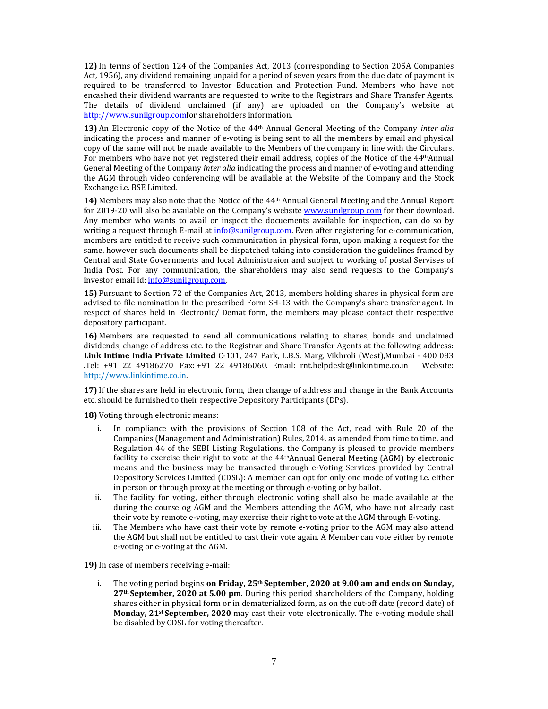**12)** In terms of Section 124 of the Companies Act, 2013 (corresponding to Section 205A Companies Act, 1956), any dividend remaining unpaid for a period of seven years from the due date of payment is required to be transferred to Investor Education and Protection Fund. Members who have not encashed their dividend warrants are requested to write to the Registrars and Share Transfer Agents. The details of dividend unclaimed (if any) are uploaded on the Company's website at http://www.sunilgroup.comfor shareholders information.

**13)** An Electronic copy of the Notice of the 44<sup>th</sup> Annual General Meeting of the Company *inter alia* indicating the process and manner of e-voting is being sent to all the members by email and physical copy of the same will not be made available to the Members of the company in line with the Circulars. For members who have not yet registered their email address, copies of the Notice of the 44<sup>th</sup>Annual General Meeting of the Company *inter alia* indicating the process and manner of e-voting and attending the AGM through video conferencing will be available at the Website of the Company and the Stock Exchange i.e. BSE Limited.

**14)** Members may also note that the Notice of the 44<sup>th</sup> Annual General Meeting and the Annual Report for 2019-20 will also be available on the Company's website www.sunilgroup com for their download. Any member who wants to avail or inspect the docuements available for inspection, can do so by writing a request through E-mail at info@sunilgroup.com. Even after registering for e-communication, members are entitled to receive such communication in physical form, upon making a request for the same, however such documents shall be dispatched taking into consideration the guidelines framed by Central and State Governments and local Administraion and subject to working of postal Servises of India Post. For any communication, the shareholders may also send requests to the Company's investor email id: info@sunilgroup.com.

**15)** Pursuant to Section 72 of the Companies Act, 2013, members holding shares in physical form are advised to file nomination in the prescribed Form SH-13 with the Company's share transfer agent. In respect of shares held in Electronic/ Demat form, the members may please contact their respective depository participant.

**16)** Members are requested to send all communications relating to shares, bonds and unclaimed dividends, change of address etc. to the Registrar and Share Transfer Agents at the following address: **Link Intime India Private Limited** C‐101, 247 Park, L.B.S. Marg, Vikhroli (West),Mumbai ‐ 400 083 .Tel: +91 22 49186270 Fax: +91 22 49186060. Email: rnt.helpdesk@linkintime.co.in Website: http://www.linkintime.co.in. 

**17)** If the shares are held in electronic form, then change of address and change in the Bank Accounts etc. should be furnished to their respective Depository Participants (DPs).

**18)** Voting through electronic means:

- i. In compliance with the provisions of Section 108 of the Act, read with Rule 20 of the Companies (Management and Administration) Rules, 2014, as amended from time to time, and Regulation 44 of the SEBI Listing Regulations, the Company is pleased to provide members facility to exercise their right to vote at the  $44$ <sup>th</sup>Annual General Meeting (AGM) by electronic means and the business may be transacted through e-Voting Services provided by Central Depository Services Limited (CDSL): A member can opt for only one mode of voting i.e. either in person or through proxy at the meeting or through e-voting or by ballot.
- ii. The facility for voting, either through electronic voting shall also be made available at the during the course og AGM and the Members attending the AGM, who have not already cast their vote by remote e-voting, may exercise their right to vote at the AGM through E-voting.
- iii. The Members who have cast their vote by remote e-voting prior to the AGM may also attend the AGM but shall not be entitled to cast their vote again. A Member can vote either by remote e-voting or e-voting at the AGM.

**19)** In case of members receiving e-mail:

i. The voting period begins **on Friday, 25th September, 2020 at 9.00 am and ends on Sunday, 27th September, 2020 at 5.00 pm**. During this period shareholders of the Company, holding shares either in physical form or in dematerialized form, as on the cut-off date (record date) of **Monday, 21st September, 2020** may cast their vote electronically. The e-voting module shall be disabled by CDSL for voting thereafter.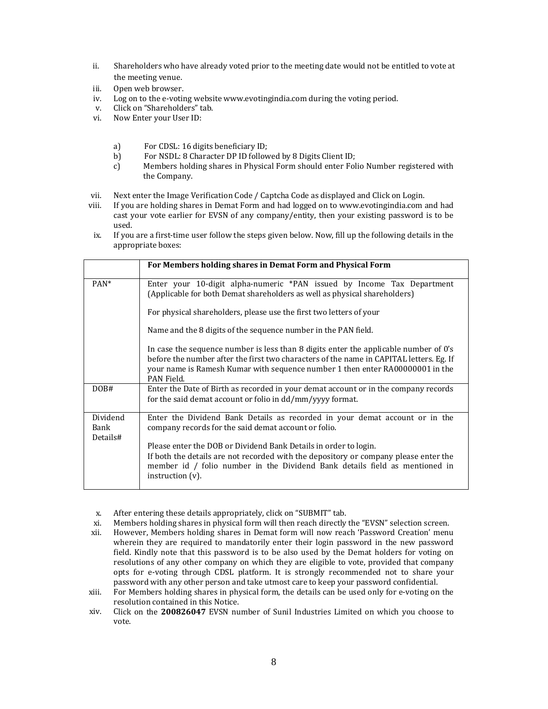- ii. Shareholders who have already voted prior to the meeting date would not be entitled to vote at the meeting venue.
- iii. Open web browser.
- iv. Log on to the e-voting website www.evotingindia.com during the voting period.
- v. Click on "Shareholders" tab.
- vi. Now Enter your User ID:
	- a) For CDSL: 16 digits beneficiary ID;
	- b) For NSDL: 8 Character DP ID followed by 8 Digits Client ID;
	- c) Members holding shares in Physical Form should enter Folio Number registered with the Company.
- vii. Next enter the Image Verification Code / Captcha Code as displayed and Click on Login.
- viii. If you are holding shares in Demat Form and had logged on to www.evotingindia.com and had cast your vote earlier for EVSN of any company/entity, then your existing password is to be used.
- ix. If you are a first-time user follow the steps given below. Now, fill up the following details in the appropriate boxes:

|                              | For Members holding shares in Demat Form and Physical Form                                                                                                                                                                                                                     |
|------------------------------|--------------------------------------------------------------------------------------------------------------------------------------------------------------------------------------------------------------------------------------------------------------------------------|
| PAN <sup>*</sup>             | Enter your 10-digit alpha-numeric *PAN issued by Income Tax Department<br>(Applicable for both Demat shareholders as well as physical shareholders)                                                                                                                            |
|                              | For physical shareholders, please use the first two letters of your                                                                                                                                                                                                            |
|                              | Name and the 8 digits of the sequence number in the PAN field.                                                                                                                                                                                                                 |
|                              | In case the sequence number is less than 8 digits enter the applicable number of 0's<br>before the number after the first two characters of the name in CAPITAL letters. Eg. If<br>your name is Ramesh Kumar with sequence number 1 then enter RA00000001 in the<br>PAN Field. |
| DOB#                         | Enter the Date of Birth as recorded in your demat account or in the company records<br>for the said demat account or folio in dd/mm/yyyy format.                                                                                                                               |
| Dividend<br>Bank<br>Details# | Enter the Dividend Bank Details as recorded in your demat account or in the<br>company records for the said demat account or folio.                                                                                                                                            |
|                              | Please enter the DOB or Dividend Bank Details in order to login.<br>If both the details are not recorded with the depository or company please enter the<br>member id / folio number in the Dividend Bank details field as mentioned in<br>instruction $(v)$ .                 |

- x. After entering these details appropriately, click on "SUBMIT" tab.
- xi. Members holding shares in physical form will then reach directly the "EVSN" selection screen.
- xii. However, Members holding shares in Demat form will now reach 'Password Creation' menu wherein they are required to mandatorily enter their login password in the new password field. Kindly note that this password is to be also used by the Demat holders for voting on resolutions of any other company on which they are eligible to vote, provided that company opts for e-voting through CDSL platform. It is strongly recommended not to share your password with any other person and take utmost care to keep your password confidential.
- xiii. For Members holding shares in physical form, the details can be used only for e-voting on the resolution contained in this Notice.
- xiv. Click on the **200826047** EVSN number of Sunil Industries Limited on which you choose to vote.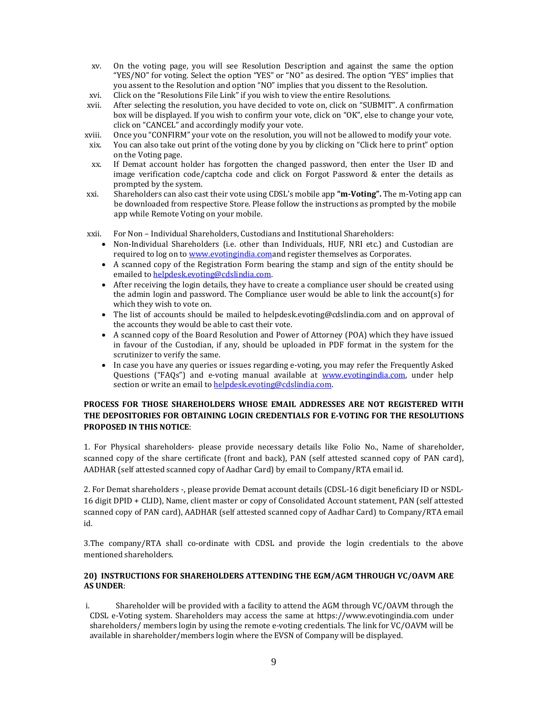- xv. On the voting page, you will see Resolution Description and against the same the option "YES/NO" for voting. Select the option "YES" or "NO" as desired. The option "YES" implies that you assent to the Resolution and option "NO" implies that you dissent to the Resolution.
- xvi. Click on the "Resolutions File Link" if you wish to view the entire Resolutions.
- xvii. After selecting the resolution, you have decided to vote on, click on "SUBMIT". A confirmation box will be displayed. If you wish to confirm your vote, click on "OK", else to change your vote, click on "CANCEL" and accordingly modify your vote.
- xviii. Once you "CONFIRM" your vote on the resolution, you will not be allowed to modify vour vote.
- xix. You can also take out print of the voting done by you by clicking on "Click here to print" option on the Voting page.
- xx. If Demat account holder has forgotten the changed password, then enter the User ID and image verification code/captcha code and click on Forgot Password  $\&$  enter the details as prompted by the system.
- xxi. Shareholders can also cast their vote using CDSL's mobile app "**m-Voting**". The m-Voting app can be downloaded from respective Store. Please follow the instructions as prompted by the mobile app while Remote Voting on your mobile.
- xxii. For Non Individual Shareholders, Custodians and Institutional Shareholders:
	- Non-Individual Shareholders (i.e. other than Individuals, HUF, NRI etc.) and Custodian are required to log on to **www.evotingindia.com**and register themselves as Corporates.
	- A scanned copy of the Registration Form bearing the stamp and sign of the entity should be emailed to helpdesk.evoting@cdslindia.com.
	- After receiving the login details, they have to create a compliance user should be created using the admin login and password. The Compliance user would be able to link the account(s) for which they wish to vote on.
	- The list of accounts should be mailed to helpdesk.evoting@cdslindia.com and on approval of the accounts they would be able to cast their vote.
	- A scanned copy of the Board Resolution and Power of Attorney (POA) which they have issued in favour of the Custodian, if any, should be uploaded in PDF format in the system for the scrutinizer to verify the same.
	- In case you have any queries or issues regarding e-voting, you may refer the Frequently Asked Questions ("FAQs") and e-voting manual available at www.evotingindia.com, under help section or write an email to **helpdesk.evoting@cdslindia.com**.

## **PROCESS FOR THOSE SHAREHOLDERS WHOSE EMAIL ADDRESSES ARE NOT REGISTERED WITH THE DEPOSITORIES FOR OBTAINING LOGIN CREDENTIALS FOR E‐VOTING FOR THE RESOLUTIONS PROPOSED IN THIS NOTICE**:

1. For Physical shareholders- please provide necessary details like Folio No., Name of shareholder, scanned copy of the share certificate (front and back), PAN (self attested scanned copy of PAN card), AADHAR (self attested scanned copy of Aadhar Card) by email to Company/RTA email id.

2. For Demat shareholders -, please provide Demat account details (CDSL-16 digit beneficiary ID or NSDL-16 digit DPID + CLID), Name, client master or copy of Consolidated Account statement, PAN (self attested scanned copy of PAN card), AADHAR (self attested scanned copy of Aadhar Card) to Company/RTA email id. 

3.The company/RTA shall co-ordinate with CDSL and provide the login credentials to the above mentioned shareholders.

## **20) INSTRUCTIONS FOR SHAREHOLDERS ATTENDING THE EGM/AGM THROUGH VC/OAVM ARE AS UNDER**:

i. Shareholder will be provided with a facility to attend the AGM through VC/OAVM through the CDSL e-Voting system. Shareholders may access the same at https://www.evotingindia.com under shareholders/ members login by using the remote e-voting credentials. The link for VC/OAVM will be available in shareholder/members login where the EVSN of Company will be displayed.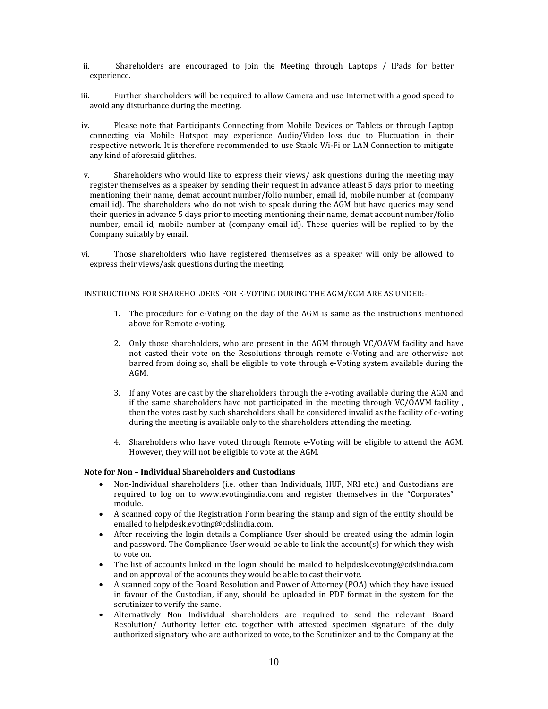- ii. Shareholders are encouraged to join the Meeting through Laptops / IPads for better experience.
- iii. Further shareholders will be required to allow Camera and use Internet with a good speed to avoid any disturbance during the meeting.
- iv. Please note that Participants Connecting from Mobile Devices or Tablets or through Laptop connecting via Mobile Hotspot may experience Audio/Video loss due to Fluctuation in their respective network. It is therefore recommended to use Stable Wi-Fi or LAN Connection to mitigate any kind of aforesaid glitches.
- v. Shareholders who would like to express their views/ ask questions during the meeting may register themselves as a speaker by sending their request in advance atleast 5 days prior to meeting mentioning their name, demat account number/folio number, email id, mobile number at (company email id). The shareholders who do not wish to speak during the AGM but have queries may send their queries in advance 5 days prior to meeting mentioning their name, demat account number/folio number, email id, mobile number at (company email id). These queries will be replied to by the Company suitably by email.
- vi. Those shareholders who have registered themselves as a speaker will only be allowed to express their views/ask questions during the meeting.

INSTRUCTIONS FOR SHAREHOLDERS FOR E-VOTING DURING THE AGM/EGM ARE AS UNDER:-

- 1. The procedure for e-Voting on the day of the AGM is same as the instructions mentioned above for Remote e-voting.
- 2. Only those shareholders, who are present in the AGM through VC/OAVM facility and have not casted their vote on the Resolutions through remote e-Voting and are otherwise not barred from doing so, shall be eligible to vote through e-Voting system available during the AGM.
- 3. If any Votes are cast by the shareholders through the e-voting available during the AGM and if the same shareholders have not participated in the meeting through  $VC/OAVM$  facility, then the votes cast by such shareholders shall be considered invalid as the facility of e-voting during the meeting is available only to the shareholders attending the meeting.
- 4. Shareholders who have voted through Remote e-Voting will be eligible to attend the AGM. However, they will not be eligible to vote at the AGM.

#### **Note for Non – Individual Shareholders and Custodians**

- Non-Individual shareholders (i.e. other than Individuals, HUF, NRI etc.) and Custodians are required to log on to www.evotingindia.com and register themselves in the "Corporates" module.
- A scanned copy of the Registration Form bearing the stamp and sign of the entity should be emailed to helpdesk.evoting@cdslindia.com.
- After receiving the login details a Compliance User should be created using the admin login and password. The Compliance User would be able to link the account(s) for which they wish to vote on.
- The list of accounts linked in the login should be mailed to helpdesk.evoting@cdslindia.com and on approval of the accounts they would be able to cast their vote.
- A scanned copy of the Board Resolution and Power of Attorney (POA) which they have issued in favour of the Custodian, if any, should be uploaded in PDF format in the system for the scrutinizer to verify the same.
- Alternatively Non Individual shareholders are required to send the relevant Board Resolution/ Authority letter etc. together with attested specimen signature of the duly authorized signatory who are authorized to vote, to the Scrutinizer and to the Company at the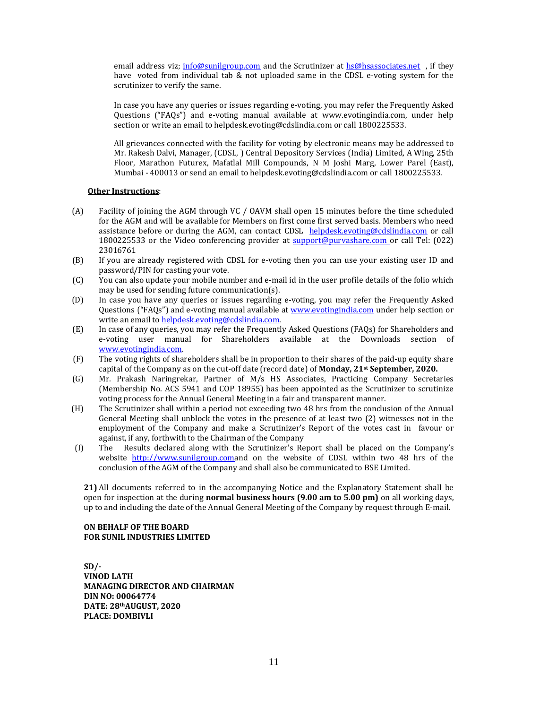email address viz;  $info@sumilgroup.com$  and the Scrutinizer at  $hs@lassociates.net$  , if they have voted from individual tab & not uploaded same in the CDSL e-voting system for the scrutinizer to verify the same.

In case you have any queries or issues regarding e-voting, you may refer the Frequently Asked Questions ("FAQs") and e-voting manual available at www.evotingindia.com, under help section or write an email to helpdesk.evoting@cdslindia.com or call 1800225533.

All grievances connected with the facility for voting by electronic means may be addressed to Mr. Rakesh Dalvi, Manager, (CDSL, ) Central Depository Services (India) Limited, A Wing, 25th Floor, Marathon Futurex, Mafatlal Mill Compounds, N M Joshi Marg, Lower Parel (East), Mumbai - 400013 or send an email to helpdesk.evoting@cdslindia.com or call 1800225533.

#### **Other Instructions**:

- (A) Facility of joining the AGM through VC / OAVM shall open 15 minutes before the time scheduled for the AGM and will be available for Members on first come first served basis. Members who need assistance before or during the AGM, can contact CDSL helpdesk.evoting@cdslindia.com or call 1800225533 or the Video conferencing provider at  $\frac{\text{support@purvashare.com}}{\text{currented purvashare.com}}$  or call Tel: (022) 23016761
- (B) If you are already registered with CDSL for e-voting then you can use your existing user ID and password/PIN for casting your vote.
- (C) You can also update your mobile number and e-mail id in the user profile details of the folio which may be used for sending future communication(s).
- (D) In case you have any queries or issues regarding e-voting, you may refer the Frequently Asked Questions ("FAQs") and e-voting manual available at **www.evotingindia.com** under help section or write an email to helpdesk.evoting@cdslindia.com.
- (E) In case of any queries, you may refer the Frequently Asked Questions (FAQs) for Shareholders and e-voting user manual for Shareholders available at the Downloads section of www.evotingindia.com.
- (F) The voting rights of shareholders shall be in proportion to their shares of the paid-up equity share capital of the Company as on the cut-off date (record date) of **Monday, 21st September, 2020.**
- (G) Mr. Prakash Naringrekar, Partner of M/s HS Associates, Practicing Company Secretaries (Membership No. ACS 5941 and COP 18955) has been appointed as the Scrutinizer to scrutinize voting process for the Annual General Meeting in a fair and transparent manner.
- (H) The Scrutinizer shall within a period not exceeding two 48 hrs from the conclusion of the Annual General Meeting shall unblock the votes in the presence of at least two  $(2)$  witnesses not in the employment of the Company and make a Scrutinizer's Report of the votes cast in favour or against, if any, forthwith to the Chairman of the Company<br>The Results declared along with the Scrutinizer's Re
- (I) The Results declared along with the Scrutinizer's Report shall be placed on the Company's website http://www.sunilgroup.comand on the website of CDSL within two 48 hrs of the conclusion of the AGM of the Company and shall also be communicated to BSE Limited.

**21)** All documents referred to in the accompanying Notice and the Explanatory Statement shall be open for inspection at the during **normal business hours** (9.00 am to 5.00 pm) on all working days, up to and including the date of the Annual General Meeting of the Company by request through E-mail.

#### **ON BEHALF OF THE BOARD FOR SUNIL INDUSTRIES LIMITED**

**SD/‐ VINOD LATH MANAGING DIRECTOR AND CHAIRMAN DIN NO: 00064774 DATE: 28thAUGUST, 2020 PLACE: DOMBIVLI**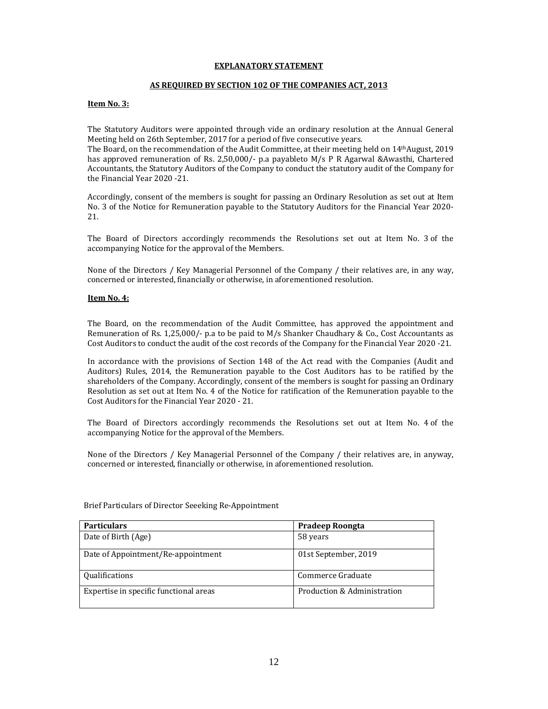#### **EXPLANATORY STATEMENT**

## **AS REQUIRED BY SECTION 102 OF THE COMPANIES ACT, 2013**

#### **Item No. 3:**

The Statutory Auditors were appointed through vide an ordinary resolution at the Annual General Meeting held on 26th September, 2017 for a period of five consecutive years.

The Board, on the recommendation of the Audit Committee, at their meeting held on 14<sup>th</sup>August, 2019 has approved remuneration of Rs. 2,50,000/- p.a payableto  $M/s$  P R Agarwal &Awasthi, Chartered Accountants, the Statutory Auditors of the Company to conduct the statutory audit of the Company for the Financial Year 2020 -21.

Accordingly, consent of the members is sought for passing an Ordinary Resolution as set out at Item No. 3 of the Notice for Remuneration payable to the Statutory Auditors for the Financial Year 2020-21. 

The Board of Directors accordingly recommends the Resolutions set out at Item No. 3 of the accompanying Notice for the approval of the Members.

None of the Directors / Key Managerial Personnel of the Company / their relatives are, in any way, concerned or interested, financially or otherwise, in aforementioned resolution.

#### **Item No. 4:**

The Board, on the recommendation of the Audit Committee, has approved the appointment and Remuneration of Rs. 1,25,000/- p.a to be paid to  $M/s$  Shanker Chaudhary & Co., Cost Accountants as Cost Auditors to conduct the audit of the cost records of the Company for the Financial Year 2020 -21.

In accordance with the provisions of Section 148 of the Act read with the Companies (Audit and Auditors) Rules, 2014, the Remuneration payable to the Cost Auditors has to be ratified by the shareholders of the Company. Accordingly, consent of the members is sought for passing an Ordinary Resolution as set out at Item No. 4 of the Notice for ratification of the Remuneration payable to the Cost Auditors for the Financial Year 2020 - 21.

The Board of Directors accordingly recommends the Resolutions set out at Item No. 4 of the accompanying Notice for the approval of the Members.

None of the Directors / Key Managerial Personnel of the Company / their relatives are, in anyway, concerned or interested, financially or otherwise, in aforementioned resolution.

| <b>Particulars</b>                     | Pradeep Roongta             |
|----------------------------------------|-----------------------------|
| Date of Birth (Age)                    | 58 years                    |
| Date of Appointment/Re-appointment     | 01st September, 2019        |
| Qualifications                         | Commerce Graduate           |
| Expertise in specific functional areas | Production & Administration |

Brief Particulars of Director Seeeking Re-Appointment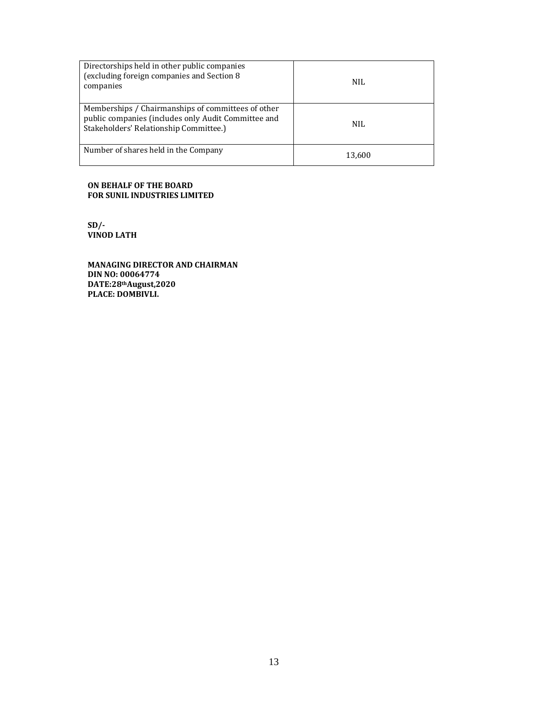| Directorships held in other public companies<br>(excluding foreign companies and Section 8<br>companies                                             | <b>NIL</b> |
|-----------------------------------------------------------------------------------------------------------------------------------------------------|------------|
| Memberships / Chairmanships of committees of other<br>public companies (includes only Audit Committee and<br>Stakeholders' Relationship Committee.) | NIL.       |
| Number of shares held in the Company                                                                                                                | 13.600     |

## **ON BEHALF OF THE BOARD FOR SUNIL INDUSTRIES LIMITED**

**SD/‐ VINOD LATH**

**MANAGING DIRECTOR AND CHAIRMAN DIN NO: 00064774 DATE:28thAugust,2020 PLACE: DOMBIVLI.**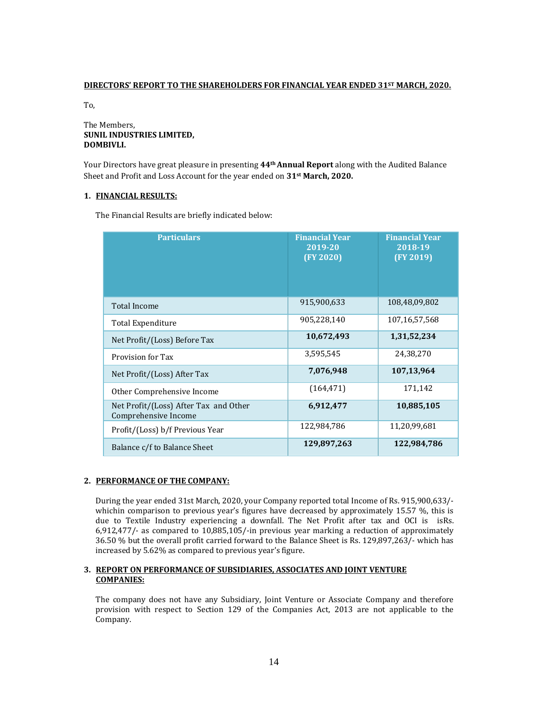## **DIRECTORS' REPORT TO THE SHAREHOLDERS FOR FINANCIAL YEAR ENDED 31ST MARCH, 2020.**

To, 

#### The Members. **SUNIL INDUSTRIES LIMITED, DOMBIVLI.**

Your Directors have great pleasure in presenting 44<sup>th</sup> Annual Report along with the Audited Balance Sheet and Profit and Loss Account for the year ended on 31<sup>st</sup> March, 2020.

## 1. **FINANCIAL RESULTS:**

The Financial Results are briefly indicated below:

| <b>Particulars</b>                                            | <b>Financial Year</b><br>2019-20<br>(FY 2020) | <b>Financial Year</b><br>2018-19<br>(FY 2019) |
|---------------------------------------------------------------|-----------------------------------------------|-----------------------------------------------|
| <b>Total Income</b>                                           | 915,900,633                                   | 108,48,09,802                                 |
| Total Expenditure                                             | 905,228,140                                   | 107,16,57,568                                 |
| Net Profit/(Loss) Before Tax                                  | 10,672,493                                    | 1,31,52,234                                   |
| Provision for Tax                                             | 3,595,545                                     | 24,38,270                                     |
| Net Profit/(Loss) After Tax                                   | 7,076,948                                     | 107,13,964                                    |
| Other Comprehensive Income                                    | (164, 471)                                    | 171,142                                       |
| Net Profit/(Loss) After Tax and Other<br>Comprehensive Income | 6,912,477                                     | 10,885,105                                    |
| Profit/(Loss) b/f Previous Year                               | 122,984,786                                   | 11,20,99,681                                  |
| Balance c/f to Balance Sheet                                  | 129,897,263                                   | 122,984,786                                   |

## **2. PERFORMANCE OF THE COMPANY:**

During the year ended 31st March, 2020, your Company reported total Income of Rs. 915,900,633/whichin comparison to previous year's figures have decreased by approximately 15.57  $\%$ , this is due to Textile Industry experiencing a downfall. The Net Profit after tax and OCI is isRs. 6,912,477/- as compared to 10,885,105/-in previous year marking a reduction of approximately 36.50 % but the overall profit carried forward to the Balance Sheet is Rs. 129,897,263/- which has increased by 5.62% as compared to previous year's figure.

## **3. REPORT ON PERFORMANCE OF SUBSIDIARIES, ASSOCIATES AND JOINT VENTURE COMPANIES:**

The company does not have any Subsidiary, Joint Venture or Associate Company and therefore provision with respect to Section 129 of the Companies Act, 2013 are not applicable to the Company.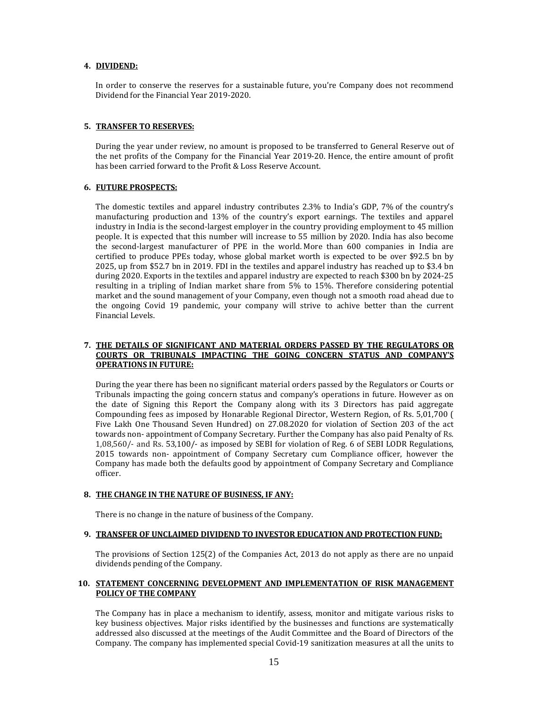## **4. DIVIDEND:**

In order to conserve the reserves for a sustainable future, you're Company does not recommend Dividend for the Financial Year 2019-2020.

#### **5. TRANSFER TO RESERVES:**

During the year under review, no amount is proposed to be transferred to General Reserve out of the net profits of the Company for the Financial Year 2019-20. Hence, the entire amount of profit has been carried forward to the Profit & Loss Reserve Account.

## **6. FUTURE PROSPECTS:**

The domestic textiles and apparel industry contributes 2.3% to India's GDP, 7% of the country's manufacturing production and 13% of the country's export earnings. The textiles and apparel industry in India is the second-largest employer in the country providing employment to 45 million people. It is expected that this number will increase to 55 million by 2020. India has also become the second-largest manufacturer of PPE in the world. More than 600 companies in India are certified to produce PPEs today, whose global market worth is expected to be over \$92.5 bn by 2025, up from \$52.7 bn in 2019. FDI in the textiles and apparel industry has reached up to \$3.4 bn during 2020. Exports in the textiles and apparel industry are expected to reach \$300 bn by 2024-25 resulting in a tripling of Indian market share from  $5\%$  to 15%. Therefore considering potential market and the sound management of your Company, even though not a smooth road ahead due to the ongoing Covid 19 pandemic, your company will strive to achive better than the current Financial Levels.

## **7. THE DETAILS OF SIGNIFICANT AND MATERIAL ORDERS PASSED BY THE REGULATORS OR COURTS OR TRIBUNALS IMPACTING THE GOING CONCERN STATUS AND COMPANY'S OPERATIONS IN FUTURE:**

During the year there has been no significant material orders passed by the Regulators or Courts or Tribunals impacting the going concern status and company's operations in future. However as on the date of Signing this Report the Company along with its 3 Directors has paid aggregate Compounding fees as imposed by Honarable Regional Director, Western Region, of Rs. 5,01,700 ( Five Lakh One Thousand Seven Hundred) on 27.08.2020 for violation of Section 203 of the act towards non- appointment of Company Secretary. Further the Company has also paid Penalty of Rs. 1,08,560/- and Rs. 53,100/- as imposed by SEBI for violation of Reg. 6 of SEBI LODR Regulations, 2015 towards non- appointment of Company Secretary cum Compliance officer, however the Company has made both the defaults good by appointment of Company Secretary and Compliance officer. 

#### **8. THE CHANGE IN THE NATURE OF BUSINESS, IF ANY:**

There is no change in the nature of business of the Company.

#### **9. TRANSFER OF UNCLAIMED DIVIDEND TO INVESTOR EDUCATION AND PROTECTION FUND:**

The provisions of Section  $125(2)$  of the Companies Act, 2013 do not apply as there are no unpaid dividends pending of the Company.

#### **10. STATEMENT CONCERNING DEVELOPMENT AND IMPLEMENTATION OF RISK MANAGEMENT POLICY OF THE COMPANY**

The Company has in place a mechanism to identify, assess, monitor and mitigate various risks to key business objectives. Major risks identified by the businesses and functions are systematically addressed also discussed at the meetings of the Audit Committee and the Board of Directors of the Company. The company has implemented special Covid-19 sanitization measures at all the units to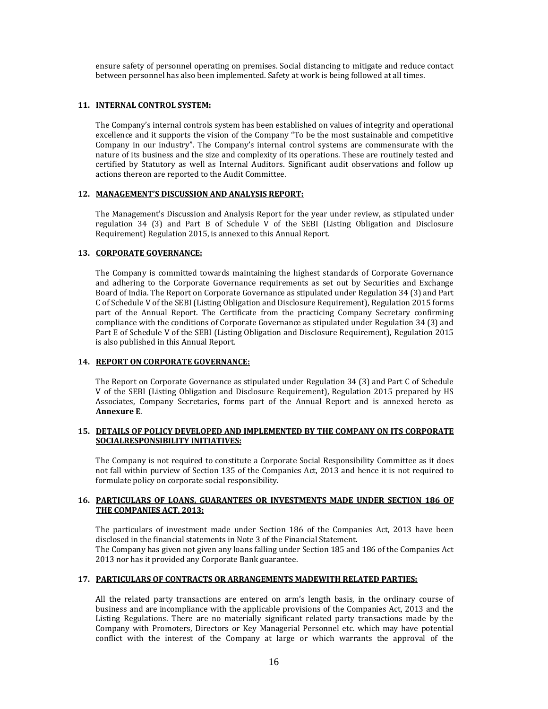ensure safety of personnel operating on premises. Social distancing to mitigate and reduce contact between personnel has also been implemented. Safety at work is being followed at all times.

## **11. INTERNAL CONTROL SYSTEM:**

The Company's internal controls system has been established on values of integrity and operational excellence and it supports the vision of the Company "To be the most sustainable and competitive Company in our industry". The Company's internal control systems are commensurate with the nature of its business and the size and complexity of its operations. These are routinely tested and certified by Statutory as well as Internal Auditors. Significant audit observations and follow up actions thereon are reported to the Audit Committee.

#### **12. MANAGEMENT'S DISCUSSION AND ANALYSIS REPORT:**

The Management's Discussion and Analysis Report for the year under review, as stipulated under regulation  $34$  (3) and Part B of Schedule V of the SEBI (Listing Obligation and Disclosure Requirement) Regulation 2015, is annexed to this Annual Report.

## **13. CORPORATE GOVERNANCE:**

The Company is committed towards maintaining the highest standards of Corporate Governance and adhering to the Corporate Governance requirements as set out by Securities and Exchange Board of India. The Report on Corporate Governance as stipulated under Regulation 34 (3) and Part C of Schedule V of the SEBI (Listing Obligation and Disclosure Requirement), Regulation 2015 forms part of the Annual Report. The Certificate from the practicing Company Secretary confirming compliance with the conditions of Corporate Governance as stipulated under Regulation 34 (3) and Part E of Schedule V of the SEBI (Listing Obligation and Disclosure Requirement), Regulation 2015 is also published in this Annual Report.

## **14. REPORT ON CORPORATE GOVERNANCE:**

The Report on Corporate Governance as stipulated under Regulation 34 (3) and Part C of Schedule V of the SEBI (Listing Obligation and Disclosure Requirement), Regulation 2015 prepared by HS Associates, Company Secretaries, forms part of the Annual Report and is annexed hereto as **Annexure E**. 

## **15. DETAILS OF POLICY DEVELOPED AND IMPLEMENTED BY THE COMPANY ON ITS CORPORATE SOCIALRESPONSIBILITY INITIATIVES:**

The Company is not required to constitute a Corporate Social Responsibility Committee as it does not fall within purview of Section 135 of the Companies Act, 2013 and hence it is not required to formulate policy on corporate social responsibility.

## **16. PARTICULARS OF LOANS, GUARANTEES OR INVESTMENTS MADE UNDER SECTION 186 OF THE COMPANIES ACT, 2013:**

The particulars of investment made under Section 186 of the Companies Act, 2013 have been disclosed in the financial statements in Note 3 of the Financial Statement.

The Company has given not given any loans falling under Section 185 and 186 of the Companies Act 2013 nor has it provided any Corporate Bank guarantee.

## **17. PARTICULARS OF CONTRACTS OR ARRANGEMENTS MADEWITH RELATED PARTIES:**

All the related party transactions are entered on arm's length basis, in the ordinary course of business and are incompliance with the applicable provisions of the Companies Act, 2013 and the Listing Regulations. There are no materially significant related party transactions made by the Company with Promoters, Directors or Key Managerial Personnel etc. which may have potential conflict with the interest of the Company at large or which warrants the approval of the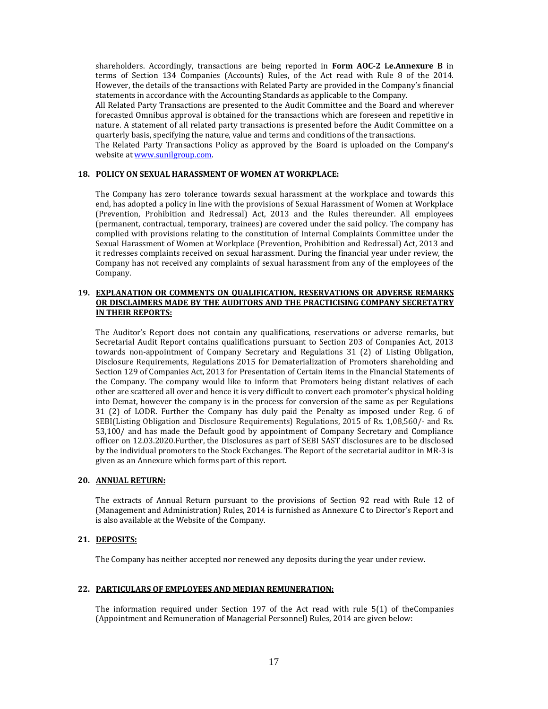shareholders. Accordingly, transactions are being reported in **Form AOC‐2 i.e.Annexure B** in terms of Section 134 Companies (Accounts) Rules, of the Act read with Rule 8 of the 2014. However, the details of the transactions with Related Party are provided in the Company's financial statements in accordance with the Accounting Standards as applicable to the Company.

All Related Party Transactions are presented to the Audit Committee and the Board and wherever forecasted Omnibus approval is obtained for the transactions which are foreseen and repetitive in nature. A statement of all related party transactions is presented before the Audit Committee on a quarterly basis, specifying the nature, value and terms and conditions of the transactions.

The Related Party Transactions Policy as approved by the Board is uploaded on the Company's website at www.sunilgroup.com.

#### **18. POLICY ON SEXUAL HARASSMENT OF WOMEN AT WORKPLACE:**

The Company has zero tolerance towards sexual harassment at the workplace and towards this end, has adopted a policy in line with the provisions of Sexual Harassment of Women at Workplace (Prevention, Prohibition and Redressal) Act, 2013 and the Rules thereunder. All employees (permanent, contractual, temporary, trainees) are covered under the said policy. The company has complied with provisions relating to the constitution of Internal Complaints Committee under the Sexual Harassment of Women at Workplace (Prevention, Prohibition and Redressal) Act, 2013 and it redresses complaints received on sexual harassment. During the financial year under review, the Company has not received any complaints of sexual harassment from any of the employees of the Company. 

## **19. EXPLANATION OR COMMENTS ON QUALIFICATION, RESERVATIONS OR ADVERSE REMARKS OR DISCLAIMERS MADE BY THE AUDITORS AND THE PRACTICISING COMPANY SECRETATRY IN THEIR REPORTS:**

The Auditor's Report does not contain any qualifications, reservations or adverse remarks, but Secretarial Audit Report contains qualifications pursuant to Section 203 of Companies Act, 2013 towards non-appointment of Company Secretary and Regulations 31 (2) of Listing Obligation, Disclosure Requirements, Regulations 2015 for Dematerialization of Promoters shareholding and Section 129 of Companies Act, 2013 for Presentation of Certain items in the Financial Statements of the Company. The company would like to inform that Promoters being distant relatives of each other are scattered all over and hence it is very difficult to convert each promoter's physical holding into Demat, however the company is in the process for conversion of the same as per Regulations 31 (2) of LODR. Further the Company has duly paid the Penalty as imposed under Reg. 6 of SEBI(Listing Obligation and Disclosure Requirements) Regulations, 2015 of Rs. 1,08,560/- and Rs. 53,100/ and has made the Default good by appointment of Company Secretary and Compliance officer on 12.03.2020.Further, the Disclosures as part of SEBI SAST disclosures are to be disclosed by the individual promoters to the Stock Exchanges. The Report of the secretarial auditor in MR-3 is given as an Annexure which forms part of this report.

#### **20. ANNUAL RETURN:**

The extracts of Annual Return pursuant to the provisions of Section 92 read with Rule 12 of (Management and Administration) Rules, 2014 is furnished as Annexure C to Director's Report and is also available at the Website of the Company.

#### **21. DEPOSITS:**

The Company has neither accepted nor renewed any deposits during the year under review.

#### **22. PARTICULARS OF EMPLOYEES AND MEDIAN REMUNERATION:**

The information required under Section  $197$  of the Act read with rule  $5(1)$  of the Companies (Appointment and Remuneration of Managerial Personnel) Rules, 2014 are given below: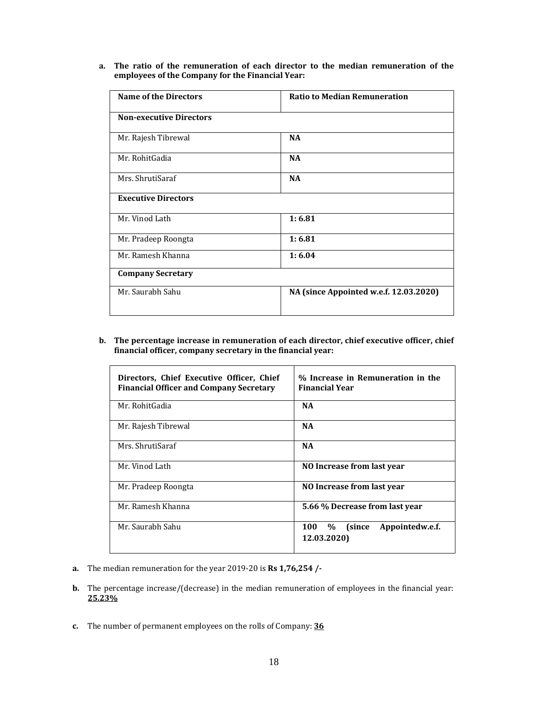**a. The ratio of the remuneration of each director to the median remuneration of the employees of the Company for the Financial Year:**

| <b>Name of the Directors</b>   | <b>Ratio to Median Remuneration</b>    |
|--------------------------------|----------------------------------------|
| <b>Non-executive Directors</b> |                                        |
| Mr. Rajesh Tibrewal            | <b>NA</b>                              |
| Mr. RohitGadia                 | <b>NA</b>                              |
| Mrs. ShrutiSaraf               | <b>NA</b>                              |
| <b>Executive Directors</b>     |                                        |
| Mr. Vinod Lath                 | 1:6.81                                 |
| Mr. Pradeep Roongta            | 1:6.81                                 |
| Mr. Ramesh Khanna              | 1:6.04                                 |
| <b>Company Secretary</b>       |                                        |
| Mr. Saurabh Sahu               | NA (since Appointed w.e.f. 12.03.2020) |

## **b. The percentage increase in remuneration of each director, chief executive officer, chief financial officer, company secretary in the financial year:**

| Directors, Chief Executive Officer, Chief<br><b>Financial Officer and Company Secretary</b> | % Increase in Remuneration in the<br><b>Financial Year</b>     |
|---------------------------------------------------------------------------------------------|----------------------------------------------------------------|
| Mr. RohitGadia                                                                              | <b>NA</b>                                                      |
| Mr. Rajesh Tibrewal                                                                         | <b>NA</b>                                                      |
| Mrs. ShrutiSaraf                                                                            | <b>NA</b>                                                      |
| Mr. Vinod Lath                                                                              | NO Increase from last year                                     |
| Mr. Pradeep Roongta                                                                         | NO Increase from last year                                     |
| Mr. Ramesh Khanna                                                                           | 5.66 % Decrease from last year                                 |
| Mr. Saurabh Sahu                                                                            | Appointedw.e.f.<br>$\%$<br><b>100</b><br>(since<br>12.03.2020) |

- **a.** The median remuneration for the year 2019-20 is **Rs 1,76,254** /
- **b.** The percentage increase/(decrease) in the median remuneration of employees in the financial year: **25.23%**
- **c.** The number of permanent employees on the rolls of Company: **36**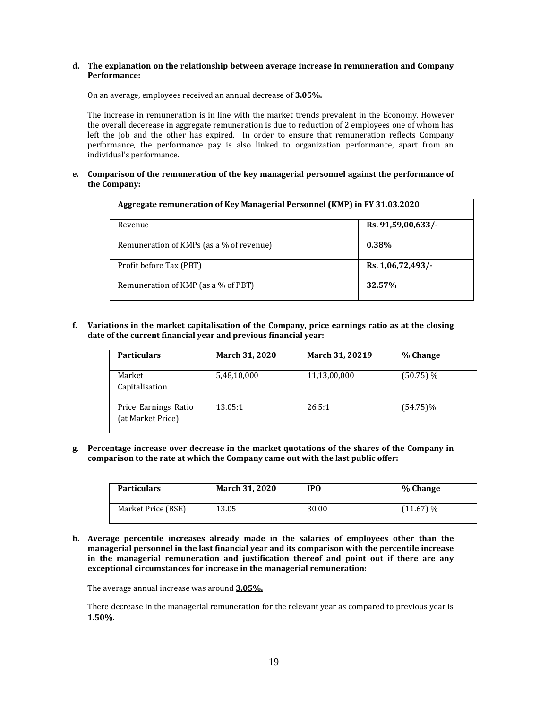#### **d. The explanation on the relationship between average increase in remuneration and Company Performance:**

On an average, employees received an annual decrease of 3.05%.

The increase in remuneration is in line with the market trends prevalent in the Economy. However the overall decerease in aggregate remuneration is due to reduction of 2 employees one of whom has left the job and the other has expired. In order to ensure that remuneration reflects Company performance, the performance pay is also linked to organization performance, apart from an individual's performance.

**e. Comparison of the remuneration of the key managerial personnel against the performance of the Company:**

| Aggregate remuneration of Key Managerial Personnel (KMP) in FY 31.03.2020 |                    |  |  |
|---------------------------------------------------------------------------|--------------------|--|--|
| Revenue                                                                   | Rs. 91,59,00,633/- |  |  |
| Remuneration of KMPs (as a % of revenue)                                  | $0.38\%$           |  |  |
| Profit before Tax (PBT)                                                   | Rs. 1,06,72,493/-  |  |  |
| Remuneration of KMP (as a % of PBT)                                       | 32.57%             |  |  |

**f. Variations in the market capitalisation of the Company, price earnings ratio as at the closing date of the current financial year and previous financial year:**

| <b>Particulars</b>                        | <b>March 31, 2020</b> | March 31, 20219 | % Change    |
|-------------------------------------------|-----------------------|-----------------|-------------|
| Market<br>Capitalisation                  | 5,48,10,000           | 11,13,00,000    | (50.75) %   |
| Price Earnings Ratio<br>(at Market Price) | 13.05:1               | 26.5:1          | $(54.75)\%$ |

**g. Percentage increase over decrease in the market quotations of the shares of the Company in comparison to the rate at which the Company came out with the last public offer:**

| <b>Particulars</b> | March 31, 2020 | <b>IPO</b> | % Change  |
|--------------------|----------------|------------|-----------|
| Market Price (BSE) | 13.05          | 30.00      | (11.67) % |

**h. Average percentile increases already made in the salaries of employees other than the managerial personnel in the last financial year and its comparison with the percentile increase in the managerial remuneration and justification thereof and point out if there are any exceptional circumstances for increase in the managerial remuneration:**

The average annual increase was around **3.05%.** 

There decrease in the managerial remuneration for the relevant year as compared to previous year is **1.50%.**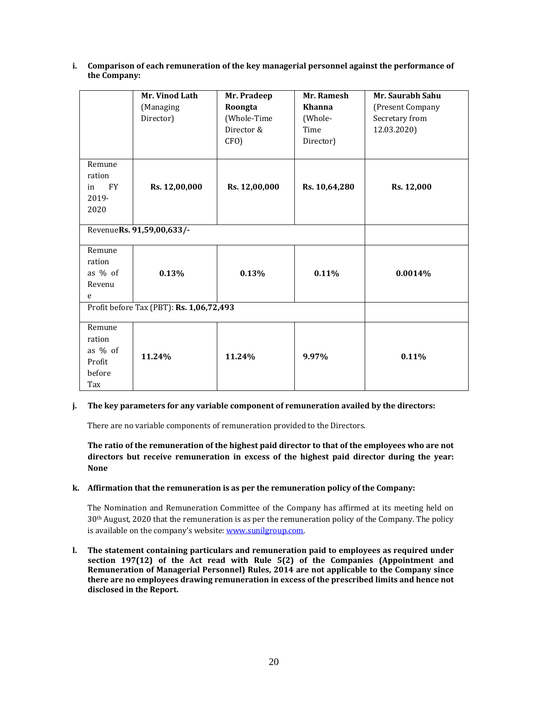|                 | Mr. Vinod Lath                           | Mr. Pradeep   | Mr. Ramesh    | Mr. Saurabh Sahu |  |
|-----------------|------------------------------------------|---------------|---------------|------------------|--|
|                 | (Managing                                | Roongta       | Khanna        | (Present Company |  |
|                 | Director)                                | (Whole-Time   | (Whole-       | Secretary from   |  |
|                 |                                          | Director &    | Time          | 12.03.2020)      |  |
|                 |                                          | CFO)          | Director)     |                  |  |
| Remune          |                                          |               |               |                  |  |
| ration          |                                          |               |               |                  |  |
| <b>FY</b><br>in | Rs. 12,00,000                            | Rs. 12,00,000 | Rs. 10,64,280 | Rs. 12,000       |  |
| 2019-           |                                          |               |               |                  |  |
| 2020            |                                          |               |               |                  |  |
|                 |                                          |               |               |                  |  |
|                 | RevenueRs. 91,59,00,633/-                |               |               |                  |  |
| Remune          |                                          |               |               |                  |  |
| ration          |                                          |               |               |                  |  |
| as % of         | 0.13%                                    | 0.13%         | 0.11%         | 0.0014%          |  |
| Revenu          |                                          |               |               |                  |  |
| e               |                                          |               |               |                  |  |
|                 | Profit before Tax (PBT): Rs. 1,06,72,493 |               |               |                  |  |
| Remune          |                                          |               |               |                  |  |
| ration          |                                          |               |               |                  |  |
| as % of         |                                          |               |               |                  |  |
| Profit          | 11.24%                                   | 11.24%        | 9.97%         | 0.11%            |  |
| before          |                                          |               |               |                  |  |
| Tax             |                                          |               |               |                  |  |
|                 |                                          |               |               |                  |  |

## **i. Comparison of each remuneration of the key managerial personnel against the performance of the Company:**

#### **j. The key parameters for any variable component of remuneration availed by the directors:**

There are no variable components of remuneration provided to the Directors.

**The ratio of the remuneration of the highest paid director to that of the employees who are not directors but receive remuneration in excess of the highest paid director during the year: None**

## **k. Affirmation that the remuneration is as per the remuneration policy of the Company:**

The Nomination and Remuneration Committee of the Company has affirmed at its meeting held on  $30<sup>th</sup>$  August, 2020 that the remuneration is as per the remuneration policy of the Company. The policy is available on the company's website: www.sunilgroup.com.

**l. The statement containing particulars and remuneration paid to employees as required under section 197(12) of the Act read with Rule 5(2) of the Companies (Appointment and Remuneration of Managerial Personnel) Rules, 2014 are not applicable to the Company since there are no employees drawing remuneration in excess of the prescribed limits and hence not disclosed in the Report.**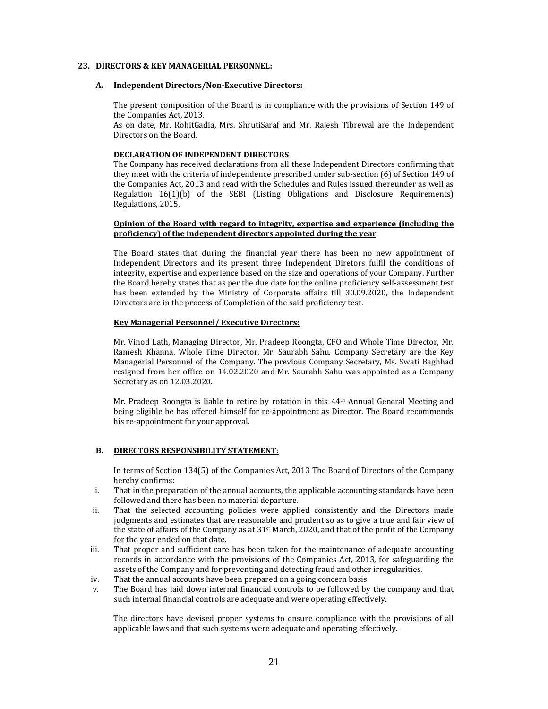#### **23. DIRECTORS & KEY MANAGERIAL PERSONNEL:**

#### **A. Independent Directors/Non‐Executive Directors:**

The present composition of the Board is in compliance with the provisions of Section 149 of the Companies Act, 2013.

As on date, Mr. RohitGadia, Mrs. ShrutiSaraf and Mr. Rajesh Tibrewal are the Independent Directors on the Board.

#### **DECLARATION OF INDEPENDENT DIRECTORS**

The Company has received declarations from all these Independent Directors confirming that they meet with the criteria of independence prescribed under sub-section  $(6)$  of Section 149 of the Companies Act, 2013 and read with the Schedules and Rules issued thereunder as well as Regulation  $16(1)(b)$  of the SEBI (Listing Obligations and Disclosure Requirements) Regulations, 2015.

#### **Opinion of the Board with regard to integrity, expertise and experience (including the proficiency) of the independent directors appointed during the year**

The Board states that during the financial year there has been no new appointment of Independent Directors and its present three Independent Diretors fulfil the conditions of integrity, expertise and experience based on the size and operations of your Company. Further the Board hereby states that as per the due date for the online proficiency self-assessment test has been extended by the Ministry of Corporate affairs till 30.09.2020, the Independent Directors are in the process of Completion of the said proficiency test.

## **Key Managerial Personnel/ Executive Directors:**

Mr. Vinod Lath, Managing Director, Mr. Pradeep Roongta, CFO and Whole Time Director, Mr. Ramesh Khanna, Whole Time Director, Mr. Saurabh Sahu, Company Secretary are the Key Managerial Personnel of the Company. The previous Company Secretary, Ms. Swati Baghhad resigned from her office on 14.02.2020 and Mr. Saurabh Sahu was appointed as a Company Secretary as on 12.03.2020.

Mr. Pradeep Roongta is liable to retire by rotation in this  $44<sup>th</sup>$  Annual General Meeting and being eligible he has offered himself for re-appointment as Director. The Board recommends his re-appointment for your approval.

#### **B. DIRECTORS RESPONSIBILITY STATEMENT:**

In terms of Section  $134(5)$  of the Companies Act, 2013 The Board of Directors of the Company hereby confirms:

- i. That in the preparation of the annual accounts, the applicable accounting standards have been followed and there has been no material departure.
- ii. That the selected accounting policies were applied consistently and the Directors made judgments and estimates that are reasonable and prudent so as to give a true and fair view of the state of affairs of the Company as at  $31^{st}$  March, 2020, and that of the profit of the Company for the year ended on that date.
- iii. That proper and sufficient care has been taken for the maintenance of adequate accounting records in accordance with the provisions of the Companies Act, 2013, for safeguarding the assets of the Company and for preventing and detecting fraud and other irregularities.
- iv. That the annual accounts have been prepared on a going concern basis.
- v. The Board has laid down internal financial controls to be followed by the company and that such internal financial controls are adequate and were operating effectively.

The directors have devised proper systems to ensure compliance with the provisions of all applicable laws and that such systems were adequate and operating effectively.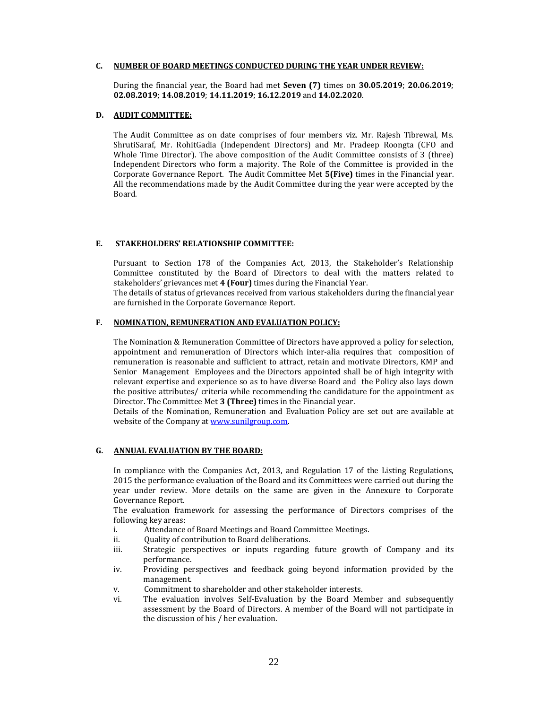#### **C. NUMBER OF BOARD MEETINGS CONDUCTED DURING THE YEAR UNDER REVIEW:**

During the financial year, the Board had met **Seven** (7) times on 30.05.2019; 20.06.2019; **02.08.2019**; **14.08.2019**; **14.11.2019**; **16.12.2019** and **14.02.2020**. 

#### **D. AUDIT COMMITTEE:**

The Audit Committee as on date comprises of four members viz. Mr. Rajesh Tibrewal, Ms. ShrutiSaraf, Mr. RohitGadia (Independent Directors) and Mr. Pradeep Roongta (CFO and Whole Time Director). The above composition of the Audit Committee consists of 3 (three) Independent Directors who form a majority. The Role of the Committee is provided in the Corporate Governance Report. The Audit Committee Met **5(Five)** times in the Financial year. All the recommendations made by the Audit Committee during the year were accepted by the Board. 

#### **E. STAKEHOLDERS' RELATIONSHIP COMMITTEE:**

Pursuant to Section 178 of the Companies Act, 2013, the Stakeholder's Relationship Committee constituted by the Board of Directors to deal with the matters related to stakeholders' grievances met 4 (Four) times during the Financial Year.

The details of status of grievances received from various stakeholders during the financial year are furnished in the Corporate Governance Report.

## **F. NOMINATION, REMUNERATION AND EVALUATION POLICY:**

The Nomination & Remuneration Committee of Directors have approved a policy for selection, appointment and remuneration of Directors which inter-alia requires that composition of remuneration is reasonable and sufficient to attract, retain and motivate Directors, KMP and Senior Management Employees and the Directors appointed shall be of high integrity with relevant expertise and experience so as to have diverse Board and the Policy also lays down the positive attributes/ criteria while recommending the candidature for the appointment as Director. The Committee Met 3 (Three) times in the Financial year.

Details of the Nomination, Remuneration and Evaluation Policy are set out are available at website of the Company at www.sunilgroup.com.

#### **G. ANNUAL EVALUATION BY THE BOARD:**

In compliance with the Companies Act, 2013, and Regulation 17 of the Listing Regulations, 2015 the performance evaluation of the Board and its Committees were carried out during the year under review. More details on the same are given in the Annexure to Corporate Governance Report. 

The evaluation framework for assessing the performance of Directors comprises of the following key areas:

- i. Attendance of Board Meetings and Board Committee Meetings.
- ii. Quality of contribution to Board deliberations.
- iii. Strategic perspectives or inputs regarding future growth of Company and its performance.
- iv. Providing perspectives and feedback going beyond information provided by the management.
- v. Commitment to shareholder and other stakeholder interests.
- vi. The evaluation involves Self-Evaluation by the Board Member and subsequently assessment by the Board of Directors. A member of the Board will not participate in the discussion of his / her evaluation.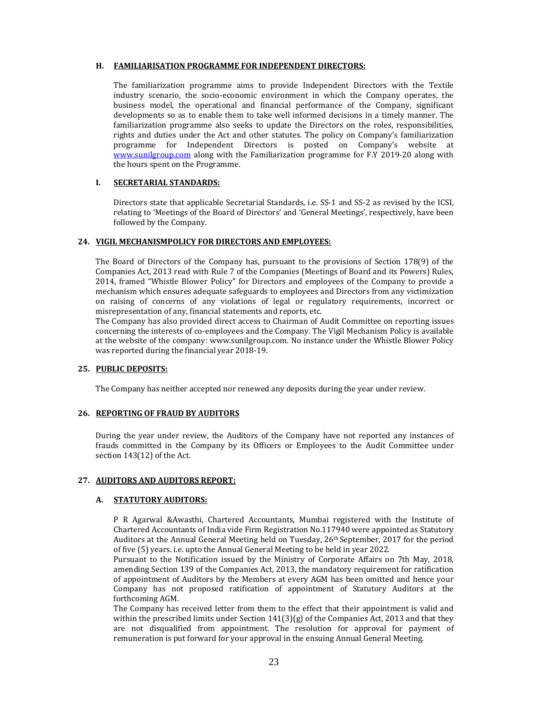#### **H. FAMILIARISATION PROGRAMME FOR INDEPENDENT DIRECTORS:**

The familiarization programme aims to provide Independent Directors with the Textile industry scenario, the socio-economic environment in which the Company operates, the business model, the operational and financial performance of the Company, significant developments so as to enable them to take well informed decisions in a timely manner. The familiarization programme also seeks to update the Directors on the roles, responsibilities, rights and duties under the Act and other statutes. The policy on Company's familiarization programme for Independent Directors is posted on Company's website at www.sunilgroup.com along with the Familiarization programme for F.Y 2019-20 along with the hours spent on the Programme.

## **I. SECRETARIAL STANDARDS:**

Directors state that applicable Secretarial Standards, i.e. SS-1 and SS-2 as revised by the ICSI, relating to 'Meetings of the Board of Directors' and 'General Meetings', respectively, have been followed by the Company.

#### **24. VIGIL MECHANISMPOLICY FOR DIRECTORS AND EMPLOYEES:**

The Board of Directors of the Company has, pursuant to the provisions of Section  $178(9)$  of the Companies Act, 2013 read with Rule 7 of the Companies (Meetings of Board and its Powers) Rules, 2014, framed "Whistle Blower Policy" for Directors and employees of the Company to provide a mechanism which ensures adequate safeguards to employees and Directors from any victimization on raising of concerns of any violations of legal or regulatory requirements, incorrect or misrepresentation of any, financial statements and reports, etc.

The Company has also provided direct access to Chairman of Audit Committee on reporting issues concerning the interests of co-employees and the Company. The Vigil Mechanism Policy is available at the website of the company: www.sunilgroup.com. No instance under the Whistle Blower Policy was reported during the financial year 2018-19.

#### **25. PUBLIC DEPOSITS:**

The Company has neither accepted nor renewed any deposits during the year under review.

## **26. REPORTING OF FRAUD BY AUDITORS**

During the year under review, the Auditors of the Company have not reported any instances of frauds committed in the Company by its Officers or Employees to the Audit Committee under section  $143(12)$  of the Act.

#### **27. AUDITORS AND AUDITORS REPORT:**

## **A. STATUTORY AUDITORS:**

P R Agarwal &Awasthi, Chartered Accountants, Mumbai registered with the Institute of Chartered Accountants of India vide Firm Registration  $No.117940$  were appointed as Statutory Auditors at the Annual General Meeting held on Tuesday,  $26<sup>th</sup>$  September, 2017 for the period of five (5) years. i.e. upto the Annual General Meeting to be held in year 2022.

Pursuant to the Notification issued by the Ministry of Corporate Affairs on 7th May, 2018, amending Section 139 of the Companies Act, 2013, the mandatory requirement for ratification of appointment of Auditors by the Members at every AGM has been omitted and hence your Company has not proposed ratification of appointment of Statutory Auditors at the forthcoming AGM.

The Company has received letter from them to the effect that their appointment is valid and within the prescribed limits under Section  $141(3)(g)$  of the Companies Act, 2013 and that they are not disqualified from appointment. The resolution for approval for payment of remuneration is put forward for your approval in the ensuing Annual General Meeting.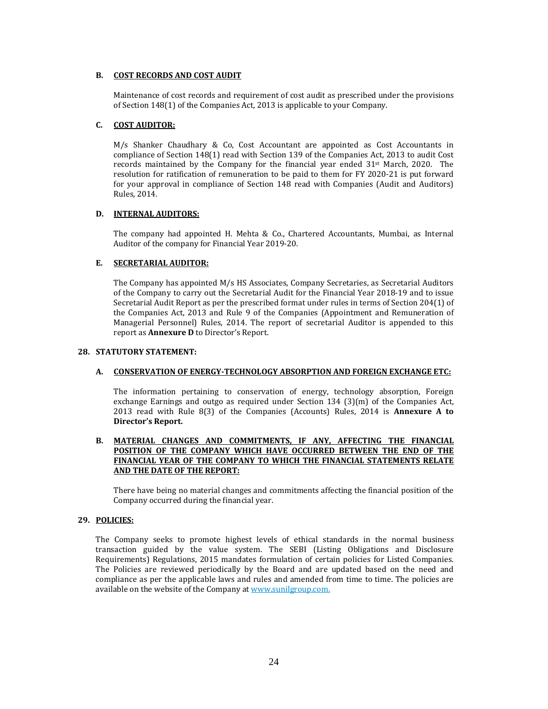## **B. COST RECORDS AND COST AUDIT**

Maintenance of cost records and requirement of cost audit as prescribed under the provisions of Section 148(1) of the Companies Act, 2013 is applicable to your Company.

## **C. COST AUDITOR:**

 $M/s$  Shanker Chaudhary & Co, Cost Accountant are appointed as Cost Accountants in compliance of Section 148(1) read with Section 139 of the Companies Act, 2013 to audit Cost records maintained by the Company for the financial year ended  $31<sup>st</sup>$  March, 2020. The resolution for ratification of remuneration to be paid to them for FY 2020-21 is put forward for your approval in compliance of Section 148 read with Companies (Audit and Auditors) Rules, 2014. 

## **D. INTERNAL AUDITORS:**

The company had appointed H. Mehta & Co., Chartered Accountants, Mumbai, as Internal Auditor of the company for Financial Year 2019-20.

## **E. SECRETARIAL AUDITOR:**

The Company has appointed M/s HS Associates, Company Secretaries, as Secretarial Auditors of the Company to carry out the Secretarial Audit for the Financial Year 2018-19 and to issue Secretarial Audit Report as per the prescribed format under rules in terms of Section 204(1) of the Companies Act, 2013 and Rule 9 of the Companies (Appointment and Remuneration of Managerial Personnel) Rules, 2014. The report of secretarial Auditor is appended to this report as **Annexure D** to Director's Report.

#### **28. STATUTORY STATEMENT:**

## **A. CONSERVATION OF ENERGY‐TECHNOLOGY ABSORPTION AND FOREIGN EXCHANGE ETC:**

The information pertaining to conservation of energy, technology absorption, Foreign exchange Earnings and outgo as required under Section  $134$  (3)(m) of the Companies Act, 2013 read with Rule 8(3) of the Companies (Accounts) Rules, 2014 is **Annexure A to Director's Report.**

## **B. MATERIAL CHANGES AND COMMITMENTS, IF ANY, AFFECTING THE FINANCIAL POSITION OF THE COMPANY WHICH HAVE OCCURRED BETWEEN THE END OF THE FINANCIAL YEAR OF THE COMPANY TO WHICH THE FINANCIAL STATEMENTS RELATE AND THE DATE OF THE REPORT:**

There have being no material changes and commitments affecting the financial position of the Company occurred during the financial year.

#### **29. POLICIES:**

The Company seeks to promote highest levels of ethical standards in the normal business transaction guided by the value system. The SEBI (Listing Obligations and Disclosure Requirements) Regulations, 2015 mandates formulation of certain policies for Listed Companies. The Policies are reviewed periodically by the Board and are updated based on the need and compliance as per the applicable laws and rules and amended from time to time. The policies are available on the website of the Company at www.sunilgroup.com.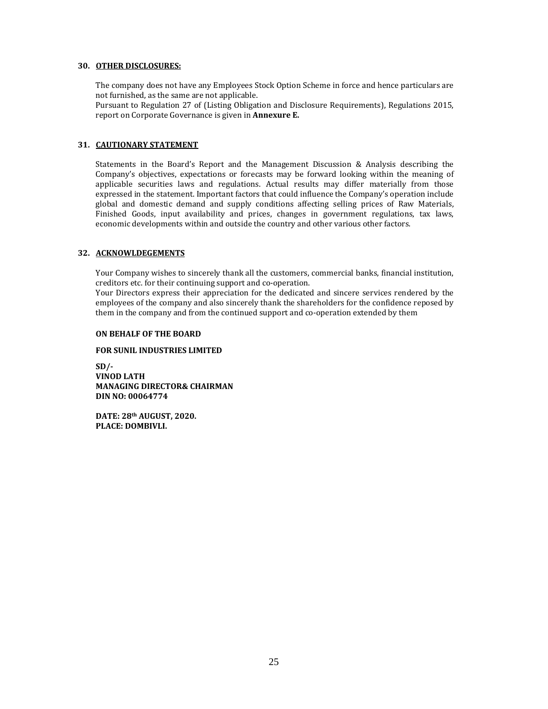## **30. OTHER DISCLOSURES:**

The company does not have any Employees Stock Option Scheme in force and hence particulars are not furnished, as the same are not applicable.

Pursuant to Regulation 27 of (Listing Obligation and Disclosure Requirements), Regulations 2015, report on Corporate Governance is given in **Annexure** E.

## **31. CAUTIONARY STATEMENT**

Statements in the Board's Report and the Management Discussion  $\&$  Analysis describing the Company's objectives, expectations or forecasts may be forward looking within the meaning of applicable securities laws and regulations. Actual results may differ materially from those expressed in the statement. Important factors that could influence the Company's operation include global and domestic demand and supply conditions affecting selling prices of Raw Materials, Finished Goods, input availability and prices, changes in government regulations, tax laws, economic developments within and outside the country and other various other factors.

## **32. ACKNOWLDEGEMENTS**

Your Company wishes to sincerely thank all the customers, commercial banks, financial institution, creditors etc. for their continuing support and co-operation.

Your Directors express their appreciation for the dedicated and sincere services rendered by the employees of the company and also sincerely thank the shareholders for the confidence reposed by them in the company and from the continued support and co-operation extended by them

#### **ON BEHALF OF THE BOARD**

## **FOR SUNIL INDUSTRIES LIMITED**

**SD/‐ VINOD LATH MANAGING DIRECTOR& CHAIRMAN DIN NO: 00064774**

**DATE: 28<sup>th</sup> <b>AUGUST**, 2020. **PLACE: DOMBIVLI.**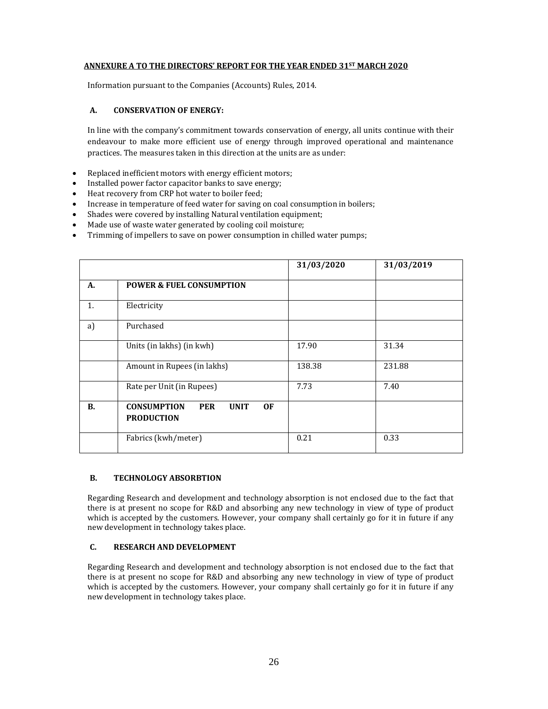## **ANNEXURE A TO THE DIRECTORS' REPORT FOR THE YEAR ENDED 31ST MARCH 2020**

Information pursuant to the Companies (Accounts) Rules, 2014.

## **A. CONSERVATION OF ENERGY:**

In line with the company's commitment towards conservation of energy, all units continue with their endeavour to make more efficient use of energy through improved operational and maintenance practices. The measures taken in this direction at the units are as under:

- Replaced inefficient motors with energy efficient motors;
- Installed power factor capacitor banks to save energy;
- Heat recovery from CRP hot water to boiler feed;
- Increase in temperature of feed water for saving on coal consumption in boilers;
- Shades were covered by installing Natural ventilation equipment;
- Made use of waste water generated by cooling coil moisture;
- Trimming of impellers to save on power consumption in chilled water pumps;

|           |                                                                            | 31/03/2020 | 31/03/2019 |
|-----------|----------------------------------------------------------------------------|------------|------------|
| A.        | <b>POWER &amp; FUEL CONSUMPTION</b>                                        |            |            |
| 1.        | Electricity                                                                |            |            |
| a)        | Purchased                                                                  |            |            |
|           | Units (in lakhs) (in kwh)                                                  | 17.90      | 31.34      |
|           | Amount in Rupees (in lakhs)                                                | 138.38     | 231.88     |
|           | Rate per Unit (in Rupees)                                                  | 7.73       | 7.40       |
| <b>B.</b> | <b>CONSUMPTION</b><br><b>PER</b><br><b>UNIT</b><br>0F<br><b>PRODUCTION</b> |            |            |
|           | Fabrics (kwh/meter)                                                        | 0.21       | 0.33       |

#### **B. TECHNOLOGY ABSORBTION**

Regarding Research and development and technology absorption is not enclosed due to the fact that there is at present no scope for R&D and absorbing any new technology in view of type of product which is accepted by the customers. However, your company shall certainly go for it in future if any new development in technology takes place.

## **C. RESEARCH AND DEVELOPMENT**

Regarding Research and development and technology absorption is not enclosed due to the fact that there is at present no scope for R&D and absorbing any new technology in view of type of product which is accepted by the customers. However, your company shall certainly go for it in future if any new development in technology takes place.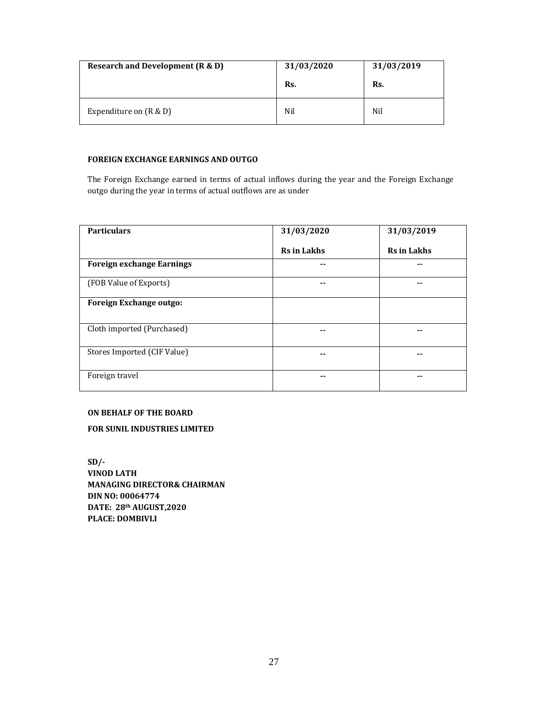| Research and Development (R & D) | 31/03/2020 | 31/03/2019 |  |
|----------------------------------|------------|------------|--|
|                                  | Rs.        | Rs.        |  |
| Expenditure on $(R & D)$         | Nil        | Nil        |  |

## **FOREIGN EXCHANGE EARNINGS AND OUTGO**

The Foreign Exchange earned in terms of actual inflows during the year and the Foreign Exchange outgo during the year in terms of actual outflows are as under

| <b>Particulars</b>               | 31/03/2020         | 31/03/2019         |
|----------------------------------|--------------------|--------------------|
|                                  | <b>Rs</b> in Lakhs | <b>Rs</b> in Lakhs |
| <b>Foreign exchange Earnings</b> | --                 | --                 |
| (FOB Value of Exports)           | --                 |                    |
| <b>Foreign Exchange outgo:</b>   |                    |                    |
| Cloth imported (Purchased)       | --                 | $ -$               |
| Stores Imported (CIF Value)      | --                 |                    |
| Foreign travel                   | --                 |                    |

## **ON BEHALF OF THE BOARD**

**FOR SUNIL INDUSTRIES LIMITED**

**SD/‐ VINOD LATH MANAGING DIRECTOR& CHAIRMAN DIN NO: 00064774**  $DATAE: 28<sup>th</sup> AUGUST,2020$ **PLACE: DOMBIVLI**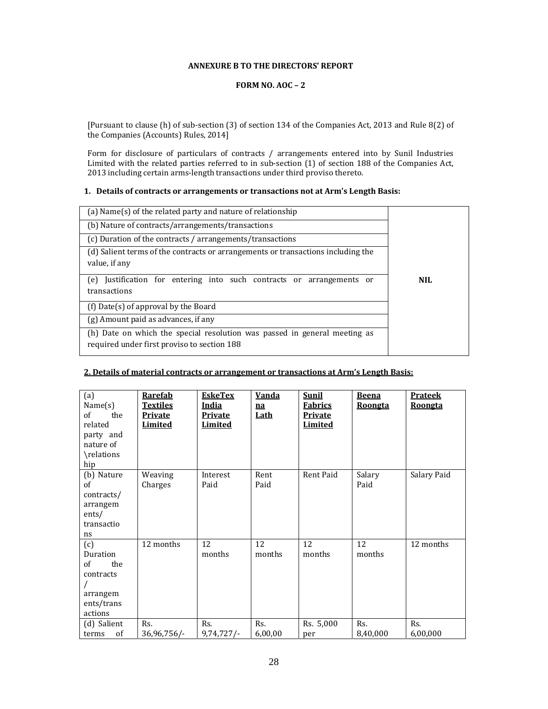## **ANNEXURE B TO THE DIRECTORS' REPORT**

## **FORM NO. AOC – 2**

[Pursuant to clause (h) of sub-section (3) of section 134 of the Companies Act, 2013 and Rule 8(2) of the Companies (Accounts) Rules, 2014]

Form for disclosure of particulars of contracts  $/$  arrangements entered into by Sunil Industries Limited with the related parties referred to in sub-section  $(1)$  of section 188 of the Companies Act, 2013 including certain arms-length transactions under third proviso thereto.

## **1. Details of contracts or arrangements or transactions not at Arm's Length Basis:**

| (a) Name(s) of the related party and nature of relationship                                                              |     |
|--------------------------------------------------------------------------------------------------------------------------|-----|
| (b) Nature of contracts/arrangements/transactions                                                                        |     |
| (c) Duration of the contracts / arrangements/transactions                                                                |     |
| (d) Salient terms of the contracts or arrangements or transactions including the<br>value, if any                        |     |
| Justification for entering into such contracts or arrangements or<br>(e)<br>transactions                                 | NH. |
| (f) Date(s) of approval by the Board                                                                                     |     |
| (g) Amount paid as advances, if any                                                                                      |     |
| (h) Date on which the special resolution was passed in general meeting as<br>required under first proviso to section 188 |     |

## **2. Details of material contracts or arrangement or transactions at Arm's Length Basis:**

| (a)<br>Name(s)<br>of<br>the<br>related<br>party and<br>nature of<br>\relations<br>hip | <b>Rarefab</b><br><b>Textiles</b><br><b>Private</b><br>Limited | <b>EskeTex</b><br>India<br><b>Private</b><br>Limited | <u>Vanda</u><br>na<br><u>Lath</u> | <b>Sunil</b><br><b>Fabrics</b><br><b>Private</b><br><b>Limited</b> | <b>Beena</b><br><b>Roongta</b> | <b>Prateek</b><br><b>Roongta</b> |
|---------------------------------------------------------------------------------------|----------------------------------------------------------------|------------------------------------------------------|-----------------------------------|--------------------------------------------------------------------|--------------------------------|----------------------------------|
| (b) Nature<br>of<br>contracts/<br>arrangem<br>ents/<br>transactio<br>ns               | Weaving<br>Charges                                             | Interest<br>Paid                                     | Rent<br>Paid                      | Rent Paid                                                          | Salary<br>Paid                 | Salary Paid                      |
| (c)<br>Duration<br>of<br>the<br>contracts<br>arrangem<br>ents/trans<br>actions        | 12 months                                                      | 12<br>months                                         | 12<br>months                      | 12<br>months                                                       | 12<br>months                   | 12 months                        |
| (d) Salient<br>of<br>terms                                                            | Rs.<br>36,96,756/-                                             | Rs.<br>9,74,727/                                     | Rs.<br>6,00,00                    | Rs. 5,000<br>per                                                   | Rs.<br>8,40,000                | Rs.<br>6,00,000                  |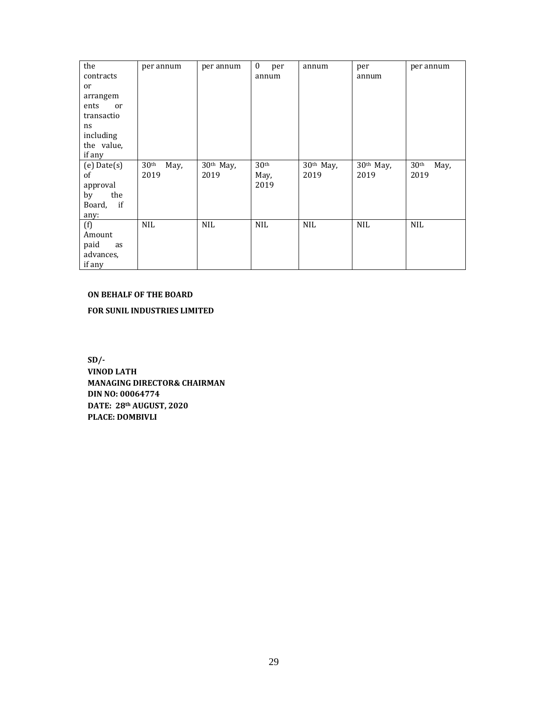| the                   | per annum                | per annum             | $\mathbf{0}$<br>per | annum      | per         | per annum                |
|-----------------------|--------------------------|-----------------------|---------------------|------------|-------------|--------------------------|
| contracts             |                          |                       | annum               |            | annum       |                          |
| or                    |                          |                       |                     |            |             |                          |
| arrangem              |                          |                       |                     |            |             |                          |
| ents<br><sub>or</sub> |                          |                       |                     |            |             |                          |
| transactio            |                          |                       |                     |            |             |                          |
| ns                    |                          |                       |                     |            |             |                          |
| including             |                          |                       |                     |            |             |                          |
| the value,            |                          |                       |                     |            |             |                          |
| if any                |                          |                       |                     |            |             |                          |
| $(e)$ Date $(s)$      | 30 <sup>th</sup><br>May, | 30 <sup>th</sup> May, | 30 <sup>th</sup>    | 30th May,  | $30th$ May, | 30 <sup>th</sup><br>May, |
| of                    | 2019                     | 2019                  | May,                | 2019       | 2019        | 2019                     |
| approval              |                          |                       | 2019                |            |             |                          |
| by<br>the             |                          |                       |                     |            |             |                          |
| Board, if             |                          |                       |                     |            |             |                          |
| any:                  |                          |                       |                     |            |             |                          |
| (f)                   | <b>NIL</b>               | <b>NIL</b>            | <b>NIL</b>          | <b>NIL</b> | <b>NIL</b>  | <b>NIL</b>               |
| Amount                |                          |                       |                     |            |             |                          |
| paid<br>as            |                          |                       |                     |            |             |                          |
| advances,             |                          |                       |                     |            |             |                          |
| if any                |                          |                       |                     |            |             |                          |

## **ON BEHALF OF THE BOARD**

**FOR SUNIL INDUSTRIES LIMITED**

**SD/‐ VINOD LATH MANAGING DIRECTOR& CHAIRMAN DIN NO: 00064774 DATE: 28th AUGUST, 2020 PLACE: DOMBIVLI**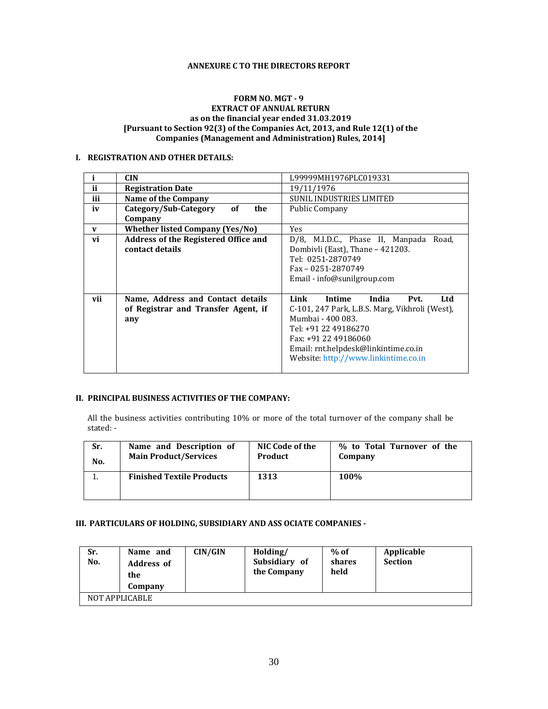## **ANNEXURE C TO THE DIRECTORS REPORT**

## **FORM NO. MGT - 9 EXTRACT OF ANNUAL RETURN as on the financial year ended 31.03.2019 [Pursuant to Section 92(3) of the Companies Act, 2013, and Rule 12(1) of the Companies (Management and Administration) Rules, 2014]**

## **I. REGISTRATION AND OTHER DETAILS:**

|     | <b>CIN</b>                             | L99999MH1976PLC019331                          |
|-----|----------------------------------------|------------------------------------------------|
| ii  | <b>Registration Date</b>               | 19/11/1976                                     |
| iii | Name of the Company                    | <b>SUNIL INDUSTRIES LIMITED</b>                |
| iv  | Category/Sub-Category<br>of<br>the     | <b>Public Company</b>                          |
|     | Company                                |                                                |
| V   | <b>Whether listed Company (Yes/No)</b> | <b>Yes</b>                                     |
| vi  | Address of the Registered Office and   | D/8, M.I.D.C., Phase II, Manpada Road,         |
|     | contact details                        | Dombivli (East), Thane - 421203.               |
|     |                                        | Tel: 0251-2870749                              |
|     |                                        | Fax - 0251-2870749                             |
|     |                                        | Email - info@sunilgroup.com                    |
|     |                                        |                                                |
| vii | Name, Address and Contact details      | Link<br><b>Intime</b><br>India<br>Ltd<br>Pvt.  |
|     | of Registrar and Transfer Agent, if    | C-101, 247 Park, L.B.S. Marg, Vikhroli (West), |
|     | any                                    | Mumbai - 400 083.                              |
|     |                                        | Tel: +91 22 49186270                           |
|     |                                        | Fax: +91 22 49186060                           |
|     |                                        | Email: rnt.helpdesk@linkintime.co.in           |
|     |                                        | Website: http://www.linkintime.co.in           |
|     |                                        |                                                |

#### **II. PRINCIPAL BUSINESS ACTIVITIES OF THE COMPANY:**

All the business activities contributing 10% or more of the total turnover of the company shall be stated: -

| Sr. | Name and Description of          | NIC Code of the | % to Total Turnover of the |
|-----|----------------------------------|-----------------|----------------------------|
| No. | <b>Main Product/Services</b>     | <b>Product</b>  | Company                    |
|     | <b>Finished Textile Products</b> | 1313            | <b>100%</b>                |

## **III. PARTICULARS OF HOLDING, SUBSIDIARY AND ASS OCIATE COMPANIES ‐**

| Sr.<br>No. | Name and<br><b>Address of</b><br>the<br>Company | CIN/GIN | Holding/<br>Subsidiary of<br>the Company | $%$ of<br>shares<br>held | Applicable<br><b>Section</b> |
|------------|-------------------------------------------------|---------|------------------------------------------|--------------------------|------------------------------|
|            | NOT APPLICABLE                                  |         |                                          |                          |                              |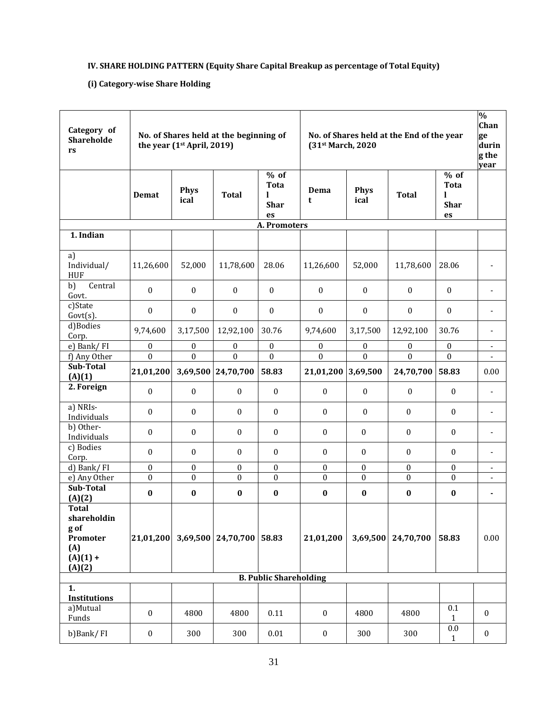# **IV. SHARE HOLDING PATTERN (Equity Share Capital Breakup as percentage of Total Equity)**

# **(i) Category‐wise Share Holding**

| Category of<br>Shareholde<br>rs                                                          | No. of Shares held at the beginning of<br>the year (1 <sup>st</sup> April, 2019) |                     |                    | No. of Shares held at the End of the year<br>(31st March, 2020 |                    |                     |                  | $\frac{0}{0}$<br>Chan<br>ge<br>durin<br>g the<br>year |                          |
|------------------------------------------------------------------------------------------|----------------------------------------------------------------------------------|---------------------|--------------------|----------------------------------------------------------------|--------------------|---------------------|------------------|-------------------------------------------------------|--------------------------|
|                                                                                          | Demat                                                                            | <b>Phys</b><br>ical | <b>Total</b>       | $%$ of<br><b>Tota</b><br>L<br><b>Shar</b><br>es                | Dema<br>t          | <b>Phys</b><br>ical | <b>Total</b>     | $%$ of<br><b>Tota</b><br>L<br><b>Shar</b><br>es       |                          |
| 1. Indian                                                                                |                                                                                  |                     |                    | A. Promoters                                                   |                    |                     |                  |                                                       |                          |
|                                                                                          |                                                                                  |                     |                    |                                                                |                    |                     |                  |                                                       |                          |
| a)<br>Individual/<br><b>HUF</b>                                                          | 11,26,600                                                                        | 52,000              | 11,78,600          | 28.06                                                          | 11,26,600          | 52,000              | 11,78,600        | 28.06                                                 |                          |
| b)<br>Central<br>Govt.                                                                   | $\mathbf{0}$                                                                     | $\boldsymbol{0}$    | $\mathbf{0}$       | $\mathbf{0}$                                                   | $\boldsymbol{0}$   | $\boldsymbol{0}$    | $\mathbf{0}$     | $\boldsymbol{0}$                                      |                          |
| c)State<br>$Govt(s)$ .                                                                   | $\mathbf{0}$                                                                     | 0                   | $\boldsymbol{0}$   | $\mathbf{0}$                                                   | $\boldsymbol{0}$   | $\boldsymbol{0}$    | $\boldsymbol{0}$ | $\boldsymbol{0}$                                      |                          |
| d)Bodies<br>Corp.                                                                        | 9,74,600                                                                         | 3,17,500            | 12,92,100          | 30.76                                                          | 9,74,600           | 3,17,500            | 12,92,100        | 30.76                                                 |                          |
| e) Bank/ $\overline{FI}$                                                                 | $\boldsymbol{0}$                                                                 | $\mathbf{0}$        | $\boldsymbol{0}$   | $\boldsymbol{0}$                                               | $\boldsymbol{0}$   | $\mathbf{0}$        | $\theta$         | $\boldsymbol{0}$                                      | $\overline{\phantom{a}}$ |
| f) Any Other                                                                             | $\overline{0}$                                                                   | $\overline{0}$      | $\boldsymbol{0}$   | $\overline{0}$                                                 | $\boldsymbol{0}$   | $\mathbf{0}$        | $\boldsymbol{0}$ | $\boldsymbol{0}$                                      |                          |
| Sub-Total<br>(A)(1)                                                                      | 21,01,200                                                                        |                     | 3,69,500 24,70,700 | 58.83                                                          | 21,01,200 3,69,500 |                     | 24,70,700        | 58.83                                                 | 0.00                     |
| 2. Foreign                                                                               | $\mathbf{0}$                                                                     | $\boldsymbol{0}$    | $\boldsymbol{0}$   | $\boldsymbol{0}$                                               | $\boldsymbol{0}$   | $\boldsymbol{0}$    | $\mathbf{0}$     | $\mathbf{0}$                                          | $\overline{\phantom{a}}$ |
| a) NRIs-<br>Individuals                                                                  | 0                                                                                | 0                   | $\bf{0}$           | $\boldsymbol{0}$                                               | $\boldsymbol{0}$   | 0                   | 0                | $\mathbf{0}$                                          | $\overline{\phantom{a}}$ |
| b) Other-<br>Individuals                                                                 | $\mathbf{0}$                                                                     | 0                   | $\bf{0}$           | $\bf{0}$                                                       | $\boldsymbol{0}$   | $\mathbf{0}$        | $\boldsymbol{0}$ | $\boldsymbol{0}$                                      | ٠                        |
| c) Bodies<br>Corp.                                                                       | $\mathbf{0}$                                                                     | 0                   | $\boldsymbol{0}$   | $\boldsymbol{0}$                                               | $\boldsymbol{0}$   | $\mathbf{0}$        | $\boldsymbol{0}$ | $\boldsymbol{0}$                                      | ٠                        |
| d) Bank/FI                                                                               | $\boldsymbol{0}$                                                                 | 0                   | 0                  | 0                                                              | $\boldsymbol{0}$   | $\mathbf{0}$        | $\mathbf{0}$     | $\boldsymbol{0}$                                      | $\overline{\phantom{a}}$ |
| e) Any Other                                                                             | $\boldsymbol{0}$                                                                 | $\boldsymbol{0}$    | $\boldsymbol{0}$   | $\boldsymbol{0}$                                               | $\boldsymbol{0}$   | $\boldsymbol{0}$    | $\boldsymbol{0}$ | $\mathbf{0}$                                          | $\overline{\phantom{a}}$ |
| Sub-Total                                                                                | $\bf{0}$                                                                         | $\bf{0}$            | $\bf{0}$           | $\pmb{0}$                                                      | $\bf{0}$           | $\bf{0}$            | $\bf{0}$         | $\bf{0}$                                              | $\blacksquare$           |
| (A)(2)<br><b>Total</b><br>shareholdin<br>g of<br>Promoter<br>(A)<br>$(A)(1) +$<br>(A)(2) | 21,01,200                                                                        |                     | 3,69,500 24,70,700 | 58.83                                                          | 21,01,200          | 3,69,500            | 24,70,700        | 58.83                                                 | 0.00                     |
|                                                                                          |                                                                                  |                     |                    | <b>B. Public Shareholding</b>                                  |                    |                     |                  |                                                       |                          |
| 1.<br><b>Institutions</b>                                                                |                                                                                  |                     |                    |                                                                |                    |                     |                  |                                                       |                          |
| a)Mutual<br>Funds                                                                        | $\boldsymbol{0}$                                                                 | 4800                | 4800               | 0.11                                                           | $\boldsymbol{0}$   | 4800                | 4800             | 0.1<br>$\mathbf{1}$                                   | $\boldsymbol{0}$         |
| b)Bank/FI                                                                                | $\boldsymbol{0}$                                                                 | 300                 | 300                | $0.01\,$                                                       | $\boldsymbol{0}$   | 300                 | 300              | $0.0\,$<br>$\mathbf{1}$                               | $\bf{0}$                 |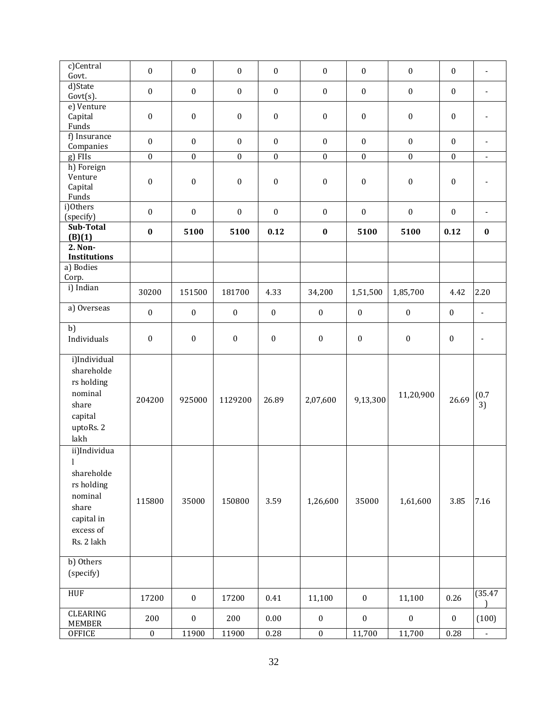| c)Central<br>Govt.                                                                                                    | $\boldsymbol{0}$ | $\boldsymbol{0}$ | $\boldsymbol{0}$ | $\boldsymbol{0}$ | $\boldsymbol{0}$ | $\boldsymbol{0}$ | $\boldsymbol{0}$ | $\boldsymbol{0}$ | $\overline{\phantom{a}}$ |
|-----------------------------------------------------------------------------------------------------------------------|------------------|------------------|------------------|------------------|------------------|------------------|------------------|------------------|--------------------------|
| d)State<br>$Govt(s)$ .                                                                                                | $\boldsymbol{0}$ | $\boldsymbol{0}$ | $\boldsymbol{0}$ | $\boldsymbol{0}$ | $\boldsymbol{0}$ | $\boldsymbol{0}$ | $\boldsymbol{0}$ | $\boldsymbol{0}$ | $\overline{\phantom{0}}$ |
| e) Venture<br>Capital<br>Funds                                                                                        | $\boldsymbol{0}$ | $\boldsymbol{0}$ | $\boldsymbol{0}$ | $\boldsymbol{0}$ | $\boldsymbol{0}$ | $\boldsymbol{0}$ | $\boldsymbol{0}$ | $\boldsymbol{0}$ |                          |
| f) Insurance<br>Companies                                                                                             | $\boldsymbol{0}$ | $\mathbf{0}$     | $\boldsymbol{0}$ | $\boldsymbol{0}$ | $\mathbf{0}$     | $\boldsymbol{0}$ | $\mathbf{0}$     | $\mathbf{0}$     | $\overline{\phantom{a}}$ |
| g) FIIs                                                                                                               | $\boldsymbol{0}$ | $\boldsymbol{0}$ | $\boldsymbol{0}$ | $\boldsymbol{0}$ | $\boldsymbol{0}$ | $\boldsymbol{0}$ | $\boldsymbol{0}$ | $\boldsymbol{0}$ | $\overline{\phantom{a}}$ |
| h) Foreign                                                                                                            |                  |                  |                  |                  |                  |                  |                  |                  |                          |
| Venture<br>Capital<br>Funds                                                                                           | $\boldsymbol{0}$ | $\boldsymbol{0}$ | $\boldsymbol{0}$ | $\boldsymbol{0}$ | $\boldsymbol{0}$ | $\boldsymbol{0}$ | $\boldsymbol{0}$ | $\boldsymbol{0}$ |                          |
| i)Others<br>(specify)                                                                                                 | $\boldsymbol{0}$ | $\boldsymbol{0}$ | $\boldsymbol{0}$ | $\boldsymbol{0}$ | $\boldsymbol{0}$ | $\boldsymbol{0}$ | $\boldsymbol{0}$ | $\boldsymbol{0}$ | $\overline{\phantom{a}}$ |
| Sub-Total<br>(B)(1)                                                                                                   | $\bf{0}$         | 5100             | 5100             | 0.12             | $\pmb{0}$        | 5100             | 5100             | 0.12             | $\bf{0}$                 |
| 2. Non-                                                                                                               |                  |                  |                  |                  |                  |                  |                  |                  |                          |
| <b>Institutions</b>                                                                                                   |                  |                  |                  |                  |                  |                  |                  |                  |                          |
| a) Bodies<br>Corp.                                                                                                    |                  |                  |                  |                  |                  |                  |                  |                  |                          |
| i) Indian                                                                                                             | 30200            | 151500           | 181700           | 4.33             | 34,200           | 1,51,500         | 1,85,700         | 4.42             | 2.20                     |
| a) Overseas                                                                                                           | $\boldsymbol{0}$ | $\boldsymbol{0}$ | $\boldsymbol{0}$ | $\boldsymbol{0}$ | $\boldsymbol{0}$ | $\boldsymbol{0}$ | $\boldsymbol{0}$ | $\boldsymbol{0}$ | $\overline{\phantom{a}}$ |
| b)<br>Individuals                                                                                                     | $\boldsymbol{0}$ | $\boldsymbol{0}$ | $\boldsymbol{0}$ | $\boldsymbol{0}$ | $\boldsymbol{0}$ | $\boldsymbol{0}$ | $\boldsymbol{0}$ | $\boldsymbol{0}$ | $\overline{a}$           |
| i)Individual<br>shareholde<br>rs holding<br>nominal<br>share<br>capital<br>uptoRs. 2<br>lakh                          | 204200           | 925000           | 1129200          | 26.89            | 2,07,600         | 9,13,300         | 11,20,900        | 26.69            | (0.7)<br>3)              |
| ii)Individua<br>$\mathbf{I}$<br>shareholde<br>rs holding<br>nominal<br>share<br>capital in<br>excess of<br>Rs. 2 lakh | 115800           | 35000            | 150800           | 3.59             | 1,26,600         | 35000            | 1,61,600         | 3.85             | 7.16                     |
| b) Others<br>(specify)                                                                                                |                  |                  |                  |                  |                  |                  |                  |                  |                          |
| <b>HUF</b>                                                                                                            | 17200            | $\boldsymbol{0}$ | 17200            | 0.41             | 11,100           | $\boldsymbol{0}$ | 11,100           | 0.26             | (35.47)                  |
| CLEARING<br>MEMBER                                                                                                    | 200              | $\boldsymbol{0}$ | 200              | 0.00             | $\boldsymbol{0}$ | $\boldsymbol{0}$ | $\boldsymbol{0}$ | $\boldsymbol{0}$ | (100)                    |
| <b>OFFICE</b>                                                                                                         | $\boldsymbol{0}$ | 11900            | 11900            | $0.28\,$         | $\boldsymbol{0}$ | 11,700           | 11,700           | 0.28             | $\overline{\phantom{a}}$ |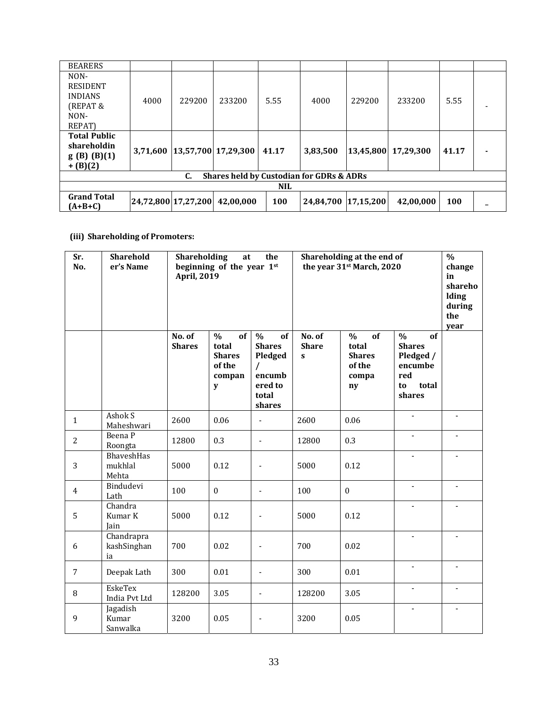| <b>BEARERS</b>                                                         |          |                     |                      |       |                     |           |           |       |  |
|------------------------------------------------------------------------|----------|---------------------|----------------------|-------|---------------------|-----------|-----------|-------|--|
| NON-<br><b>RESIDENT</b><br><b>INDIANS</b><br>(REPAT&<br>NON-<br>REPAT) | 4000     | 229200              | 233200               | 5.55  | 4000                | 229200    | 233200    | 5.55  |  |
| <b>Total Public</b><br>shareholdin<br>g(B) (B)(1)<br>$+(B)(2)$         | 3,71,600 |                     | 13,57,700  17,29,300 | 41.17 | 3,83,500            | 13,45,800 | 17,29,300 | 41.17 |  |
| Shares held by Custodian for GDRs & ADRs<br>C.                         |          |                     |                      |       |                     |           |           |       |  |
| <b>NIL</b>                                                             |          |                     |                      |       |                     |           |           |       |  |
| <b>Grand Total</b><br>(A+B+C)                                          |          | 24,72,800 17,27,200 | 42,00,000            | 100   | 24,84,700 17,15,200 |           | 42,00,000 | 100   |  |

# **(iii) Shareholding of Promoters:**

| Sr.<br>No.     | <b>Sharehold</b><br>er's Name   | Shareholding<br>the<br>at<br>beginning of the year 1st<br><b>April, 2019</b> |                                                                        |                                                                                                     | Shareholding at the end of<br>the year 31 <sup>st</sup> March, 2020 | $\overline{\frac{0}{0}}$<br>change<br>in<br>shareho<br><b>Iding</b><br>during<br>the<br>year |                                                                                              |                          |
|----------------|---------------------------------|------------------------------------------------------------------------------|------------------------------------------------------------------------|-----------------------------------------------------------------------------------------------------|---------------------------------------------------------------------|----------------------------------------------------------------------------------------------|----------------------------------------------------------------------------------------------|--------------------------|
|                |                                 | No. of<br><b>Shares</b>                                                      | $\frac{0}{0}$<br>of<br>total<br><b>Shares</b><br>of the<br>compan<br>y | $\frac{0}{0}$<br>of<br><b>Shares</b><br>Pledged<br>$\prime$<br>encumb<br>ered to<br>total<br>shares | No. of<br><b>Share</b><br>$\mathbf{s}$                              | of<br>$\frac{0}{0}$<br>total<br><b>Shares</b><br>of the<br>compa<br>ny                       | $\frac{0}{0}$<br>of<br><b>Shares</b><br>Pledged /<br>encumbe<br>red<br>total<br>to<br>shares |                          |
| $\mathbf{1}$   | Ashok S<br>Maheshwari           | 2600                                                                         | 0.06                                                                   | $\overline{\phantom{a}}$                                                                            | 2600                                                                | 0.06                                                                                         | $\qquad \qquad \blacksquare$                                                                 | $\overline{\phantom{a}}$ |
| 2              | Beena P<br>Roongta              | 12800                                                                        | 0.3                                                                    | $\overline{a}$                                                                                      | 12800                                                               | 0.3                                                                                          | $\blacksquare$                                                                               | $\blacksquare$           |
| 3              | BhaveshHas<br>mukhlal<br>Mehta  | 5000                                                                         | 0.12                                                                   |                                                                                                     | 5000                                                                | 0.12                                                                                         | $\overline{a}$                                                                               | $\overline{\phantom{m}}$ |
| $\overline{4}$ | Bindudevi<br>Lath               | 100                                                                          | $\mathbf{0}$                                                           | $\overline{\phantom{a}}$                                                                            | 100                                                                 | $\boldsymbol{0}$                                                                             | $\overline{a}$                                                                               | $\blacksquare$           |
| 5              | Chandra<br>Kumar K<br>Jain      | 5000                                                                         | 0.12                                                                   |                                                                                                     | 5000                                                                | 0.12                                                                                         |                                                                                              |                          |
| 6              | Chandrapra<br>kashSinghan<br>ia | 700                                                                          | 0.02                                                                   |                                                                                                     | 700                                                                 | 0.02                                                                                         |                                                                                              |                          |
| 7              | Deepak Lath                     | 300                                                                          | 0.01                                                                   | $\overline{\phantom{a}}$                                                                            | 300                                                                 | 0.01                                                                                         | $\overline{a}$                                                                               | $\blacksquare$           |
| 8              | <b>EskeTex</b><br>India Pvt Ltd | 128200                                                                       | 3.05                                                                   | $\overline{\phantom{a}}$                                                                            | 128200                                                              | 3.05                                                                                         | $\overline{a}$                                                                               |                          |
| 9              | Jagadish<br>Kumar<br>Sanwalka   | 3200                                                                         | 0.05                                                                   |                                                                                                     | 3200                                                                | 0.05                                                                                         |                                                                                              |                          |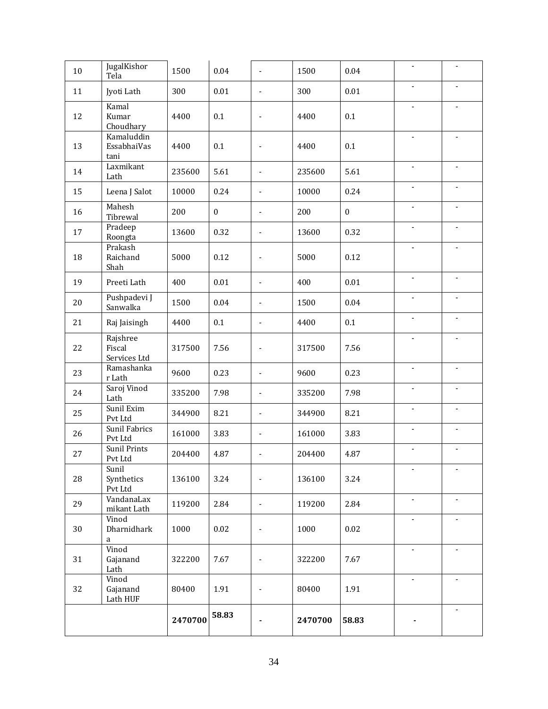| 10 | JugalKishor<br>Tela                | 1500    | 0.04             | ÷,                           | 1500    | 0.04             |                          |                              |
|----|------------------------------------|---------|------------------|------------------------------|---------|------------------|--------------------------|------------------------------|
| 11 | Jyoti Lath                         | 300     | 0.01             | $\blacksquare$               | 300     | 0.01             |                          |                              |
| 12 | Kamal<br>Kumar<br>Choudhary        | 4400    | 0.1              |                              | 4400    | 0.1              | $\overline{a}$           | $\overline{\phantom{a}}$     |
| 13 | Kamaluddin<br>EssabhaiVas<br>tani  | 4400    | 0.1              |                              | 4400    | 0.1              |                          |                              |
| 14 | Laxmikant<br>Lath                  | 235600  | 5.61             | $\blacksquare$               | 235600  | 5.61             | $\overline{a}$           | $\overline{\phantom{a}}$     |
| 15 | Leena J Salot                      | 10000   | 0.24             | $\blacksquare$               | 10000   | 0.24             | $\blacksquare$           | $\overline{\phantom{a}}$     |
| 16 | Mahesh<br>Tibrewal                 | 200     | $\boldsymbol{0}$ | $\blacksquare$               | 200     | $\boldsymbol{0}$ | $\blacksquare$           | ä,                           |
| 17 | Pradeep<br>Roongta                 | 13600   | 0.32             | $\overline{a}$               | 13600   | 0.32             |                          |                              |
| 18 | Prakash<br>Raichand<br>Shah        | 5000    | 0.12             | ٠                            | 5000    | 0.12             | $\overline{a}$           |                              |
| 19 | Preeti Lath                        | 400     | $0.01\,$         | ä,                           | 400     | 0.01             | $\overline{\phantom{0}}$ | $\overline{\phantom{a}}$     |
| 20 | Pushpadevi J<br>Sanwalka           | 1500    | 0.04             | $\overline{\phantom{a}}$     | 1500    | 0.04             | $\overline{\phantom{a}}$ | ٠                            |
| 21 | Raj Jaisingh                       | 4400    | 0.1              | $\overline{\phantom{a}}$     | 4400    | 0.1              | $\overline{a}$           |                              |
| 22 | Rajshree<br>Fiscal<br>Services Ltd | 317500  | 7.56             | $\overline{\phantom{a}}$     | 317500  | 7.56             | $\overline{a}$           | $\overline{a}$               |
| 23 | Ramashanka<br>r Lath               | 9600    | 0.23             | $\blacksquare$               | 9600    | 0.23             | $\overline{\phantom{a}}$ | $\overline{\phantom{a}}$     |
| 24 | Saroj Vinod<br>Lath                | 335200  | 7.98             | $\blacksquare$               | 335200  | 7.98             |                          |                              |
| 25 | Sunil Exim<br>Pvt Ltd              | 344900  | 8.21             | $\overline{\phantom{a}}$     | 344900  | 8.21             | $\overline{a}$           |                              |
| 26 | Sunil Fabrics<br>Pvt Ltd           | 161000  | 3.83             | $\overline{\phantom{a}}$     | 161000  | 3.83             | $\overline{\phantom{a}}$ | $\overline{\phantom{a}}$     |
| 27 | <b>Sunil Prints</b><br>Pvt Ltd     | 204400  | 4.87             | $\overline{\phantom{a}}$     | 204400  | 4.87             | $\overline{\phantom{0}}$ | $\qquad \qquad \blacksquare$ |
| 28 | Sunil<br>Synthetics<br>Pvt Ltd     | 136100  | 3.24             |                              | 136100  | 3.24             | $\overline{\phantom{a}}$ | $\overline{\phantom{a}}$     |
| 29 | VandanaLax<br>mikant Lath          | 119200  | 2.84             | $\overline{\phantom{a}}$     | 119200  | 2.84             | $\overline{\phantom{a}}$ | $\overline{\phantom{a}}$     |
| 30 | Vinod<br>Dharnidhark<br>$\rm{a}$   | 1000    | 0.02             | $\blacksquare$               | 1000    | 0.02             | $\centerdot$             | $\blacksquare$               |
| 31 | Vinod<br>Gajanand<br>Lath          | 322200  | 7.67             | ä,                           | 322200  | 7.67             | $\overline{a}$           |                              |
| 32 | Vinod<br>Gajanand<br>Lath HUF      | 80400   | 1.91             | $\qquad \qquad \blacksquare$ | 80400   | 1.91             | $\overline{\phantom{a}}$ | $\overline{\phantom{a}}$     |
|    |                                    | 2470700 | 58.83            |                              | 2470700 | 58.83            |                          | $\overline{\phantom{a}}$     |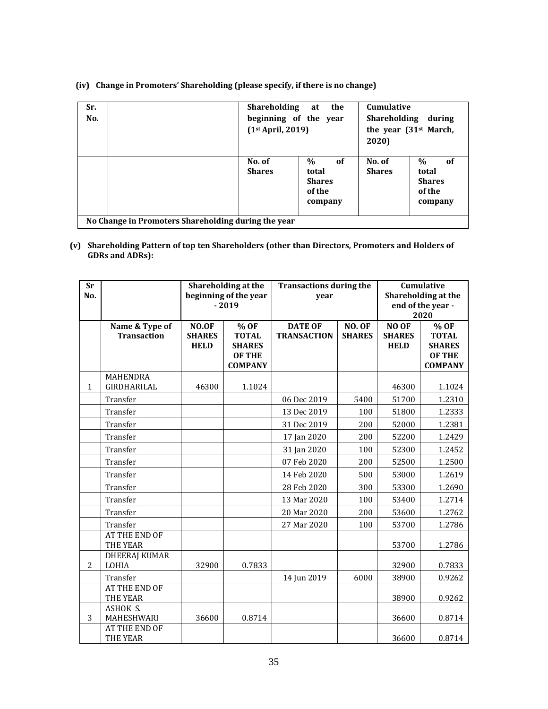| $\%$<br>0f<br>$\%$<br>No. of<br>No. of<br>of<br><b>Shares</b><br><b>Shares</b><br>total<br>total<br><b>Shares</b><br><b>Shares</b><br>of the<br>of the<br>company<br>company | Sr.<br>No. | Shareholding<br>beginning of the year<br>(1 <sup>st</sup> April, 2019) | the<br>at | <b>Cumulative</b><br>Shareholding during<br>the year $(31st March,$<br>2020) |  |  |
|------------------------------------------------------------------------------------------------------------------------------------------------------------------------------|------------|------------------------------------------------------------------------|-----------|------------------------------------------------------------------------------|--|--|
|                                                                                                                                                                              |            |                                                                        |           |                                                                              |  |  |

**(iv) Change in Promoters' Shareholding (please specify, if there is no change)**

**(v) Shareholding Pattern of top ten Shareholders (other than Directors, Promoters and Holders of GDRs and ADRs):**

| <b>Sr</b><br>No. |                                      | Shareholding at the<br>beginning of the year<br>$-2019$ |                                                        | <b>Transactions during the</b><br>year |                                | Cumulative<br>Shareholding at the<br>end of the year - |                                                                |
|------------------|--------------------------------------|---------------------------------------------------------|--------------------------------------------------------|----------------------------------------|--------------------------------|--------------------------------------------------------|----------------------------------------------------------------|
|                  | Name & Type of<br><b>Transaction</b> | NO.OF<br><b>SHARES</b><br><b>HELD</b>                   | % OF<br><b>TOTAL</b><br><b>SHARES</b><br><b>OF THE</b> | <b>DATE OF</b><br><b>TRANSACTION</b>   | <b>NO. OF</b><br><b>SHARES</b> | NO OF<br><b>SHARES</b><br><b>HELD</b>                  | 2020<br>% OF<br><b>TOTAL</b><br><b>SHARES</b><br><b>OF THE</b> |
|                  | <b>MAHENDRA</b>                      |                                                         | <b>COMPANY</b>                                         |                                        |                                |                                                        | <b>COMPANY</b>                                                 |
| $\mathbf{1}$     | GIRDHARILAL                          | 46300                                                   | 1.1024                                                 |                                        |                                | 46300                                                  | 1.1024                                                         |
|                  | Transfer                             |                                                         |                                                        | 06 Dec 2019                            | 5400                           | 51700                                                  | 1.2310                                                         |
|                  | Transfer                             |                                                         |                                                        | 13 Dec 2019                            | 100                            | 51800                                                  | 1.2333                                                         |
|                  | Transfer                             |                                                         |                                                        | 31 Dec 2019                            | 200                            | 52000                                                  | 1.2381                                                         |
|                  | Transfer                             |                                                         |                                                        | 17 Jan 2020                            | 200                            | 52200                                                  | 1.2429                                                         |
|                  | Transfer                             |                                                         |                                                        | 31 Jan 2020                            | 100                            | 52300                                                  | 1.2452                                                         |
|                  | Transfer                             |                                                         |                                                        | 07 Feb 2020                            | 200                            | 52500                                                  | 1.2500                                                         |
|                  | Transfer                             |                                                         |                                                        | 14 Feb 2020                            | 500                            | 53000                                                  | 1.2619                                                         |
|                  | Transfer                             |                                                         |                                                        | 28 Feb 2020                            | 300                            | 53300                                                  | 1.2690                                                         |
|                  | Transfer                             |                                                         |                                                        | 13 Mar 2020                            | 100                            | 53400                                                  | 1.2714                                                         |
|                  | Transfer                             |                                                         |                                                        | 20 Mar 2020                            | 200                            | 53600                                                  | 1.2762                                                         |
|                  | Transfer                             |                                                         |                                                        | 27 Mar 2020                            | 100                            | 53700                                                  | 1.2786                                                         |
|                  | <b>AT THE END OF</b><br>THE YEAR     |                                                         |                                                        |                                        |                                | 53700                                                  | 1.2786                                                         |
| $\overline{2}$   | <b>DHEERAJ KUMAR</b><br>LOHIA        | 32900                                                   | 0.7833                                                 |                                        |                                | 32900                                                  | 0.7833                                                         |
|                  | Transfer                             |                                                         |                                                        | 14 Jun 2019                            | 6000                           | 38900                                                  | 0.9262                                                         |
|                  | <b>AT THE END OF</b><br>THE YEAR     |                                                         |                                                        |                                        |                                | 38900                                                  | 0.9262                                                         |
| 3                | ASHOK S.<br>MAHESHWARI               | 36600                                                   | 0.8714                                                 |                                        |                                | 36600                                                  | 0.8714                                                         |
|                  | AT THE END OF<br>THE YEAR            |                                                         |                                                        |                                        |                                | 36600                                                  | 0.8714                                                         |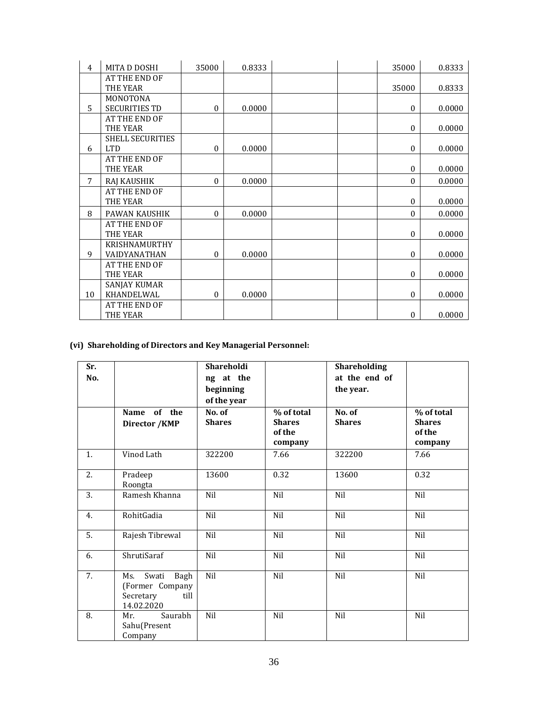| 4  | MITA D DOSHI         | 35000            | 0.8333 | 35000            | 0.8333 |
|----|----------------------|------------------|--------|------------------|--------|
|    | AT THE END OF        |                  |        |                  |        |
|    | THE YEAR             |                  |        | 35000            | 0.8333 |
|    | MONOTONA             |                  |        |                  |        |
| 5  | <b>SECURITIES TD</b> | $\mathbf{0}$     | 0.0000 | $\mathbf{0}$     | 0.0000 |
|    | AT THE END OF        |                  |        |                  |        |
|    | THE YEAR             |                  |        | $\boldsymbol{0}$ | 0.0000 |
|    | SHELL SECURITIES     |                  |        |                  |        |
| 6  | <b>LTD</b>           | $\boldsymbol{0}$ | 0.0000 | $\mathbf{0}$     | 0.0000 |
|    | AT THE END OF        |                  |        |                  |        |
|    | THE YEAR             |                  |        | $\mathbf{0}$     | 0.0000 |
| 7  | RAJ KAUSHIK          | $\mathbf{0}$     | 0.0000 | $\mathbf{0}$     | 0.0000 |
|    | AT THE END OF        |                  |        |                  |        |
|    | THE YEAR             |                  |        | $\mathbf{0}$     | 0.0000 |
| 8  | <b>PAWAN KAUSHIK</b> | $\mathbf{0}$     | 0.0000 | $\mathbf{0}$     | 0.0000 |
|    | AT THE END OF        |                  |        |                  |        |
|    | THE YEAR             |                  |        | $\mathbf{0}$     | 0.0000 |
|    | KRISHNAMURTHY        |                  |        |                  |        |
| 9  | <b>VAIDYANATHAN</b>  | $\mathbf{0}$     | 0.0000 | $\mathbf{0}$     | 0.0000 |
|    | AT THE END OF        |                  |        |                  |        |
|    | THE YEAR             |                  |        | $\mathbf{0}$     | 0.0000 |
|    | <b>SANJAY KUMAR</b>  |                  |        |                  |        |
| 10 | KHANDELWAL           | $\boldsymbol{0}$ | 0.0000 | $\mathbf{0}$     | 0.0000 |
|    | AT THE END OF        |                  |        |                  |        |
|    | THE YEAR             |                  |        | $\boldsymbol{0}$ | 0.0000 |

# **(vi) Shareholding of Directors and Key Managerial Personnel:**

| Sr.<br>No.     |                                                                            | Shareholdi<br>ng at the<br>beginning<br>of the year |                                                  | Shareholding<br>at the end of<br>the year. |                                                  |
|----------------|----------------------------------------------------------------------------|-----------------------------------------------------|--------------------------------------------------|--------------------------------------------|--------------------------------------------------|
|                | of the<br>Name<br>Director / KMP                                           | No. of<br><b>Shares</b>                             | % of total<br><b>Shares</b><br>of the<br>company | No. of<br><b>Shares</b>                    | % of total<br><b>Shares</b><br>of the<br>company |
| 1.             | Vinod Lath                                                                 | 322200                                              | 7.66                                             | 322200                                     | 7.66                                             |
| 2.             | Pradeep<br>Roongta                                                         | 13600                                               | 0.32                                             | 13600                                      | 0.32                                             |
| 3.             | Ramesh Khanna                                                              | Nil                                                 | Nil                                              | Nil                                        | Nil                                              |
| 4.             | RohitGadia                                                                 | Nil                                                 | Nil                                              | Nil                                        | Nil                                              |
| 5.             | Rajesh Tibrewal                                                            | Nil                                                 | Nil                                              | Nil                                        | Nil                                              |
| 6.             | ShrutiSaraf                                                                | Nil                                                 | Nil                                              | Nil                                        | Nil                                              |
| 7 <sub>1</sub> | Bagh<br>Swati<br>Ms.<br>(Former Company<br>Secretary<br>till<br>14.02.2020 | Nil                                                 | Nil                                              | Nil                                        | Nil                                              |
| 8.             | Saurabh<br>Mr.<br>Sahu(Present<br>Company                                  | Nil                                                 | Nil                                              | Nil                                        | Nil                                              |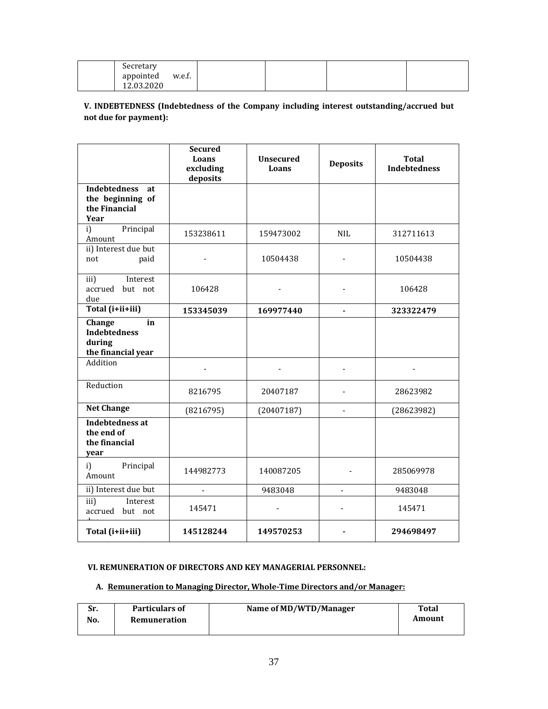| Secretary<br>appointed<br>w.e.f. |  |  |
|----------------------------------|--|--|
| 12.03.2020                       |  |  |

**V. INDEBTEDNESS (Indebtedness of the Company including interest outstanding/accrued but not due for payment):** 

|                                                                        | <b>Secured</b><br>Loans<br>excluding<br>deposits | <b>Unsecured</b><br>Loans | <b>Deposits</b> | <b>Total</b><br><b>Indebtedness</b> |
|------------------------------------------------------------------------|--------------------------------------------------|---------------------------|-----------------|-------------------------------------|
| <b>Indebtedness</b><br>at<br>the beginning of<br>the Financial<br>Year |                                                  |                           |                 |                                     |
| Principal<br>i)<br>Amount                                              | 153238611                                        | 159473002                 | <b>NIL</b>      | 312711613                           |
| ii) Interest due but<br>paid<br>not                                    |                                                  | 10504438                  |                 | 10504438                            |
| iii)<br>Interest<br>accrued but not<br>due                             | 106428                                           |                           |                 | 106428                              |
| Total (i+ii+iii)                                                       | 153345039                                        | 169977440                 | $\overline{a}$  | 323322479                           |
| Change<br>in<br><b>Indebtedness</b><br>during<br>the financial year    |                                                  |                           |                 |                                     |
| Addition                                                               |                                                  |                           |                 |                                     |
| Reduction                                                              | 8216795                                          | 20407187                  |                 | 28623982                            |
| <b>Net Change</b>                                                      | (8216795)                                        | (20407187)                | $\overline{a}$  | (28623982)                          |
| Indebtedness at<br>the end of<br>the financial<br>year                 |                                                  |                           |                 |                                     |
| i)<br>Principal<br>Amount                                              | 144982773                                        | 140087205                 |                 | 285069978                           |
| ii) Interest due but                                                   | $\overline{\phantom{a}}$                         | 9483048                   | $\overline{a}$  | 9483048                             |
| Interest<br>iii)<br>accrued but not                                    | 145471                                           |                           |                 | 145471                              |
| Total (i+ii+iii)                                                       | 145128244                                        | 149570253                 |                 | 294698497                           |

# **VI. REMUNERATION OF DIRECTORS AND KEY MANAGERIAL PERSONNEL:**

# **A. Remuneration to Managing Director, Whole‐Time Directors and/or Manager:**

| Sr. | <b>Particulars of</b> | Name of MD/WTD/Manager | Total  |
|-----|-----------------------|------------------------|--------|
| No. | Remuneration          |                        | Amount |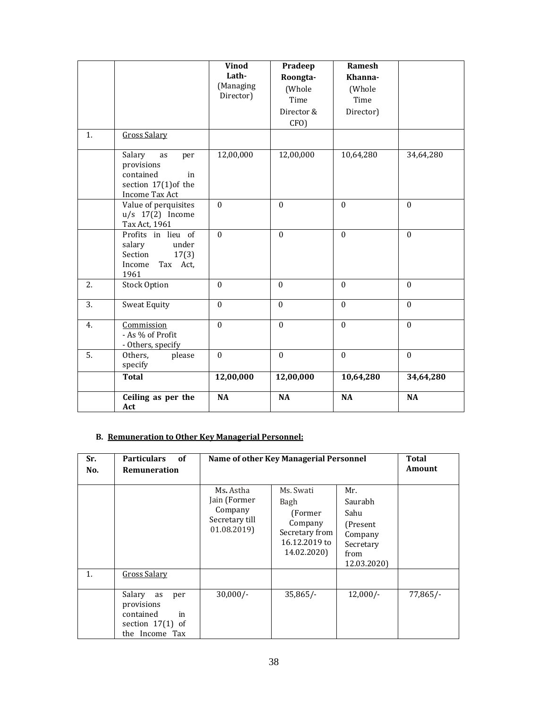|    |                                                                                                  | <b>Vinod</b><br>Lath-<br>(Managing<br>Director) | Pradeep<br>Roongta-<br>(Whole<br>Time<br>Director &<br>CFO) | Ramesh<br>Khanna-<br>(Whole<br>Time<br>Director) |                  |
|----|--------------------------------------------------------------------------------------------------|-------------------------------------------------|-------------------------------------------------------------|--------------------------------------------------|------------------|
| 1. | <b>Gross Salary</b>                                                                              |                                                 |                                                             |                                                  |                  |
|    | Salary<br>as<br>per<br>provisions<br>contained<br>in<br>section $17(1)$ of the<br>Income Tax Act | 12,00,000                                       | 12,00,000                                                   | 10,64,280                                        | 34,64,280        |
|    | Value of perquisites<br>$u/s$ 17(2) Income<br>Tax Act, 1961                                      | $\Omega$                                        | $\mathbf{0}$                                                | $\theta$                                         | $\mathbf{0}$     |
|    | Profits in lieu of<br>salary<br>under<br>Section<br>17(3)<br>Income<br>Tax Act,<br>1961          | $\theta$                                        | $\theta$                                                    | $\theta$                                         | $\mathbf{0}$     |
| 2. | <b>Stock Option</b>                                                                              | $\Omega$                                        | $\theta$                                                    | $\theta$                                         | $\theta$         |
| 3. | <b>Sweat Equity</b>                                                                              | $\Omega$                                        | $\theta$                                                    | $\theta$                                         | $\theta$         |
| 4. | Commission<br>- As % of Profit<br>- Others, specify                                              | $\Omega$                                        | $\mathbf{0}$                                                | $\mathbf{0}$                                     | $\mathbf{0}$     |
| 5. | Others,<br>please<br>specify                                                                     | $\theta$                                        | $\mathbf{0}$                                                | $\mathbf{0}$                                     | $\boldsymbol{0}$ |
|    | <b>Total</b>                                                                                     | 12,00,000                                       | 12,00,000                                                   | 10,64,280                                        | 34,64,280        |
|    | Ceiling as per the<br>Act                                                                        | <b>NA</b>                                       | <b>NA</b>                                                   | <b>NA</b>                                        | <b>NA</b>        |

# **B. Remuneration to Other Key Managerial Personnel:**

| Sr.<br>No.     | <b>Particulars</b><br>of<br>Remuneration                                                                     | Name of other Key Managerial Personnel                               | <b>Total</b><br>Amount                                                                     |                                                                                           |            |
|----------------|--------------------------------------------------------------------------------------------------------------|----------------------------------------------------------------------|--------------------------------------------------------------------------------------------|-------------------------------------------------------------------------------------------|------------|
|                |                                                                                                              | Ms. Astha<br>Jain (Former<br>Company<br>Secretary till<br>01.08.2019 | Ms. Swati<br>Bagh<br>(Former)<br>Company<br>Secretary from<br>16.12.2019 to<br>14.02.2020) | Mr.<br><b>Saurabh</b><br>Sahu<br>(Present)<br>Company<br>Secretary<br>from<br>12.03.2020) |            |
| 1 <sub>1</sub> | Gross Salary<br>Salary<br>as<br>per<br>provisions<br>contained<br>in<br>section $17(1)$ of<br>the Income Tax | $30,000/-$                                                           | $35,865/-$                                                                                 | $12,000/-$                                                                                | $77,865/-$ |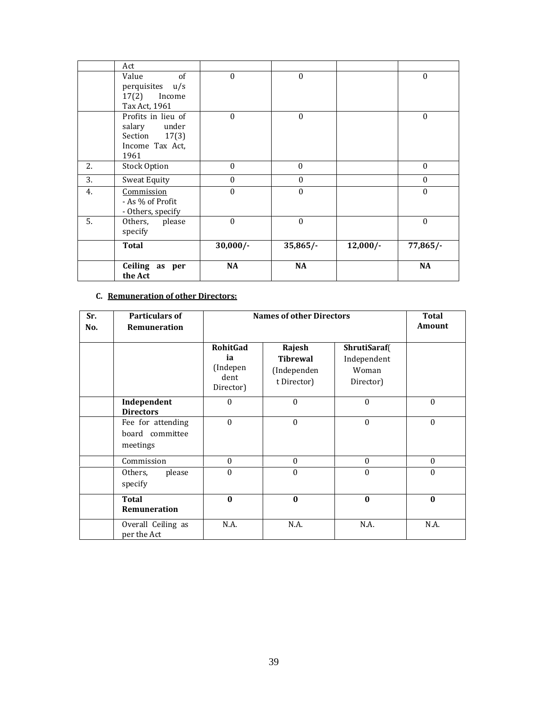|    | Act                                                                               |                  |                  |            |              |
|----|-----------------------------------------------------------------------------------|------------------|------------------|------------|--------------|
|    | of<br>Value<br>perquisites u/s<br>17(2)<br>Income<br>Tax Act, 1961                | $\mathbf{0}$     | $\mathbf{0}$     |            | $\theta$     |
|    | Profits in lieu of<br>under<br>salary<br>Section 17(3)<br>Income Tax Act,<br>1961 | $\theta$         | $\theta$         |            | $\theta$     |
| 2. | <b>Stock Option</b>                                                               | $\mathbf{0}$     | $\mathbf{0}$     |            | $\mathbf{0}$ |
| 3. | Sweat Equity                                                                      | $\mathbf{0}$     | $\mathbf{0}$     |            | $\mathbf{0}$ |
| 4. | Commission<br>- As % of Profit<br>- Others, specify                               | $\boldsymbol{0}$ | $\boldsymbol{0}$ |            | $\mathbf{0}$ |
| 5. | please<br>Others,<br>specify                                                      | $\theta$         | $\theta$         |            | $\mathbf{0}$ |
|    | <b>Total</b>                                                                      | $30,000/-$       | $35,865/-$       | $12,000/-$ | $77,865/-$   |
|    | Ceiling as per<br>the Act                                                         | <b>NA</b>        | <b>NA</b>        |            | <b>NA</b>    |

# **C. Remuneration of other Directors:**

| Sr.<br>No. | <b>Particulars of</b><br>Remuneration            | <b>Names of other Directors</b>                        | <b>Total</b><br>Amount                                  |                                                   |              |
|------------|--------------------------------------------------|--------------------------------------------------------|---------------------------------------------------------|---------------------------------------------------|--------------|
|            |                                                  | <b>RohitGad</b><br>ia<br>(Indepen<br>dent<br>Director) | Rajesh<br><b>Tibrewal</b><br>(Independen<br>t Director) | ShrutiSaraf(<br>Independent<br>Woman<br>Director) |              |
|            | Independent<br><b>Directors</b>                  | $\theta$                                               | $\Omega$                                                | $\theta$                                          | $\theta$     |
|            | Fee for attending<br>board committee<br>meetings | $\Omega$                                               | $\theta$                                                | $\boldsymbol{0}$                                  | $\theta$     |
|            | Commission                                       | $\mathbf{0}$                                           | $\mathbf{0}$                                            | $\mathbf{0}$                                      | $\mathbf{0}$ |
|            | Others,<br>please<br>specify                     | $\theta$                                               | $\theta$                                                | $\theta$                                          | $\theta$     |
|            | Total<br>Remuneration                            | $\mathbf{0}$                                           | $\bf{0}$                                                | $\bf{0}$                                          | $\bf{0}$     |
|            | Overall Ceiling as<br>per the Act                | N.A.                                                   | N.A.                                                    | N.A.                                              | N.A.         |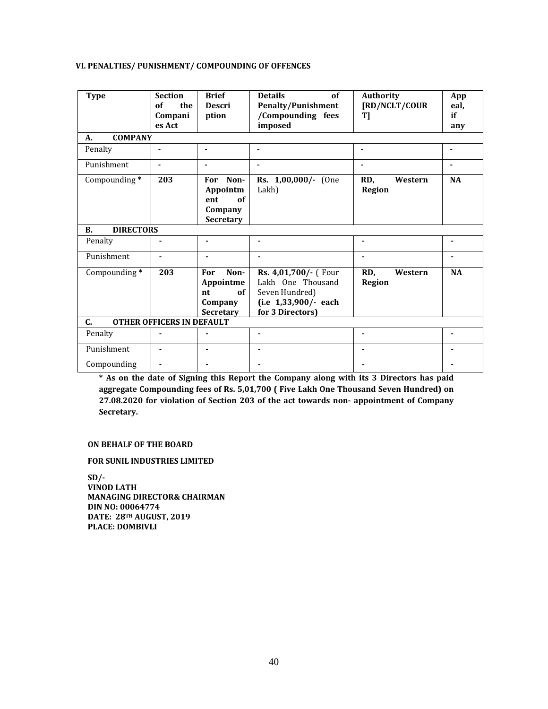# **VI. PENALTIES/ PUNISHMENT/ COMPOUNDING OF OFFENCES**

| <b>Type</b>                        | <b>Section</b><br>of<br>the<br>Compani<br>es Act | <b>Brief</b><br><b>Descri</b><br>ption                              | <b>Details</b><br>of<br><b>Penalty/Punishment</b><br>/Compounding fees<br>imposed                       | Authority<br>[RD/NCLT/COUR<br>T] | App<br>eal,<br>if<br>any |
|------------------------------------|--------------------------------------------------|---------------------------------------------------------------------|---------------------------------------------------------------------------------------------------------|----------------------------------|--------------------------|
| <b>COMPANY</b><br>A.               |                                                  |                                                                     |                                                                                                         |                                  |                          |
| Penalty                            |                                                  |                                                                     | $\blacksquare$                                                                                          |                                  |                          |
| Punishment                         |                                                  |                                                                     |                                                                                                         |                                  |                          |
| Compounding*                       | 203                                              | Non-<br>For<br>Appointm<br>of<br>ent<br>Company<br>Secretary        | Rs. 1,00,000/- (One<br>Lakh)                                                                            | RD,<br>Western<br>Region         | <b>NA</b>                |
| <b>DIRECTORS</b><br>$\mathbf{B}$ . |                                                  |                                                                     |                                                                                                         |                                  |                          |
| Penalty                            |                                                  |                                                                     |                                                                                                         |                                  |                          |
| Punishment                         | ٠                                                |                                                                     |                                                                                                         |                                  |                          |
| Compounding*                       | 203                                              | Non-<br>For<br>Appointme<br>of<br>nt<br>Company<br><b>Secretary</b> | Rs. 4,01,700/- (Four<br>Lakh One Thousand<br>Seven Hundred)<br>(i.e 1,33,900/- each<br>for 3 Directors) | RD,<br>Western<br><b>Region</b>  | <b>NA</b>                |
| C.                                 | <b>OTHER OFFICERS IN DEFAULT</b>                 |                                                                     |                                                                                                         |                                  |                          |
| Penalty                            |                                                  |                                                                     | $\blacksquare$                                                                                          | $\blacksquare$                   | ٠                        |
| Punishment                         | $\blacksquare$                                   | $\blacksquare$                                                      | $\blacksquare$                                                                                          |                                  | ٠                        |
| Compounding                        | $\overline{\phantom{a}}$                         |                                                                     |                                                                                                         |                                  | ٠                        |

**\* As on the date of Signing this Report the Company along with its 3 Directors has paid aggregate Compounding fees of Rs. 5,01,700 ( Five Lakh One Thousand Seven Hundred) on 27.08.2020 for violation of Section 203 of the act towards non‐ appointment of Company Secretary.**

### **ON BEHALF OF THE BOARD**

**FOR SUNIL INDUSTRIES LIMITED**

**SD/‐ VINOD LATH MANAGING DIRECTOR& CHAIRMAN DIN NO: 00064774**  $DATA$  **DATE:**  $28$ <sup>TH</sup> **AUGUST**, 2019 **PLACE: DOMBIVLI**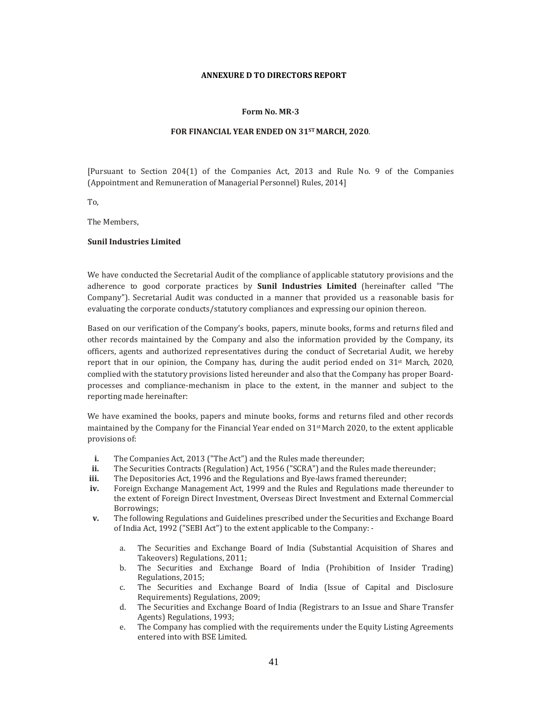#### **ANNEXURE D TO DIRECTORS REPORT**

#### **Form No. MR‐3**

#### **FOR FINANCIAL YEAR ENDED ON 31STMARCH, 2020**.

[Pursuant to Section 204(1) of the Companies Act, 2013 and Rule No. 9 of the Companies (Appointment and Remuneration of Managerial Personnel) Rules, 2014]

To, 

The Members.

### **Sunil Industries Limited**

We have conducted the Secretarial Audit of the compliance of applicable statutory provisions and the adherence to good corporate practices by **Sunil Industries Limited** (hereinafter called "The Company"). Secretarial Audit was conducted in a manner that provided us a reasonable basis for evaluating the corporate conducts/statutory compliances and expressing our opinion thereon.

Based on our verification of the Company's books, papers, minute books, forms and returns filed and other records maintained by the Company and also the information provided by the Company, its officers, agents and authorized representatives during the conduct of Secretarial Audit, we hereby report that in our opinion, the Company has, during the audit period ended on  $31^{st}$  March, 2020, complied with the statutory provisions listed hereunder and also that the Company has proper Boardprocesses and compliance-mechanism in place to the extent, in the manner and subject to the reporting made hereinafter:

We have examined the books, papers and minute books, forms and returns filed and other records maintained by the Company for the Financial Year ended on  $31<sup>st</sup>$  March 2020, to the extent applicable provisions of:

- **i.** The Companies Act, 2013 ("The Act") and the Rules made thereunder;
- ii. The Securities Contracts (Regulation) Act, 1956 ("SCRA") and the Rules made thereunder;
- **iii.** The Depositories Act, 1996 and the Regulations and Bye-laws framed thereunder;
- **iv.** Foreign Exchange Management Act, 1999 and the Rules and Regulations made thereunder to the extent of Foreign Direct Investment, Overseas Direct Investment and External Commercial Borrowings;
- **v.** The following Regulations and Guidelines prescribed under the Securities and Exchange Board of India Act, 1992 ("SEBI Act") to the extent applicable to the Company:
	- a. The Securities and Exchange Board of India (Substantial Acquisition of Shares and Takeovers) Regulations, 2011;
	- b. The Securities and Exchange Board of India (Prohibition of Insider Trading) Regulations, 2015;
	- c. The Securities and Exchange Board of India (Issue of Capital and Disclosure Requirements) Regulations, 2009;
	- d. The Securities and Exchange Board of India (Registrars to an Issue and Share Transfer Agents) Regulations, 1993;
	- e. The Company has complied with the requirements under the Equity Listing Agreements entered into with BSE Limited.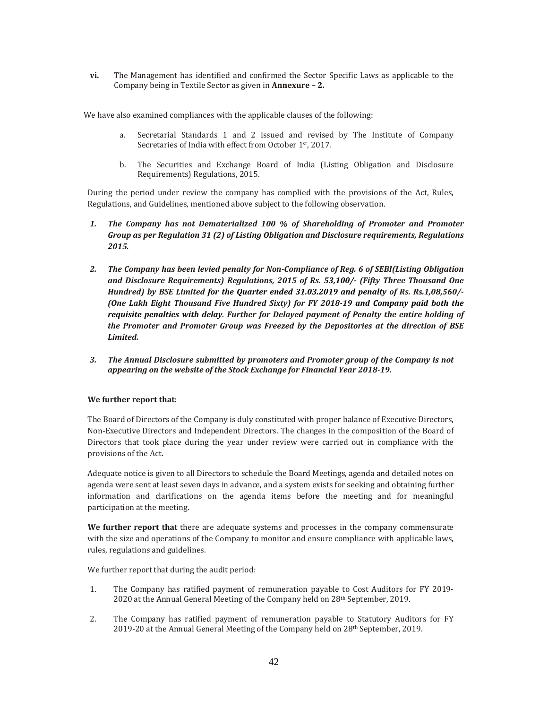**vi.** The Management has identified and confirmed the Sector Specific Laws as applicable to the Company being in Textile Sector as given in **Annexure – 2.**

We have also examined compliances with the applicable clauses of the following:

- a. Secretarial Standards 1 and 2 issued and revised by The Institute of Company Secretaries of India with effect from October 1<sup>st</sup>, 2017.
- b. The Securities and Exchange Board of India (Listing Obligation and Disclosure Requirements) Regulations, 2015.

During the period under review the company has complied with the provisions of the Act, Rules, Regulations, and Guidelines, mentioned above subject to the following observation.

- *1. The Company has not Dematerialized 100 % of Shareholding of Promoter and Promoter Group as per Regulation 31 (2) of Listing Obligation and Disclosure requirements, Regulations 2015.*
- *2. The Company has been levied penalty for Non‐Compliance of Reg. 6 of SEBI(Listing Obligation and Disclosure Requirements) Regulations, 2015 of Rs. 53,100/‐ (Fifty Three Thousand One Hundred) by BSE Limited for the Quarter ended 31.03.2019 and penalty of Rs. Rs.1,08,560/‐ (One Lakh Eight Thousand Five Hundred Sixty) for FY 2018‐19 and Company paid both the requisite penalties with delay. Further for Delayed payment of Penalty the entire holding of the Promoter and Promoter Group was Freezed by the Depositories at the direction of BSE Limited.*
- *3. The Annual Disclosure submitted by promoters and Promoter group of the Company is not appearing on the website of the Stock Exchange for Financial Year 2018‐19.*

# **We further report that**:

The Board of Directors of the Company is duly constituted with proper balance of Executive Directors, Non-Executive Directors and Independent Directors. The changes in the composition of the Board of Directors that took place during the year under review were carried out in compliance with the provisions of the Act.

Adequate notice is given to all Directors to schedule the Board Meetings, agenda and detailed notes on agenda were sent at least seven days in advance, and a system exists for seeking and obtaining further information and clarifications on the agenda items before the meeting and for meaningful participation at the meeting.

**We further report that** there are adequate systems and processes in the company commensurate with the size and operations of the Company to monitor and ensure compliance with applicable laws, rules, regulations and guidelines.

We further report that during the audit period:

- 1. The Company has ratified payment of remuneration payable to Cost Auditors for FY 2019-2020 at the Annual General Meeting of the Company held on 28<sup>th</sup> September, 2019.
- 2. The Company has ratified payment of remuneration payable to Statutory Auditors for FY 2019-20 at the Annual General Meeting of the Company held on  $28<sup>th</sup>$  September, 2019.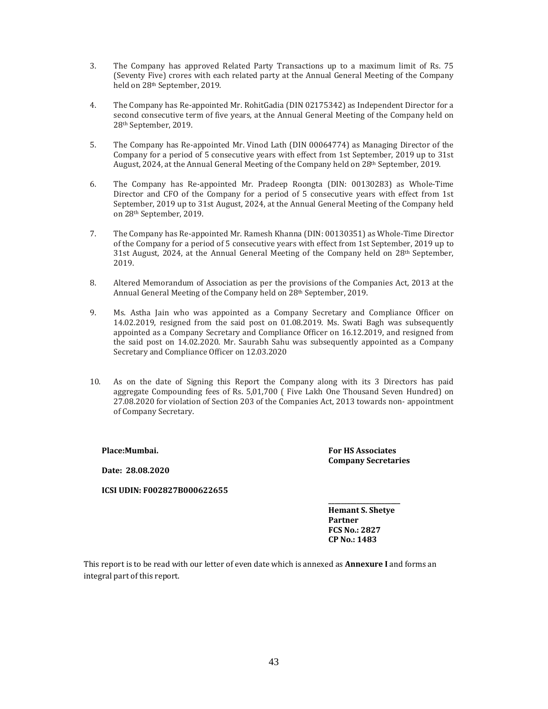- 3. The Company has approved Related Party Transactions up to a maximum limit of Rs. 75 (Seventy Five) crores with each related party at the Annual General Meeting of the Company held on 28<sup>th</sup> September, 2019.
- 4. The Company has Re-appointed Mr. RohitGadia (DIN 02175342) as Independent Director for a second consecutive term of five years, at the Annual General Meeting of the Company held on 28<sup>th</sup> September, 2019.
- 5. The Company has Re-appointed Mr. Vinod Lath (DIN 00064774) as Managing Director of the Company for a period of 5 consecutive years with effect from 1st September, 2019 up to 31st August, 2024, at the Annual General Meeting of the Company held on 28<sup>th</sup> September, 2019.
- 6. The Company has Re-appointed Mr. Pradeep Roongta (DIN: 00130283) as Whole-Time Director and CFO of the Company for a period of 5 consecutive years with effect from 1st September, 2019 up to 31st August, 2024, at the Annual General Meeting of the Company held on 28<sup>th</sup> September, 2019.
- 7. The Company has Re-appointed Mr. Ramesh Khanna (DIN: 00130351) as Whole-Time Director of the Company for a period of 5 consecutive years with effect from 1st September, 2019 up to 31st August, 2024, at the Annual General Meeting of the Company held on  $28<sup>th</sup>$  September, 2019.
- 8. Altered Memorandum of Association as per the provisions of the Companies Act, 2013 at the Annual General Meeting of the Company held on 28<sup>th</sup> September, 2019.
- 9. Ms. Astha Jain who was appointed as a Company Secretary and Compliance Officer on  $14.02.2019$ , resigned from the said post on 01.08.2019. Ms. Swati Bagh was subsequently appointed as a Company Secretary and Compliance Officer on 16.12.2019, and resigned from the said post on  $14.02.2020$ . Mr. Saurabh Sahu was subsequently appointed as a Company Secretary and Compliance Officer on 12.03.2020
- 10. As on the date of Signing this Report the Company along with its 3 Directors has paid aggregate Compounding fees of Rs. 5,01,700 ( Five Lakh One Thousand Seven Hundred) on 27.08.2020 for violation of Section 203 of the Companies Act, 2013 towards non- appointment of Company Secretary.

**Place:Mumbai.**

**Date: 28.08.2020**

**ICSI UDIN: F002827B000622655**

**\_\_\_\_\_\_\_\_\_\_\_\_\_\_\_\_\_\_\_\_\_\_\_ Hemant S. Shetye Partner FCS No.: 2827 CP No.: 1483**

**For HS Associates Company Secretaries**

This report is to be read with our letter of even date which is annexed as **Annexure** I and forms an integral part of this report.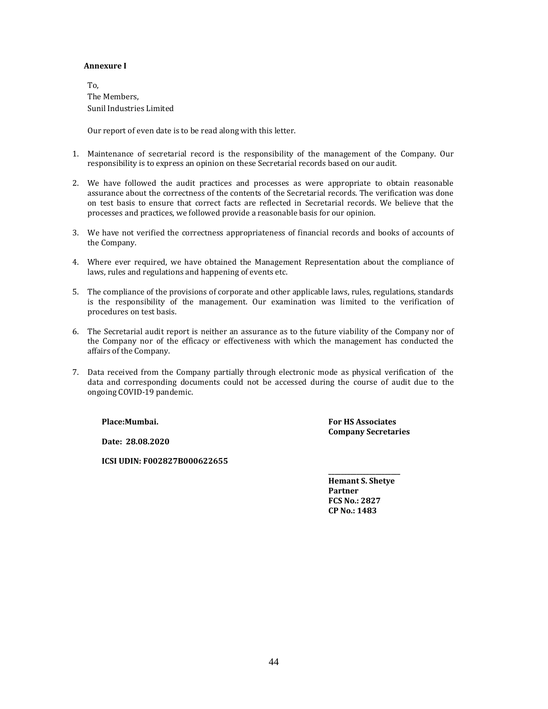### **Annexure I**

To, The Members. Sunil Industries Limited

Our report of even date is to be read along with this letter.

- 1. Maintenance of secretarial record is the responsibility of the management of the Company. Our responsibility is to express an opinion on these Secretarial records based on our audit.
- 2. We have followed the audit practices and processes as were appropriate to obtain reasonable assurance about the correctness of the contents of the Secretarial records. The verification was done on test basis to ensure that correct facts are reflected in Secretarial records. We believe that the processes and practices, we followed provide a reasonable basis for our opinion.
- 3. We have not verified the correctness appropriateness of financial records and books of accounts of the Company.
- 4. Where ever required, we have obtained the Management Representation about the compliance of laws, rules and regulations and happening of events etc.
- 5. The compliance of the provisions of corporate and other applicable laws, rules, regulations, standards is the responsibility of the management. Our examination was limited to the verification of procedures on test basis.
- 6. The Secretarial audit report is neither an assurance as to the future viability of the Company nor of the Company nor of the efficacy or effectiveness with which the management has conducted the affairs of the Company.
- 7. Data received from the Company partially through electronic mode as physical verification of the data and corresponding documents could not be accessed during the course of audit due to the ongoing COVID-19 pandemic.

**Place:Mumbai.**

**For HS Associates Company Secretaries**

**Date: 28.08.2020**

**ICSI UDIN: F002827B000622655**

**\_\_\_\_\_\_\_\_\_\_\_\_\_\_\_\_\_\_\_\_\_\_\_ Hemant S. Shetye Partner FCS No.: 2827 CP No.: 1483**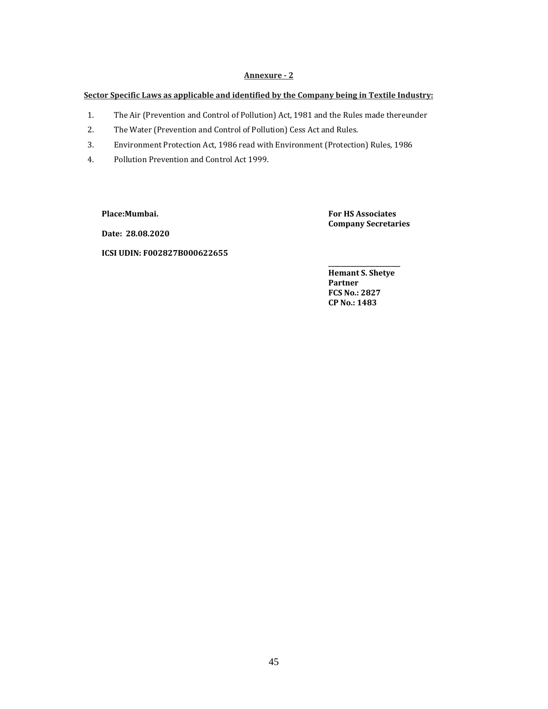# Annexure - 2

## **Sector Specific Laws as applicable and identified by the Company being in Textile Industry:**

- 1. The Air (Prevention and Control of Pollution) Act, 1981 and the Rules made thereunder
- 2. The Water (Prevention and Control of Pollution) Cess Act and Rules.
- 3. Environment Protection Act, 1986 read with Environment (Protection) Rules, 1986
- 4. Pollution Prevention and Control Act 1999.

**Place:Mumbai.**

**For HS Associates Company Secretaries**

**Date: 28.08.2020**

# **ICSI UDIN: F002827B000622655**

**Hemant S. Shetye Partner FCS No.: 2827 CP No.: 1483**

**\_\_\_\_\_\_\_\_\_\_\_\_\_\_\_\_\_\_\_\_\_\_\_**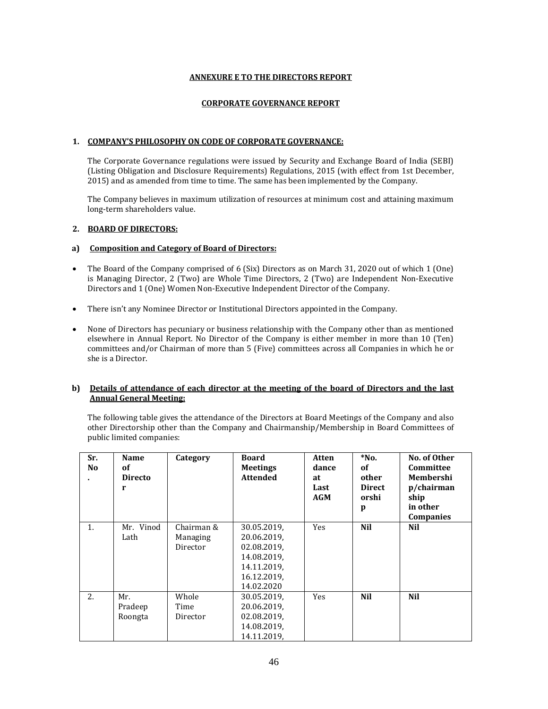### **ANNEXURE E TO THE DIRECTORS REPORT**

### **CORPORATE GOVERNANCE REPORT**

### **1. COMPANY'S PHILOSOPHY ON CODE OF CORPORATE GOVERNANCE:**

The Corporate Governance regulations were issued by Security and Exchange Board of India (SEBI) (Listing Obligation and Disclosure Requirements) Regulations, 2015 (with effect from 1st December, 2015) and as amended from time to time. The same has been implemented by the Company.

The Company believes in maximum utilization of resources at minimum cost and attaining maximum long-term shareholders value.

### **2. BOARD OF DIRECTORS:**

### **a) Composition and Category of Board of Directors:**

- The Board of the Company comprised of 6 (Six) Directors as on March 31, 2020 out of which 1 (One) is Managing Director, 2 (Two) are Whole Time Directors, 2 (Two) are Independent Non-Executive Directors and 1 (One) Women Non-Executive Independent Director of the Company.
- There isn't any Nominee Director or Institutional Directors appointed in the Company.
- None of Directors has pecuniary or business relationship with the Company other than as mentioned elsewhere in Annual Report. No Director of the Company is either member in more than 10 (Ten) committees and/or Chairman of more than 5 (Five) committees across all Companies in which he or she is a Director.

### **b) Details of attendance of each director at the meeting of the board of Directors and the last Annual General Meeting:**

The following table gives the attendance of the Directors at Board Meetings of the Company and also other Directorship other than the Company and Chairmanship/Membership in Board Committees of public limited companies:

| Sr.<br>No. | <b>Name</b><br><sub>of</sub><br><b>Directo</b><br>r | Category                           | <b>Board</b><br><b>Meetings</b><br><b>Attended</b>                                                   | Atten<br>dance<br>at<br>Last<br><b>AGM</b> | $*$ No.<br><b>of</b><br>other<br><b>Direct</b><br>orshi<br>p | No. of Other<br>Committee<br>Membershi<br>p/chairman<br>ship<br>in other<br><b>Companies</b> |
|------------|-----------------------------------------------------|------------------------------------|------------------------------------------------------------------------------------------------------|--------------------------------------------|--------------------------------------------------------------|----------------------------------------------------------------------------------------------|
| 1.         | Mr. Vinod<br>Lath                                   | Chairman &<br>Managing<br>Director | 30.05.2019,<br>20.06.2019,<br>02.08.2019,<br>14.08.2019,<br>14.11.2019,<br>16.12.2019,<br>14.02.2020 | <b>Yes</b>                                 | <b>Nil</b>                                                   | Nil                                                                                          |
| 2.         | Mr.<br>Pradeep<br>Roongta                           | Whole<br>Time<br>Director          | 30.05.2019,<br>20.06.2019,<br>02.08.2019,<br>14.08.2019,<br>14.11.2019,                              | <b>Yes</b>                                 | <b>Nil</b>                                                   | Nil                                                                                          |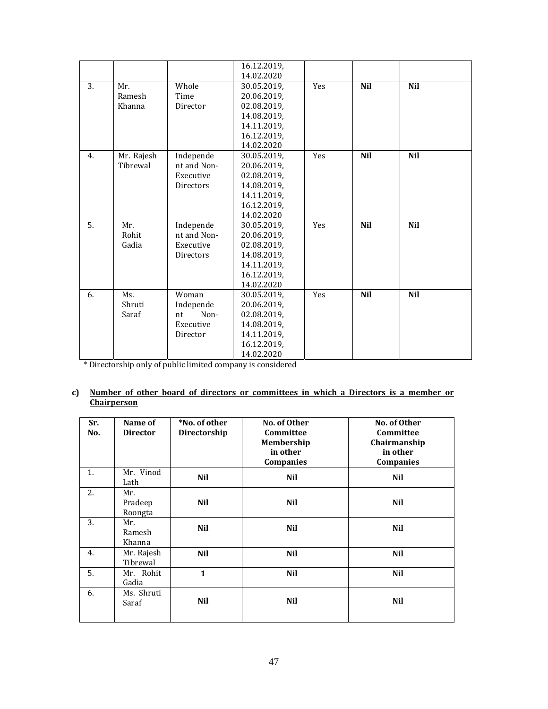|     |            |                  | 16.12.2019, |            |            |            |
|-----|------------|------------------|-------------|------------|------------|------------|
|     |            |                  | 14.02.2020  |            |            |            |
| 3.  | Mr.        | Whole            | 30.05.2019, | <b>Yes</b> | <b>Nil</b> | <b>Nil</b> |
|     | Ramesh     | Time             | 20.06.2019, |            |            |            |
|     | Khanna     | Director         | 02.08.2019, |            |            |            |
|     |            |                  | 14.08.2019, |            |            |            |
|     |            |                  | 14.11.2019, |            |            |            |
|     |            |                  | 16.12.2019, |            |            |            |
|     |            |                  | 14.02.2020  |            |            |            |
| 4.  | Mr. Rajesh | Independe        | 30.05.2019, | <b>Yes</b> | <b>Nil</b> | <b>Nil</b> |
|     | Tibrewal   | nt and Non-      | 20.06.2019, |            |            |            |
|     |            | Executive        | 02.08.2019, |            |            |            |
|     |            | <b>Directors</b> | 14.08.2019, |            |            |            |
|     |            |                  | 14.11.2019, |            |            |            |
|     |            |                  | 16.12.2019, |            |            |            |
|     |            |                  | 14.02.2020  |            |            |            |
| .5. | Mr.        | Independe        | 30.05.2019, | <b>Yes</b> | <b>Nil</b> | <b>Nil</b> |
|     | Rohit      | nt and Non-      | 20.06.2019, |            |            |            |
|     | Gadia      | Executive        | 02.08.2019, |            |            |            |
|     |            | Directors        | 14.08.2019, |            |            |            |
|     |            |                  | 14.11.2019, |            |            |            |
|     |            |                  | 16.12.2019, |            |            |            |
|     |            |                  | 14.02.2020  |            |            |            |
| 6.  | Ms.        | Woman            | 30.05.2019, | Yes        | <b>Nil</b> | <b>Nil</b> |
|     | Shruti     | Independe        | 20.06.2019, |            |            |            |
|     | Saraf      | Non-<br>nt       | 02.08.2019, |            |            |            |
|     |            | Executive        | 14.08.2019, |            |            |            |
|     |            | Director         | 14.11.2019, |            |            |            |
|     |            |                  | 16.12.2019, |            |            |            |
|     |            |                  | 14.02.2020  |            |            |            |

\* Directorship only of public limited company is considered 

### **c) Number of other board of directors or committees in which a Directors is a member or Chairperson**

| Sr.<br>No. | Name of<br><b>Director</b> | *No. of other<br>Directorship | No. of Other<br>Committee<br>Membership<br>in other<br>Companies | No. of Other<br>Committee<br>Chairmanship<br>in other<br>Companies |
|------------|----------------------------|-------------------------------|------------------------------------------------------------------|--------------------------------------------------------------------|
| 1.         | Mr. Vinod<br>Lath          | <b>Nil</b>                    | <b>Nil</b>                                                       | Nil                                                                |
| 2.         | Mr.<br>Pradeep<br>Roongta  | Nil                           | Nil                                                              | Nil                                                                |
| 3.         | Mr.<br>Ramesh<br>Khanna    | Nil                           | Nil                                                              | Nil                                                                |
| 4.         | Mr. Rajesh<br>Tibrewal     | <b>Nil</b>                    | <b>Nil</b>                                                       | Nil                                                                |
| 5.         | Mr. Rohit<br>Gadia         | $\mathbf{1}$                  | <b>Nil</b>                                                       | Nil                                                                |
| 6.         | Ms. Shruti<br>Saraf        | Nil                           | Nil                                                              | Nil                                                                |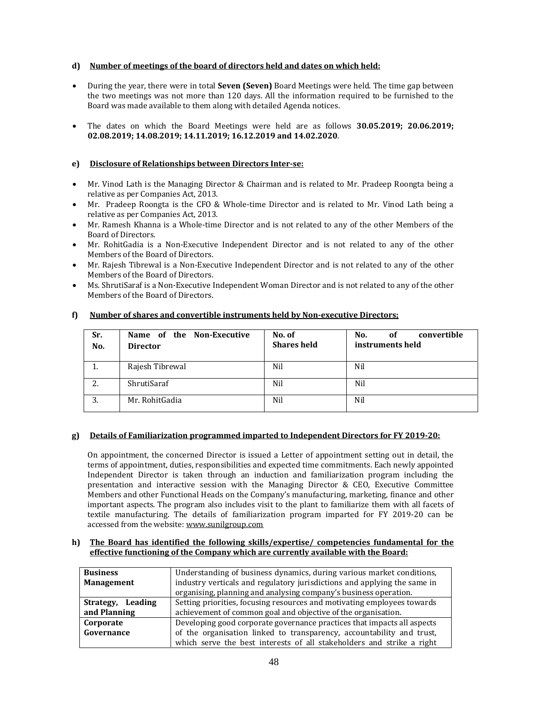# **d) Number of meetings of the board of directors held and dates on which held:**

- During the year, there were in total **Seven (Seven)** Board Meetings were held. The time gap between the two meetings was not more than 120 days. All the information required to be furnished to the Board was made available to them along with detailed Agenda notices.
- The dates on which the Board Meetings were held are as follows **30.05.2019; 20.06.2019; 02.08.2019; 14.08.2019; 14.11.2019; 16.12.2019 and 14.02.2020**.

# **e) Disclosure of Relationships between Directors Inter‐se:**

- Mr. Vinod Lath is the Managing Director & Chairman and is related to Mr. Pradeep Roongta being a relative as per Companies Act, 2013.
- Mr. Pradeep Roongta is the CFO & Whole-time Director and is related to Mr. Vinod Lath being a relative as per Companies Act, 2013.
- Mr. Ramesh Khanna is a Whole-time Director and is not related to any of the other Members of the Board of Directors.
- Mr. RohitGadia is a Non-Executive Independent Director and is not related to any of the other Members of the Board of Directors.
- Mr. Rajesh Tibrewal is a Non-Executive Independent Director and is not related to any of the other Members of the Board of Directors.
- Ms. ShrutiSaraf is a Non-Executive Independent Woman Director and is not related to any of the other Members of the Board of Directors.

| Sr.<br>No. | Name of the Non-Executive<br><b>Director</b> | No. of<br><b>Shares held</b> | No.<br>convertible<br>0f<br>instruments held |
|------------|----------------------------------------------|------------------------------|----------------------------------------------|
| 1.         | Rajesh Tibrewal                              | Nil                          | Nil                                          |
| 2.         | ShrutiSaraf                                  | Nil                          | Nil                                          |
| 3.         | Mr. RohitGadia                               | Nil                          | Nil                                          |

### **f) Number of shares and convertible instruments held by Non‐executive Directors;**

### **g) Details of Familiarization programmed imparted to Independent Directors for FY 2019‐20:**

On appointment, the concerned Director is issued a Letter of appointment setting out in detail, the terms of appointment, duties, responsibilities and expected time commitments. Each newly appointed Independent Director is taken through an induction and familiarization program including the presentation and interactive session with the Managing Director  $\&$  CEO, Executive Committee Members and other Functional Heads on the Company's manufacturing, marketing, finance and other important aspects. The program also includes visit to the plant to familiarize them with all facets of textile manufacturing. The details of familiarization program imparted for FY 2019-20 can be accessed from the website: www.sunilgroup.com

### **h) The Board has identified the following skills/expertise/ competencies fundamental for the effective functioning of the Company which are currently available with the Board:**

| <b>Business</b>                                                                              | Understanding of business dynamics, during various market conditions,    |  |
|----------------------------------------------------------------------------------------------|--------------------------------------------------------------------------|--|
| <b>Management</b>                                                                            | industry verticals and regulatory jurisdictions and applying the same in |  |
|                                                                                              | organising, planning and analysing company's business operation.         |  |
| Setting priorities, focusing resources and motivating employees towards<br>Strategy, Leading |                                                                          |  |
| and Planning                                                                                 | achievement of common goal and objective of the organisation.            |  |
| Corporate                                                                                    | Developing good corporate governance practices that impacts all aspects  |  |
| Governance                                                                                   | of the organisation linked to transparency, accountability and trust,    |  |
|                                                                                              | which serve the best interests of all stakeholders and strike a right    |  |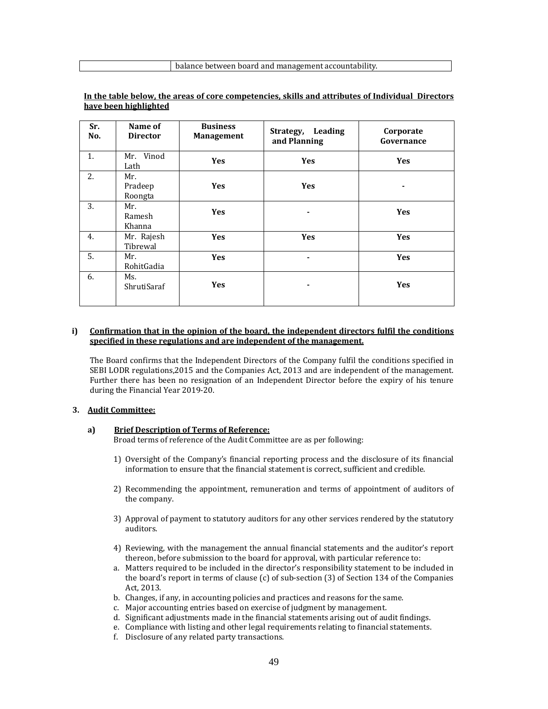| Sr.<br>No. | Name of<br><b>Director</b> | <b>Business</b><br><b>Management</b> | Leading<br>Strategy,<br>and Planning | Corporate<br>Governance |
|------------|----------------------------|--------------------------------------|--------------------------------------|-------------------------|
| 1.         | Mr. Vinod<br>Lath          | <b>Yes</b>                           | <b>Yes</b>                           | <b>Yes</b>              |
| 2.         | Mr.<br>Pradeep<br>Roongta  | <b>Yes</b>                           | <b>Yes</b>                           | ٠                       |
| 3.         | Mr.<br>Ramesh<br>Khanna    | <b>Yes</b>                           |                                      | <b>Yes</b>              |
| 4.         | Mr. Rajesh<br>Tibrewal     | <b>Yes</b>                           | <b>Yes</b>                           | <b>Yes</b>              |
| 5.         | Mr.<br>RohitGadia          | <b>Yes</b>                           |                                      | <b>Yes</b>              |
| 6.         | Ms.<br>ShrutiSaraf         | Yes                                  |                                      | <b>Yes</b>              |

### **In the table below, the areas of core competencies, skills and attributes of Individual Directors have been highlighted**

### **i) Confirmation that in the opinion of the board, the independent directors fulfil the conditions specified in these regulations and are independent of the management.**

The Board confirms that the Independent Directors of the Company fulfil the conditions specified in SEBI LODR regulations, 2015 and the Companies Act, 2013 and are independent of the management. Further there has been no resignation of an Independent Director before the expiry of his tenure during the Financial Year 2019-20.

#### **3. Audit Committee:**

#### **a) Brief Description of Terms of Reference:**

Broad terms of reference of the Audit Committee are as per following:

- 1) Oversight of the Company's financial reporting process and the disclosure of its financial information to ensure that the financial statement is correct, sufficient and credible.
- 2) Recommending the appointment, remuneration and terms of appointment of auditors of the company.
- 3) Approval of payment to statutory auditors for any other services rendered by the statutory auditors.
- 4) Reviewing, with the management the annual financial statements and the auditor's report thereon, before submission to the board for approval, with particular reference to:
- a. Matters required to be included in the director's responsibility statement to be included in the board's report in terms of clause  $(c)$  of sub-section  $(3)$  of Section 134 of the Companies Act, 2013.
- b. Changes, if any, in accounting policies and practices and reasons for the same.
- c. Major accounting entries based on exercise of judgment by management.
- d. Significant adjustments made in the financial statements arising out of audit findings.
- e. Compliance with listing and other legal requirements relating to financial statements.
- f. Disclosure of any related party transactions.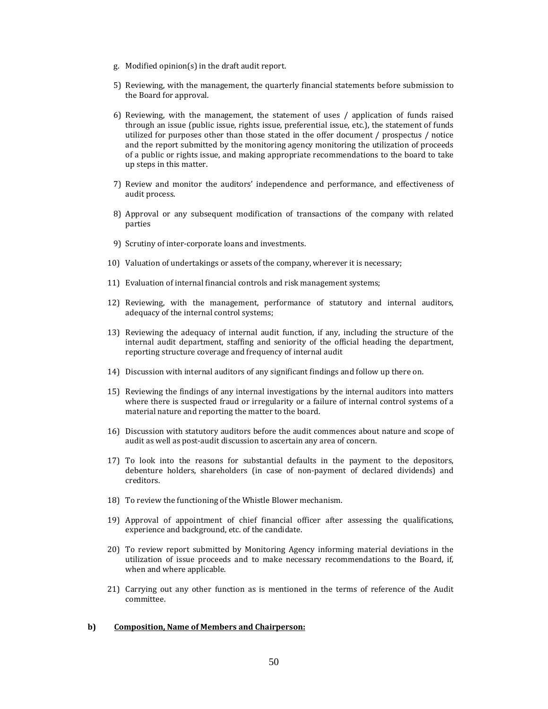- g. Modified opinion(s) in the draft audit report.
- 5) Reviewing, with the management, the quarterly financial statements before submission to the Board for approval.
- 6) Reviewing, with the management, the statement of uses  $/$  application of funds raised through an issue (public issue, rights issue, preferential issue, etc.), the statement of funds utilized for purposes other than those stated in the offer document / prospectus / notice and the report submitted by the monitoring agency monitoring the utilization of proceeds of a public or rights issue, and making appropriate recommendations to the board to take up steps in this matter.
- 7) Review and monitor the auditors' independence and performance, and effectiveness of audit process.
- 8) Approval or any subsequent modification of transactions of the company with related parties
- 9) Scrutiny of inter-corporate loans and investments.
- 10) Valuation of undertakings or assets of the company, wherever it is necessary;
- 11) Evaluation of internal financial controls and risk management systems;
- 12) Reviewing, with the management, performance of statutory and internal auditors, adequacy of the internal control systems;
- 13) Reviewing the adequacy of internal audit function, if any, including the structure of the internal audit department, staffing and seniority of the official heading the department, reporting structure coverage and frequency of internal audit
- 14) Discussion with internal auditors of any significant findings and follow up there on.
- 15) Reviewing the findings of any internal investigations by the internal auditors into matters where there is suspected fraud or irregularity or a failure of internal control systems of a material nature and reporting the matter to the board.
- 16) Discussion with statutory auditors before the audit commences about nature and scope of audit as well as post-audit discussion to ascertain any area of concern.
- 17) To look into the reasons for substantial defaults in the payment to the depositors, debenture holders, shareholders (in case of non-payment of declared dividends) and creditors.
- 18) To review the functioning of the Whistle Blower mechanism.
- 19) Approval of appointment of chief financial officer after assessing the qualifications, experience and background, etc. of the candidate.
- 20) To review report submitted by Monitoring Agency informing material deviations in the utilization of issue proceeds and to make necessary recommendations to the Board, if, when and where applicable.
- 21) Carrying out any other function as is mentioned in the terms of reference of the Audit committee.

#### **b) Composition, Name of Members and Chairperson:**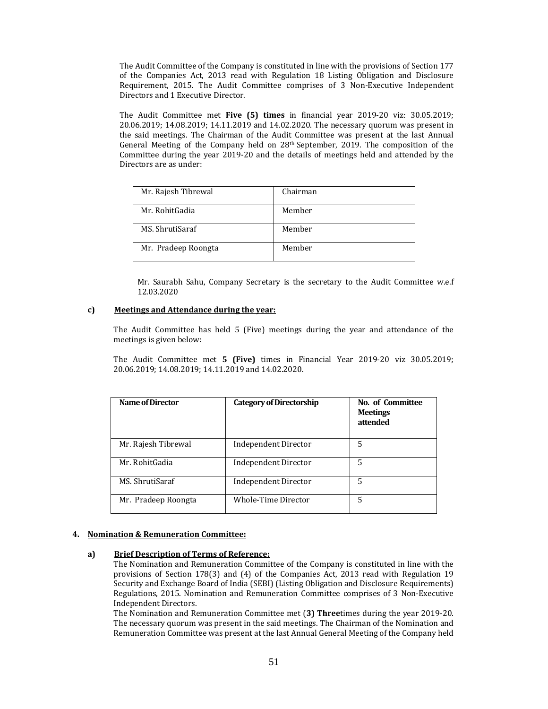The Audit Committee of the Company is constituted in line with the provisions of Section 177 of the Companies Act, 2013 read with Regulation 18 Listing Obligation and Disclosure Requirement, 2015. The Audit Committee comprises of 3 Non-Executive Independent Directors and 1 Executive Director.

The Audit Committee met Five (5) times in financial year 2019-20 viz: 30.05.2019; 20.06.2019; 14.08.2019; 14.11.2019 and 14.02.2020. The necessary quorum was present in the said meetings. The Chairman of the Audit Committee was present at the last Annual General Meeting of the Company held on  $28<sup>th</sup>$  September, 2019. The composition of the Committee during the year 2019-20 and the details of meetings held and attended by the Directors are as under:

| Mr. Rajesh Tibrewal | Chairman |
|---------------------|----------|
| Mr. RohitGadia      | Member   |
| MS. ShrutiSaraf     | Member   |
| Mr. Pradeep Roongta | Member   |

Mr. Saurabh Sahu, Company Secretary is the secretary to the Audit Committee w.e.f 12.03.2020 

### **c) Meetings and Attendance during the year:**

The Audit Committee has held  $5$  (Five) meetings during the year and attendance of the meetings is given below:

The Audit Committee met **5** (Five) times in Financial Year 2019-20 viz 30.05.2019; 20.06.2019; 14.08.2019; 14.11.2019 and 14.02.2020.

| Name of Director    | <b>Category of Directorship</b> | No. of Committee<br><b>Meetings</b><br>attended |
|---------------------|---------------------------------|-------------------------------------------------|
| Mr. Rajesh Tibrewal | Independent Director            | 5                                               |
| Mr. RohitGadia      | Independent Director            | 5                                               |
| MS. ShrutiSaraf     | Independent Director            | 5                                               |
| Mr. Pradeep Roongta | Whole-Time Director             | 5                                               |

### **4. Nomination & Remuneration Committee:**

### **a) Brief Description of Terms of Reference:**

The Nomination and Remuneration Committee of the Company is constituted in line with the provisions of Section 178(3) and  $(4)$  of the Companies Act, 2013 read with Regulation 19 Security and Exchange Board of India (SEBI) (Listing Obligation and Disclosure Requirements) Regulations, 2015. Nomination and Remuneration Committee comprises of 3 Non-Executive Independent Directors.

The Nomination and Remuneration Committee met (3) **Three**times during the year 2019-20. The necessary quorum was present in the said meetings. The Chairman of the Nomination and Remuneration Committee was present at the last Annual General Meeting of the Company held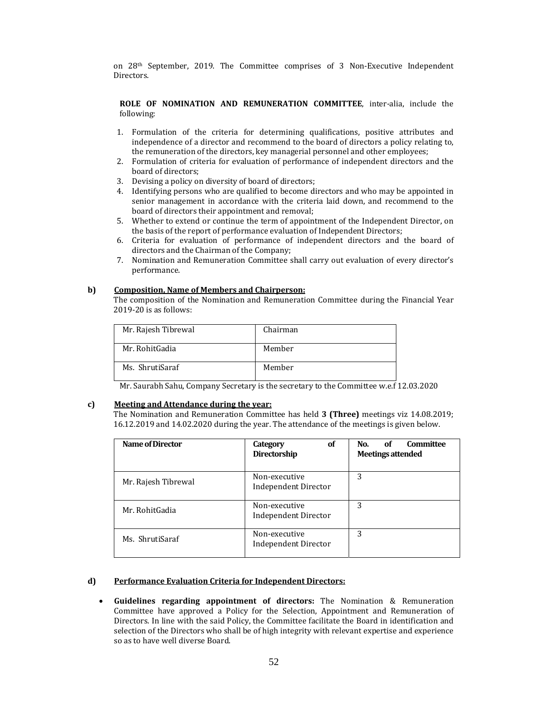on 28<sup>th</sup> September, 2019. The Committee comprises of 3 Non-Executive Independent Directors. 

**ROLE OF NOMINATION AND REMUNERATION COMMITTEE**, inter‐alia, include the following: 

- 1. Formulation of the criteria for determining qualifications, positive attributes and independence of a director and recommend to the board of directors a policy relating to, the remuneration of the directors, key managerial personnel and other employees;
- 2. Formulation of criteria for evaluation of performance of independent directors and the board of directors;
- 3. Devising a policy on diversity of board of directors;
- 4. Identifying persons who are qualified to become directors and who may be appointed in senior management in accordance with the criteria laid down, and recommend to the board of directors their appointment and removal;
- 5. Whether to extend or continue the term of appointment of the Independent Director, on the basis of the report of performance evaluation of Independent Directors;
- 6. Criteria for evaluation of performance of independent directors and the board of directors and the Chairman of the Company;
- 7. Nomination and Remuneration Committee shall carry out evaluation of every director's performance.

### **b) Composition, Name of Members and Chairperson:**

The composition of the Nomination and Remuneration Committee during the Financial Year  $2019 - 20$  is as follows:

| Mr. Rajesh Tibrewal | Chairman |
|---------------------|----------|
| Mr. RohitGadia      | Member   |
| Ms. ShrutiSaraf     | Member   |

Mr. Saurabh Sahu, Company Secretary is the secretary to the Committee w.e.f 12.03.2020

### **c) Meeting and Attendance during the year:**

The Nomination and Remuneration Committee has held 3 (Three) meetings viz 14.08.2019; 16.12.2019 and 14.02.2020 during the year. The attendance of the meetings is given below.

| Name of Director    | 0f<br>Category<br>Directorship               | Committee<br>No.<br>of<br><b>Meetings attended</b> |
|---------------------|----------------------------------------------|----------------------------------------------------|
| Mr. Rajesh Tibrewal | Non-executive<br><b>Independent Director</b> | 3                                                  |
| Mr. RohitGadia      | Non-executive<br><b>Independent Director</b> | 3                                                  |
| Ms. ShrutiSaraf     | Non-executive<br><b>Independent Director</b> | 3                                                  |

# **d) Performance Evaluation Criteria for Independent Directors:**

 **Guidelines regarding appointment of directors:** The Nomination & Remuneration Committee have approved a Policy for the Selection, Appointment and Remuneration of Directors. In line with the said Policy, the Committee facilitate the Board in identification and selection of the Directors who shall be of high integrity with relevant expertise and experience so as to have well diverse Board.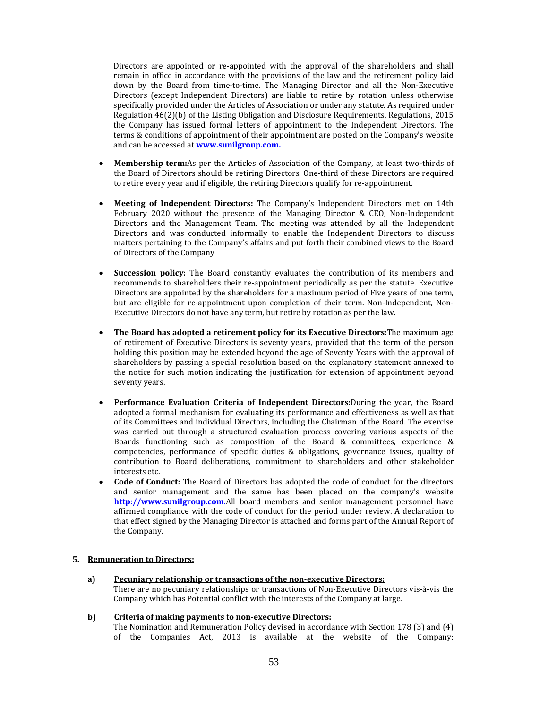Directors are appointed or re-appointed with the approval of the shareholders and shall remain in office in accordance with the provisions of the law and the retirement policy laid down by the Board from time-to-time. The Managing Director and all the Non-Executive Directors (except Independent Directors) are liable to retire by rotation unless otherwise specifically provided under the Articles of Association or under any statute. As required under Regulation  $46(2)(b)$  of the Listing Obligation and Disclosure Requirements, Regulations, 2015 the Company has issued formal letters of appointment to the Independent Directors. The terms & conditions of appointment of their appointment are posted on the Company's website and can be accessed at **www.sunilgroup.com.** 

- **Membership term:**As per the Articles of Association of the Company, at least two-thirds of the Board of Directors should be retiring Directors. One-third of these Directors are required to retire every year and if eligible, the retiring Directors qualify for re-appointment.
- Meeting of Independent Directors: The Company's Independent Directors met on 14th February 2020 without the presence of the Managing Director & CEO, Non-Independent Directors and the Management Team. The meeting was attended by all the Independent Directors and was conducted informally to enable the Independent Directors to discuss matters pertaining to the Company's affairs and put forth their combined views to the Board of Directors of the Company
- **Succession policy:** The Board constantly evaluates the contribution of its members and recommends to shareholders their re-appointment periodically as per the statute. Executive Directors are appointed by the shareholders for a maximum period of Five years of one term, but are eligible for re-appointment upon completion of their term. Non-Independent, Non-Executive Directors do not have any term, but retire by rotation as per the law.
- **•** The Board has adopted a retirement policy for its Executive Directors: The maximum age of retirement of Executive Directors is seventy years, provided that the term of the person holding this position may be extended beyond the age of Seventy Years with the approval of shareholders by passing a special resolution based on the explanatory statement annexed to the notice for such motion indicating the justification for extension of appointment beyond seventy years.
- **•** Performance Evaluation Criteria of Independent Directors: During the year, the Board adopted a formal mechanism for evaluating its performance and effectiveness as well as that of its Committees and individual Directors, including the Chairman of the Board. The exercise was carried out through a structured evaluation process covering various aspects of the Boards functioning such as composition of the Board & committees, experience & competencies, performance of specific duties & obligations, governance issues, quality of contribution to Board deliberations, commitment to shareholders and other stakeholder interests etc.
- **Code of Conduct:** The Board of Directors has adopted the code of conduct for the directors and senior management and the same has been placed on the company's website **http://www.sunilgroup.com.**All board members and senior management personnel have affirmed compliance with the code of conduct for the period under review. A declaration to that effect signed by the Managing Director is attached and forms part of the Annual Report of the Company.

### **5. Remuneration to Directors:**

**a) Pecuniary relationship or transactions of the non‐executive Directors:** There are no pecuniary relationships or transactions of Non-Executive Directors vis-à-vis the Company which has Potential conflict with the interests of the Company at large.

### **b) Criteria of making payments to non‐executive Directors:**

The Nomination and Remuneration Policy devised in accordance with Section 178 (3) and  $(4)$ of the Companies Act, 2013 is available at the website of the Company: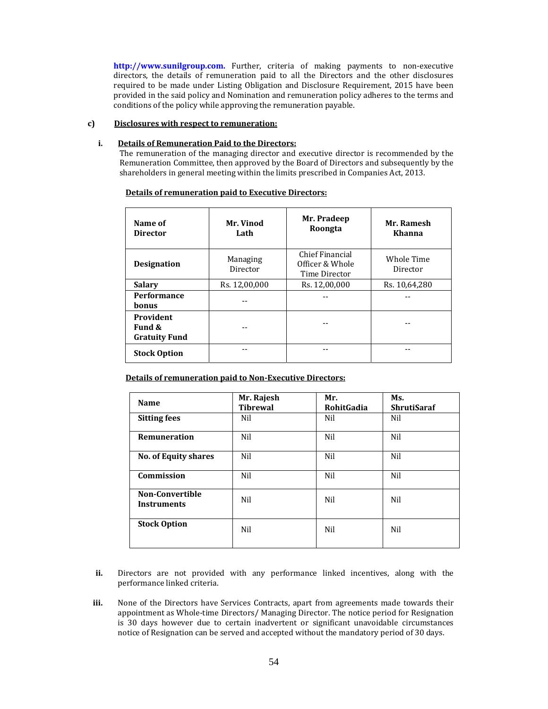http://www.sunilgroup.com. Further, criteria of making payments to non-executive directors, the details of remuneration paid to all the Directors and the other disclosures required to be made under Listing Obligation and Disclosure Requirement, 2015 have been provided in the said policy and Nomination and remuneration policy adheres to the terms and conditions of the policy while approving the remuneration payable.

# **c) Disclosures with respect to remuneration:**

### **i. Details of Remuneration Paid to the Directors:**

The remuneration of the managing director and executive director is recommended by the Remuneration Committee, then approved by the Board of Directors and subsequently by the shareholders in general meeting within the limits prescribed in Companies Act, 2013.

| Name of<br><b>Director</b>                  | Mr. Vinod<br>Lath    | Mr. Pradeep<br>Roongta                              | Mr. Ramesh<br>Khanna   |
|---------------------------------------------|----------------------|-----------------------------------------------------|------------------------|
| <b>Designation</b>                          | Managing<br>Director | Chief Financial<br>Officer & Whole<br>Time Director | Whole Time<br>Director |
| <b>Salary</b>                               | Rs. 12,00,000        | Rs. 12,00,000                                       | Rs. 10,64,280          |
| <b>Performance</b><br><b>bonus</b>          |                      |                                                     |                        |
| Provident<br>Fund &<br><b>Gratuity Fund</b> |                      |                                                     |                        |
| <b>Stock Option</b>                         |                      |                                                     |                        |

### **Details of remuneration paid to Executive Directors:**

**Details of remuneration paid to Non‐Executive Directors:**

| Name                                         | Mr. Rajesh<br><b>Tibrewal</b> | Mr.<br><b>RohitGadia</b> | Ms.<br><b>ShrutiSaraf</b> |
|----------------------------------------------|-------------------------------|--------------------------|---------------------------|
| <b>Sitting fees</b>                          | Nil                           | Nil                      | Nil                       |
| Remuneration                                 | Nil                           | Nil                      | Nil                       |
| No. of Equity shares                         | Nil                           | Nil                      | Nil                       |
| Commission                                   | Nil                           | Nil                      | Nil                       |
| <b>Non-Convertible</b><br><b>Instruments</b> | Nil                           | Nil                      | Nil                       |
| <b>Stock Option</b>                          | Nil                           | Nil                      | Nil                       |

- **ii.** Directors are not provided with any performance linked incentives, along with the performance linked criteria.
- **iii.** None of the Directors have Services Contracts, apart from agreements made towards their appointment as Whole-time Directors/ Managing Director. The notice period for Resignation is 30 days however due to certain inadvertent or significant unavoidable circumstances notice of Resignation can be served and accepted without the mandatory period of 30 days.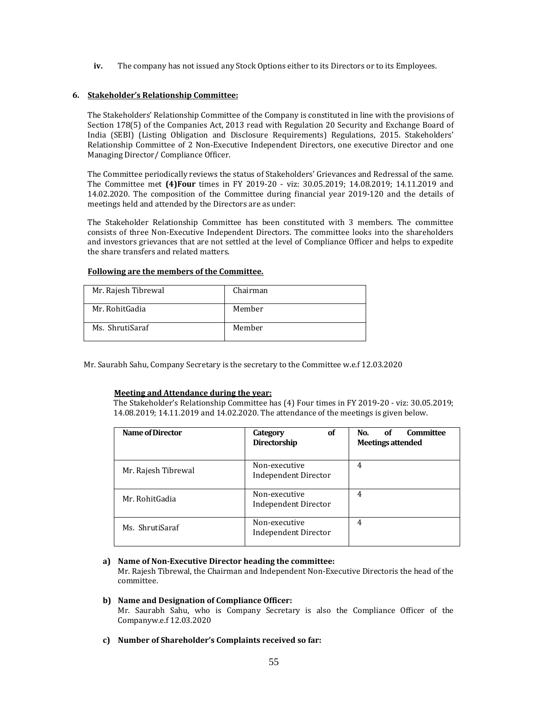**iv.** The company has not issued any Stock Options either to its Directors or to its Employees.

## **6. Stakeholder's Relationship Committee:**

The Stakeholders' Relationship Committee of the Company is constituted in line with the provisions of Section 178(5) of the Companies Act, 2013 read with Regulation 20 Security and Exchange Board of India (SEBI) (Listing Obligation and Disclosure Requirements) Regulations, 2015. Stakeholders' Relationship Committee of 2 Non-Executive Independent Directors, one executive Director and one Managing Director/ Compliance Officer.

The Committee periodically reviews the status of Stakeholders' Grievances and Redressal of the same. The Committee met (4)Four times in FY 2019-20 - viz: 30.05.2019; 14.08.2019; 14.11.2019 and 14.02.2020. The composition of the Committee during financial year 2019-120 and the details of meetings held and attended by the Directors are as under:

The Stakeholder Relationship Committee has been constituted with 3 members. The committee consists of three Non-Executive Independent Directors. The committee looks into the shareholders and investors grievances that are not settled at the level of Compliance Officer and helps to expedite the share transfers and related matters.

### **Following are the members of the Committee.**

| Mr. Rajesh Tibrewal | Chairman |
|---------------------|----------|
| Mr. RohitGadia      | Member   |
| Ms. ShrutiSaraf     | Member   |

Mr. Saurabh Sahu, Company Secretary is the secretary to the Committee w.e.f 12.03.2020

# **Meeting and Attendance during the year:**

The Stakeholder's Relationship Committee has (4) Four times in FY 2019-20 - viz: 30.05.2019; 14.08.2019; 14.11.2019 and 14.02.2020. The attendance of the meetings is given below.

| Name of Director    | <b>Category</b><br>οf<br>Directorship        | <b>Committee</b><br>No.<br>of<br><b>Meetings attended</b> |
|---------------------|----------------------------------------------|-----------------------------------------------------------|
| Mr. Rajesh Tibrewal | Non-executive<br><b>Independent Director</b> | 4                                                         |
| Mr. RohitGadia      | Non-executive<br><b>Independent Director</b> | 4                                                         |
| Ms. ShrutiSaraf     | Non-executive<br><b>Independent Director</b> | 4                                                         |

# **a) Name of Non‐Executive Director heading the committee:**

Mr. Rajesh Tibrewal, the Chairman and Independent Non-Executive Directoris the head of the committee. 

# **b) Name and Designation of Compliance Officer:**

Mr. Saurabh Sahu, who is Company Secretary is also the Compliance Officer of the Companyw.e.f 12.03.2020 

**c) Number of Shareholder's Complaints received so far:**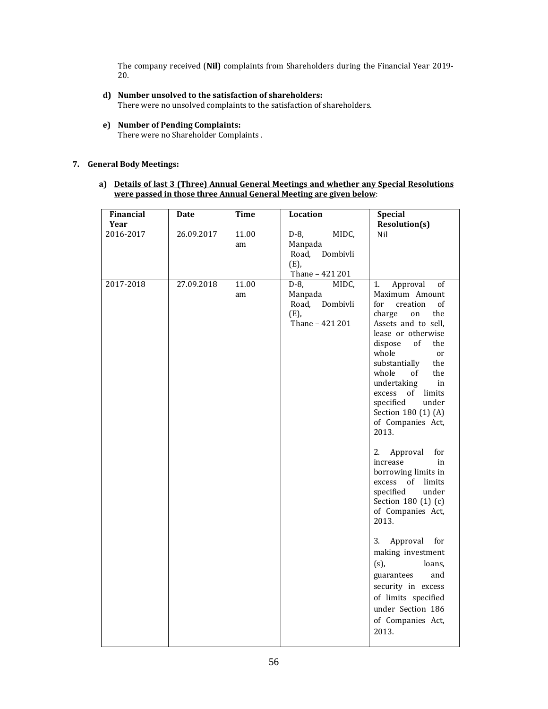The company received (Nil) complaints from Shareholders during the Financial Year 2019-20. 

**d) Number unsolved to the satisfaction of shareholders:**

There were no unsolved complaints to the satisfaction of shareholders.

**e) Number of Pending Complaints:** There were no Shareholder Complaints .

# **7. General Body Meetings:**

### **a) Details of last 3 (Three) Annual General Meetings and whether any Special Resolutions were passed in those three Annual General Meeting are given below**:

| 2016-2017<br>26.09.2017<br>11.00<br>$D-8$ ,<br>MIDC,<br>Nil<br>Manpada<br>am<br>Road,<br>Dombivli<br>(E),<br>Thane - 421 201<br>2017-2018<br>27.09.2018<br>11.00<br>$D-8$ ,<br>MIDC,<br>Approval<br>of<br>1.<br>Manpada<br>Maximum Amount<br>am<br>Dombivli<br>Road,<br>for<br>creation<br>of<br>(E),<br>charge<br>the<br>on<br>Thane - 421 201<br>Assets and to sell,<br>lease or otherwise<br>dispose<br>of<br>the<br>whole<br>or<br>substantially<br>the<br>whole<br>the<br>of<br>undertaking<br>in<br>excess<br>of<br>limits<br>specified<br>under<br>Section 180 (1) (A)<br>of Companies Act,<br>2013.<br>2.<br>Approval<br>for<br>increase<br>in<br>borrowing limits in<br>excess of<br>limits<br>specified<br>under<br>Section 180 (1) (c)<br>of Companies Act,<br>2013.<br>3.<br>Approval<br>for<br>making investment<br>$(s)$ ,<br>loans,<br>guarantees<br>and | <b>Financial</b><br>Year | Date | <b>Time</b> | Location | <b>Special</b><br><b>Resolution(s)</b> |
|-------------------------------------------------------------------------------------------------------------------------------------------------------------------------------------------------------------------------------------------------------------------------------------------------------------------------------------------------------------------------------------------------------------------------------------------------------------------------------------------------------------------------------------------------------------------------------------------------------------------------------------------------------------------------------------------------------------------------------------------------------------------------------------------------------------------------------------------------------------------------|--------------------------|------|-------------|----------|----------------------------------------|
|                                                                                                                                                                                                                                                                                                                                                                                                                                                                                                                                                                                                                                                                                                                                                                                                                                                                         |                          |      |             |          |                                        |
| of limits specified<br>under Section 186<br>of Companies Act,<br>2013.                                                                                                                                                                                                                                                                                                                                                                                                                                                                                                                                                                                                                                                                                                                                                                                                  |                          |      |             |          | security in excess                     |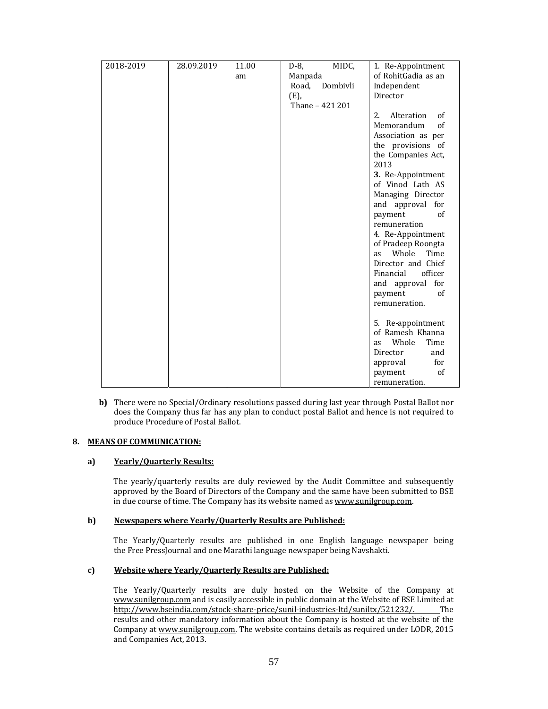| 2018-2019 | 28.09.2019 | 11.00 | MIDC,<br>D-8,     | 1. Re-Appointment       |
|-----------|------------|-------|-------------------|-------------------------|
|           |            | am    | Manpada           | of RohitGadia as an     |
|           |            |       | Dombivli<br>Road, | Independent             |
|           |            |       | (E),              | Director                |
|           |            |       | Thane - 421 201   |                         |
|           |            |       |                   | 2.5<br>Alteration<br>of |
|           |            |       |                   | Memorandum<br>of        |
|           |            |       |                   | Association as per      |
|           |            |       |                   | the provisions of       |
|           |            |       |                   | the Companies Act,      |
|           |            |       |                   | 2013                    |
|           |            |       |                   | 3. Re-Appointment       |
|           |            |       |                   | of Vinod Lath AS        |
|           |            |       |                   | Managing Director       |
|           |            |       |                   | and approval for        |
|           |            |       |                   | payment<br>of           |
|           |            |       |                   | remuneration            |
|           |            |       |                   | 4. Re-Appointment       |
|           |            |       |                   | of Pradeep Roongta      |
|           |            |       |                   | Whole<br>Time<br>as     |
|           |            |       |                   | Director and Chief      |
|           |            |       |                   | officer<br>Financial    |
|           |            |       |                   | and approval for        |
|           |            |       |                   | payment<br>of           |
|           |            |       |                   | remuneration.           |
|           |            |       |                   |                         |
|           |            |       |                   | 5. Re-appointment       |
|           |            |       |                   | of Ramesh Khanna        |
|           |            |       |                   | Whole<br>Time<br>as     |
|           |            |       |                   | Director<br>and         |
|           |            |       |                   | for<br>approval         |
|           |            |       |                   | of<br>payment           |
|           |            |       |                   | remuneration.           |

**b)** There were no Special/Ordinary resolutions passed during last year through Postal Ballot nor does the Company thus far has any plan to conduct postal Ballot and hence is not required to produce Procedure of Postal Ballot.

### **8. MEANS OF COMMUNICATION:**

### **a) Yearly/Quarterly Results:**

The yearly/quarterly results are duly reviewed by the Audit Committee and subsequently approved by the Board of Directors of the Company and the same have been submitted to BSE in due course of time. The Company has its website named as www.sunilgroup.com.

### **b) Newspapers where Yearly/Quarterly Results are Published:**

The Yearly/Quarterly results are published in one English language newspaper being the Free PressJournal and one Marathi language newspaper being Navshakti.

### **c) Website where Yearly/Quarterly Results are Published:**

The Yearly/Quarterly results are duly hosted on the Website of the Company at www.sunilgroup.com and is easily accessible in public domain at the Website of BSE Limited at http://www.bseindia.com/stock-share-price/sunil-industries-ltd/suniltx/521232/. The results and other mandatory information about the Company is hosted at the website of the Company at www.sunilgroup.com. The website contains details as required under LODR, 2015 and Companies Act, 2013.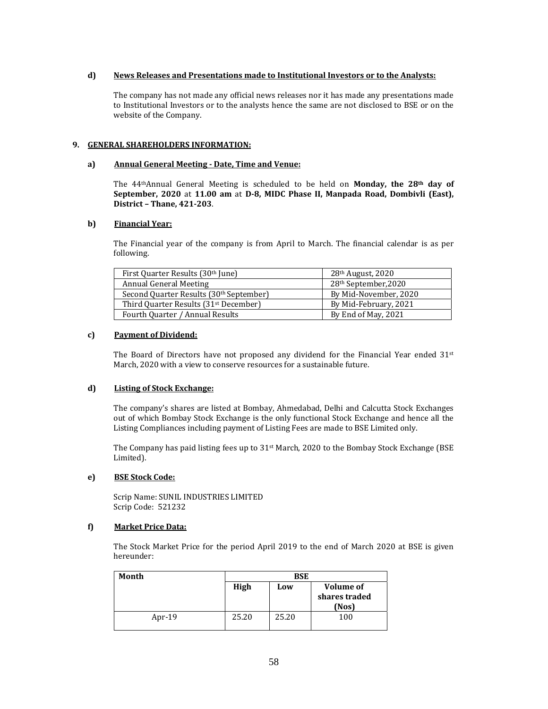### **d) News Releases and Presentations made to Institutional Investors or to the Analysts:**

The company has not made any official news releases nor it has made any presentations made to Institutional Investors or to the analysts hence the same are not disclosed to BSE or on the website of the Company.

### **9. GENERAL SHAREHOLDERS INFORMATION:**

### **a) Annual General Meeting ‐ Date, Time and Venue:**

The 44thAnnual General Meeting is scheduled to be held on **Monday, the 28th day of September, 2020** at **11.00 am** at **D‐8, MIDC Phase II, Manpada Road, Dombivli (East), District – Thane, 421‐203**. 

### **b) Financial Year:**

The Financial year of the company is from April to March. The financial calendar is as per following. 

| First Quarter Results (30 <sup>th</sup> June)       | $28th$ August, 2020              |
|-----------------------------------------------------|----------------------------------|
| Annual General Meeting                              | 28 <sup>th</sup> September, 2020 |
| Second Quarter Results (30 <sup>th</sup> September) | By Mid-November, 2020            |
| Third Quarter Results (31 <sup>st</sup> December)   | By Mid-February, 2021            |
| Fourth Quarter / Annual Results                     | By End of May, 2021              |

### **c) Payment of Dividend:**

The Board of Directors have not proposed any dividend for the Financial Year ended  $31^{st}$ March, 2020 with a view to conserve resources for a sustainable future.

# **d) Listing of Stock Exchange:**

The company's shares are listed at Bombay, Ahmedabad, Delhi and Calcutta Stock Exchanges out of which Bombay Stock Exchange is the only functional Stock Exchange and hence all the Listing Compliances including payment of Listing Fees are made to BSE Limited only.

The Company has paid listing fees up to  $31<sup>st</sup>$  March, 2020 to the Bombay Stock Exchange (BSE Limited). 

# **e) BSE Stock Code:**

Scrip Name: SUNIL INDUSTRIES LIMITED Scrip Code: 521232

# **f) Market Price Data:**

The Stock Market Price for the period April 2019 to the end of March 2020 at BSE is given hereunder: 

| Month     | BSE   |       |                                            |
|-----------|-------|-------|--------------------------------------------|
|           | High  | Low   | <b>Volume of</b><br>shares traded<br>(Nos) |
| Apr- $19$ | 25.20 | 25.20 | 100                                        |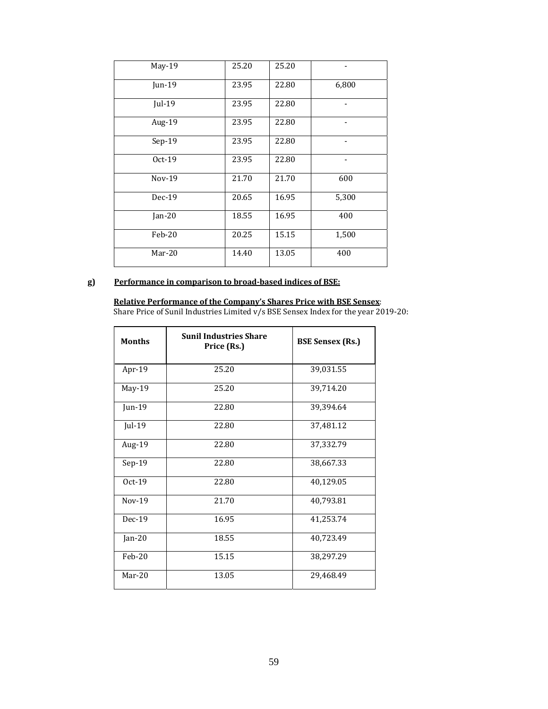| <b>May-19</b> | 25.20 | 25.20 |       |
|---------------|-------|-------|-------|
| Jun-19        | 23.95 | 22.80 | 6,800 |
| Jul-19        | 23.95 | 22.80 |       |
| Aug-19        | 23.95 | 22.80 |       |
| $Sep-19$      | 23.95 | 22.80 |       |
| Oct-19        | 23.95 | 22.80 |       |
| $Nov-19$      | 21.70 | 21.70 | 600   |
| $Dec-19$      | 20.65 | 16.95 | 5,300 |
| Jan-20        | 18.55 | 16.95 | 400   |
| Feb-20        | 20.25 | 15.15 | 1,500 |
| $Mar-20$      | 14.40 | 13.05 | 400   |

# **g) Performance in comparison to broad‐based indices of BSE:**

**Relative Performance of the Company's Shares Price with BSE Sensex**: Share Price of Sunil Industries Limited  $v/s$  BSE Sensex Index for the year 2019-20:

| <b>Months</b> | <b>Sunil Industries Share</b><br>Price (Rs.) | <b>BSE Sensex (Rs.)</b> |
|---------------|----------------------------------------------|-------------------------|
| Apr-19        | 25.20                                        | 39,031.55               |
| $May-19$      | 25.20                                        | 39,714.20               |
| Jun-19        | 22.80                                        | 39,394.64               |
| Jul-19        | 22.80                                        | 37,481.12               |
| Aug-19        | 22.80                                        | 37,332.79               |
| $Sep-19$      | 22.80                                        | 38,667.33               |
| $Oct-19$      | 22.80                                        | 40,129.05               |
| $Nov-19$      | 21.70                                        | 40,793.81               |
| $Dec-19$      | 16.95                                        | 41,253.74               |
| Jan-20        | 18.55                                        | 40,723.49               |
| Feb-20        | 15.15                                        | 38,297.29               |
| Mar-20        | 13.05                                        | 29,468.49               |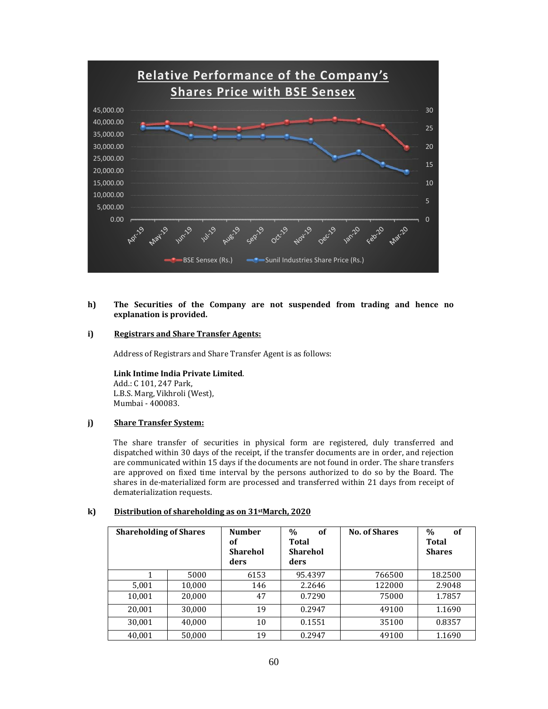

#### **h) The Securities of the Company are not suspended from trading and hence no explanation is provided.**

### **i) Registrars and Share Transfer Agents:**

Address of Registrars and Share Transfer Agent is as follows:

**Link Intime India Private Limited**. Add.: C 101, 247 Park, L.B.S. Marg, Vikhroli (West), Mumbai - 400083.

### **j) Share Transfer System:**

The share transfer of securities in physical form are registered, duly transferred and dispatched within 30 days of the receipt, if the transfer documents are in order, and rejection are communicated within 15 days if the documents are not found in order. The share transfers are approved on fixed time interval by the persons authorized to do so by the Board. The shares in de-materialized form are processed and transferred within 21 days from receipt of dematerialization requests.

#### **k) Distribution of shareholding as on 31stMarch, 2020**

| <b>Shareholding of Shares</b> |        | <b>Number</b><br>of<br><b>Sharehol</b><br>ders | $\frac{0}{0}$<br><b>of</b><br>Total<br><b>Sharehol</b><br>ders | No. of Shares | $\%$<br>of<br>Total<br><b>Shares</b> |
|-------------------------------|--------|------------------------------------------------|----------------------------------------------------------------|---------------|--------------------------------------|
|                               | 5000   | 6153                                           | 95.4397                                                        | 766500        | 18.2500                              |
| 5,001                         | 10,000 | 146                                            | 2.2646                                                         | 122000        | 2.9048                               |
| 10,001                        | 20,000 | 47                                             | 0.7290                                                         | 75000         | 1.7857                               |
| 20,001                        | 30,000 | 19                                             | 0.2947                                                         | 49100         | 1.1690                               |
| 30,001                        | 40,000 | 10                                             | 0.1551                                                         | 35100         | 0.8357                               |
| 40,001                        | 50,000 | 19                                             | 0.2947                                                         | 49100         | 1.1690                               |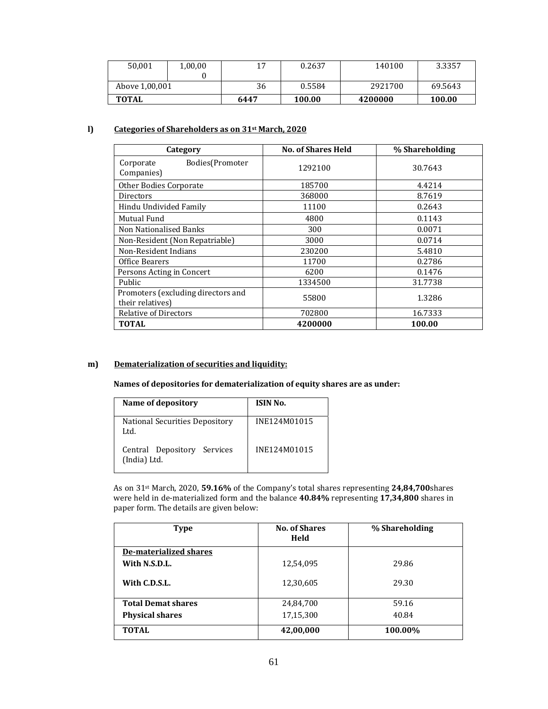| 50.001         | 1,00,00 | 17   | 0.2637 | 140100  | 3.3357  |
|----------------|---------|------|--------|---------|---------|
| Above 1,00,001 |         | 36   | 0.5584 | 2921700 | 69.5643 |
| TOTAL          |         | 6447 | 100.00 | 4200000 | 100.00  |

# **l) Categories of Shareholders as on 31st March, 2020**

| Category                                               | <b>No. of Shares Held</b> | % Shareholding |
|--------------------------------------------------------|---------------------------|----------------|
| Bodies(Promoter<br>Corporate<br>Companies)             | 1292100                   | 30.7643        |
| Other Bodies Corporate                                 | 185700                    | 4.4214         |
| Directors                                              | 368000                    | 8.7619         |
| Hindu Undivided Family                                 | 11100                     | 0.2643         |
| Mutual Fund                                            | 4800                      | 0.1143         |
| <b>Non Nationalised Banks</b>                          | 300                       | 0.0071         |
| Non-Resident (Non Repatriable)                         | 3000                      | 0.0714         |
| Non-Resident Indians                                   | 230200                    | 5.4810         |
| Office Bearers                                         | 11700                     | 0.2786         |
| Persons Acting in Concert                              | 6200                      | 0.1476         |
| <b>Public</b>                                          | 1334500                   | 31.7738        |
| Promoters (excluding directors and<br>their relatives) | 55800                     | 1.3286         |
| <b>Relative of Directors</b>                           | 702800                    | 16.7333        |
| <b>TOTAL</b>                                           | 4200000                   | 100.00         |

# **m) Dematerialization of securities and liquidity:**

**Names of depositories for dematerialization of equity shares are as under:**

| Name of depository                          | ISIN No.     |
|---------------------------------------------|--------------|
| National Securities Depository<br>Ltd.      | INE124M01015 |
| Central Depository Services<br>(India) Ltd. | INE124M01015 |

As on 31<sup>st</sup> March, 2020, 59.16% of the Company's total shares representing 24,84,700shares were held in de-materialized form and the balance 40.84% representing 17,34,800 shares in paper form. The details are given below:

| <b>Type</b>               | <b>No. of Shares</b><br>Held | % Shareholding |
|---------------------------|------------------------------|----------------|
| De-materialized shares    |                              |                |
| With N.S.D.L.             | 12,54,095                    | 29.86          |
| With C.D.S.L.             | 12,30,605                    | 29.30          |
| <b>Total Demat shares</b> | 24,84,700                    | 59.16          |
| <b>Physical shares</b>    | 17,15,300                    | 40.84          |
| <b>TOTAL</b>              | 42,00,000                    | 100.00%        |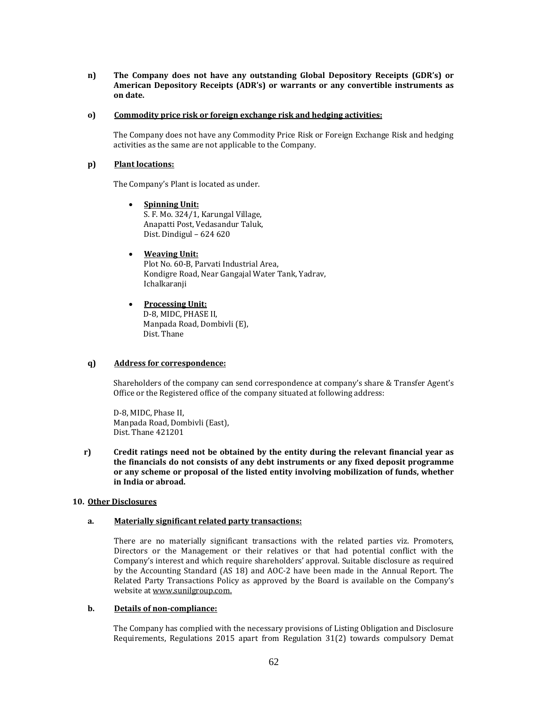**n) The Company does not have any outstanding Global Depository Receipts (GDR's) or American Depository Receipts (ADR's) or warrants or any convertible instruments as on date.**

#### **o) Commodity price risk or foreign exchange risk and hedging activities:**

The Company does not have any Commodity Price Risk or Foreign Exchange Risk and hedging activities as the same are not applicable to the Company.

#### **p) Plant locations:**

The Company's Plant is located as under.

 **Spinning Unit:** S. F. Mo. 324/1, Karungal Village, Anapatti Post, Vedasandur Taluk, Dist. Dindigul – 624 620

### **Weaving Unit:**

Plot No. 60-B, Parvati Industrial Area, Kondigre Road, Near Gangajal Water Tank, Yadrav, Ichalkaranji 

 **Processing Unit:** D-8, MIDC, PHASE II, Manpada Road, Dombivli (E), Dist. Thane

### **q) Address for correspondence:**

Shareholders of the company can send correspondence at company's share & Transfer Agent's Office or the Registered office of the company situated at following address:

D-8, MIDC, Phase II, Manpada Road, Dombivli (East), Dist. Thane 421201

**r) Credit ratings need not be obtained by the entity during the relevant financial year as the financials do not consists of any debt instruments or any fixed deposit programme or any scheme or proposal of the listed entity involving mobilization of funds, whether in India or abroad.**

### **10. Other Disclosures**

### **a. Materially significant related party transactions:**

There are no materially significant transactions with the related parties viz. Promoters, Directors or the Management or their relatives or that had potential conflict with the Company's interest and which require shareholders' approval. Suitable disclosure as required by the Accounting Standard (AS 18) and AOC-2 have been made in the Annual Report. The Related Party Transactions Policy as approved by the Board is available on the Company's website at www.sunilgroup.com.

#### **b. Details of non‐compliance:**

The Company has complied with the necessary provisions of Listing Obligation and Disclosure Requirements, Regulations 2015 apart from Regulation 31(2) towards compulsory Demat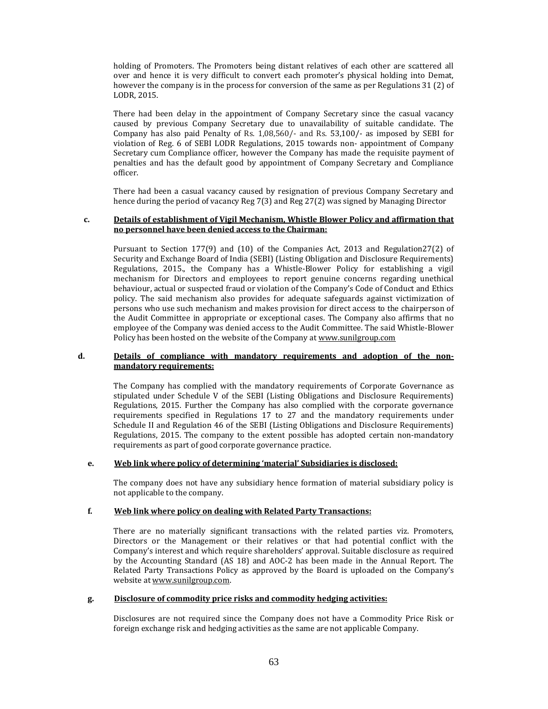holding of Promoters. The Promoters being distant relatives of each other are scattered all over and hence it is very difficult to convert each promoter's physical holding into Demat, however the company is in the process for conversion of the same as per Regulations 31 (2) of LODR, 2015.

There had been delay in the appointment of Company Secretary since the casual vacancy caused by previous Company Secretary due to unavailability of suitable candidate. The Company has also paid Penalty of Rs. 1,08,560/- and Rs. 53,100/- as imposed by SEBI for violation of Reg. 6 of SEBI LODR Regulations, 2015 towards non- appointment of Company Secretary cum Compliance officer, however the Company has made the requisite payment of penalties and has the default good by appointment of Company Secretary and Compliance officer. 

There had been a casual vacancy caused by resignation of previous Company Secretary and hence during the period of vacancy Reg  $7(3)$  and Reg  $27(2)$  was signed by Managing Director

#### **c. Details of establishment of Vigil Mechanism, Whistle Blower Policy and affirmation that no personnel have been denied access to the Chairman:**

Pursuant to Section  $177(9)$  and  $(10)$  of the Companies Act, 2013 and Regulation27(2) of Security and Exchange Board of India (SEBI) (Listing Obligation and Disclosure Requirements) Regulations, 2015., the Company has a Whistle-Blower Policy for establishing a vigil mechanism for Directors and employees to report genuine concerns regarding unethical behaviour, actual or suspected fraud or violation of the Company's Code of Conduct and Ethics policy. The said mechanism also provides for adequate safeguards against victimization of persons who use such mechanism and makes provision for direct access to the chairperson of the Audit Committee in appropriate or exceptional cases. The Company also affirms that no employee of the Company was denied access to the Audit Committee. The said Whistle-Blower Policy has been hosted on the website of the Company at www.sunilgroup.com

#### **d. Details of compliance with mandatory requirements and adoption of the non‐ mandatory requirements:**

The Company has complied with the mandatory requirements of Corporate Governance as stipulated under Schedule V of the SEBI (Listing Obligations and Disclosure Requirements) Regulations, 2015. Further the Company has also complied with the corporate governance requirements specified in Regulations 17 to 27 and the mandatory requirements under Schedule II and Regulation 46 of the SEBI (Listing Obligations and Disclosure Requirements) Regulations, 2015. The company to the extent possible has adopted certain non-mandatory requirements as part of good corporate governance practice.

### **e. Web link where policy of determining 'material' Subsidiaries is disclosed:**

The company does not have any subsidiary hence formation of material subsidiary policy is not applicable to the company.

### **f. Web link where policy on dealing with Related Party Transactions:**

There are no materially significant transactions with the related parties viz. Promoters, Directors or the Management or their relatives or that had potential conflict with the Company's interest and which require shareholders' approval. Suitable disclosure as required by the Accounting Standard (AS 18) and AOC-2 has been made in the Annual Report. The Related Party Transactions Policy as approved by the Board is uploaded on the Company's website at www.sunilgroup.com.

### **g. Disclosure of commodity price risks and commodity hedging activities:**

Disclosures are not required since the Company does not have a Commodity Price Risk or foreign exchange risk and hedging activities as the same are not applicable Company.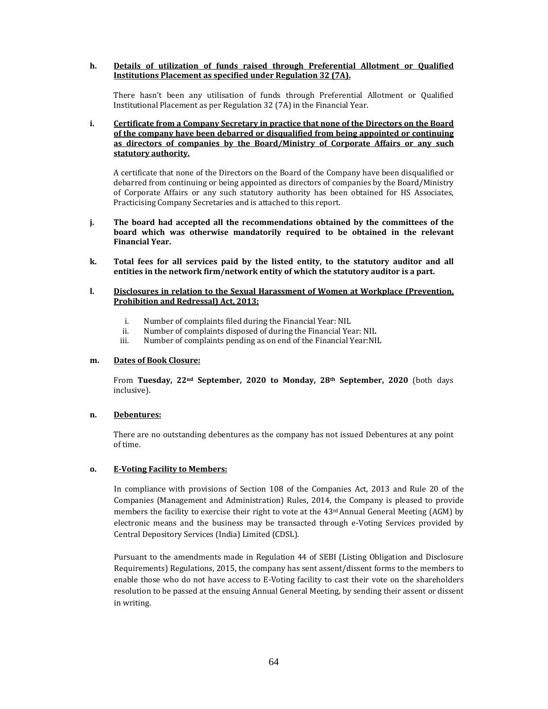**h. Details of utilization of funds raised through Preferential Allotment or Qualified Institutions Placement as specified under Regulation 32 (7A).**

There hasn't been any utilisation of funds through Preferential Allotment or Qualified Institutional Placement as per Regulation 32 (7A) in the Financial Year.

**i. Certificate from a Company Secretary in practice that none of the Directors on the Board of the company have been debarred or disqualified from being appointed or continuing as directors of companies by the Board/Ministry of Corporate Affairs or any such statutory authority.**

A certificate that none of the Directors on the Board of the Company have been disqualified or debarred from continuing or being appointed as directors of companies by the Board/Ministry of Corporate Affairs or any such statutory authority has been obtained for HS Associates, Practicising Company Secretaries and is attached to this report.

- **j. The board had accepted all the recommendations obtained by the committees of the board which was otherwise mandatorily required to be obtained in the relevant Financial Year.**
- **k. Total fees for all services paid by the listed entity, to the statutory auditor and all entities in the network firm/network entity of which the statutory auditor is a part.**

### **l. Disclosures in relation to the Sexual Harassment of Women at Workplace (Prevention, Prohibition and Redressal) Act, 2013:**

- i. Number of complaints filed during the Financial Year: NIL
- ii. Number of complaints disposed of during the Financial Year: NIL
- iii. Number of complaints pending as on end of the Financial Year:NIL

### **m. Dates of Book Closure:**

From **Tuesday, 22nd September, 2020 to Monday, 28th September, 2020** (both days inclusive). 

### **n. Debentures:**

There are no outstanding debentures as the company has not issued Debentures at any point of time.

### **o. E‐Voting Facility to Members:**

In compliance with provisions of Section 108 of the Companies Act, 2013 and Rule 20 of the Companies (Management and Administration) Rules, 2014, the Company is pleased to provide members the facility to exercise their right to vote at the  $43rd$  Annual General Meeting (AGM) by electronic means and the business may be transacted through e-Voting Services provided by Central Depository Services (India) Limited (CDSL).

Pursuant to the amendments made in Regulation 44 of SEBI (Listing Obligation and Disclosure Requirements) Regulations, 2015, the company has sent assent/dissent forms to the members to enable those who do not have access to E-Voting facility to cast their vote on the shareholders resolution to be passed at the ensuing Annual General Meeting, by sending their assent or dissent in writing.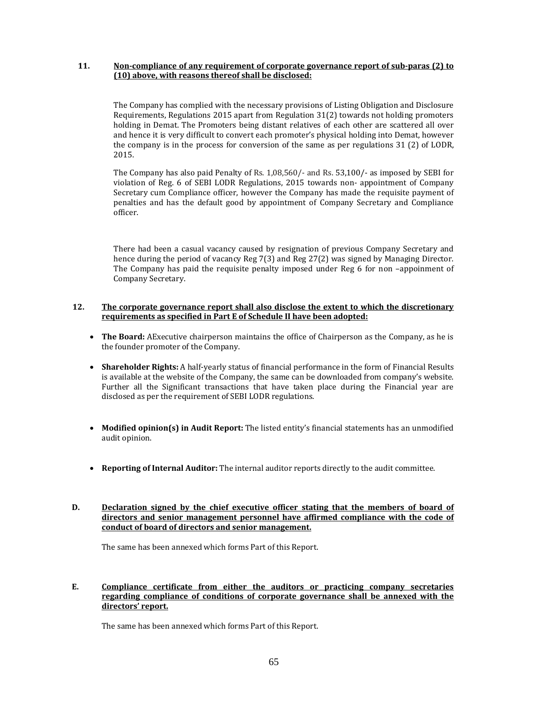### **11. Non‐compliance of any requirement of corporate governance report of sub‐paras (2) to (10) above, with reasons thereof shall be disclosed:**

The Company has complied with the necessary provisions of Listing Obligation and Disclosure Requirements, Regulations  $2015$  apart from Regulation  $31(2)$  towards not holding promoters holding in Demat. The Promoters being distant relatives of each other are scattered all over and hence it is very difficult to convert each promoter's physical holding into Demat, however the company is in the process for conversion of the same as per regulations  $31$  (2) of LODR, 2015. 

The Company has also paid Penalty of Rs.  $1,08,560/$ - and Rs.  $53,100/$ - as imposed by SEBI for violation of Reg. 6 of SEBI LODR Regulations, 2015 towards non- appointment of Company Secretary cum Compliance officer, however the Company has made the requisite payment of penalties and has the default good by appointment of Company Secretary and Compliance officer. 

There had been a casual vacancy caused by resignation of previous Company Secretary and hence during the period of vacancy Reg 7(3) and Reg 27(2) was signed by Managing Director. The Company has paid the requisite penalty imposed under Reg 6 for non -appoinment of Company Secretary. 

### **12. The corporate governance report shall also disclose the extent to which the discretionary requirements as specified in Part E of Schedule II have been adopted:**

- **The Board:** AExecutive chairperson maintains the office of Chairperson as the Company, as he is the founder promoter of the Company.
- Shareholder Rights: A half-yearly status of financial performance in the form of Financial Results is available at the website of the Company, the same can be downloaded from company's website. Further all the Significant transactions that have taken place during the Financial year are disclosed as per the requirement of SEBI LODR regulations.
- Modified opinion(s) in Audit Report: The listed entity's financial statements has an unmodified audit opinion.
- Reporting of Internal Auditor: The internal auditor reports directly to the audit committee.
- **D. Declaration signed by the chief executive officer stating that the members of board of directors and senior management personnel have affirmed compliance with the code of conduct of board of directors and senior management.**

The same has been annexed which forms Part of this Report.

### **E. Compliance certificate from either the auditors or practicing company secretaries regarding compliance of conditions of corporate governance shall be annexed with the directors' report.**

The same has been annexed which forms Part of this Report.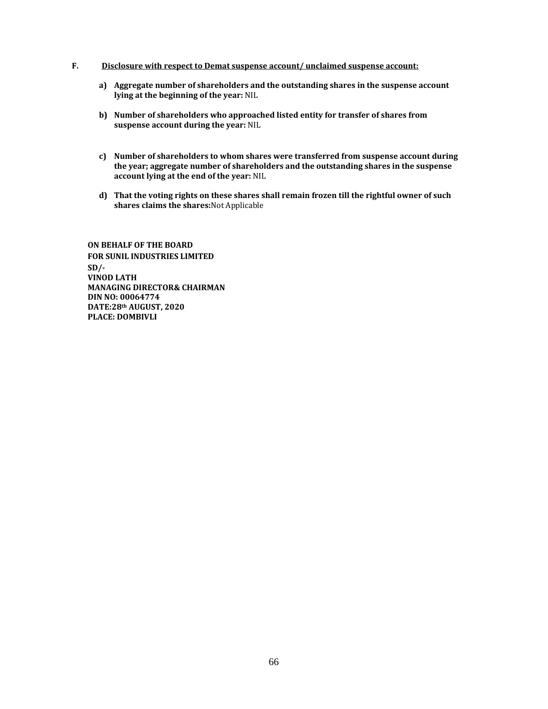### **F. Disclosure with respect to Demat suspense account/ unclaimed suspense account:**

- **a) Aggregate number of shareholders and the outstanding shares in the suspense account lying at the beginning of the year:** NIL
- **b) Number of shareholders who approached listed entity for transfer of shares from suspense account during the year:** NIL
- **c) Number of shareholders to whom shares were transferred from suspense account during the year; aggregate number of shareholders and the outstanding shares in the suspense account lying at the end of the year:** NIL
- **d) That the voting rights on these shares shall remain frozen till the rightful owner of such shares claims the shares:**Not Applicable

**ON BEHALF OF THE BOARD FOR SUNIL INDUSTRIES LIMITED SD/‐ VINOD LATH MANAGING DIRECTOR& CHAIRMAN DIN NO: 00064774 DATE:28th AUGUST, 2020 PLACE: DOMBIVLI**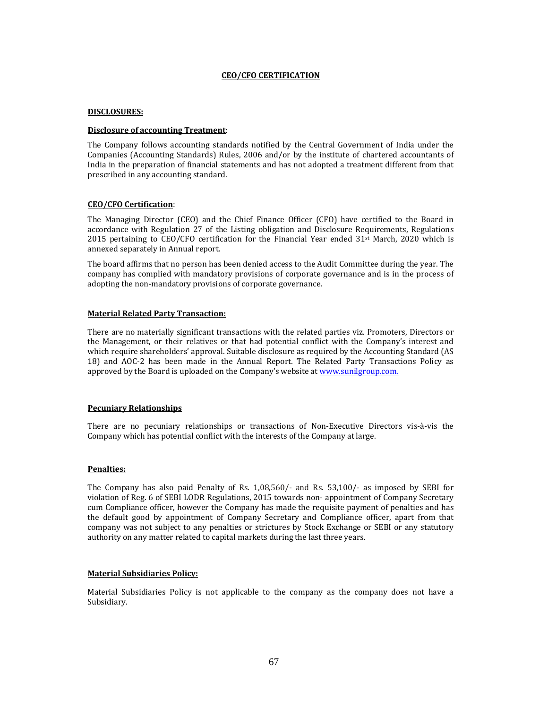### **CEO/CFO CERTIFICATION**

### **DISCLOSURES:**

### **Disclosure of accounting Treatment**:

The Company follows accounting standards notified by the Central Government of India under the Companies (Accounting Standards) Rules, 2006 and/or by the institute of chartered accountants of India in the preparation of financial statements and has not adopted a treatment different from that prescribed in any accounting standard.

### **CEO/CFO Certification**:

The Managing Director (CEO) and the Chief Finance Officer (CFO) have certified to the Board in accordance with Regulation 27 of the Listing obligation and Disclosure Requirements, Regulations 2015 pertaining to  $CEO/CFO$  certification for the Financial Year ended  $31<sup>st</sup>$  March, 2020 which is annexed separately in Annual report.

The board affirms that no person has been denied access to the Audit Committee during the year. The company has complied with mandatory provisions of corporate governance and is in the process of adopting the non-mandatory provisions of corporate governance.

### **Material Related Party Transaction:**

There are no materially significant transactions with the related parties viz. Promoters, Directors or the Management, or their relatives or that had potential conflict with the Company's interest and which require shareholders' approval. Suitable disclosure as required by the Accounting Standard (AS 18) and AOC-2 has been made in the Annual Report. The Related Party Transactions Policy as approved by the Board is uploaded on the Company's website at www.sunilgroup.com.

### **Pecuniary Relationships**

There are no pecuniary relationships or transactions of Non-Executive Directors vis-à-vis the Company which has potential conflict with the interests of the Company at large.

### **Penalties:**

The Company has also paid Penalty of Rs. 1,08,560/- and Rs. 53,100/- as imposed by SEBI for violation of Reg. 6 of SEBI LODR Regulations, 2015 towards non- appointment of Company Secretary cum Compliance officer, however the Company has made the requisite payment of penalties and has the default good by appointment of Company Secretary and Compliance officer, apart from that company was not subject to any penalties or strictures by Stock Exchange or SEBI or any statutory authority on any matter related to capital markets during the last three years.

### **Material Subsidiaries Policy:**

Material Subsidiaries Policy is not applicable to the company as the company does not have a Subsidiary.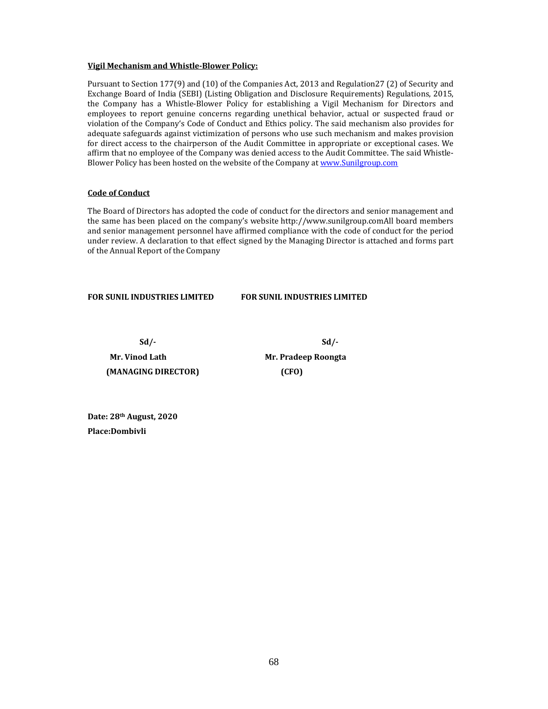### **Vigil Mechanism and Whistle‐Blower Policy:**

Pursuant to Section 177(9) and (10) of the Companies Act, 2013 and Regulation27 (2) of Security and Exchange Board of India (SEBI) (Listing Obligation and Disclosure Requirements) Regulations, 2015, the Company has a Whistle-Blower Policy for establishing a Vigil Mechanism for Directors and employees to report genuine concerns regarding unethical behavior, actual or suspected fraud or violation of the Company's Code of Conduct and Ethics policy. The said mechanism also provides for adequate safeguards against victimization of persons who use such mechanism and makes provision for direct access to the chairperson of the Audit Committee in appropriate or exceptional cases. We affirm that no employee of the Company was denied access to the Audit Committee. The said Whistle-Blower Policy has been hosted on the website of the Company at www.Sunilgroup.com

### **Code of Conduct**

The Board of Directors has adopted the code of conduct for the directors and senior management and the same has been placed on the company's website http://www.sunilgroup.comAll board members and senior management personnel have affirmed compliance with the code of conduct for the period under review. A declaration to that effect signed by the Managing Director is attached and forms part of the Annual Report of the Company

**FOR SUNIL INDUSTRIES LIMITED FOR SUNIL INDUSTRIES LIMITED**

 **Sd/‐ Sd/‐** 

**Mr.** Vinod Lath **Mr.** Pradeep Roongta  **(MANAGING DIRECTOR) (CFO)**

**Date: 28th August, 2020 Place:Dombivli**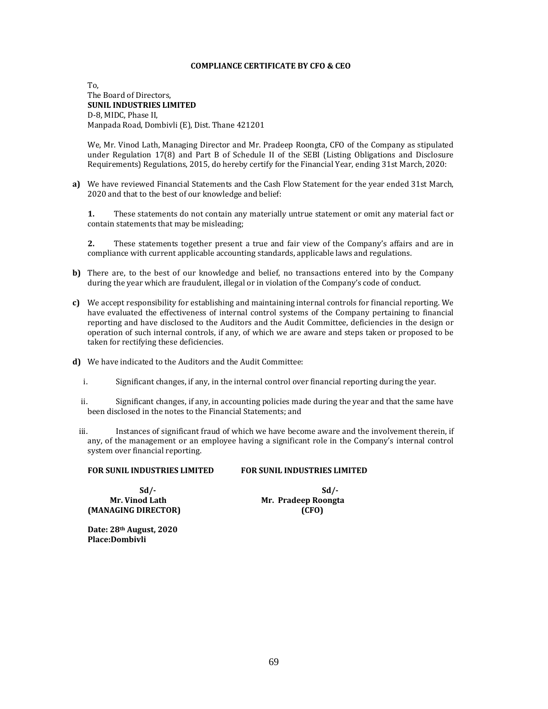### **COMPLIANCE CERTIFICATE BY CFO & CEO**

To, The Board of Directors. **SUNIL INDUSTRIES LIMITED** D-8, MIDC, Phase II, Manpada Road, Dombivli (E), Dist. Thane 421201

We, Mr. Vinod Lath, Managing Director and Mr. Pradeep Roongta, CFO of the Company as stipulated under Regulation  $17(8)$  and Part B of Schedule II of the SEBI (Listing Obligations and Disclosure Requirements) Regulations, 2015, do hereby certify for the Financial Year, ending 31st March, 2020:

**a)** We have reviewed Financial Statements and the Cash Flow Statement for the year ended 31st March, 2020 and that to the best of our knowledge and belief:

**1.** These statements do not contain any materially untrue statement or omit any material fact or contain statements that may be misleading;

**2.** These statements together present a true and fair view of the Company's affairs and are in compliance with current applicable accounting standards, applicable laws and regulations.

- **b)** There are, to the best of our knowledge and belief, no transactions entered into by the Company during the year which are fraudulent, illegal or in violation of the Company's code of conduct.
- **c)** We accept responsibility for establishing and maintaining internal controls for financial reporting. We have evaluated the effectiveness of internal control systems of the Company pertaining to financial reporting and have disclosed to the Auditors and the Audit Committee, deficiencies in the design or operation of such internal controls, if any, of which we are aware and steps taken or proposed to be taken for rectifying these deficiencies.
- **d)** We have indicated to the Auditors and the Audit Committee:
	- i. Significant changes, if any, in the internal control over financial reporting during the year.
	- ii. Significant changes, if any, in accounting policies made during the year and that the same have been disclosed in the notes to the Financial Statements: and
	- iii. Instances of significant fraud of which we have become aware and the involvement therein, if any, of the management or an employee having a significant role in the Company's internal control system over financial reporting.

| <b>FOR SUNIL INDUSTRIES LIMITED</b> | <b>FOR SUNIL INDUSTRIES LIMITED</b> |
|-------------------------------------|-------------------------------------|
|                                     |                                     |

 **Sd/‐ Sd/‐ (MANAGING DIRECTOR) (CFO)**

 **Mr. Vinod Lath Mr. Pradeep Roongta**

**Date: 28th August, 2020 Place:Dombivli**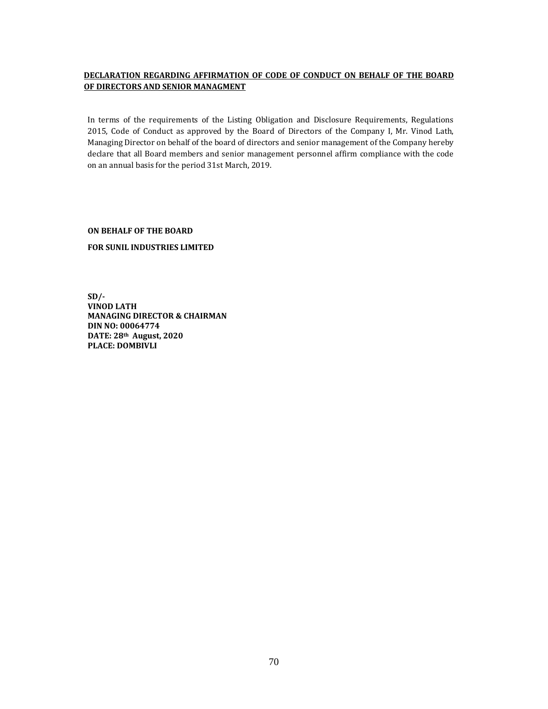# **DECLARATION REGARDING AFFIRMATION OF CODE OF CONDUCT ON BEHALF OF THE BOARD OF DIRECTORS AND SENIOR MANAGMENT**

In terms of the requirements of the Listing Obligation and Disclosure Requirements, Regulations 2015, Code of Conduct as approved by the Board of Directors of the Company I, Mr. Vinod Lath, Managing Director on behalf of the board of directors and senior management of the Company hereby declare that all Board members and senior management personnel affirm compliance with the code on an annual basis for the period 31st March, 2019.

**ON BEHALF OF THE BOARD**

**FOR SUNIL INDUSTRIES LIMITED**

**SD/‐ VINOD LATH MANAGING DIRECTOR & CHAIRMAN DIN NO: 00064774 DATE: 28th August, 2020 PLACE: DOMBIVLI**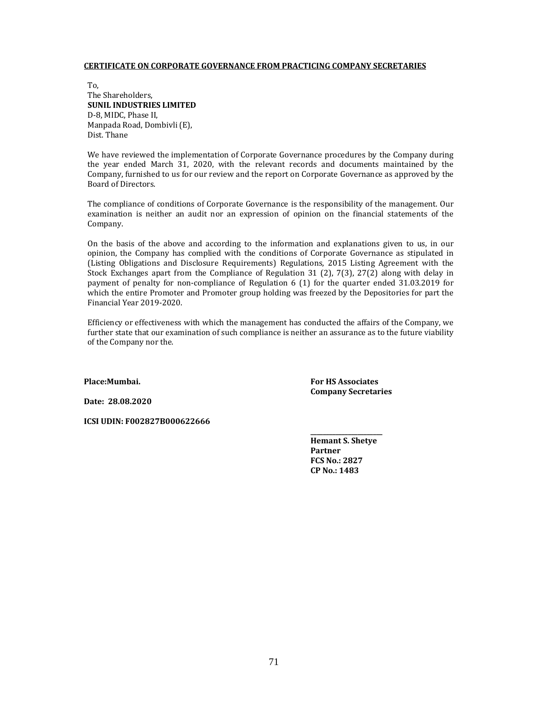#### **CERTIFICATE ON CORPORATE GOVERNANCE FROM PRACTICING COMPANY SECRETARIES**

To, The Shareholders. **SUNIL INDUSTRIES LIMITED** D-8, MIDC, Phase II, Manpada Road, Dombivli (E), Dist. Thane

We have reviewed the implementation of Corporate Governance procedures by the Company during the year ended March 31, 2020, with the relevant records and documents maintained by the Company, furnished to us for our review and the report on Corporate Governance as approved by the Board of Directors. 

The compliance of conditions of Corporate Governance is the responsibility of the management. Our examination is neither an audit nor an expression of opinion on the financial statements of the Company. 

On the basis of the above and according to the information and explanations given to us, in our opinion, the Company has complied with the conditions of Corporate Governance as stipulated in (Listing Obligations and Disclosure Requirements) Regulations, 2015 Listing Agreement with the Stock Exchanges apart from the Compliance of Regulation 31 (2),  $7(3)$ ,  $27(2)$  along with delay in payment of penalty for non-compliance of Regulation  $6$  (1) for the quarter ended 31.03.2019 for which the entire Promoter and Promoter group holding was freezed by the Depositories for part the Financial Year 2019‐2020. 

Efficiency or effectiveness with which the management has conducted the affairs of the Company, we further state that our examination of such compliance is neither an assurance as to the future viability of the Company nor the.

**Place:Mumbai.**

**Date: 28.08.2020**

**ICSI UDIN: F002827B000622666**

**For HS Associates Company Secretaries**

**Hemant S. Shetye Partner FCS No.: 2827 CP No.: 1483**

**\_\_\_\_\_\_\_\_\_\_\_\_\_\_\_\_\_\_\_\_\_\_\_**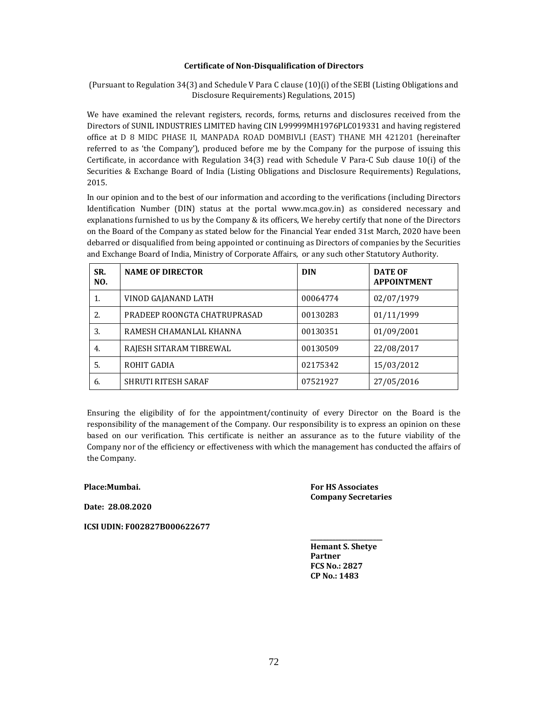### **Certificate of Non‐Disqualification of Directors**

(Pursuant to Regulation 34(3) and Schedule V Para C clause  $(10)(i)$  of the SEBI (Listing Obligations and Disclosure Requirements) Regulations, 2015)

We have examined the relevant registers, records, forms, returns and disclosures received from the Directors of SUNIL INDUSTRIES LIMITED having CIN L99999MH1976PLC019331 and having registered office at D 8 MIDC PHASE II, MANPADA ROAD DOMBIVLI (EAST) THANE MH 421201 (hereinafter referred to as 'the Company'), produced before me by the Company for the purpose of issuing this Certificate, in accordance with Regulation  $34(3)$  read with Schedule V Para-C Sub clause  $10(i)$  of the Securities & Exchange Board of India (Listing Obligations and Disclosure Requirements) Regulations, 2015.

In our opinion and to the best of our information and according to the verifications (including Directors Identification Number (DIN) status at the portal www.mca.gov.in) as considered necessary and explanations furnished to us by the Company & its officers, We hereby certify that none of the Directors on the Board of the Company as stated below for the Financial Year ended 31st March, 2020 have been debarred or disqualified from being appointed or continuing as Directors of companies by the Securities and Exchange Board of India, Ministry of Corporate Affairs, or any such other Statutory Authority.

| SR.<br>NO. | <b>NAME OF DIRECTOR</b>      | <b>DIN</b> | <b>DATE OF</b><br><b>APPOINTMENT</b> |
|------------|------------------------------|------------|--------------------------------------|
| 1.         | VINOD GAJANAND LATH          | 00064774   | 02/07/1979                           |
| 2.         | PRADEEP ROONGTA CHATRUPRASAD | 00130283   | 01/11/1999                           |
| 3.         | RAMESH CHAMANLAL KHANNA      | 00130351   | 01/09/2001                           |
| 4.         | RAJESH SITARAM TIBREWAL      | 00130509   | 22/08/2017                           |
| .5.        | ROHIT GADIA                  | 02175342   | 15/03/2012                           |
| 6.         | <b>SHRUTI RITESH SARAF</b>   | 07521927   | 27/05/2016                           |

Ensuring the eligibility of for the appointment/continuity of every Director on the Board is the responsibility of the management of the Company. Our responsibility is to express an opinion on these based on our verification. This certificate is neither an assurance as to the future viability of the Company nor of the efficiency or effectiveness with which the management has conducted the affairs of the Company.

**Place:Mumbai.**

**Date: 28.08.2020**

**ICSI UDIN: F002827B000622677**

**For HS Associates Company Secretaries**

**Hemant S. Shetye Partner FCS No.: 2827 CP No.: 1483**

**\_\_\_\_\_\_\_\_\_\_\_\_\_\_\_\_\_\_\_\_\_\_\_**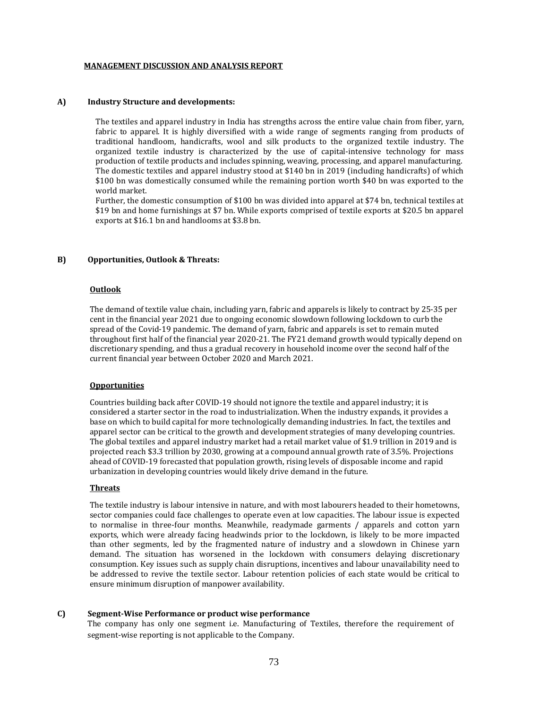#### **MANAGEMENT DISCUSSION AND ANALYSIS REPORT**

#### **A) Industry Structure and developments:**

The textiles and apparel industry in India has strengths across the entire value chain from fiber, yarn, fabric to apparel. It is highly diversified with a wide range of segments ranging from products of traditional handloom, handicrafts, wool and silk products to the organized textile industry. The organized textile industry is characterized by the use of capital-intensive technology for mass production of textile products and includes spinning, weaving, processing, and apparel manufacturing. The domestic textiles and apparel industry stood at \$140 bn in 2019 (including handicrafts) of which \$100 bn was domestically consumed while the remaining portion worth \$40 bn was exported to the world market.

Further, the domestic consumption of \$100 bn was divided into apparel at \$74 bn, technical textiles at \$19 bn and home furnishings at \$7 bn. While exports comprised of textile exports at \$20.5 bn apparel exports at \$16.1 bn and handlooms at \$3.8 bn.

#### **B) Opportunities, Outlook & Threats:**

# **Outlook**

The demand of textile value chain, including yarn, fabric and apparels is likely to contract by 25-35 per cent in the financial year 2021 due to ongoing economic slowdown following lockdown to curb the spread of the Covid-19 pandemic. The demand of varn, fabric and apparels is set to remain muted throughout first half of the financial year 2020-21. The FY21 demand growth would typically depend on discretionary spending, and thus a gradual recovery in household income over the second half of the current financial year between October 2020 and March 2021.

#### **Opportunities**

Countries building back after COVID-19 should not ignore the textile and apparel industry; it is considered a starter sector in the road to industrialization. When the industry expands, it provides a base on which to build capital for more technologically demanding industries. In fact, the textiles and apparel sector can be critical to the growth and development strategies of many developing countries. The global textiles and apparel industry market had a retail market value of \$1.9 trillion in 2019 and is projected reach \$3.3 trillion by 2030, growing at a compound annual growth rate of 3.5%. Projections ahead of COVID-19 forecasted that population growth, rising levels of disposable income and rapid urbanization in developing countries would likely drive demand in the future.

#### **Threats**

The textile industry is labour intensive in nature, and with most labourers headed to their hometowns, sector companies could face challenges to operate even at low capacities. The labour issue is expected to normalise in three-four months. Meanwhile, readymade garments / apparels and cotton yarn exports, which were already facing headwinds prior to the lockdown, is likely to be more impacted than other segments, led by the fragmented nature of industry and a slowdown in Chinese yarn demand. The situation has worsened in the lockdown with consumers delaying discretionary consumption. Key issues such as supply chain disruptions, incentives and labour unavailability need to be addressed to revive the textile sector. Labour retention policies of each state would be critical to ensure minimum disruption of manpower availability.

#### **C) Segment‐Wise Performance or product wise performance**

The company has only one segment i.e. Manufacturing of Textiles, therefore the requirement of segment-wise reporting is not applicable to the Company.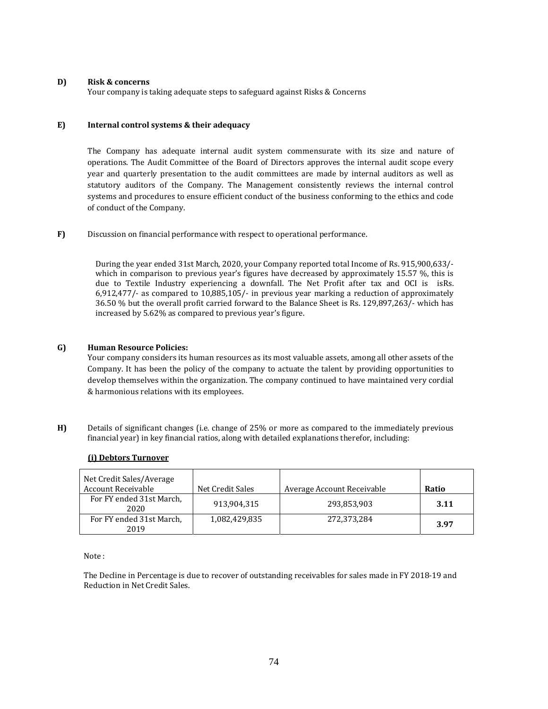# **D) Risk & concerns**

Your company is taking adequate steps to safeguard against Risks & Concerns

# **E) Internal control systems & their adequacy**

The Company has adequate internal audit system commensurate with its size and nature of operations. The Audit Committee of the Board of Directors approves the internal audit scope every year and quarterly presentation to the audit committees are made by internal auditors as well as statutory auditors of the Company. The Management consistently reviews the internal control systems and procedures to ensure efficient conduct of the business conforming to the ethics and code of conduct of the Company.

**F)** Discussion on financial performance with respect to operational performance.

During the year ended 31st March, 2020, your Company reported total Income of Rs. 915,900,633/which in comparison to previous year's figures have decreased by approximately  $15.57\%$ , this is due to Textile Industry experiencing a downfall. The Net Profit after tax and OCI is isRs. 6,912,477/- as compared to  $10,885,105/$ - in previous year marking a reduction of approximately 36.50 % but the overall profit carried forward to the Balance Sheet is Rs. 129,897,263/- which has increased by 5.62% as compared to previous year's figure.

# **G) Human Resource Policies:**

Your company considers its human resources as its most valuable assets, among all other assets of the Company. It has been the policy of the company to actuate the talent by providing opportunities to develop themselves within the organization. The company continued to have maintained very cordial & harmonious relations with its employees.

**H)** Details of significant changes (i.e. change of 25% or more as compared to the immediately previous financial year) in key financial ratios, along with detailed explanations therefor, including:

|  | (i) Debtors Turnover |
|--|----------------------|
|  |                      |

| Net Credit Sales/Average<br><b>Account Receivable</b> | Net Credit Sales | Average Account Receivable | Ratio |
|-------------------------------------------------------|------------------|----------------------------|-------|
| For FY ended 31st March,<br>2020                      | 913,904,315      | 293,853,903                | 3.11  |
| For FY ended 31st March.<br>2019                      | 1,082,429,835    | 272,373,284                | 3.97  |

Note:

The Decline in Percentage is due to recover of outstanding receivables for sales made in FY 2018-19 and Reduction in Net Credit Sales.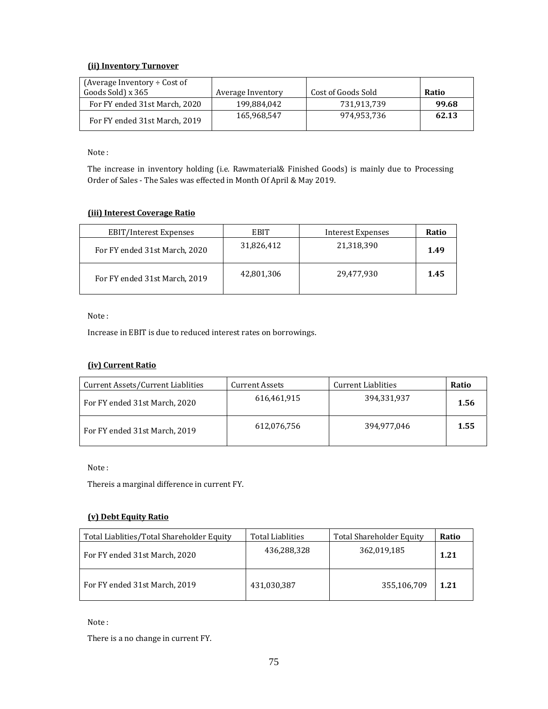# **(ii) Inventory Turnover**

| (Average Inventory $\div$ Cost of |                   |                    |       |
|-----------------------------------|-------------------|--------------------|-------|
| Goods Sold) x 365                 | Average Inventory | Cost of Goods Sold | Ratio |
| For FY ended 31st March, 2020     | 199.884.042       | 731.913.739        | 99.68 |
| For FY ended 31st March, 2019     | 165,968,547       | 974.953.736        | 62.13 |

Note:

The increase in inventory holding (i.e. Rawmaterial& Finished Goods) is mainly due to Processing Order of Sales - The Sales was effected in Month Of April & May 2019.

# **(iii) Interest Coverage Ratio**

| <b>EBIT/Interest Expenses</b> | EBIT       | Interest Expenses | Ratio |
|-------------------------------|------------|-------------------|-------|
| For FY ended 31st March, 2020 | 31,826,412 | 21,318,390        | 1.49  |
| For FY ended 31st March, 2019 | 42,801,306 | 29,477,930        | 1.45  |

Note:

Increase in EBIT is due to reduced interest rates on borrowings.

# **(iv) Current Ratio**

| Current Assets/Current Liablities | Current Assets | Current Liablities | Ratio |
|-----------------------------------|----------------|--------------------|-------|
| For FY ended 31st March, 2020     | 616,461,915    | 394,331,937        | 1.56  |
| For FY ended 31st March, 2019     | 612,076,756    | 394,977,046        | 1.55  |

Note:

Thereis a marginal difference in current FY.

# **(v) Debt Equity Ratio**

| Total Liablities/Total Shareholder Equity | Total Liablities | Total Shareholder Equity | Ratio |
|-------------------------------------------|------------------|--------------------------|-------|
| For FY ended 31st March, 2020             | 436,288,328      | 362,019,185              | 1.21  |
| For FY ended 31st March, 2019             | 431,030,387      | 355,106,709              | 1.21  |

Note:

There is a no change in current FY.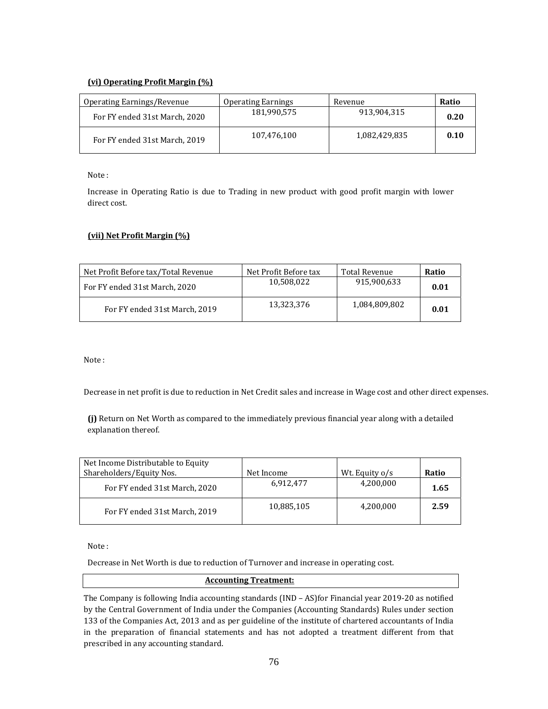# **(vi) Operating Profit Margin (%)**

| Operating Earnings/Revenue    | <b>Operating Earnings</b> | Revenue       | Ratio |
|-------------------------------|---------------------------|---------------|-------|
| For FY ended 31st March, 2020 | 181.990.575               | 913.904.315   | 0.20  |
| For FY ended 31st March, 2019 | 107,476,100               | 1,082,429,835 | 0.10  |

Note:

Increase in Operating Ratio is due to Trading in new product with good profit margin with lower direct cost.

# **(vii) Net Profit Margin (%)**

| Net Profit Before tax/Total Revenue | Net Profit Before tax | Total Revenue | Ratio |
|-------------------------------------|-----------------------|---------------|-------|
| For FY ended 31st March, 2020       | 10.508.022            | 915.900.633   | 0.01  |
| For FY ended 31st March, 2019       | 13,323,376            | 1,084,809,802 | 0.01  |

Note:

Decrease in net profit is due to reduction in Net Credit sales and increase in Wage cost and other direct expenses.

(i) Return on Net Worth as compared to the immediately previous financial year along with a detailed explanation thereof.

| Net Income Distributable to Equity<br>Shareholders/Equity Nos. | Net Income | Wt. Equity o/s | Ratio |
|----------------------------------------------------------------|------------|----------------|-------|
| For FY ended 31st March, 2020                                  | 6,912,477  | 4,200,000      | 1.65  |
| For FY ended 31st March, 2019                                  | 10,885,105 | 4,200,000      | 2.59  |

Note:

Decrease in Net Worth is due to reduction of Turnover and increase in operating cost.

# **Accounting Treatment:**

The Company is following India accounting standards  $(IND - AS)$  for Financial year 2019-20 as notified by the Central Government of India under the Companies (Accounting Standards) Rules under section 133 of the Companies Act, 2013 and as per guideline of the institute of chartered accountants of India in the preparation of financial statements and has not adopted a treatment different from that prescribed in any accounting standard.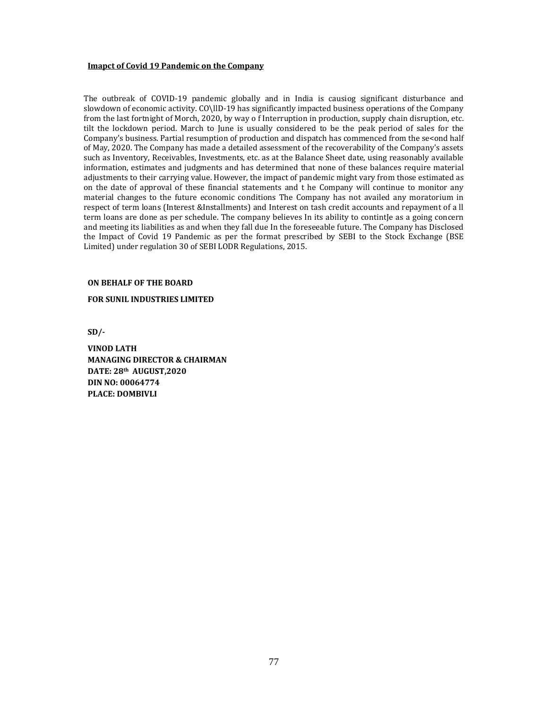#### **Imapct of Covid 19 Pandemic on the Company**

The outbreak of COVID-19 pandemic globally and in India is causiog significant disturbance and slowdown of economic activity. CO\llD-19 has significantly impacted business operations of the Company from the last fortnight of Morch, 2020, by way o  $\overline{f}$  Interruption in production, supply chain disruption, etc. tilt the lockdown period. March to June is usually considered to be the peak period of sales for the Company's business. Partial resumption of production and dispatch has commenced from the se<ond half of May, 2020. The Company has made a detailed assessment of the recoverability of the Company's assets such as Inventory, Receivables, Investments, etc. as at the Balance Sheet date, using reasonably available information, estimates and judgments and has determined that none of these balances require material adjustments to their carrying value. However, the impact of pandemic might vary from those estimated as on the date of approval of these financial statements and t he Company will continue to monitor any material changes to the future economic conditions The Company has not availed any moratorium in respect of term loans (Interest &Installments) and Interest on tash credit accounts and repayment of a ll term loans are done as per schedule. The company believes In its ability to contintJe as a going concern and meeting its liabilities as and when they fall due In the foreseeable future. The Company has Disclosed the Impact of Covid 19 Pandemic as per the format prescribed by SEBI to the Stock Exchange (BSE Limited) under regulation 30 of SEBI LODR Regulations, 2015.

#### **ON BEHALF OF THE BOARD**

#### **FOR SUNIL INDUSTRIES LIMITED**

**SD/‐** 

**VINOD LATH MANAGING DIRECTOR & CHAIRMAN DATE: 28th AUGUST,2020 DIN NO: 00064774 PLACE: DOMBIVLI**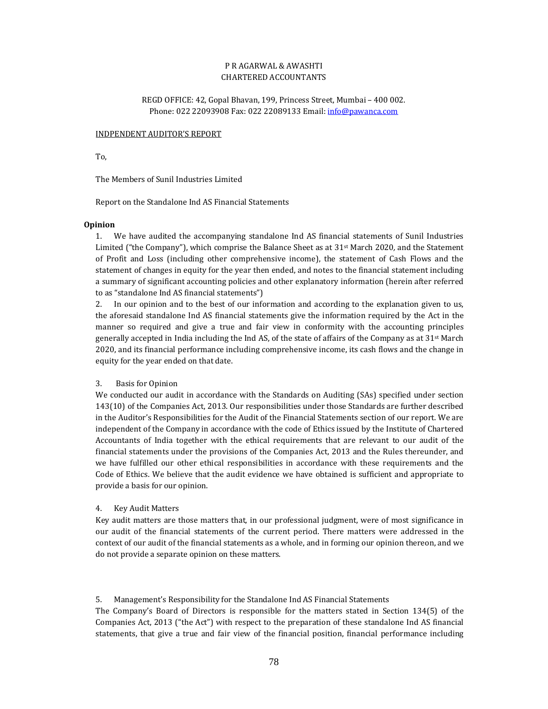# P R AGARWAL & AWASHTI CHARTERED ACCOUNTANTS

REGD OFFICE: 42, Gopal Bhavan, 199, Princess Street, Mumbai - 400 002. Phone: 022 22093908 Fax: 022 22089133 Email: info@pawanca.com

### INDPENDENT AUDITOR'S REPORT

To, 

The Members of Sunil Industries Limited

Report on the Standalone Ind AS Financial Statements

### **Opinion**

1. We have audited the accompanying standalone Ind AS financial statements of Sunil Industries Limited ("the Company"), which comprise the Balance Sheet as at 31<sup>st</sup> March 2020, and the Statement of Profit and Loss (including other comprehensive income), the statement of Cash Flows and the statement of changes in equity for the year then ended, and notes to the financial statement including a summary of significant accounting policies and other explanatory information (herein after referred to as "standalone Ind AS financial statements")

2. In our opinion and to the best of our information and according to the explanation given to us, the aforesaid standalone Ind AS financial statements give the information required by the Act in the manner so required and give a true and fair view in conformity with the accounting principles generally accepted in India including the Ind AS, of the state of affairs of the Company as at  $31^{st}$  March 2020, and its financial performance including comprehensive income, its cash flows and the change in equity for the year ended on that date.

# 3. Basis for Opinion

We conducted our audit in accordance with the Standards on Auditing (SAs) specified under section 143(10) of the Companies Act, 2013. Our responsibilities under those Standards are further described in the Auditor's Responsibilities for the Audit of the Financial Statements section of our report. We are independent of the Company in accordance with the code of Ethics issued by the Institute of Chartered Accountants of India together with the ethical requirements that are relevant to our audit of the financial statements under the provisions of the Companies Act, 2013 and the Rules thereunder, and we have fulfilled our other ethical responsibilities in accordance with these requirements and the Code of Ethics. We believe that the audit evidence we have obtained is sufficient and appropriate to provide a basis for our opinion.

# 4. Key Audit Matters

Key audit matters are those matters that, in our professional judgment, were of most significance in our audit of the financial statements of the current period. There matters were addressed in the context of our audit of the financial statements as a whole, and in forming our opinion thereon, and we do not provide a separate opinion on these matters.

### 5. Management's Responsibility for the Standalone Ind AS Financial Statements

The Company's Board of Directors is responsible for the matters stated in Section  $134(5)$  of the Companies Act, 2013 ("the Act") with respect to the preparation of these standalone Ind AS financial statements, that give a true and fair view of the financial position, financial performance including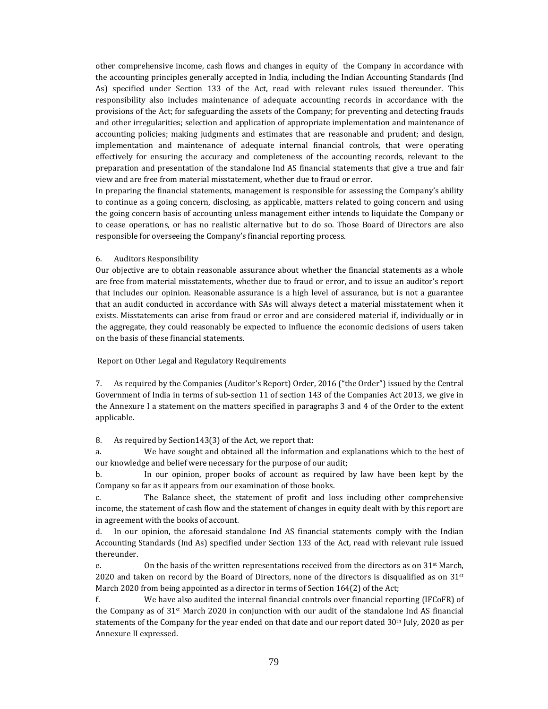other comprehensive income, cash flows and changes in equity of the Company in accordance with the accounting principles generally accepted in India, including the Indian Accounting Standards (Ind As) specified under Section 133 of the Act, read with relevant rules issued thereunder. This responsibility also includes maintenance of adequate accounting records in accordance with the provisions of the Act; for safeguarding the assets of the Company; for preventing and detecting frauds and other irregularities; selection and application of appropriate implementation and maintenance of accounting policies; making judgments and estimates that are reasonable and prudent; and design, implementation and maintenance of adequate internal financial controls, that were operating effectively for ensuring the accuracy and completeness of the accounting records, relevant to the preparation and presentation of the standalone Ind AS financial statements that give a true and fair view and are free from material misstatement, whether due to fraud or error.

In preparing the financial statements, management is responsible for assessing the Company's ability to continue as a going concern, disclosing, as applicable, matters related to going concern and using the going concern basis of accounting unless management either intends to liquidate the Company or to cease operations, or has no realistic alternative but to do so. Those Board of Directors are also responsible for overseeing the Company's financial reporting process.

### 6. Auditors Responsibility

Our objective are to obtain reasonable assurance about whether the financial statements as a whole are free from material misstatements, whether due to fraud or error, and to issue an auditor's report that includes our opinion. Reasonable assurance is a high level of assurance, but is not a guarantee that an audit conducted in accordance with SAs will always detect a material misstatement when it exists. Misstatements can arise from fraud or error and are considered material if, individually or in the aggregate, they could reasonably be expected to influence the economic decisions of users taken on the basis of these financial statements.

# Report on Other Legal and Regulatory Requirements

7. As required by the Companies (Auditor's Report) Order, 2016 ("the Order") issued by the Central Government of India in terms of sub-section 11 of section 143 of the Companies Act 2013, we give in the Annexure I a statement on the matters specified in paragraphs 3 and 4 of the Order to the extent applicable. 

8. As required by Section143(3) of the Act, we report that:

a. We have sought and obtained all the information and explanations which to the best of our knowledge and belief were necessary for the purpose of our audit;

b. In our opinion, proper books of account as required by law have been kept by the Company so far as it appears from our examination of those books.

c. The Balance sheet, the statement of profit and loss including other comprehensive income, the statement of cash flow and the statement of changes in equity dealt with by this report are in agreement with the books of account.

d. In our opinion, the aforesaid standalone Ind AS financial statements comply with the Indian Accounting Standards (Ind As) specified under Section 133 of the Act, read with relevant rule issued thereunder. 

e.  $\qquad$  On the basis of the written representations received from the directors as on 31<sup>st</sup> March, 2020 and taken on record by the Board of Directors, none of the directors is disqualified as on  $31st$ March 2020 from being appointed as a director in terms of Section  $164(2)$  of the Act;

f. We have also audited the internal financial controls over financial reporting (IFCoFR) of the Company as of  $31^{st}$  March 2020 in conjunction with our audit of the standalone Ind AS financial statements of the Company for the year ended on that date and our report dated  $30<sup>th</sup>$  July, 2020 as per Annexure II expressed.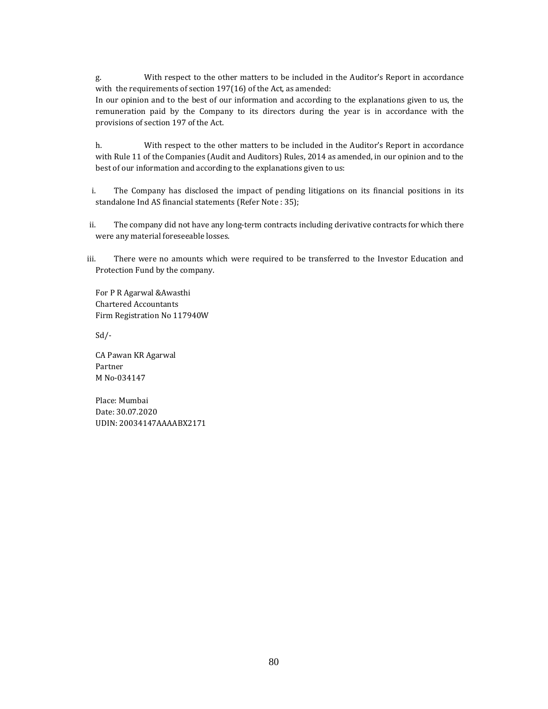g. With respect to the other matters to be included in the Auditor's Report in accordance with the requirements of section  $197(16)$  of the Act, as amended: In our opinion and to the best of our information and according to the explanations given to us, the

remuneration paid by the Company to its directors during the year is in accordance with the provisions of section 197 of the Act.

h. With respect to the other matters to be included in the Auditor's Report in accordance with Rule 11 of the Companies (Audit and Auditors) Rules, 2014 as amended, in our opinion and to the best of our information and according to the explanations given to us:

i. The Company has disclosed the impact of pending litigations on its financial positions in its standalone Ind AS financial statements (Refer Note : 35);

ii. The company did not have any long-term contracts including derivative contracts for which there were any material foreseeable losses.

iii. There were no amounts which were required to be transferred to the Investor Education and Protection Fund by the company.

For P R Agarwal & Awasthi Chartered Accountants Firm Registration No 117940W 

Sd/‐ 

CA Pawan KR Agarwal Partner M No-034147

Place: Mumbai Date: 30.07.2020 UDIN: 20034147AAAABX2171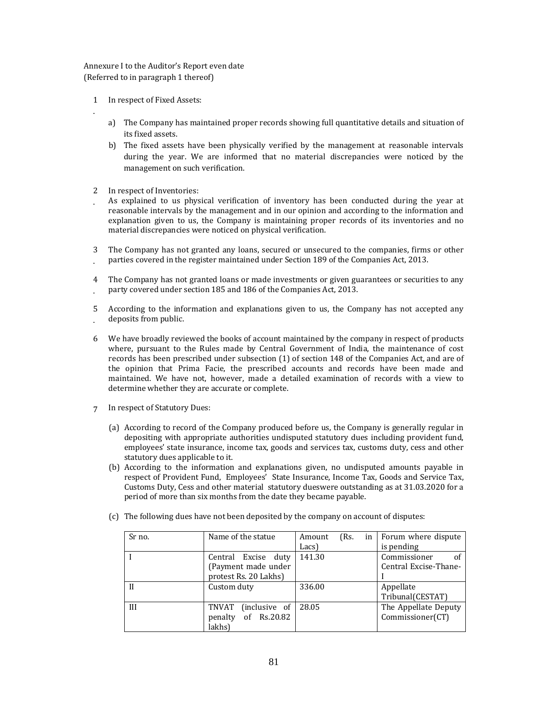# Annexure I to the Auditor's Report even date (Referred to in paragraph  $1$  thereof)

1 In respect of Fixed Assets:

. 

- a) The Company has maintained proper records showing full quantitative details and situation of its fixed assets.
- b) The fixed assets have been physically verified by the management at reasonable intervals during the year. We are informed that no material discrepancies were noticed by the management on such verification.
- 2 In respect of Inventories:
	- . As explained to us physical verification of inventory has been conducted during the year at reasonable intervals by the management and in our opinion and according to the information and explanation given to us, the Company is maintaining proper records of its inventories and no material discrepancies were noticed on physical verification.
	- 3 . The Company has not granted any loans, secured or unsecured to the companies, firms or other parties covered in the register maintained under Section 189 of the Companies Act, 2013.
	- 4 . The Company has not granted loans or made investments or given guarantees or securities to any party covered under section 185 and 186 of the Companies Act, 2013.
	- 5 . According to the information and explanations given to us, the Company has not accepted any deposits from public.
	- 6 We have broadly reviewed the books of account maintained by the company in respect of products where, pursuant to the Rules made by Central Government of India, the maintenance of cost records has been prescribed under subsection (1) of section 148 of the Companies Act, and are of the opinion that Prima Facie, the prescribed accounts and records have been made and maintained. We have not, however, made a detailed examination of records with a view to determine whether they are accurate or complete.
	- 7 In respect of Statutory Dues:
		- (a) According to record of the Company produced before us, the Company is generally regular in depositing with appropriate authorities undisputed statutory dues including provident fund, employees' state insurance, income tax, goods and services tax, customs duty, cess and other statutory dues applicable to it.
		- (b) According to the information and explanations given, no undisputed amounts payable in respect of Provident Fund, Employees' State Insurance, Income Tax, Goods and Service Tax, Customs Duty, Cess and other material statutory dueswere outstanding as at 31.03.2020 for a period of more than six months from the date they became payable.

| Sr no. | Name of the statue                                                     | Amount<br>Lacs) | (Rs. | in | Forum where dispute<br>is pending           |
|--------|------------------------------------------------------------------------|-----------------|------|----|---------------------------------------------|
|        | Central Excise<br>duty<br>(Payment made under<br>protest Rs. 20 Lakhs) | 141.30          |      |    | Commissioner<br>of<br>Central Excise-Thane- |
|        | Custom duty                                                            | 336.00          |      |    | Appellate<br>Tribunal(CESTAT)               |
| Ш      | (inclusive of<br>TNVAT<br>of Rs.20.82<br>penalty<br>lakhs)             | 28.05           |      |    | The Appellate Deputy<br>Commissioner(CT)    |

(c) The following dues have not been deposited by the company on account of disputes: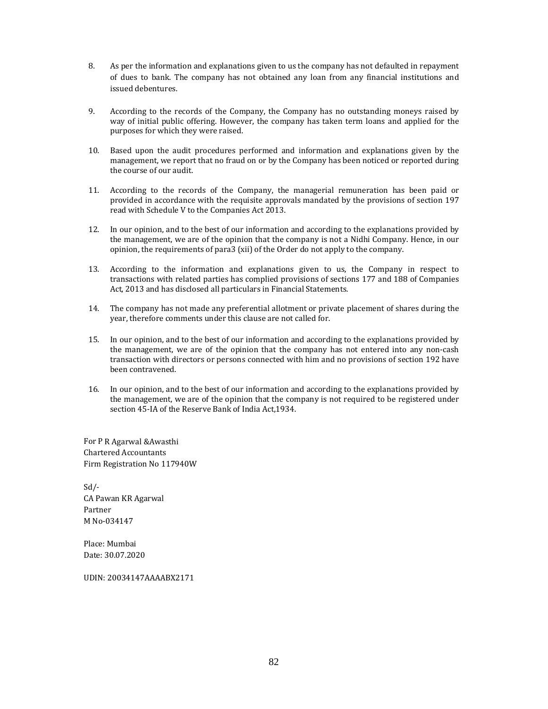- 8. As per the information and explanations given to us the company has not defaulted in repayment of dues to bank. The company has not obtained any loan from any financial institutions and issued debentures.
- 9. According to the records of the Company, the Company has no outstanding moneys raised by way of initial public offering. However, the company has taken term loans and applied for the purposes for which they were raised.
- 10. Based upon the audit procedures performed and information and explanations given by the management, we report that no fraud on or by the Company has been noticed or reported during the course of our audit.
- 11. According to the records of the Company, the managerial remuneration has been paid or provided in accordance with the requisite approvals mandated by the provisions of section 197 read with Schedule V to the Companies Act 2013.
- 12. In our opinion, and to the best of our information and according to the explanations provided by the management, we are of the opinion that the company is not a Nidhi Company. Hence, in our opinion, the requirements of para3 (xii) of the Order do not apply to the company.
- 13. According to the information and explanations given to us, the Company in respect to transactions with related parties has complied provisions of sections 177 and 188 of Companies Act, 2013 and has disclosed all particulars in Financial Statements.
- 14. The company has not made any preferential allotment or private placement of shares during the year, therefore comments under this clause are not called for.
- 15. In our opinion, and to the best of our information and according to the explanations provided by the management, we are of the opinion that the company has not entered into any non-cash transaction with directors or persons connected with him and no provisions of section 192 have been contravened.
- 16. In our opinion, and to the best of our information and according to the explanations provided by the management, we are of the opinion that the company is not required to be registered under section 45-IA of the Reserve Bank of India Act,1934.

For P R Agarwal & Awasthi Chartered Accountants Firm Registration No 117940W

Sd/‐ CA Pawan KR Agarwal Partner M No-034147

Place: Mumbai Date: 30.07.2020 

UDIN: 20034147AAAABX2171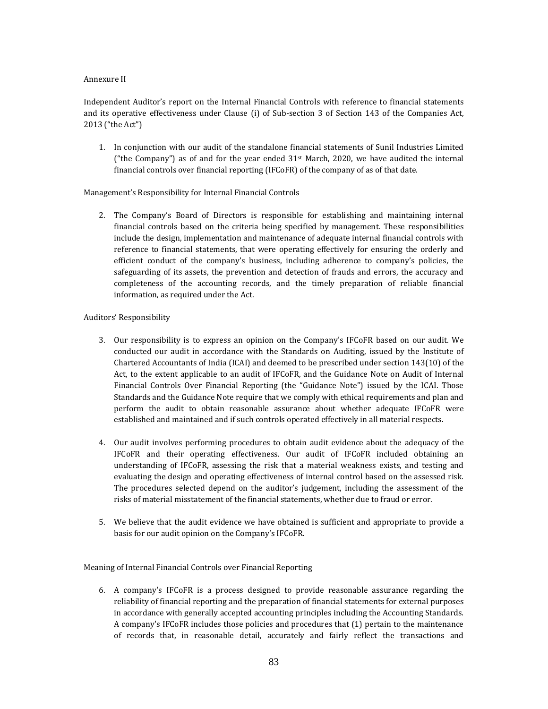# Annexure II

Independent Auditor's report on the Internal Financial Controls with reference to financial statements and its operative effectiveness under Clause (i) of Sub-section 3 of Section 143 of the Companies Act, 2013 ("the Act") 

1. In conjunction with our audit of the standalone financial statements of Sunil Industries Limited ("the Company") as of and for the year ended  $31<sup>st</sup>$  March, 2020, we have audited the internal financial controls over financial reporting  $(IFCoFR)$  of the company of as of that date.

# Management's Responsibility for Internal Financial Controls

2. The Company's Board of Directors is responsible for establishing and maintaining internal financial controls based on the criteria being specified by management. These responsibilities include the design, implementation and maintenance of adequate internal financial controls with reference to financial statements, that were operating effectively for ensuring the orderly and efficient conduct of the company's business, including adherence to company's policies, the safeguarding of its assets, the prevention and detection of frauds and errors, the accuracy and completeness of the accounting records, and the timely preparation of reliable financial information, as required under the Act.

# Auditors' Responsibility

- 3. Our responsibility is to express an opinion on the Company's IFCoFR based on our audit. We conducted our audit in accordance with the Standards on Auditing, issued by the Institute of Chartered Accountants of India (ICAI) and deemed to be prescribed under section  $143(10)$  of the Act, to the extent applicable to an audit of IFCoFR, and the Guidance Note on Audit of Internal Financial Controls Over Financial Reporting (the "Guidance Note") issued by the ICAI. Those Standards and the Guidance Note require that we comply with ethical requirements and plan and perform the audit to obtain reasonable assurance about whether adequate IFCoFR were established and maintained and if such controls operated effectively in all material respects.
- 4. Our audit involves performing procedures to obtain audit evidence about the adequacy of the IFCoFR and their operating effectiveness. Our audit of IFCoFR included obtaining an understanding of IFCoFR, assessing the risk that a material weakness exists, and testing and evaluating the design and operating effectiveness of internal control based on the assessed risk. The procedures selected depend on the auditor's judgement, including the assessment of the risks of material misstatement of the financial statements, whether due to fraud or error.
- 5. We believe that the audit evidence we have obtained is sufficient and appropriate to provide a basis for our audit opinion on the Company's IFCoFR.

Meaning of Internal Financial Controls over Financial Reporting

6. A company's IFCoFR is a process designed to provide reasonable assurance regarding the reliability of financial reporting and the preparation of financial statements for external purposes in accordance with generally accepted accounting principles including the Accounting Standards. A company's IFCoFR includes those policies and procedures that (1) pertain to the maintenance of records that, in reasonable detail, accurately and fairly reflect the transactions and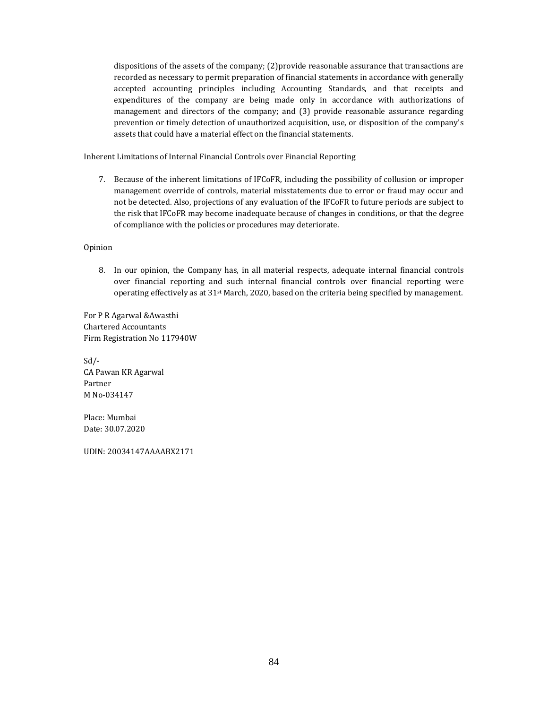dispositions of the assets of the company;  $(2)$  provide reasonable assurance that transactions are recorded as necessary to permit preparation of financial statements in accordance with generally accepted accounting principles including Accounting Standards, and that receipts and expenditures of the company are being made only in accordance with authorizations of management and directors of the company; and (3) provide reasonable assurance regarding prevention or timely detection of unauthorized acquisition, use, or disposition of the company's assets that could have a material effect on the financial statements.

Inherent Limitations of Internal Financial Controls over Financial Reporting

7. Because of the inherent limitations of IFCoFR, including the possibility of collusion or improper management override of controls, material misstatements due to error or fraud may occur and not be detected. Also, projections of any evaluation of the IFCoFR to future periods are subject to the risk that IFCoFR may become inadequate because of changes in conditions, or that the degree of compliance with the policies or procedures may deteriorate.

Opinion 

8. In our opinion, the Company has, in all material respects, adequate internal financial controls over financial reporting and such internal financial controls over financial reporting were operating effectively as at  $31^{st}$  March, 2020, based on the criteria being specified by management.

For P R Agarwal & Awasthi Chartered Accountants Firm Registration No 117940W

Sd/‐ CA Pawan KR Agarwal Partner M No-034147

Place: Mumbai Date: 30.07.2020 

UDIN: 20034147AAAABX2171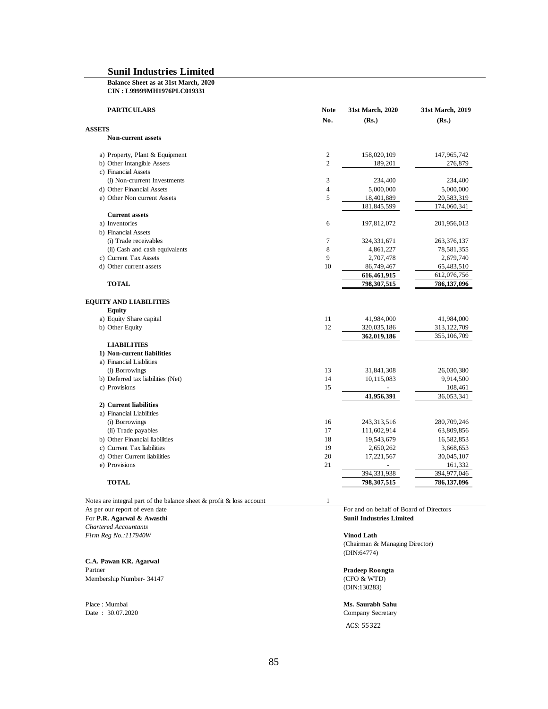#### **Balance Sheet as at 31st March, 2020 CIN : L99999MH1976PLC019331**

| <b>PARTICULARS</b>                | <b>Note</b><br>No. | 31st March, 2020<br>(Rs.) | 31st March, 2019<br>(Rs.) |
|-----------------------------------|--------------------|---------------------------|---------------------------|
| <b>ASSETS</b>                     |                    |                           |                           |
| <b>Non-current assets</b>         |                    |                           |                           |
| a) Property, Plant & Equipment    | $\overline{c}$     | 158,020,109               | 147,965,742               |
| b) Other Intangible Assets        | $\overline{c}$     | 189,201                   | 276,879                   |
| c) Financial Assets               |                    |                           |                           |
| (i) Non-crurrent Investments      | 3                  | 234,400                   | 234,400                   |
| d) Other Financial Assets         | $\overline{4}$     | 5,000,000                 | 5,000,000                 |
| e) Other Non current Assets       | 5                  | 18,401,889                | 20,583,319                |
|                                   |                    | 181,845,599               | 174,060,341               |
| <b>Current assets</b>             |                    |                           |                           |
| a) Inventories                    | 6                  | 197,812,072               | 201,956,013               |
| b) Financial Assets               |                    |                           |                           |
| (i) Trade receivables             | 7                  | 324, 331, 671             | 263,376,137               |
| (ii) Cash and cash equivalents    | 8                  | 4,861,227                 | 78,581,355                |
| c) Current Tax Assets             | 9                  | 2,707,478                 | 2,679,740                 |
| d) Other current assets           | 10                 | 86,749,467                | 65,483,510                |
|                                   |                    | 616,461,915               | 612,076,756               |
| <b>TOTAL</b>                      |                    | 798,307,515               | 786,137,096               |
|                                   |                    |                           |                           |
| <b>EQUITY AND LIABILITIES</b>     |                    |                           |                           |
| <b>Equity</b>                     |                    |                           |                           |
| a) Equity Share capital           | 11                 | 41,984,000                | 41,984,000                |
| b) Other Equity                   | 12                 | 320,035,186               | 313,122,709               |
|                                   |                    | 362,019,186               | 355,106,709               |
| <b>LIABILITIES</b>                |                    |                           |                           |
| 1) Non-current liabilities        |                    |                           |                           |
| a) Financial Liablities           |                    |                           |                           |
| (i) Borrowings                    | 13                 | 31,841,308                | 26,030,380                |
| b) Deferred tax liabilities (Net) | 14                 | 10,115,083                | 9,914,500                 |
| c) Provisions                     | 15                 |                           | 108,461                   |
|                                   |                    | 41,956,391                | 36,053,341                |
| 2) Current liabilities            |                    |                           |                           |
| a) Financial Liabilities          |                    |                           |                           |
| (i) Borrowings                    | 16                 | 243,313,516               | 280,709,246               |
| (ii) Trade payables               | 17                 | 111,602,914               | 63,809,856                |
| b) Other Financial liabilities    | 18                 | 19,543,679                | 16,582,853                |
| c) Current Tax liabilities        | 19                 | 2,650,262                 | 3,668,653                 |
| d) Other Current liabilities      | 20                 | 17,221,567                | 30,045,107                |
| e) Provisions                     | 21                 |                           | 161,332                   |
|                                   |                    | 394,331,938               | 394,977,046               |
| <b>TOTAL</b>                      |                    | 798,307,515               | 786,137,096               |
|                                   |                    |                           |                           |

Notes are integral part of the balance sheet  $\&$  profit  $\&$  loss account 1 As per our report of even date For and on behalf of Board of Directors For **P.R. Agarwal & Awasthi Sunil Industries Limited** *Chartered Accountants Firm Reg No.:117940W* **Vinod Lath**

**C.A. Pawan KR. Agarwal** Partner **Pradeep Roongta**<br>Membership Number- 34147 (CFO & WTD) Membership Number- 34147

Place : Mumbai **Ms. Saurabh Sahu**

(Chairman & Managing Director) (DIN:64774)

(DIN:130283)

Company Secretary ACS: 55322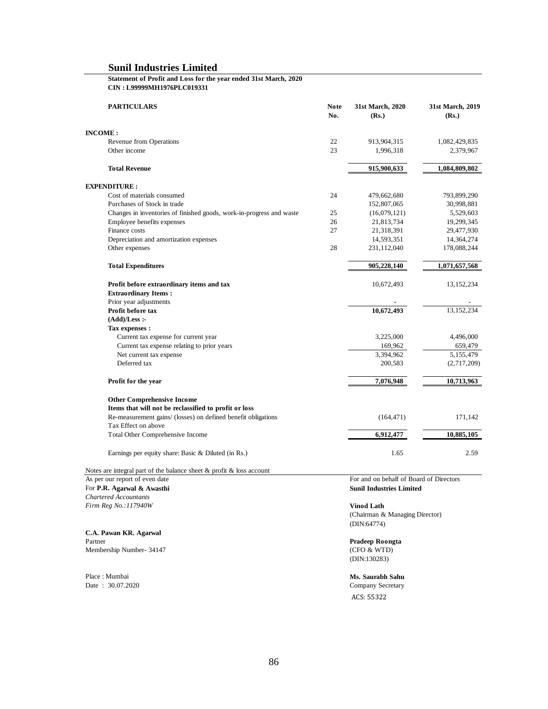#### **Statement of Profit and Loss for the year ended 31st March, 2020 CIN : L99999MH1976PLC019331**

| <b>PARTICULARS</b>                                                                   | <b>Note</b><br>No. | 31st March, 2020<br>(Rs.) | 31st March, 2019<br>(Rs.) |
|--------------------------------------------------------------------------------------|--------------------|---------------------------|---------------------------|
| <b>INCOME:</b>                                                                       |                    |                           |                           |
| Revenue from Operations                                                              | 22                 | 913,904,315               | 1,082,429,835             |
| Other income                                                                         | 23                 | 1,996,318                 | 2,379,967                 |
| <b>Total Revenue</b>                                                                 |                    | 915,900,633               | 1,084,809,802             |
| <b>EXPENDITURE:</b>                                                                  |                    |                           |                           |
| Cost of materials consumed                                                           | 24                 | 479,662,680               | 793,899,290               |
| Purchases of Stock in trade                                                          |                    | 152,807,065               | 30,998,881                |
| Changes in inventories of finished goods, work-in-progress and waste                 | 25                 | (16,079,121)              | 5,529,603                 |
| Employee benefits expenses                                                           | 26                 | 21,813,734                | 19,299,345                |
| Finance costs                                                                        | 27                 | 21,318,391                | 29,477,930                |
| Depreciation and amortization expenses                                               |                    | 14,593,351                | 14,364,274                |
| Other expenses                                                                       | 28                 | 231,112,040               | 178,088,244               |
| <b>Total Expenditures</b>                                                            |                    | 905,228,140               | 1,071,657,568             |
| Profit before extraordinary items and tax                                            |                    | 10,672,493                | 13, 152, 234              |
| <b>Extraordinary Items:</b>                                                          |                    |                           |                           |
| Prior year adjustments                                                               |                    |                           |                           |
| Profit before tax                                                                    |                    | 10,672,493                | 13,152,234                |
| $(Add)/Less$ :                                                                       |                    |                           |                           |
| Tax expenses :                                                                       |                    |                           |                           |
| Current tax expense for current year                                                 |                    | 3,225,000                 | 4,496,000                 |
| Current tax expense relating to prior years                                          |                    | 169,962                   | 659,479                   |
| Net current tax expense                                                              |                    | 3,394,962                 | 5,155,479                 |
| Deferred tax                                                                         |                    | 200,583                   | (2,717,209)               |
| Profit for the year                                                                  |                    | 7,076,948                 | 10,713,963                |
| <b>Other Comprehensive Income</b>                                                    |                    |                           |                           |
| Items that will not be reclassified to profit or loss                                |                    |                           |                           |
| Re-measurement gains/ (losses) on defined benefit obligations<br>Tax Effect on above |                    | (164, 471)                | 171,142                   |
| Total Other Comprehensive Income                                                     |                    | 6,912,477                 | 10,885,105                |
| Earnings per equity share: Basic & Diluted (in Rs.)                                  |                    | 1.65                      | 2.59                      |
|                                                                                      |                    |                           |                           |

Notes are integral part of the balance sheet & profit & loss account

For P.R. Agarwal & Awasthi *Chartered Accountants Firm Reg No.:117940W* **Vinod Lath**

**C.A. Pawan KR. Agarwal** Partner **Pradeep Roongta**<br>Membership Number- 34147 (CFO & WTD) Membership Number- 34147

Place : Mumbai **Ms. Saurabh Sahu**<br>
Date : 30.07.2020 **Ms. Saurabh Sahu**<br>
Company Secretary

As per our report of even date<br>
For and on behalf of Board of Directors<br>
For P.R. Agarwal & Awasthi

(Chairman & Managing Director) (DIN:64774)

(DIN:130283)

Company Secretary ACS: 55322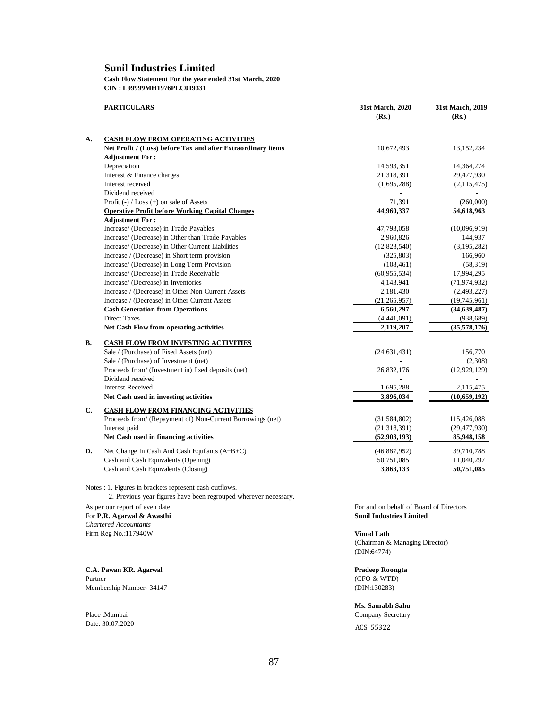#### **Cash Flow Statement For the year ended 31st March, 2020 CIN : L99999MH1976PLC019331**

|    | <b>PARTICULARS</b>                                           | 31st March, 2020<br>(Rs.) | 31st March, 2019<br>(Rs.) |
|----|--------------------------------------------------------------|---------------------------|---------------------------|
| A. | <b>CASH FLOW FROM OPERATING ACTIVITIES</b>                   |                           |                           |
|    | Net Profit / (Loss) before Tax and after Extraordinary items | 10,672,493                | 13, 152, 234              |
|    | <b>Adjustment For:</b>                                       |                           |                           |
|    | Depreciation                                                 | 14,593,351                | 14,364,274                |
|    | Interest & Finance charges                                   | 21,318,391                | 29,477,930                |
|    | Interest received                                            | (1,695,288)               | (2, 115, 475)             |
|    | Dividend received                                            |                           |                           |
|    | Profit $(-)$ / Loss $(+)$ on sale of Assets                  | 71,391                    | (260,000)                 |
|    | <b>Operative Profit before Working Capital Changes</b>       | 44,960,337                | 54,618,963                |
|    | <b>Adjustment For:</b>                                       |                           |                           |
|    | Increase/ (Decrease) in Trade Payables                       | 47,793,058                | (10,096,919)              |
|    | Increase/ (Decrease) in Other than Trade Payables            | 2,960,826                 | 144,937                   |
|    | Increase/ (Decrease) in Other Current Liabilities            | (12,823,540)              | (3, 195, 282)             |
|    | Increase / (Decrease) in Short term provision                | (325, 803)                | 166,960                   |
|    | Increase/ (Decrease) in Long Term Provision                  | (108, 461)                | (58, 319)                 |
|    | Increase/ (Decrease) in Trade Receivable                     | (60, 955, 534)            | 17,994,295                |
|    | Increase/ (Decrease) in Inventories                          | 4,143,941                 | (71, 974, 932)            |
|    | Increase / (Decrease) in Other Non Current Assets            | 2,181,430                 | (2,493,227)               |
|    | Increase / (Decrease) in Other Current Assets                | (21, 265, 957)            | (19,745,961)              |
|    | <b>Cash Generation from Operations</b>                       | 6,560,297                 | (34, 639, 487)            |
|    | Direct Taxes                                                 | (4,441,091)               | (938, 689)                |
|    | Net Cash Flow from operating activities                      | 2,119,207                 | (35,578,176)              |
| В. | <b>CASH FLOW FROM INVESTING ACTIVITIES</b>                   |                           |                           |
|    | Sale / (Purchase) of Fixed Assets (net)                      | (24, 631, 431)            | 156,770                   |
|    | Sale / (Purchase) of Investment (net)                        |                           | (2,308)                   |
|    | Proceeds from/ (Investment in) fixed deposits (net)          | 26,832,176                | (12, 929, 129)            |
|    | Dividend received                                            |                           |                           |
|    | <b>Interest Received</b>                                     | 1,695,288                 | 2,115,475                 |
|    | Net Cash used in investing activities                        | 3,896,034                 | (10, 659, 192)            |
| C. | <b>CASH FLOW FROM FINANCING ACTIVITIES</b>                   |                           |                           |
|    | Proceeds from/ (Repayment of) Non-Current Borrowings (net)   | (31, 584, 802)            | 115,426,088               |
|    | Interest paid                                                | (21, 318, 391)            | (29, 477, 930)            |
|    | Net Cash used in financing activities                        | (52, 903, 193)            | 85,948,158                |
| D. | Net Change In Cash And Cash Equilants (A+B+C)                | (46, 887, 952)            | 39,710,788                |
|    | Cash and Cash Equivalents (Opening)                          | 50,751,085                | 11,040,297                |
|    | Cash and Cash Equivalents (Closing)                          | 3,863,133                 | 50,751,085                |
|    |                                                              |                           |                           |

Notes : 1. Figures in brackets represent cash outflows.

2. Previous year figures have been regrouped wherever necessary.

For **P.R. Agarwal & Awasthi Sunil Industries Limited** *Chartered Accountants* Firm Reg No.:117940W **Vinod Lath**

**C.A. Pawan KR. Agarwal Pradeep Roongta** Partner (CFO & WTD) Membership Number- 34147 (DIN:130283)

Place :Mumbai Company Secretary Date: 30.07.2020 ACS: 55322

As per our report of even date For and on behalf of Board of Directors

(Chairman & Managing Director) (DIN:64774)

# **Ms. Saurabh Sahu**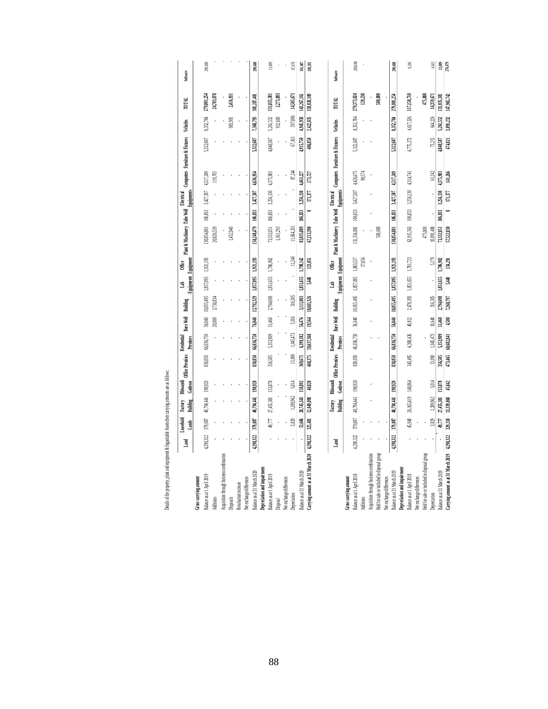|                                               | Land      | Leaschold<br>Lands | Building<br>Factory | Bhiwandi<br>Godown | Office Premises | Residential<br>Premises | <b>Bore Well</b> | Building   | Equipments Equipment<br>â | <b>Office</b> | Plant & Machinery Tube Well |         | <b>Equipments</b><br>Electrical | Computers Furniture & Fixtures |           | <b>Vehicles</b> | TOTAL       | <b>Software</b>   |
|-----------------------------------------------|-----------|--------------------|---------------------|--------------------|-----------------|-------------------------|------------------|------------|---------------------------|---------------|-----------------------------|---------|---------------------------------|--------------------------------|-----------|-----------------|-------------|-------------------|
| Gross carrying amount                         |           |                    |                     |                    |                 |                         |                  |            |                           |               |                             |         |                                 |                                |           |                 |             |                   |
| Balance as at 1 April 2019                    | 4,290,322 | 379,087            | 40,794,441          | 198,920            | 830,050         | 66,036,750              | 56.040           | 10,055,495 | 1,857,095                 | 1,921,193     | 130,854,881                 | 106.833 | 3,427,507                       | 4,517249                       | 5,322,607 | 8,352,784       | 279,001.254 | 290,688           |
| Additions                                     |           |                    |                     |                    |                 |                         | 20,000           | 3,736,834  |                           |               | 20,826,539                  |         |                                 | 119,705                        |           |                 | 24,703,078  |                   |
| Acquisition through business combination      |           |                    |                     |                    |                 |                         |                  |            |                           |               |                             |         |                                 |                                |           |                 |             |                   |
| Disposals                                     |           |                    |                     |                    |                 |                         |                  |            |                           |               | 432,940                     |         |                                 |                                |           | 983.991         | 2,416,931   |                   |
| Revaluation increase                          |           |                    |                     |                    |                 |                         |                  |            |                           |               |                             |         |                                 |                                |           |                 |             |                   |
| Net exchange differences                      |           |                    |                     |                    |                 |                         |                  |            |                           |               |                             |         |                                 |                                |           |                 |             |                   |
| Balance as at 31 March 2020                   | 4,290,322 | 379,087            | 40.794.441          | 198,920            | 830,050         | 66,036,750              | 76.040           | 13,792,329 | 1857,095                  | 1,921,193     | 150,248,479                 | 106,833 | 3,427,507                       | 4,636954                       | 5,322,607 | 7,368,793       | 301,287,401 | 290,688           |
| Depreciation and impairment                   |           |                    |                     |                    |                 |                         |                  |            |                           |               |                             |         |                                 |                                |           |                 |             |                   |
| Balance as at 1 April 2019                    |           | 49,777             | 27,455,381          | 153,878            | 356,585         | 5,353,909               | 51,460           | 2,794,698  | 1,851,655                 | 1,786,902     | 73,332,051                  | 106,833 | 3,256,130                       | 4,375,983                      | 4,848,587 | 5,261,552       | 131,035,381 | 13809             |
| Disposal                                      |           |                    |                     |                    |                 |                         |                  |            |                           |               | 1,361,293                   |         |                                 |                                |           | 912,600         | 2,273,893   |                   |
| Net exchange differences                      |           |                    |                     |                    |                 |                         |                  |            |                           |               |                             |         |                                 |                                |           |                 |             |                   |
| Depreciation                                  |           | 3,829              | 1,289,962           | 5,014              | 13.090          | 1.045.473               | 5.016            | 316.305    |                           | 11.240        | 11,064.331                  |         |                                 | 87,244                         | 67.163    | 597,006         | 14505,673   | 87,678            |
| Balance as at 31 March 2020                   |           | 53,606             | 28,745,343          | 158,892            | 369,675         | 6,399,382               | 56,476           | 3,111,003  | 1,851,655                 | 1,798,142     | 83,035,089                  | 106,833 | 3,256,130                       | 4,463,227                      | 4,915,750 | 4,945,958       | 143,267,161 | 101,487           |
| Carrying amount as at 31 March 2020 4,290,322 |           | 325,481            | 12,049,098          | 40,028             | 460,375         | 59,637,368              | 19,564           | 10,681,326 | 5,40                      | 123,051       | 67,213,390                  |         | 171,377                         | 173,727                        | 406,858   | 2,422,835       | 158,020,109 | 189,201           |
|                                               |           |                    |                     |                    |                 |                         |                  |            |                           |               |                             |         |                                 |                                |           |                 |             |                   |
|                                               | Land      |                    | Building<br>Factory | Bhiwandi<br>Godown | Office Premises | Residential<br>Premises | <b>Bore Well</b> | i Building | Equipments Equipment<br>Ē | Office        | Plant & Machinery Tube Well |         | Equipments<br>Electrical        | Computers Furniture & Fixtures |           | Vehicles        | TOTAL       | <b>Software</b>   |
| Gross carrying amount                         |           |                    |                     |                    |                 |                         |                  |            |                           |               |                             |         |                                 |                                |           |                 |             |                   |
| Balance as at 1 April 2018                    | 4,290,322 | 379,087            | 40,794,441          | 198,920            | 830,050         | 66,036,750              | 56,040           | 10,055,495 | 1,857,095                 | 1,883,537     | 131,354,881                 | 106,833 | 3,427,507                       | 4,426,675                      | 5,322,607 | 8,352,784       | 279,373,024 | 290,688           |
| Additions                                     |           |                    |                     |                    |                 |                         |                  |            |                           | 37,656        |                             |         |                                 | 90,574                         |           |                 | 128,230     |                   |
| Acquisition through business combination      |           |                    |                     |                    |                 |                         |                  |            |                           |               |                             |         |                                 |                                |           |                 |             |                   |
| Held for sale or included in disposal group   |           |                    |                     |                    |                 |                         |                  |            |                           |               | $500,000$                   |         |                                 |                                |           |                 | 500,000     |                   |
| Net exchange differences                      |           |                    |                     |                    |                 |                         |                  |            |                           |               |                             |         |                                 |                                |           |                 |             |                   |
| Balance as at 31 March 2019                   | 4,290,322 | 379,087            | 40,794,441          | 198,920            | 830,050         | 66,036,750              | 56.040           | 10,055.495 | 1,857,095                 | 1.921.193     | 130,854,881                 | 106833  | 3,427,507                       | 4,517.249                      | 5,322,607 | 8,352,784       | 279,001,254 | 290,688           |
| Depreciation and impairment                   |           |                    |                     |                    |                 |                         |                  |            |                           |               |                             |         |                                 |                                |           |                 |             |                   |
| Balance as at 1 April 2018                    |           | 45,948             | 26,165,419          | 148,864            | 343,495         | 4,308,436               | 40,812           | 2,478,393  | 1,851,655                 | 1,781,723     | 62,915,563                  | 106,833 | 3,256,130                       | 4,314,741                      | 4,775,372 | 4,617,326       | 117,150,710 | 9206              |
| Net exchange differences                      |           |                    |                     |                    |                 |                         |                  |            |                           |               |                             |         |                                 |                                |           |                 |             |                   |
| Held for sale or included in disposal group   |           |                    |                     |                    |                 |                         |                  |            |                           |               | 475,000                     |         |                                 |                                |           |                 | 475,000     |                   |
| Depreciation                                  |           | 3,829              | 1,289,962           | 5,014              | 13.090          | 1,045,473               | 10,648           | 316,305    |                           | 5.179         | 10,891,488                  |         |                                 | 61242                          | 73,215    | 644.226         | 14,359,671  | $4,603$           |
| Balance as at 31 March 2019                   |           | 49.777             | 27,455.381          | 153,878            | 356,585         | 5,353909                | 51.460           | 2,794,698  | 1851.655                  | 1.786.902     | 73,332.051                  | 106833  | 3.256.130                       | 4375.983                       | 1,848,587 | 5.261.552       | 131.035.381 | 13,809<br>276,879 |
| Carrying amount as at 31 March 2019 4,290,322 |           |                    | 329,310 13,339,060  | 45,042             | 473,465         | 60,682,841              | 4,580            | 7,260,797  | 5,440                     | 134,291       | 57,522,830                  |         | $171,377$                       | 141,266                        | 474,021   | 3,091,232       | 147,965,742 |                   |

aunts are as follows: property, plant and equipment & Ingantiable Assets their carrying amounts are as follows: **Scott** tiahh J  $min$  of  $k$   $log$ Details of the property, plant and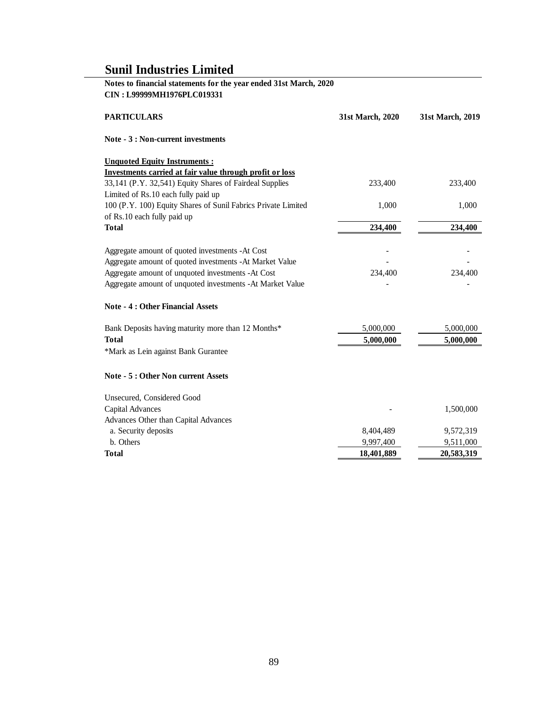# **Notes to financial statements for the year ended 31st March, 2020 CIN : L99999MH1976PLC019331**

| <b>PARTICULARS</b>                                                                                                  | 31st March, 2020 | 31st March, 2019 |
|---------------------------------------------------------------------------------------------------------------------|------------------|------------------|
| Note - 3 : Non-current investments                                                                                  |                  |                  |
| <b>Unquoted Equity Instruments:</b>                                                                                 |                  |                  |
| Investments carried at fair value through profit or loss<br>33,141 (P.Y. 32,541) Equity Shares of Fairdeal Supplies | 233,400          | 233,400          |
| Limited of Rs.10 each fully paid up                                                                                 |                  |                  |
| 100 (P.Y. 100) Equity Shares of Sunil Fabrics Private Limited                                                       | 1,000            | 1,000            |
| of Rs.10 each fully paid up                                                                                         |                  |                  |
| <b>Total</b>                                                                                                        | 234,400          | 234,400          |
| Aggregate amount of quoted investments -At Cost                                                                     |                  |                  |
| Aggregate amount of quoted investments -At Market Value                                                             |                  |                  |
| Aggregate amount of unquoted investments -At Cost                                                                   | 234,400          | 234,400          |
| Aggregate amount of unquoted investments - At Market Value                                                          |                  |                  |
| <b>Note - 4 : Other Financial Assets</b>                                                                            |                  |                  |
| Bank Deposits having maturity more than 12 Months*                                                                  | 5,000,000        | 5,000,000        |
| <b>Total</b>                                                                                                        | 5,000,000        | 5,000,000        |
| *Mark as Lein against Bank Gurantee                                                                                 |                  |                  |
| Note - 5 : Other Non current Assets                                                                                 |                  |                  |
| Unsecured, Considered Good                                                                                          |                  |                  |
| Capital Advances                                                                                                    |                  | 1,500,000        |
| Advances Other than Capital Advances                                                                                |                  |                  |
| a. Security deposits                                                                                                | 8,404,489        | 9,572,319        |
| b. Others                                                                                                           | 9,997,400        | 9,511,000        |
| Total                                                                                                               | 18,401,889       | 20,583,319       |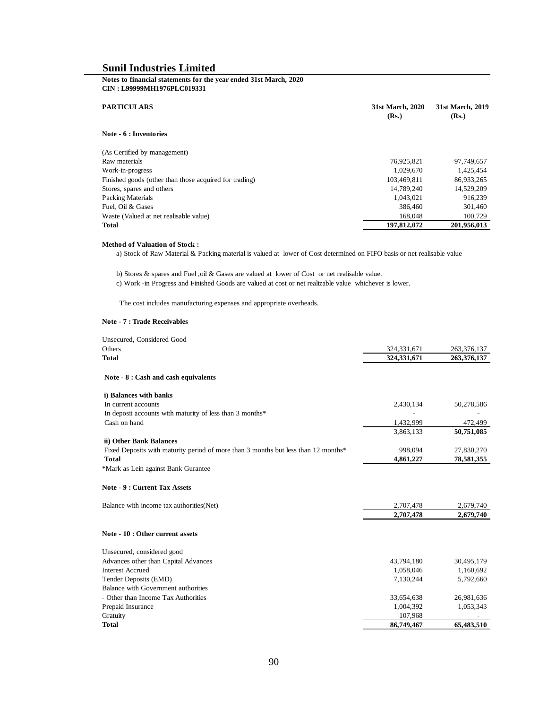### **Notes to financial statements for the year ended 31st March, 2020 CIN : L99999MH1976PLC019331**

| <b>PARTICULARS</b>                                     | 31st March, 2020<br>(Rs.) | 31st March, 2019<br>(Rs.) |
|--------------------------------------------------------|---------------------------|---------------------------|
| Note - 6 : Inventories                                 |                           |                           |
| (As Certified by management)                           |                           |                           |
| Raw materials                                          | 76,925,821                | 97,749,657                |
| Work-in-progress                                       | 1,029,670                 | 1,425,454                 |
| Finished goods (other than those acquired for trading) | 103.469.811               | 86,933,265                |
| Stores, spares and others                              | 14,789,240                | 14,529,209                |
| <b>Packing Materials</b>                               | 1,043,021                 | 916,239                   |
| Fuel, Oil & Gases                                      | 386,460                   | 301,460                   |
| Waste (Valued at net realisable value)                 | 168,048                   | 100.729                   |
| <b>Total</b>                                           | 197,812,072               | 201,956,013               |

#### **Method of Valuation of Stock :**

a) Stock of Raw Material & Packing material is valued at lower of Cost determined on FIFO basis or net realisable value

b) Stores & spares and Fuel ,oil & Gases are valued at lower of Cost or net realisable value.

c) Work -in Progress and Finished Goods are valued at cost or net realizable value whichever is lower.

The cost includes manufacturing expenses and appropriate overheads.

#### **Note - 7 : Trade Receivables**

| Unsecured, Considered Good                                                         |               |               |
|------------------------------------------------------------------------------------|---------------|---------------|
| Others                                                                             | 324, 331, 671 | 263, 376, 137 |
| Total                                                                              | 324,331,671   | 263,376,137   |
| Note - 8 : Cash and cash equivalents                                               |               |               |
| i) Balances with banks                                                             |               |               |
| In current accounts                                                                | 2,430,134     | 50,278,586    |
| In deposit accounts with maturity of less than 3 months*                           |               |               |
| Cash on hand                                                                       | 1,432,999     | 472,499       |
|                                                                                    | 3,863,133     | 50,751,085    |
| ii) Other Bank Balances                                                            |               |               |
| Fixed Deposits with maturity period of more than 3 months but less than 12 months* | 998,094       | 27,830,270    |
| <b>Total</b>                                                                       | 4,861,227     | 78,581,355    |
| *Mark as Lein against Bank Gurantee                                                |               |               |
| <b>Note - 9 : Current Tax Assets</b>                                               |               |               |
| Balance with income tax authorities (Net)                                          | 2,707,478     | 2,679,740     |
|                                                                                    | 2,707,478     | 2,679,740     |
| Note - 10 : Other current assets                                                   |               |               |
| Unsecured, considered good                                                         |               |               |
| Advances other than Capital Advances                                               | 43,794,180    | 30,495,179    |
| <b>Interest Accrued</b>                                                            | 1,058,046     | 1,160,692     |
| Tender Deposits (EMD)                                                              | 7,130,244     | 5,792,660     |
| <b>Balance with Government authorities</b>                                         |               |               |
| - Other than Income Tax Authorities                                                | 33,654,638    | 26,981,636    |
| Prepaid Insurance                                                                  | 1,004,392     | 1,053,343     |
| Gratuity                                                                           | 107,968       |               |
| Total                                                                              | 86,749,467    | 65,483,510    |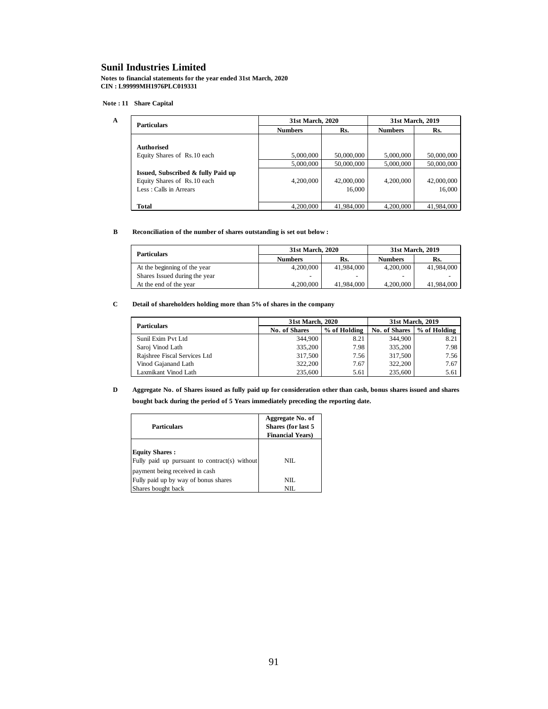**Notes to financial statements for the year ended 31st March, 2020 CIN : L99999MH1976PLC019331**

#### **Note : 11 Share Capital**

**A**

| <b>Particulars</b>                 | 31st March, 2020 |            |                | 31st March, 2019 |  |
|------------------------------------|------------------|------------|----------------|------------------|--|
|                                    | <b>Numbers</b>   | Rs.        | <b>Numbers</b> | Rs.              |  |
|                                    |                  |            |                |                  |  |
| Authorised                         |                  |            |                |                  |  |
| Equity Shares of Rs.10 each        | 5,000,000        | 50,000,000 | 5,000,000      | 50,000,000       |  |
|                                    | 5,000,000        | 50,000,000 | 5,000,000      | 50,000,000       |  |
| Issued, Subscribed & fully Paid up |                  |            |                |                  |  |
| Equity Shares of Rs.10 each        | 4,200,000        | 42,000,000 | 4,200,000      | 42,000,000       |  |
| Less: Calls in Arrears             |                  | 16.000     |                | 16,000           |  |
|                                    |                  |            |                |                  |  |
| Total                              | 4.200,000        | 41.984.000 | 4,200,000      | 41,984,000       |  |

#### **B Reconciliation of the number of shares outstanding is set out below :**

| <b>Particulars</b>            | 31st March, 2020 |            |                | 31st March, 2019 |
|-------------------------------|------------------|------------|----------------|------------------|
|                               | <b>Numbers</b>   | Rs.        | <b>Numbers</b> | Rs.              |
| At the beginning of the year  | 4,200,000        | 41,984,000 | 4,200,000      | 41,984,000       |
| Shares Issued during the year |                  |            |                |                  |
| At the end of the year        | 4,200,000        | 41,984,000 | 4,200,000      | 41,984,000       |

#### **C Detail of shareholders holding more than 5% of shares in the company**

|                              | 31st March, 2020 |              |               | 31st March, 2019 |
|------------------------------|------------------|--------------|---------------|------------------|
| <b>Particulars</b>           | No. of Shares    | % of Holding | No. of Shares | % of Holding     |
| Sunil Exim Pvt Ltd           | 344,900          | 8.21         | 344,900       | 8.21             |
| Saroj Vinod Lath             | 335,200          | 7.98         | 335,200       | 7.98             |
| Rajshree Fiscal Services Ltd | 317,500          | 7.56         | 317.500       | 7.56             |
| Vinod Gajanand Lath          | 322,200          | 7.67         | 322,200       | 7.67             |
| Laxmikant Vinod Lath         | 235,600          | 5.61         | 235,600       | 5.61             |

#### **D Aggregate No. of Shares issued as fully paid up for consideration other than cash, bonus shares issued and shares bought back during the period of 5 Years immediately preceding the reporting date.**

| Particulars                                                                                              | Aggregate No. of<br>Shares (for last 5<br><b>Financial Years</b> ) |
|----------------------------------------------------------------------------------------------------------|--------------------------------------------------------------------|
| <b>Equity Shares:</b><br>Fully paid up pursuant to contract(s) without<br>payment being received in cash | NIL.                                                               |
| Fully paid up by way of bonus shares                                                                     | NIL.                                                               |
| Shares bought back                                                                                       | NIL.                                                               |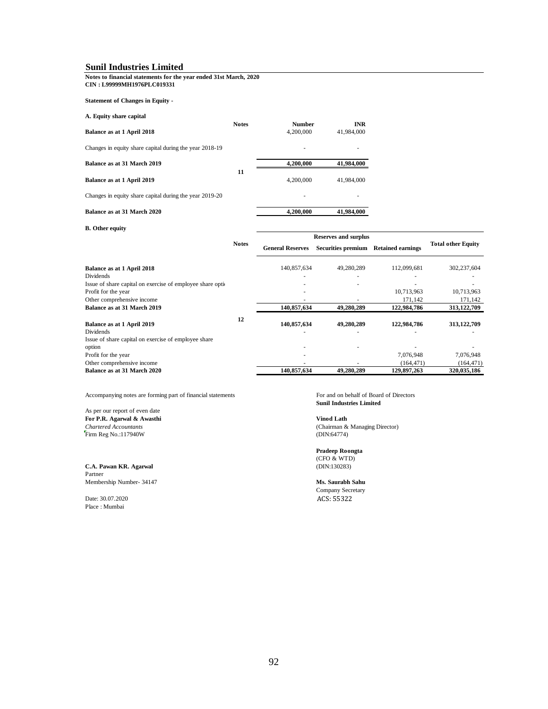#### **Notes to financial statements for the year ended 31st March, 2020 CIN : L99999MH1976PLC019331**

**Statement of Changes in Equity -**

| A. Equity share capital |  |  |
|-------------------------|--|--|
|-------------------------|--|--|

|                                                         | <b>Notes</b> | <b>Number</b> | <b>INR</b> |
|---------------------------------------------------------|--------------|---------------|------------|
| Balance as at 1 April 2018                              |              | 4,200,000     | 41,984,000 |
| Changes in equity share capital during the year 2018-19 |              | ۰             | ۰          |
| Balance as at 31 March 2019                             |              | 4,200,000     | 41,984,000 |
|                                                         | 11           | 4,200,000     | 41,984,000 |
| Balance as at 1 April 2019                              |              |               |            |
| Changes in equity share capital during the year 2019-20 |              | ۰             | ٠          |
| Balance as at 31 March 2020                             |              | 4,200,000     | 41,984,000 |

# **B. Other equity**

|                                                            |              | <b>Reserves and surplus</b> |                           |                          |                           |
|------------------------------------------------------------|--------------|-----------------------------|---------------------------|--------------------------|---------------------------|
|                                                            | <b>Notes</b> | <b>General Reserves</b>     | <b>Securities premium</b> | <b>Retained earnings</b> | <b>Total other Equity</b> |
| Balance as at 1 April 2018                                 |              | 140,857,634                 | 49.280.289                | 112,099,681              | 302,237,604               |
| <b>Dividends</b>                                           |              |                             |                           |                          |                           |
| Issue of share capital on exercise of employee share opti- |              |                             |                           |                          |                           |
| Profit for the year                                        |              |                             |                           | 10,713,963               | 10,713,963                |
| Other comprehensive income                                 |              |                             |                           | 171,142                  | 171,142                   |
| Balance as at 31 March 2019                                |              | 140,857,634                 | 49,280,289                | 122,984,786              | 313, 122, 709             |
| Balance as at 1 April 2019                                 | 12           | 140.857.634                 | 49,280,289                | 122,984,786              | 313,122,709               |
| <b>Dividends</b>                                           |              |                             |                           |                          |                           |
| Issue of share capital on exercise of employee share       |              |                             |                           |                          |                           |
| option                                                     |              |                             |                           |                          |                           |
| Profit for the year                                        |              |                             |                           | 7,076,948                | 7,076,948                 |
| Other comprehensive income                                 |              |                             |                           | (164, 471)               | (164, 471)                |
| Balance as at 31 March 2020                                |              | 140,857,634                 | 49.280.289                | 129,897,263              | 320,035,186               |

Accompanying notes are forming part of financial statements For and on behalf of Board of Directors

# As per our report of even date **For P.R. Agarwal & Awasthi Vinod Lath** Firm Reg No.:117940W

**C.A. Pawan KR. Agarwal** Partner Membership Number- 34147 **Ms. Saurabh Sahu**

Date: 30.07.2020 Place : Mumbai

**Sunil Industries Limited**

*(Chairman & Managing Director)*<br>*(DIN:64774)* 

**Pradeep Roongta**  $(CFO & WTD)$ <br>(DIN:130283)

Company Secretary ACS: 55322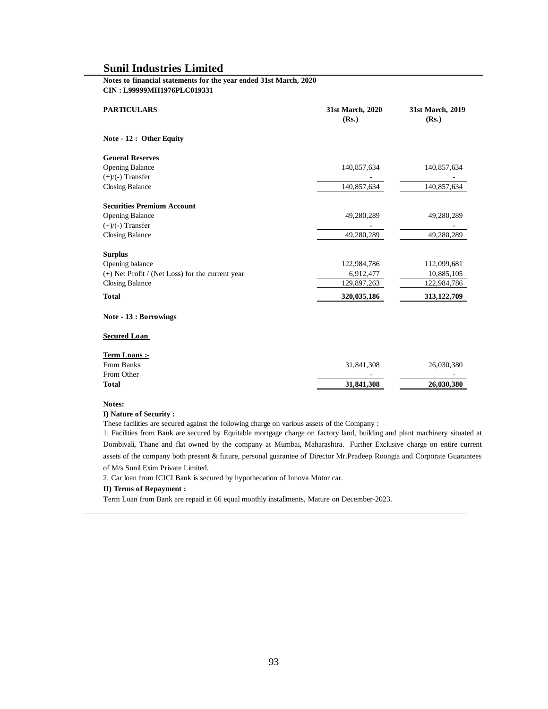#### **Notes to financial statements for the year ended 31st March, 2020 CIN : L99999MH1976PLC019331**

| <b>PARTICULARS</b>                                              | 31st March, 2020<br>(Rs.) | 31st March, 2019<br>(Rs.) |
|-----------------------------------------------------------------|---------------------------|---------------------------|
| Note - 12 : Other Equity                                        |                           |                           |
| <b>General Reserves</b>                                         |                           |                           |
| <b>Opening Balance</b>                                          | 140,857,634               | 140,857,634               |
| $(+)/(-)$ Transfer                                              |                           |                           |
| <b>Closing Balance</b>                                          | 140,857,634               | 140,857,634               |
| <b>Securities Premium Account</b>                               |                           |                           |
| <b>Opening Balance</b>                                          | 49,280,289                | 49,280,289                |
| $(+)/(-)$ Transfer                                              |                           |                           |
| <b>Closing Balance</b>                                          | 49,280,289                | 49,280,289                |
| <b>Surplus</b>                                                  |                           |                           |
| Opening balance                                                 | 122,984,786               | 112,099,681               |
| (+) Net Profit / (Net Loss) for the current year                | 6,912,477                 | 10,885,105                |
| <b>Closing Balance</b>                                          | 129,897,263               | 122,984,786               |
| <b>Total</b>                                                    | 320,035,186               | 313, 122, 709             |
| Note - 13 : Borrowings                                          |                           |                           |
| <b>Secured Loan</b>                                             |                           |                           |
| Term Loans :-<br>$\mathbf{D}$ and $\mathbf{D}$ and $\mathbf{D}$ | 21.011.200                | 20.020                    |

| <b>Total</b> | 31,841,308 | 26,030,380 |
|--------------|------------|------------|
| From Other   | -          | -          |
| From Banks   | 31,841,308 | 26,030,380 |
|              |            |            |

#### **Notes:**

#### **I) Nature of Security :**

These facilities are secured against the following charge on various assets of the Company :

1. Facilities from Bank are secured by Equitable mortgage charge on factory land, building and plant machinery situated at Dombivali, Thane and flat owned by the company at Mumbai, Maharashtra. Further Exclusive charge on entire current assets of the company both present & future, personal guarantee of Director Mr.Pradeep Roongta and Corporate Guarantees of M/s Sunil Exim Private Limited.

2. Car loan from ICICI Bank is secured by hypothecation of Innova Motor car.

#### **II) Terms of Repayment :**

Term Loan from Bank are repaid in 66 equal monthly installments, Mature on December-2023.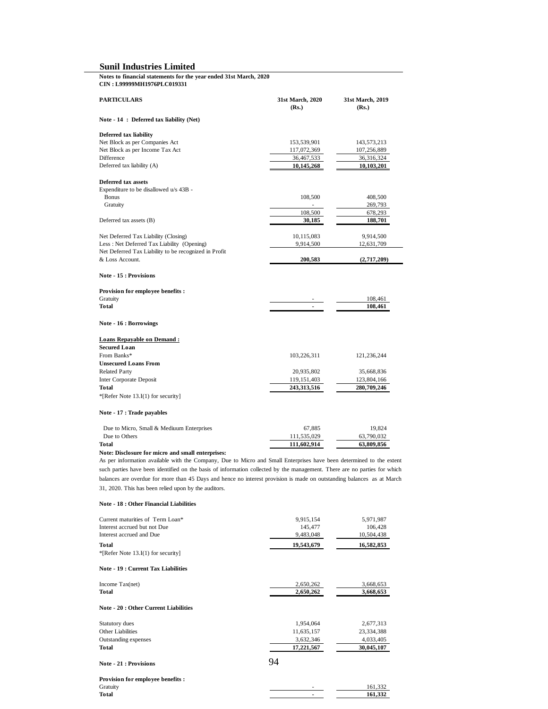**Notes to financial statements for the year ended 31st March, 2020 CIN : L99999MH1976PLC019331**

| <b>PARTICULARS</b>                                    | 31st March, 2020<br>(Rs.) | 31st March, 2019<br>(Rs.) |
|-------------------------------------------------------|---------------------------|---------------------------|
| Note - 14 : Deferred tax liability (Net)              |                           |                           |
| Deferred tax liability                                |                           |                           |
| Net Block as per Companies Act                        | 153,539,901               | 143,573,213               |
| Net Block as per Income Tax Act                       | 117,072,369               | 107,256,889               |
| Difference                                            | 36,467,533                | 36,316,324                |
| Deferred tax liability (A)                            | 10,145,268                | 10,103,201                |
| Deferred tax assets                                   |                           |                           |
| Expenditure to be disallowed u/s 43B -                |                           |                           |
| <b>Bonus</b>                                          | 108,500                   | 408,500                   |
| Gratuity                                              |                           | 269,793                   |
|                                                       | 108,500                   | 678,293                   |
| Deferred tax assets (B)                               | 30,185                    | 188,701                   |
| Net Deferred Tax Liability (Closing)                  | 10,115,083                | 9,914,500                 |
| Less : Net Deferred Tax Liability (Opening)           | 9,914,500                 | 12,631,709                |
| Net Deferred Tax Liability to be recognized in Profit |                           |                           |
| & Loss Account.                                       | 200,583                   | (2,717,209)               |
| Note - 15 : Provisions                                |                           |                           |
| Provision for employee benefits:                      |                           |                           |
| Gratuity                                              |                           | 108,461                   |
| <b>Total</b>                                          | $\blacksquare$            | 108,461                   |
| Note - 16 : Borrowings                                |                           |                           |
| <b>Loans Repayable on Demand:</b>                     |                           |                           |
| <b>Secured Loan</b>                                   |                           |                           |
| From Banks*                                           | 103,226,311               | 121,236,244               |
| <b>Unsecured Loans From</b>                           |                           |                           |
| <b>Related Party</b>                                  | 20,935,802                | 35,668,836                |
| <b>Inter Corporate Deposit</b>                        | 119, 151, 403             | 123,804,166               |
| Total                                                 | 243,313,516               | 280,709,246               |
| *[Refer Note 13.I(1) for security]                    |                           |                           |
| Note - 17 : Trade payables                            |                           |                           |
| Due to Micro, Small & Mediuum Enterprises             | 67,885                    | 19,824                    |
| Due to Others                                         | 111,535,029               | 63,790,032                |
| Total                                                 | 111,602,914               | 63,809,856                |

**Note: Disclosure for micro and small enterprises:**

As per information available with the Company, Due to Micro and Small Enterprises have been determined to the extent such parties have been identified on the basis of information collected by the management. There are no parties for which balances are overdue for more than 45 Days and hence no interest provision is made on outstanding balances as at March 31, 2020. This has been relied upon by the auditors.

#### **Note - 18 : Other Financial Liabilities**

**Total**

| Current maturities of Term Loan*             | 9,915,154  | 5,971,987  |
|----------------------------------------------|------------|------------|
| Interest accrued but not Due                 | 145,477    | 106,428    |
| Interest accrued and Due                     | 9,483,048  | 10,504,438 |
| <b>Total</b>                                 | 19,543,679 | 16,582,853 |
| *[Refer Note 13.I(1) for security]           |            |            |
| <b>Note - 19: Current Tax Liabilities</b>    |            |            |
| Income $Tax(net)$                            | 2,650,262  | 3,668,653  |
| <b>Total</b>                                 | 2,650,262  | 3,668,653  |
| <b>Note - 20 : Other Current Liabilities</b> |            |            |
| Statutory dues                               | 1,954,064  | 2,677,313  |
| <b>Other Liabilities</b>                     | 11,635,157 | 23,334,388 |
| Outstanding expenses                         | 3,632,346  | 4,033,405  |
| <b>Total</b>                                 | 17,221,567 | 30,045,107 |
| <b>Note - 21 : Provisions</b>                | 94         |            |
| Provision for employee benefits:             |            |            |

Gratuity **161,332** 

 **- 161,332**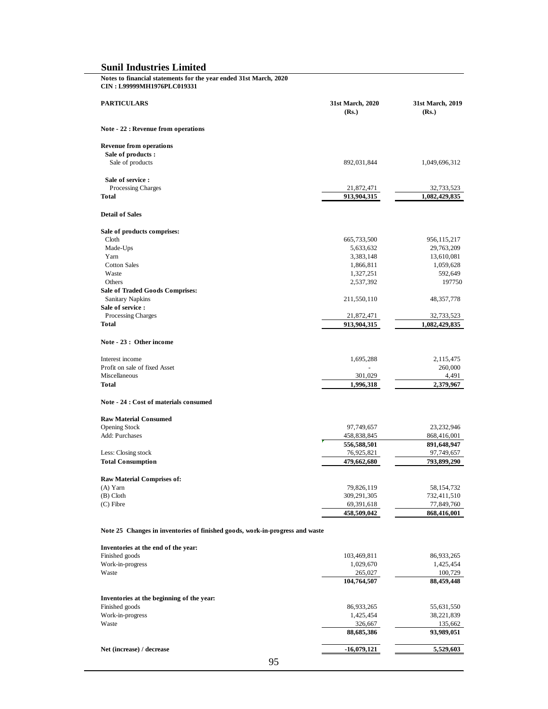| Notes to financial statements for the year ended 31st March, 2020<br>CIN: L99999MH1976PLC019331 |                           |                           |
|-------------------------------------------------------------------------------------------------|---------------------------|---------------------------|
| <b>PARTICULARS</b>                                                                              | 31st March, 2020<br>(Rs.) | 31st March, 2019<br>(Rs.) |
| Note - 22 : Revenue from operations                                                             |                           |                           |
| <b>Revenue from operations</b>                                                                  |                           |                           |
| Sale of products:<br>Sale of products                                                           | 892,031,844               | 1,049,696,312             |
|                                                                                                 |                           |                           |
| Sale of service:<br>Processing Charges                                                          | 21,872,471                | 32,733,523                |
| <b>Total</b>                                                                                    | 913,904,315               | 1,082,429,835             |
| <b>Detail of Sales</b>                                                                          |                           |                           |
| Sale of products comprises:                                                                     |                           |                           |
| Cloth                                                                                           | 665,733,500               | 956,115,217               |
| Made-Ups                                                                                        | 5,633,632                 | 29,763,209                |
| Yarn                                                                                            | 3,383,148                 | 13,610,081                |
| <b>Cotton Sales</b>                                                                             | 1,866,811                 | 1,059,628                 |
| Waste<br>Others                                                                                 | 1,327,251                 | 592,649<br>197750         |
| <b>Sale of Traded Goods Comprises:</b>                                                          | 2,537,392                 |                           |
| <b>Sanitary Napkins</b>                                                                         | 211,550,110               | 48, 357, 778              |
| Sale of service :                                                                               |                           |                           |
| Processing Charges                                                                              | 21,872,471                | 32,733,523                |
| Total                                                                                           | 913,904,315               | 1,082,429,835             |
| Note - 23 : Other income                                                                        |                           |                           |
| Interest income                                                                                 |                           |                           |
| Profit on sale of fixed Asset                                                                   | 1,695,288                 | 2,115,475<br>260,000      |
| Miscellaneous                                                                                   | 301,029                   | 4,491                     |
| Total                                                                                           | 1,996,318                 | 2,379,967                 |
| Note - 24 : Cost of materials consumed                                                          |                           |                           |
| <b>Raw Material Consumed</b>                                                                    |                           |                           |
| <b>Opening Stock</b>                                                                            | 97,749,657                | 23, 232, 946              |
| Add: Purchases                                                                                  | 458,838,845               | 868,416,001               |
|                                                                                                 | 556,588,501               | 891,648,947               |
| Less: Closing stock                                                                             | 76,925,821                | 97,749,657                |
| <b>Total Consumption</b>                                                                        | 479,662,680               | 793,899,290               |
| Raw Material Comprises of:                                                                      |                           |                           |
| $(A)$ Yarn                                                                                      | 79,826,119                | 58, 154, 732              |
| $(B)$ Cloth                                                                                     | 309,291,305               | 732,411,510               |
| $(C)$ Fibre                                                                                     | 69,391,618                | 77,849,760                |
|                                                                                                 | 458,509,042               | 868,416,001               |
| Note 25 Changes in inventories of finished goods, work-in-progress and waste                    |                           |                           |
| Inventories at the end of the year:                                                             |                           |                           |
| Finished goods                                                                                  | 103,469,811               | 86,933,265                |
| Work-in-progress                                                                                | 1,029,670                 | 1,425,454                 |
| Waste                                                                                           | 265,027<br>104,764,507    | 100,729<br>88,459,448     |
|                                                                                                 |                           |                           |
| Inventories at the beginning of the year:                                                       |                           |                           |
| Finished goods                                                                                  | 86,933,265                | 55,631,550                |
| Work-in-progress                                                                                | 1,425,454                 | 38,221,839                |
| Waste                                                                                           | 326,667                   | 135,662                   |
|                                                                                                 | 88,685,386                | 93,989,051                |
| Net (increase) / decrease                                                                       | $-16,079,121$             | 5,529,603                 |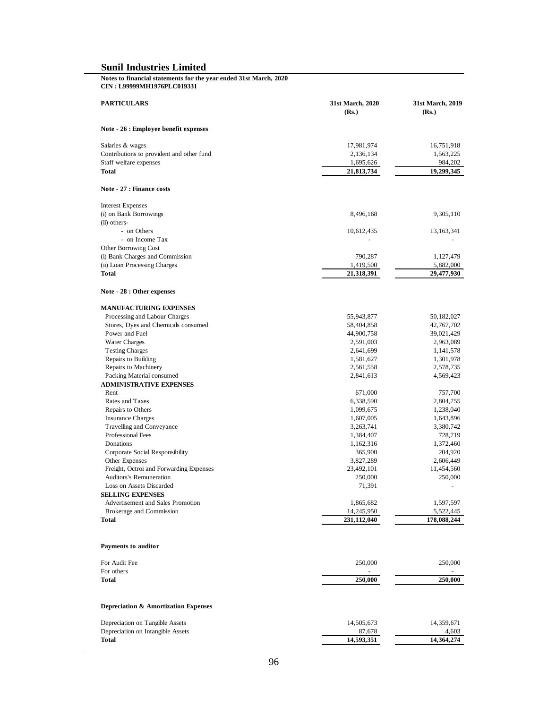#### **Notes to financial statements for the year ended 31st March, 2020 CIN : L99999MH1976PLC019331**

| <b>PARTICULARS</b>                        | 31st March, 2020<br>(Rs.) | 31st March, 2019<br>(Rs.) |
|-------------------------------------------|---------------------------|---------------------------|
| Note - 26 : Employee benefit expenses     |                           |                           |
| Salaries & wages                          | 17,981,974                | 16,751,918                |
| Contributions to provident and other fund | 2,136,134                 | 1,563,225                 |
| Staff welfare expenses                    | 1,695,626                 | 984,202                   |
| <b>Total</b>                              | 21,813,734                | 19,299,345                |
| Note - 27 : Finance costs                 |                           |                           |
| <b>Interest Expenses</b>                  |                           |                           |
| (i) on Bank Borrowings                    | 8,496,168                 | 9,305,110                 |
| (ii) others-                              |                           |                           |
| - on Others                               | 10,612,435                | 13, 163, 341              |
| - on Income Tax                           |                           |                           |
| Other Borrowing Cost                      |                           |                           |
| (i) Bank Charges and Commission           | 790,287                   | 1,127,479                 |
| (ii) Loan Processing Charges              | 1,419,500                 | 5,882,000                 |
| Total                                     | 21,318,391                | 29,477,930                |
| Note - 28 : Other expenses                |                           |                           |
| <b>MANUFACTURING EXPENSES</b>             |                           |                           |
| Processing and Labour Charges             | 55,943,877                | 50,182,027                |
| Stores, Dyes and Chemicals consumed       | 58,404,858                | 42,767,702                |
| Power and Fuel                            | 44,900,758                | 39,021,429                |
| <b>Water Charges</b>                      | 2,591,003                 | 2,963,089                 |
| <b>Testing Charges</b>                    | 2,641,699                 | 1,141,578                 |
| Repairs to Building                       | 1,581,627                 | 1,301,978                 |
| Repairs to Machinery                      | 2,561,558                 | 2,578,735                 |
| Packing Material consumed                 | 2,841,613                 | 4,569,423                 |
| <b>ADMINISTRATIVE EXPENSES</b>            |                           |                           |
| Rent                                      | 671,000                   | 757,700                   |
| Rates and Taxes                           | 6,338,590                 | 2,804,755                 |
| Repairs to Others                         | 1,099,675                 | 1,238,040                 |
| <b>Insurance Charges</b>                  | 1,607,005                 | 1,643,896                 |
| Travelling and Conveyance                 | 3,263,741                 | 3,380,742                 |
| Professional Fees                         | 1,384,407                 | 728,719                   |
| Donations                                 | 1,162,316                 | 1,372,460                 |
| Corporate Social Responsibility           | 365,900                   | 204,920                   |
| Other Expenses                            | 3,827,289                 | 2,606,449                 |
| Freight, Octroi and Forwarding Expenses   | 23,492,101                | 11,454,560                |
| <b>Auditors's Remuneration</b>            | 250,000                   | 250,000                   |
| Loss on Assets Discarded                  | 71,391                    |                           |
| <b>SELLING EXPENSES</b>                   |                           |                           |
| Advertisement and Sales Promotion         | 1,865,682                 | 1,597,597                 |
| Brokerage and Commission                  | 14,245,950                | 5,522,445                 |
| Total                                     | 231,112,040               | 178,088,244               |
| Payments to auditor                       |                           |                           |
| For Audit Fee                             | 250,000                   | 250,000                   |
| For others                                |                           |                           |
| Total                                     | 250,000                   | 250,000                   |
|                                           |                           |                           |

# **Depreciation & Amortization Expenses**

| Depreciation on Tangible Assets   | 14.505.673 | 14.359.671 |
|-----------------------------------|------------|------------|
| Depreciation on Intangible Assets | 87.678     | 4.603      |
| <b>Total</b>                      | 14.593.351 | 14,364,274 |
|                                   |            |            |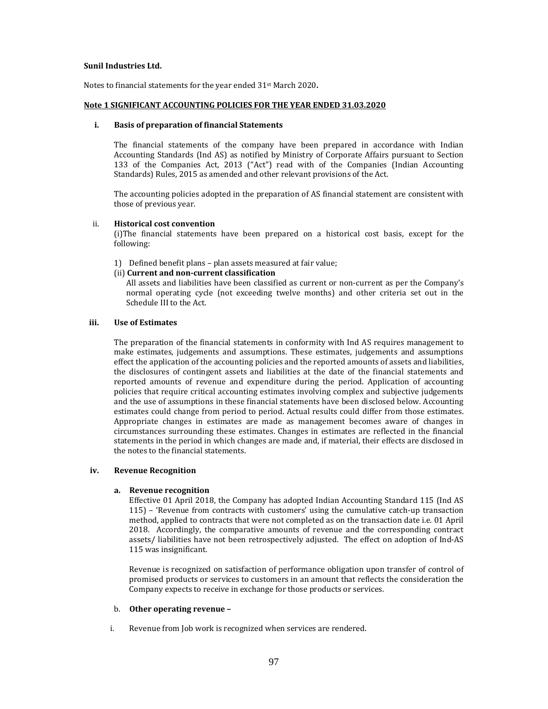#### **Sunil Industries Ltd.**

Notes to financial statements for the year ended 31<sup>st</sup> March 2020.

### **Note 1 SIGNIFICANT ACCOUNTING POLICIES FOR THE YEAR ENDED 31.03.2020**

#### **i. Basis of preparation of financial Statements**

The financial statements of the company have been prepared in accordance with Indian Accounting Standards (Ind AS) as notified by Ministry of Corporate Affairs pursuant to Section 133 of the Companies Act, 2013 ("Act") read with of the Companies (Indian Accounting Standards) Rules, 2015 as amended and other relevant provisions of the Act.

The accounting policies adopted in the preparation of AS financial statement are consistent with those of previous year.

#### ii. **Historical cost convention**

(i)The financial statements have been prepared on a historical cost basis, except for the following:

1) Defined benefit plans - plan assets measured at fair value;

#### (ii) **Current and non‐current classification**

All assets and liabilities have been classified as current or non-current as per the Company's normal operating cycle (not exceeding twelve months) and other criteria set out in the Schedule III to the Act.

# **iii. Use of Estimates**

The preparation of the financial statements in conformity with Ind AS requires management to make estimates, judgements and assumptions. These estimates, judgements and assumptions effect the application of the accounting policies and the reported amounts of assets and liabilities, the disclosures of contingent assets and liabilities at the date of the financial statements and reported amounts of revenue and expenditure during the period. Application of accounting policies that require critical accounting estimates involving complex and subjective judgements and the use of assumptions in these financial statements have been disclosed below. Accounting estimates could change from period to period. Actual results could differ from those estimates. Appropriate changes in estimates are made as management becomes aware of changes in circumstances surrounding these estimates. Changes in estimates are reflected in the financial statements in the period in which changes are made and, if material, their effects are disclosed in the notes to the financial statements.

### **iv. Revenue Recognition**

### **a. Revenue recognition**

Effective 01 April 2018, the Company has adopted Indian Accounting Standard 115 (Ind AS  $115$ ) – 'Revenue from contracts with customers' using the cumulative catch-up transaction method, applied to contracts that were not completed as on the transaction date *i.e.* 01 April 2018. Accordingly, the comparative amounts of revenue and the corresponding contract assets/ liabilities have not been retrospectively adjusted. The effect on adoption of Ind-AS 115 was insignificant.

Revenue is recognized on satisfaction of performance obligation upon transfer of control of promised products or services to customers in an amount that reflects the consideration the Company expects to receive in exchange for those products or services.

#### b. **Other operating revenue –**

i. Revenue from Job work is recognized when services are rendered.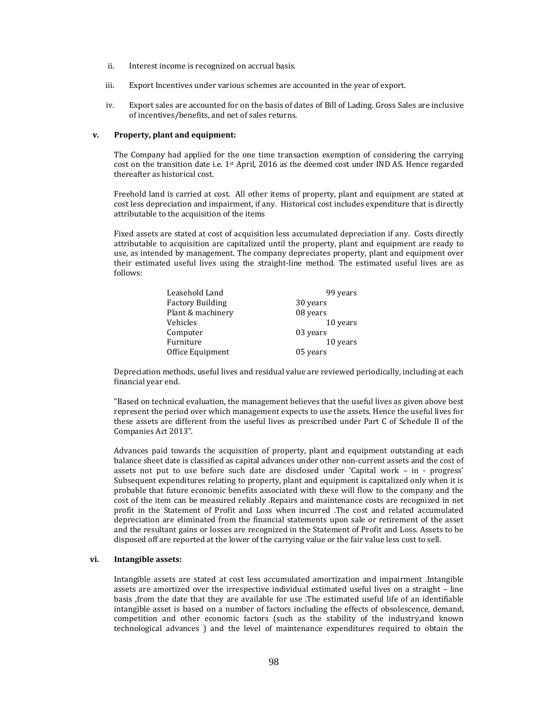- ii. Interest income is recognized on accrual basis.
- iii. Export Incentives under various schemes are accounted in the year of export.
- iv. Export sales are accounted for on the basis of dates of Bill of Lading. Gross Sales are inclusive of incentives/benefits, and net of sales returns.

#### **v. Property, plant and equipment:**

The Company had applied for the one time transaction exemption of considering the carrying cost on the transition date i.e.  $1^{st}$  April, 2016 as the deemed cost under IND AS. Hence regarded thereafter as historical cost.

Freehold land is carried at cost. All other items of property, plant and equipment are stated at cost less depreciation and impairment, if any. Historical cost includes expenditure that is directly attributable to the acquisition of the items

Fixed assets are stated at cost of acquisition less accumulated depreciation if any. Costs directly attributable to acquisition are capitalized until the property, plant and equipment are ready to use, as intended by management. The company depreciates property, plant and equipment over their estimated useful lives using the straight-line method. The estimated useful lives are as follows:

| Leasehold Land          | 99 years |
|-------------------------|----------|
| <b>Factory Building</b> | 30 years |
| Plant & machinery       | 08 years |
| Vehicles                | 10 years |
| Computer                | 03 years |
| Furniture               | 10 years |
| Office Equipment        | 05 years |

Depreciation methods, useful lives and residual value are reviewed periodically, including at each financial year end.

"Based on technical evaluation, the management believes that the useful lives as given above best represent the period over which management expects to use the assets. Hence the useful lives for these assets are different from the useful lives as prescribed under Part C of Schedule II of the Companies Act 2013". 

Advances paid towards the acquisition of property, plant and equipment outstanding at each balance sheet date is classified as capital advances under other non-current assets and the cost of assets not put to use before such date are disclosed under 'Capital work – in - progress' Subsequent expenditures relating to property, plant and equipment is capitalized only when it is probable that future economic benefits associated with these will flow to the company and the cost of the item can be measured reliably .Repairs and maintenance costs are recognized in net profit in the Statement of Profit and Loss when incurred .The cost and related accumulated depreciation are eliminated from the financial statements upon sale or retirement of the asset and the resultant gains or losses are recognized in the Statement of Profit and Loss. Assets to be disposed off are reported at the lower of the carrying value or the fair value less cost to sell.

### **vi. Intangible assets:**

Intangible assets are stated at cost less accumulated amortization and impairment .Intangible assets are amortized over the irrespective individual estimated useful lives on a straight - line basis ,from the date that they are available for use .The estimated useful life of an identifiable intangible asset is based on a number of factors including the effects of obsolescence, demand, competition and other economic factors (such as the stability of the industry,and known technological advances ) and the level of maintenance expenditures required to obtain the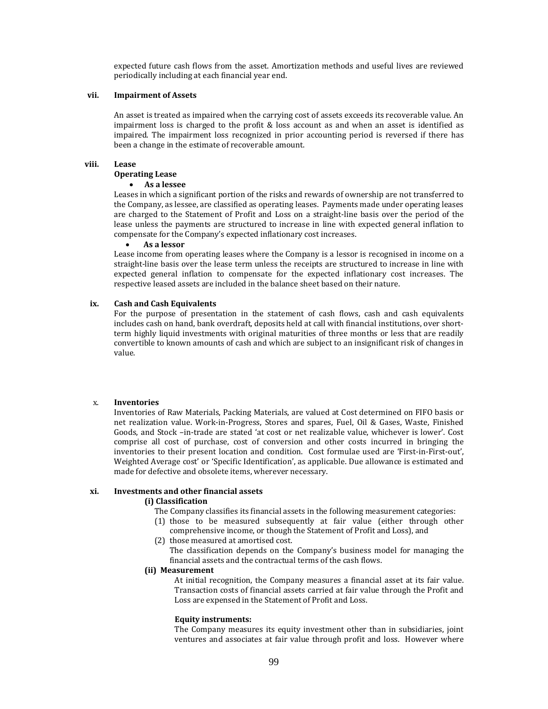expected future cash flows from the asset. Amortization methods and useful lives are reviewed periodically including at each financial year end.

#### **vii. Impairment of Assets**

An asset is treated as impaired when the carrying cost of assets exceeds its recoverable value. An impairment loss is charged to the profit  $&$  loss account as and when an asset is identified as impaired. The impairment loss recognized in prior accounting period is reversed if there has been a change in the estimate of recoverable amount.

# **viii. Lease**

# **Operating Lease**

### **As a lessee**

Leases in which a significant portion of the risks and rewards of ownership are not transferred to the Company, as lessee, are classified as operating leases. Payments made under operating leases are charged to the Statement of Profit and Loss on a straight-line basis over the period of the lease unless the payments are structured to increase in line with expected general inflation to compensate for the Company's expected inflationary cost increases.

#### **As a lessor**

Lease income from operating leases where the Company is a lessor is recognised in income on a straight-line basis over the lease term unless the receipts are structured to increase in line with expected general inflation to compensate for the expected inflationary cost increases. The respective leased assets are included in the balance sheet based on their nature.

#### **ix. Cash and Cash Equivalents**

For the purpose of presentation in the statement of cash flows, cash and cash equivalents includes cash on hand, bank overdraft, deposits held at call with financial institutions, over shortterm highly liquid investments with original maturities of three months or less that are readily convertible to known amounts of cash and which are subject to an insignificant risk of changes in value.

### x. **Inventories**

Inventories of Raw Materials, Packing Materials, are valued at Cost determined on FIFO basis or net realization value. Work-in-Progress, Stores and spares, Fuel, Oil & Gases, Waste, Finished Goods, and Stock -in-trade are stated 'at cost or net realizable value, whichever is lower'. Cost comprise all cost of purchase, cost of conversion and other costs incurred in bringing the inventories to their present location and condition. Cost formulae used are 'First-in-First-out', Weighted Average cost' or 'Specific Identification', as applicable. Due allowance is estimated and made for defective and obsolete items, wherever necessary.

#### **xi. Investments and other financial assets**

#### **(i) Classification**

- The Company classifies its financial assets in the following measurement categories:
- (1) those to be measured subsequently at fair value (either through other comprehensive income, or though the Statement of Profit and Loss), and
- (2) those measured at amortised cost. The classification depends on the Company's business model for managing the
	- financial assets and the contractual terms of the cash flows.

# **(ii) Measurement**

At initial recognition, the Company measures a financial asset at its fair value. Transaction costs of financial assets carried at fair value through the Profit and Loss are expensed in the Statement of Profit and Loss.

#### **Equity instruments:**

The Company measures its equity investment other than in subsidiaries, joint ventures and associates at fair value through profit and loss. However where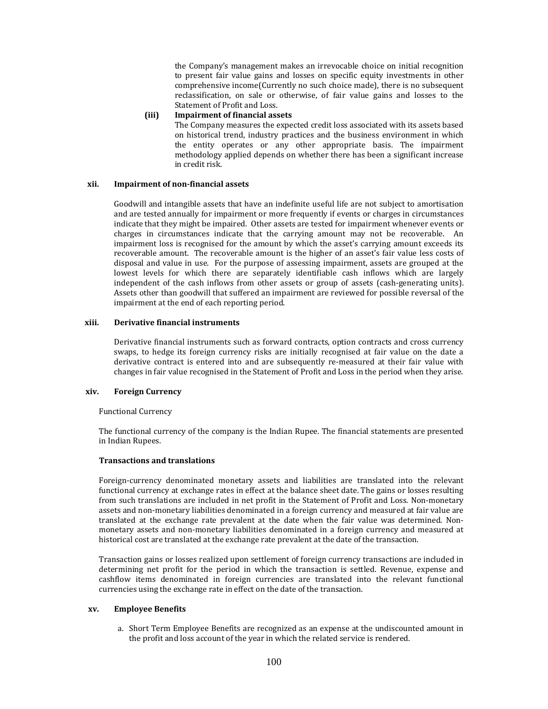the Company's management makes an irrevocable choice on initial recognition to present fair value gains and losses on specific equity investments in other comprehensive income(Currently no such choice made), there is no subsequent reclassification, on sale or otherwise, of fair value gains and losses to the Statement of Profit and Loss.

#### **(iii) Impairment of financial assets**

The Company measures the expected credit loss associated with its assets based on historical trend, industry practices and the business environment in which the entity operates or any other appropriate basis. The impairment methodology applied depends on whether there has been a significant increase in credit risk.

#### **xii. Impairment of non‐financial assets**

Goodwill and intangible assets that have an indefinite useful life are not subject to amortisation and are tested annually for impairment or more frequently if events or charges in circumstances indicate that they might be impaired. Other assets are tested for impairment whenever events or charges in circumstances indicate that the carrying amount may not be recoverable. An impairment loss is recognised for the amount by which the asset's carrying amount exceeds its recoverable amount. The recoverable amount is the higher of an asset's fair value less costs of disposal and value in use. For the purpose of assessing impairment, assets are grouped at the lowest levels for which there are separately identifiable cash inflows which are largely independent of the cash inflows from other assets or group of assets (cash-generating units). Assets other than goodwill that suffered an impairment are reviewed for possible reversal of the impairment at the end of each reporting period.

# **xiii. Derivative financial instruments**

Derivative financial instruments such as forward contracts, option contracts and cross currency swaps, to hedge its foreign currency risks are initially recognised at fair value on the date a derivative contract is entered into and are subsequently re-measured at their fair value with changes in fair value recognised in the Statement of Profit and Loss in the period when they arise.

#### **xiv. Foreign Currency**

### Functional Currency

The functional currency of the company is the Indian Rupee. The financial statements are presented in Indian Rupees.

### **Transactions and translations**

Foreign-currency denominated monetary assets and liabilities are translated into the relevant functional currency at exchange rates in effect at the balance sheet date. The gains or losses resulting from such translations are included in net profit in the Statement of Profit and Loss. Non-monetary assets and non-monetary liabilities denominated in a foreign currency and measured at fair value are translated at the exchange rate prevalent at the date when the fair value was determined. Nonmonetary assets and non-monetary liabilities denominated in a foreign currency and measured at historical cost are translated at the exchange rate prevalent at the date of the transaction.

Transaction gains or losses realized upon settlement of foreign currency transactions are included in determining net profit for the period in which the transaction is settled. Revenue, expense and cashflow items denominated in foreign currencies are translated into the relevant functional currencies using the exchange rate in effect on the date of the transaction.

### **xv. Employee Benefits**

a. Short Term Employee Benefits are recognized as an expense at the undiscounted amount in the profit and loss account of the year in which the related service is rendered.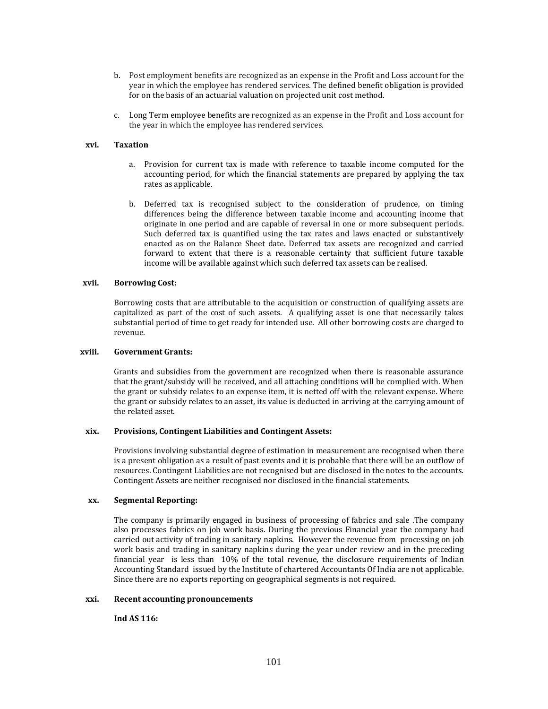- b. Post employment benefits are recognized as an expense in the Profit and Loss account for the year in which the employee has rendered services. The defined benefit obligation is provided for on the basis of an actuarial valuation on projected unit cost method.
- c. Long Term employee benefits are recognized as an expense in the Profit and Loss account for the year in which the employee has rendered services.

### **xvi. Taxation**

- a. Provision for current tax is made with reference to taxable income computed for the accounting period, for which the financial statements are prepared by applying the tax rates as applicable.
- b. Deferred tax is recognised subject to the consideration of prudence, on timing differences being the difference between taxable income and accounting income that originate in one period and are capable of reversal in one or more subsequent periods. Such deferred tax is quantified using the tax rates and laws enacted or substantively enacted as on the Balance Sheet date. Deferred tax assets are recognized and carried forward to extent that there is a reasonable certainty that sufficient future taxable income will be available against which such deferred tax assets can be realised.

#### **xvii. Borrowing Cost:**

Borrowing costs that are attributable to the acquisition or construction of qualifying assets are capitalized as part of the cost of such assets. A qualifying asset is one that necessarily takes substantial period of time to get ready for intended use. All other borrowing costs are charged to revenue.

#### **xviii. Government Grants:**

Grants and subsidies from the government are recognized when there is reasonable assurance that the grant/subsidy will be received, and all attaching conditions will be complied with. When the grant or subsidy relates to an expense item, it is netted off with the relevant expense. Where the grant or subsidy relates to an asset, its value is deducted in arriving at the carrying amount of the related asset.

#### **xix. Provisions, Contingent Liabilities and Contingent Assets:**

Provisions involving substantial degree of estimation in measurement are recognised when there is a present obligation as a result of past events and it is probable that there will be an outflow of resources. Contingent Liabilities are not recognised but are disclosed in the notes to the accounts. Contingent Assets are neither recognised nor disclosed in the financial statements.

#### **xx. Segmental Reporting:**

The company is primarily engaged in business of processing of fabrics and sale .The company also processes fabrics on job work basis. During the previous Financial year the company had carried out activity of trading in sanitary napkins. However the revenue from processing on job work basis and trading in sanitary napkins during the year under review and in the preceding financial year is less than  $10\%$  of the total revenue, the disclosure requirements of Indian Accounting Standard issued by the Institute of chartered Accountants Of India are not applicable. Since there are no exports reporting on geographical segments is not required.

#### **xxi. Recent accounting pronouncements**

**Ind AS 116:**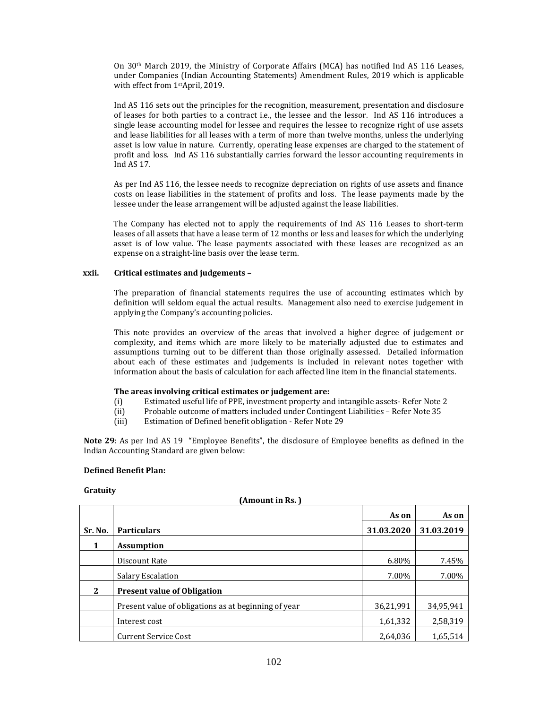On  $30<sup>th</sup>$  March 2019, the Ministry of Corporate Affairs (MCA) has notified Ind AS 116 Leases, under Companies (Indian Accounting Statements) Amendment Rules, 2019 which is applicable with effect from 1<sup>st</sup>April, 2019.

Ind AS 116 sets out the principles for the recognition, measurement, presentation and disclosure of leases for both parties to a contract i.e., the lessee and the lessor. Ind AS 116 introduces a single lease accounting model for lessee and requires the lessee to recognize right of use assets and lease liabilities for all leases with a term of more than twelve months, unless the underlying asset is low value in nature. Currently, operating lease expenses are charged to the statement of profit and loss. Ind AS 116 substantially carries forward the lessor accounting requirements in Ind AS  $17$ .

As per Ind AS 116, the lessee needs to recognize depreciation on rights of use assets and finance costs on lease liabilities in the statement of profits and loss. The lease payments made by the lessee under the lease arrangement will be adjusted against the lease liabilities.

The Company has elected not to apply the requirements of Ind AS 116 Leases to short-term leases of all assets that have a lease term of 12 months or less and leases for which the underlying asset is of low value. The lease payments associated with these leases are recognized as an expense on a straight-line basis over the lease term.

### **xxii. Critical estimates and judgements –**

The preparation of financial statements requires the use of accounting estimates which by definition will seldom equal the actual results. Management also need to exercise judgement in applying the Company's accounting policies.

This note provides an overview of the areas that involved a higher degree of judgement or complexity, and items which are more likely to be materially adjusted due to estimates and assumptions turning out to be different than those originally assessed. Detailed information about each of these estimates and judgements is included in relevant notes together with information about the basis of calculation for each affected line item in the financial statements.

### **The areas involving critical estimates or judgement are:**

- (i) Estimated useful life of PPE, investment property and intangible assets- Refer Note 2
- (ii) Probable outcome of matters included under Contingent Liabilities Refer Note 35
- (iii) Estimation of Defined benefit obligation Refer Note 29

**Note 29**: As per Ind AS 19 "Employee Benefits", the disclosure of Employee benefits as defined in the Indian Accounting Standard are given below:

### **Defined Benefit Plan:**

### **Gratuity**

| (Amount in Rs.) |                                                      |            |            |  |
|-----------------|------------------------------------------------------|------------|------------|--|
|                 |                                                      | As on      | As on      |  |
| Sr. No.         | <b>Particulars</b>                                   | 31.03.2020 | 31.03.2019 |  |
| 1               | <b>Assumption</b>                                    |            |            |  |
|                 | Discount Rate                                        | 6.80%      | 7.45%      |  |
|                 | Salary Escalation                                    | 7.00%      | 7.00%      |  |
| 2               | <b>Present value of Obligation</b>                   |            |            |  |
|                 | Present value of obligations as at beginning of year | 36,21,991  | 34,95,941  |  |
|                 | Interest cost                                        | 1,61,332   | 2,58,319   |  |
|                 | <b>Current Service Cost</b>                          | 2,64,036   | 1,65,514   |  |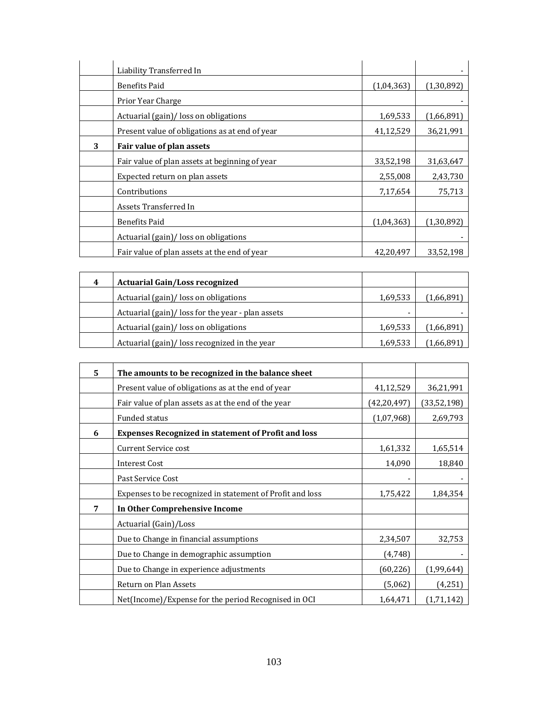|   | Liability Transferred In                       |            |              |
|---|------------------------------------------------|------------|--------------|
|   | <b>Benefits Paid</b>                           | (1,04,363) | (1, 30, 892) |
|   | Prior Year Charge                              |            |              |
|   | Actuarial (gain)/ loss on obligations          | 1,69,533   | (1,66,891)   |
|   | Present value of obligations as at end of year | 41,12,529  | 36,21,991    |
| 3 | Fair value of plan assets                      |            |              |
|   | Fair value of plan assets at beginning of year | 33,52,198  | 31,63,647    |
|   | Expected return on plan assets                 | 2,55,008   | 2,43,730     |
|   | Contributions                                  | 7,17,654   | 75,713       |
|   | Assets Transferred In                          |            |              |
|   | <b>Benefits Paid</b>                           | (1,04,363) | (1, 30, 892) |
|   | Actuarial (gain)/ loss on obligations          |            |              |
|   | Fair value of plan assets at the end of year   | 42,20,497  | 33,52,198    |

| 4 | <b>Actuarial Gain/Loss recognized</b>            |          |            |
|---|--------------------------------------------------|----------|------------|
|   | Actuarial (gain)/ loss on obligations            | 1,69,533 | (1,66,891) |
|   | Actuarial (gain)/loss for the year - plan assets | -        |            |
|   | Actuarial (gain)/ loss on obligations            | 1,69,533 | (1,66,891) |
|   | Actuarial (gain)/ loss recognized in the year    | 1,69,533 | (1,66,891) |

| 5 | The amounts to be recognized in the balance sheet          |               |             |
|---|------------------------------------------------------------|---------------|-------------|
|   | Present value of obligations as at the end of year         | 41,12,529     | 36,21,991   |
|   | Fair value of plan assets as at the end of the year        | (42, 20, 497) | (33,52,198) |
|   | <b>Funded status</b>                                       | (1,07,968)    | 2,69,793    |
| 6 | <b>Expenses Recognized in statement of Profit and loss</b> |               |             |
|   | <b>Current Service cost</b>                                | 1,61,332      | 1,65,514    |
|   | <b>Interest Cost</b>                                       | 14,090        | 18,840      |
|   | Past Service Cost                                          |               |             |
|   | Expenses to be recognized in statement of Profit and loss  | 1,75,422      | 1,84,354    |
| 7 | In Other Comprehensive Income                              |               |             |
|   | Actuarial (Gain)/Loss                                      |               |             |
|   | Due to Change in financial assumptions                     | 2,34,507      | 32,753      |
|   | Due to Change in demographic assumption                    | (4,748)       |             |
|   | Due to Change in experience adjustments                    | (60, 226)     | (1,99,644)  |
|   | Return on Plan Assets                                      | (5,062)       | (4,251)     |
|   | Net(Income)/Expense for the period Recognised in OCI       | 1,64,471      | (1,71,142)  |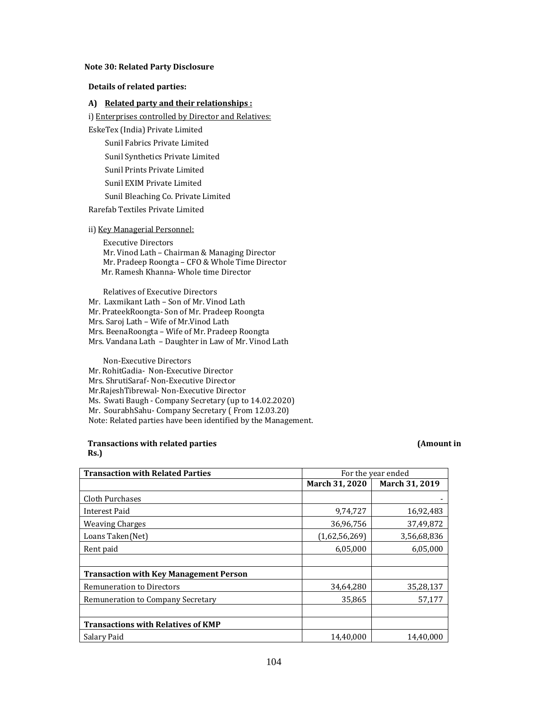#### **Note 30: Related Party Disclosure**

# **Details of related parties:**

# **A) Related party and their relationships :**

i) Enterprises controlled by Director and Relatives:

EskeTex (India) Private Limited 

Sunil Fabrics Private Limited Sunil Synthetics Private Limited

Sunil Prints Private Limited

Sunil EXIM Private Limited

Sunil Bleaching Co. Private Limited

Rarefab Textiles Private Limited 

### ii) Key Managerial Personnel:

**Executive Directors** Mr. Vinod Lath – Chairman & Managing Director Mr. Pradeep Roongta – CFO & Whole Time Director Mr. Ramesh Khanna- Whole time Director

Relatives of Executive Directors Mr. Laxmikant Lath - Son of Mr. Vinod Lath Mr. PrateekRoongta- Son of Mr. Pradeep Roongta Mrs. Saroj Lath - Wife of Mr.Vinod Lath Mrs. BeenaRoongta - Wife of Mr. Pradeep Roongta Mrs. Vandana Lath - Daughter in Law of Mr. Vinod Lath

 Non‐Executive Directors Mr. RohitGadia- Non-Executive Director Mrs. ShrutiSaraf- Non-Executive Director Mr.RajeshTibrewal- Non-Executive Director Ms. Swati Baugh - Company Secretary (up to 14.02.2020) Mr. SourabhSahu- Company Secretary (From 12.03.20) Note: Related parties have been identified by the Management.

#### **Transactions with related parties (Amount in Rs.)**

| <b>Transaction with Related Parties</b>       | For the year ended |                |
|-----------------------------------------------|--------------------|----------------|
|                                               | March 31, 2020     | March 31, 2019 |
| Cloth Purchases                               |                    |                |
| Interest Paid                                 | 9,74,727           | 16,92,483      |
| <b>Weaving Charges</b>                        | 36,96,756          | 37,49,872      |
| Loans Taken(Net)                              | (1,62,56,269)      | 3,56,68,836    |
| Rent paid                                     | 6,05,000           | 6,05,000       |
|                                               |                    |                |
| <b>Transaction with Key Management Person</b> |                    |                |
| <b>Remuneration to Directors</b>              | 34,64,280          | 35,28,137      |
| Remuneration to Company Secretary             | 35,865             | 57,177         |
|                                               |                    |                |
| <b>Transactions with Relatives of KMP</b>     |                    |                |
| Salary Paid                                   | 14,40,000          | 14,40,000      |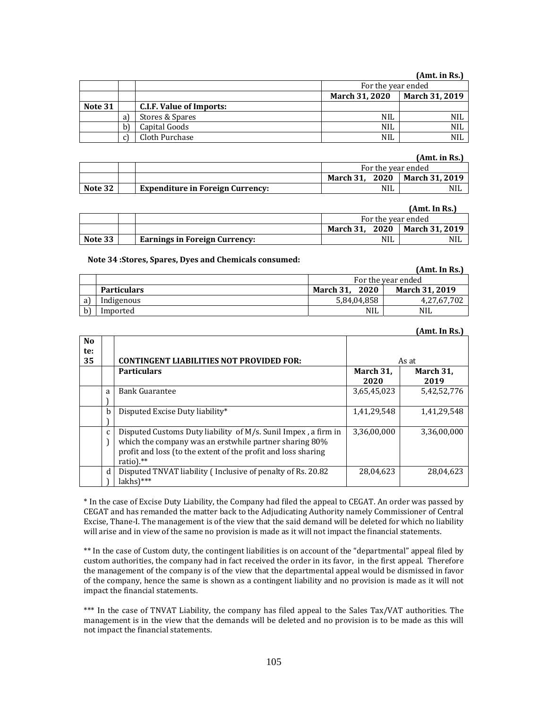# **(Amt. in Rs.)**

|         |   |                                 | For the year ended |                       |
|---------|---|---------------------------------|--------------------|-----------------------|
|         |   |                                 | March 31, 2020     | <b>March 31, 2019</b> |
| Note 31 |   | <b>C.I.F. Value of Imports:</b> |                    |                       |
|         | a | Stores & Spares                 | <b>NIL</b>         | NIL                   |
|         |   | Capital Goods                   | <b>NIL</b>         | NIL                   |
|         |   | Cloth Purchase                  | NIL                | <b>NIL</b>            |

# **(Amt. in Rs.)**

|         |                                         | For the year ended |                |
|---------|-----------------------------------------|--------------------|----------------|
|         |                                         | 2020<br>March 31.  | March 31, 2019 |
| Note 32 | <b>Expenditure in Foreign Currency:</b> | NIL.               | NIL            |

#### **(Amt. In Rs.)**

|         |                                      | For the year ended |                |
|---------|--------------------------------------|--------------------|----------------|
|         |                                      | March 31. 2020     | March 31. 2019 |
| Note 33 | <b>Earnings in Foreign Currency:</b> | <b>NIL</b>         | <b>NIL</b>     |

**Note 34 :Stores, Spares, Dyes and Chemicals consumed:**

|     |                    |                   | (Amt. In Rs.)         |
|-----|--------------------|-------------------|-----------------------|
|     | For the year ended |                   |                       |
|     | <b>Particulars</b> | 2020<br>March 31, | <b>March 31, 2019</b> |
| a l | Indigenous         | 5,84,04,858       | 4,27,67,702           |
|     | Imported           | <b>NIL</b>        | <b>NIL</b>            |

#### **(Amt. In Rs.)**

| No.<br>te: |              |                                                                |             |             |
|------------|--------------|----------------------------------------------------------------|-------------|-------------|
| 35         |              | <b>CONTINGENT LIABILITIES NOT PROVIDED FOR:</b>                |             | As at       |
|            |              | <b>Particulars</b>                                             | March 31,   | March 31,   |
|            |              |                                                                | 2020        | 2019        |
|            | a            | <b>Bank Guarantee</b>                                          | 3,65,45,023 | 5,42,52,776 |
|            |              |                                                                |             |             |
|            | b            | Disputed Excise Duty liability*                                | 1,41,29,548 | 1,41,29,548 |
|            |              |                                                                |             |             |
|            | $\mathbf{C}$ | Disputed Customs Duty liability of M/s. Sunil Impex, a firm in | 3,36,00,000 | 3,36,00,000 |
|            |              | which the company was an erstwhile partner sharing 80%         |             |             |
|            |              | profit and loss (to the extent of the profit and loss sharing  |             |             |
|            |              | ratio). $**$                                                   |             |             |
|            | d            | Disputed TNVAT liability (Inclusive of penalty of Rs. 20.82    | 28,04,623   | 28,04,623   |
|            |              | $lakhs$ <sup>***</sup>                                         |             |             |

\* In the case of Excise Duty Liability, the Company had filed the appeal to CEGAT. An order was passed by CEGAT and has remanded the matter back to the Adjudicating Authority namely Commissioner of Central Excise, Thane-I. The management is of the view that the said demand will be deleted for which no liability will arise and in view of the same no provision is made as it will not impact the financial statements.

\*\* In the case of Custom duty, the contingent liabilities is on account of the "departmental" appeal filed by custom authorities, the company had in fact received the order in its favor, in the first appeal. Therefore the management of the company is of the view that the departmental appeal would be dismissed in favor of the company, hence the same is shown as a contingent liability and no provision is made as it will not impact the financial statements.

\*\*\* In the case of TNVAT Liability, the company has filed appeal to the Sales Tax/VAT authorities. The management is in the view that the demands will be deleted and no provision is to be made as this will not impact the financial statements.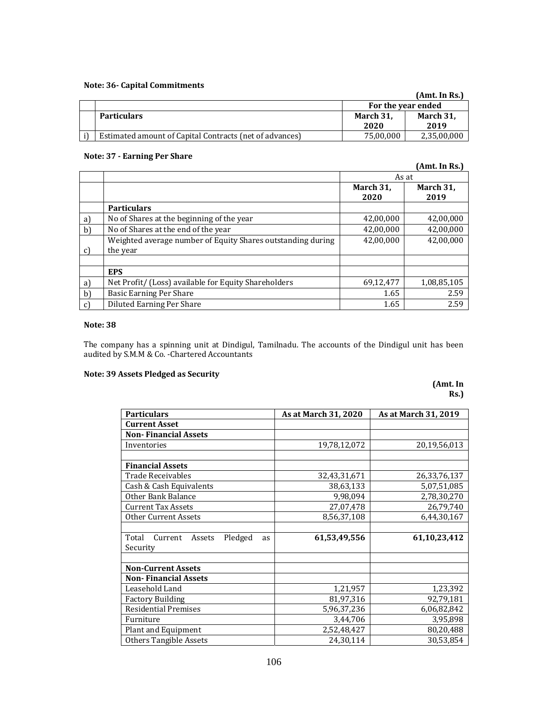# **Note: 36‐ Capital Commitments**

|                                                         |                    | (Amt. In Rs.)     |
|---------------------------------------------------------|--------------------|-------------------|
|                                                         | For the year ended |                   |
| <b>Particulars</b>                                      | March 31.<br>2020  | March 31,<br>2019 |
| Estimated amount of Capital Contracts (net of advances) | 75,00,000          | 2,35,00,000       |

# **Note: 37 ‐ Earning Per Share**

|              |                                                             | As at     |             |
|--------------|-------------------------------------------------------------|-----------|-------------|
|              |                                                             | March 31, | March 31,   |
|              |                                                             | 2020      | 2019        |
|              | <b>Particulars</b>                                          |           |             |
| a            | No of Shares at the beginning of the year                   | 42,00,000 | 42,00,000   |
| b)           | No of Shares at the end of the year                         | 42,00,000 | 42,00,000   |
|              | Weighted average number of Equity Shares outstanding during | 42,00,000 | 42,00,000   |
| c)           | the year                                                    |           |             |
|              |                                                             |           |             |
|              | <b>EPS</b>                                                  |           |             |
| a)           | Net Profit/ (Loss) available for Equity Shareholders        | 69,12,477 | 1,08,85,105 |
| b            | Basic Earning Per Share                                     | 1.65      | 2.59        |
| $\mathbf{c}$ | Diluted Earning Per Share                                   | 1.65      | 2.59        |

# **Note: 38**

The company has a spinning unit at Dindigul, Tamilnadu. The accounts of the Dindigul unit has been audited by S.M.M & Co. -Chartered Accountants

# **Note: 39 Assets Pledged as Security**

# **(Amt. In Rs.)**

| <b>Particulars</b>                                 | As at March 31, 2020 | As at March 31, 2019 |
|----------------------------------------------------|----------------------|----------------------|
| <b>Current Asset</b>                               |                      |                      |
| <b>Non-Financial Assets</b>                        |                      |                      |
| Inventories                                        | 19,78,12,072         | 20,19,56,013         |
|                                                    |                      |                      |
| <b>Financial Assets</b>                            |                      |                      |
| Trade Receivables                                  | 32,43,31,671         | 26,33,76,137         |
| Cash & Cash Equivalents                            | 38,63,133            | 5,07,51,085          |
| Other Bank Balance                                 | 9,98,094             | 2,78,30,270          |
| <b>Current Tax Assets</b>                          | 27,07,478            | 26,79,740            |
| <b>Other Current Assets</b>                        | 8,56,37,108          | 6,44,30,167          |
|                                                    |                      |                      |
| Total<br>Pledged<br>Current<br>Assets<br><b>as</b> | 61,53,49,556         | 61,10,23,412         |
| Security                                           |                      |                      |
|                                                    |                      |                      |
| <b>Non-Current Assets</b>                          |                      |                      |
| <b>Non-Financial Assets</b>                        |                      |                      |
| Leasehold Land                                     | 1,21,957             | 1,23,392             |
| <b>Factory Building</b>                            | 81,97,316            | 92,79,181            |
| <b>Residential Premises</b>                        | 5,96,37,236          | 6,06,82,842          |
| Furniture                                          | 3,44,706             | 3,95,898             |
| Plant and Equipment                                | 2,52,48,427          | 80,20,488            |
| Others Tangible Assets                             | 24,30,114            | 30,53,854            |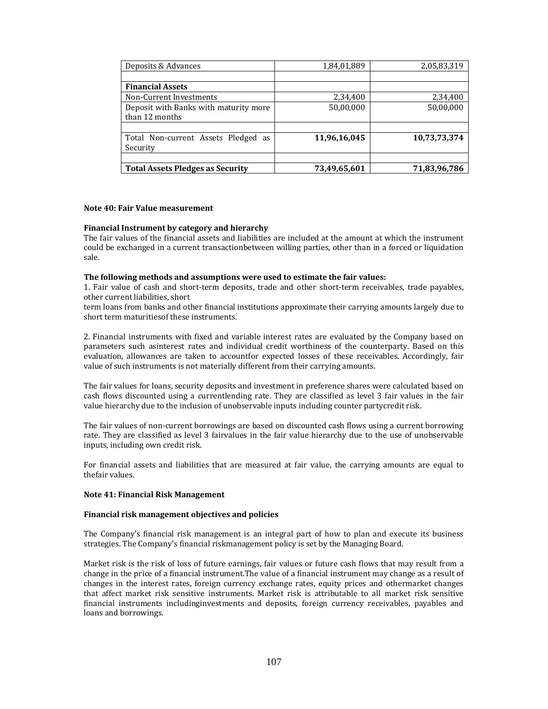| Deposits & Advances                     | 1,84,01,889  | 2,05,83,319  |
|-----------------------------------------|--------------|--------------|
|                                         |              |              |
| <b>Financial Assets</b>                 |              |              |
| Non-Current Investments                 | 2,34,400     | 2,34,400     |
| Deposit with Banks with maturity more   | 50,00,000    | 50,00,000    |
| than 12 months                          |              |              |
|                                         |              |              |
| Total Non-current Assets Pledged as     | 11,96,16,045 | 10,73,73,374 |
| Security                                |              |              |
|                                         |              |              |
| <b>Total Assets Pledges as Security</b> | 73,49,65,601 | 71,83,96,786 |

#### **Note 40: Fair Value measurement**

#### **Financial Instrument by category and hierarchy**

The fair values of the financial assets and liabilities are included at the amount at which the instrument could be exchanged in a current transactionbetween willing parties, other than in a forced or liquidation sale. 

#### **The following methods and assumptions were used to estimate the fair values:**

1. Fair value of cash and short-term deposits, trade and other short-term receivables, trade payables, other current liabilities, short

term loans from banks and other financial institutions approximate their carrying amounts largely due to short term maturities of these instruments.

2. Financial instruments with fixed and variable interest rates are evaluated by the Company based on parameters such asinterest rates and individual credit worthiness of the counterparty. Based on this evaluation, allowances are taken to accountfor expected losses of these receivables. Accordingly, fair value of such instruments is not materially different from their carrying amounts.

The fair values for loans, security deposits and investment in preference shares were calculated based on cash flows discounted using a currentlending rate. They are classified as level 3 fair values in the fair value hierarchy due to the inclusion of unobservable inputs including counter partycredit risk.

The fair values of non-current borrowings are based on discounted cash flows using a current borrowing rate. They are classified as level 3 fairvalues in the fair value hierarchy due to the use of unobservable inputs, including own credit risk.

For financial assets and liabilities that are measured at fair value, the carrying amounts are equal to thefair values.

#### **Note 41: Financial Risk Management**

#### **Financial risk management objectives and policies**

The Company's financial risk management is an integral part of how to plan and execute its business strategies. The Company's financial riskmanagement policy is set by the Managing Board.

Market risk is the risk of loss of future earnings, fair values or future cash flows that may result from a change in the price of a financial instrument.The value of a financial instrument may change as a result of changes in the interest rates, foreign currency exchange rates, equity prices and othermarket changes that affect market risk sensitive instruments. Market risk is attributable to all market risk sensitive financial instruments includinginvestments and deposits, foreign currency receivables, payables and loans and borrowings.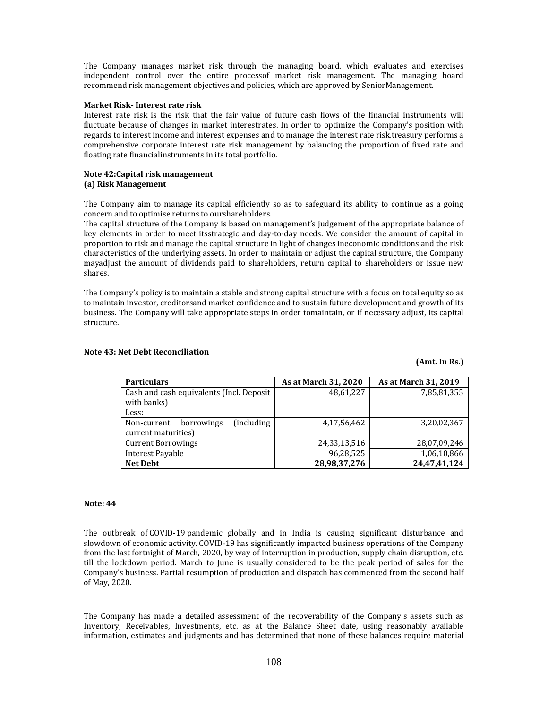The Company manages market risk through the managing board, which evaluates and exercises independent control over the entire processof market risk management. The managing board recommend risk management objectives and policies, which are approved by SeniorManagement.

## **Market Risk‐ Interest rate risk**

Interest rate risk is the risk that the fair value of future cash flows of the financial instruments will fluctuate because of changes in market interestrates. In order to optimize the Company's position with regards to interest income and interest expenses and to manage the interest rate risk,treasury performs a comprehensive corporate interest rate risk management by balancing the proportion of fixed rate and floating rate financialinstruments in its total portfolio.

## **Note 42:Capital risk management (a) Risk Management**

The Company aim to manage its capital efficiently so as to safeguard its ability to continue as a going concern and to optimise returns to ourshareholders.

The capital structure of the Company is based on management's judgement of the appropriate balance of key elements in order to meet itsstrategic and day-to-day needs. We consider the amount of capital in proportion to risk and manage the capital structure in light of changes ineconomic conditions and the risk characteristics of the underlying assets. In order to maintain or adjust the capital structure, the Company mayadjust the amount of dividends paid to shareholders, return capital to shareholders or issue new shares. 

The Company's policy is to maintain a stable and strong capital structure with a focus on total equity so as to maintain investor, creditorsand market confidence and to sustain future development and growth of its business. The Company will take appropriate steps in order tomaintain, or if necessary adjust, its capital structure. 

| <b>Particulars</b>                              | As at March 31, 2020 | As at March 31, 2019 |
|-------------------------------------------------|----------------------|----------------------|
| Cash and cash equivalents (Incl. Deposit        | 48,61,227            | 7,85,81,355          |
| with banks)                                     |                      |                      |
| Less:                                           |                      |                      |
| <i>(including)</i><br>borrowings<br>Non-current | 4,17,56,462          | 3,20,02,367          |
| current maturities)                             |                      |                      |
| <b>Current Borrowings</b>                       | 24,33,13,516         | 28,07,09,246         |
| Interest Payable                                | 96,28,525            | 1,06,10,866          |
| <b>Net Debt</b>                                 | 28,98,37,276         | 24,47,41,124         |

**(Amt. In Rs.)**

## **Note 43: Net Debt Reconciliation**

## **Note: 44**

The outbreak of COVID-19 pandemic globally and in India is causing significant disturbance and slowdown of economic activity. COVID-19 has significantly impacted business operations of the Company from the last fortnight of March, 2020, by way of interruption in production, supply chain disruption, etc. till the lockdown period. March to June is usually considered to be the peak period of sales for the Company's business. Partial resumption of production and dispatch has commenced from the second half of May, 2020.

The Company has made a detailed assessment of the recoverability of the Company's assets such as Inventory, Receivables, Investments, etc. as at the Balance Sheet date, using reasonably available information, estimates and judgments and has determined that none of these balances require material